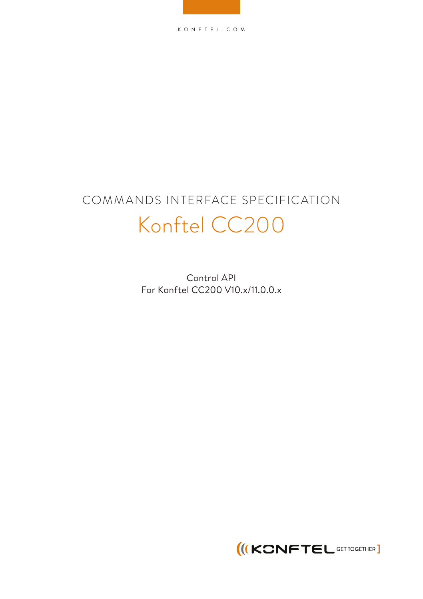KONFTEL.COM

# COMMANDS INTERFACE SPECIFICATION Konftel CC200

Control API For Konftel CC200 V10.x/11.0.0.x

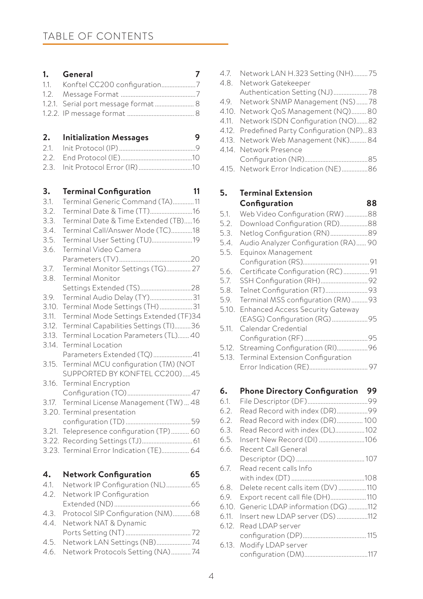| 1.     | 7<br>General                           |
|--------|----------------------------------------|
| 1.1.   | Konftel CC200 configuration7           |
| 1.2.   |                                        |
| 1.2.1. | Serial port message format  8          |
| 1.2.2. |                                        |
|        |                                        |
| 2.     | <b>Initialization Messages</b><br>9    |
| 2.1.   |                                        |
| 2.2.   |                                        |
| 2.3.   |                                        |
|        |                                        |
| 3.     | <b>Terminal Configuration</b><br>11    |
| 3.1.   | Terminal Generic Command (TA)11        |
| 3.2.   | Terminal Date & Time (TT)16            |
| 3.3.   | Terminal Date & Time Extended (TB)16   |
| 3.4.   | Terminal Call/Answer Mode (TC)18       |
| 3.5.   | Terminal User Setting (TU)19           |
| 3.6.   | Terminal Video Camera                  |
|        |                                        |
| 3.7.   | Terminal Monitor Settings (TG) 27      |
| 3.8.   | <b>Terminal Monitor</b>                |
|        |                                        |
| 3.9.   | Terminal Audio Delay (TY)31            |
| 3.10.  | Terminal Mode Settings (TH)31          |
| 3.11.  | Terminal Mode Settings Extended (TF)34 |
| 3.12.  | Terminal Capabilities Settings (TI)36  |
| 3.13.  | Terminal Location Parameters (TL) 40   |
| 3.14.  | <b>Terminal Location</b>               |
|        | Parameters Extended (TQ)41             |
| 3.15.  | Terminal MCU configuration (TM) (NOT   |
|        | SUPPORTED BY KONFTEL CC200)45          |
| 3.16.  | <b>Terminal Encryption</b>             |
|        |                                        |
| 3.17.  | Terminal License Management (TW)  48   |
|        | 3.20. Terminal presentation            |
|        |                                        |
| 3.21.  | Telepresence configuration (TP) 60     |
| 3.22.  |                                        |
| 3.23.  | Terminal Error Indication (TE) 64      |
|        |                                        |
| 4.     | 65<br>Network Configuration            |
| 4.1.   | Network IP Configuration (NL)65        |
| 4.2.   | Network IP Configuration               |
|        |                                        |
| 4.3.   | Protocol SIP Configuration (NM)68      |
| 4.4.   | Network NAT & Dynamic                  |
|        |                                        |
| 4.5.   | Network LAN Settings (NB)74            |
| 4.6.   | Network Protocols Setting (NA)74       |

| 4.7. | Network LAN H.323 Setting (NH)75            |
|------|---------------------------------------------|
|      | 4.8. Network Gatekeeper                     |
|      | Authentication Setting (NJ)78               |
|      | 4.9. Network SNMP Management (NS) 78        |
|      | 4.10. Network QoS Management (NQ) 80        |
|      | 4.11. Network ISDN Configuration (NO)82     |
|      | 4.12. Predefined Party Configuration (NP)83 |
|      | 4.13. Network Web Management (NK) 84        |
|      | 4.14. Network Presence                      |
|      |                                             |
|      | 4.15. Network Error Indication (NE)86       |

# **5. Terminal Extension Configuration 88**

| 5.1.  | Web Video Configuration (RW) 88         |  |
|-------|-----------------------------------------|--|
| 5.2.  | Download Configuration (RD)88           |  |
| 5.3.  | Netlog Configuration (RN)89             |  |
| 5.4.  | Audio Analyzer Configuration (RA) 90    |  |
| 5.5.  | Equinox Management                      |  |
|       |                                         |  |
| 5.6.  | Certificate Configuration (RC)91        |  |
| 5.7.  |                                         |  |
| 5.8.  |                                         |  |
| 5.9.  | Terminal MSS configuration (RM)93       |  |
| 5.10. | <b>Enhanced Access Security Gateway</b> |  |
|       |                                         |  |
| 5.11. | Calendar Credential                     |  |
|       |                                         |  |
| 5.12. | Streaming Configuration (RI)96          |  |
| 5.13. | Terminal Extension Configuration        |  |
|       |                                         |  |

# **6. Phone Directory Configuration 99**

| 6.1.  |                                   |  |
|-------|-----------------------------------|--|
| 6.2.  | Read Record with index (DR)99     |  |
| 6.2.  | Read Record with index (DR) 100   |  |
| 6.3.  | Read Record with index (DL)102    |  |
| 6.5.  | Insert New Record (DI) 106        |  |
| 6.6.  | Recent Call General               |  |
|       |                                   |  |
| 6.7.  | Read recent calls Info            |  |
|       |                                   |  |
| 6.8.  | Delete recent calls item (DV) 110 |  |
| 6.9.  | Export recent call file (DH)110   |  |
| 6.10. | Generic LDAP information (DG) 112 |  |
| 6.11. | Insert new LDAP server (DS) 112   |  |
| 6.12. | Read I DAP server                 |  |
|       |                                   |  |
|       | 6.13. Modify LDAP server          |  |
|       |                                   |  |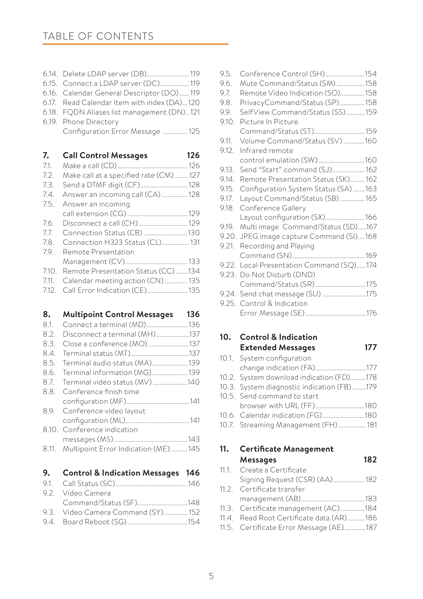# TABLE OF CONTENTS

| 6.15. Connect a LDAP server (DC) 119        |  |
|---------------------------------------------|--|
| 6.16. Calendar General Descriptor (DO)119   |  |
| 6.17. Read Calendar Item with index (DA)120 |  |
| 6.18. FQDN Aliases list management (DN)121  |  |
| 6.19. Phone Directory                       |  |
|                                             |  |

Configuration Error Message ............... 125

**7. Call Control Messages 126**

| 7.1.  |                                       |  |
|-------|---------------------------------------|--|
| 7.2.  | Make call at a specified rate (CM)127 |  |
| 7.3.  | Send a DTMF digit (CF) 128            |  |
| 7.4.  | Answer an incoming call (CA) 128      |  |
| 7.5.  | Answer an incoming                    |  |
|       |                                       |  |
| 7.6.  |                                       |  |
| 7.7.  | Connection Status (CB) 130            |  |
| 7.8.  | Connection H323 Status (CL) 131       |  |
| 79.   | Remote Presentation                   |  |
|       |                                       |  |
| 7.10. | Remote Presentation Status (CC) 134   |  |
| 7.11. | Calendar meeting action (CN)  135     |  |
| 7.12. | Call Error Indication (CE) 135        |  |

### **8. Multipoint Control Messages 136**

| 8.1. |                                             |  |
|------|---------------------------------------------|--|
| 8.2. | Disconnect a terminal (MH)137               |  |
| 8.3. | Close a conference (MO)137                  |  |
| 8.4. |                                             |  |
| 8.5. | Terminal audio status (MA) 139              |  |
|      | 8.6. Terminal information (MG) 139          |  |
|      | 8.7. Terminal video status (MV) 140         |  |
| 8.8. | Conference finish time                      |  |
|      |                                             |  |
|      | 8.9. Conference video layout                |  |
|      |                                             |  |
|      | 8.10. Conference indication                 |  |
|      |                                             |  |
|      | 8.11. Multipoint Error Indication (ME)  145 |  |

# **9. Control & Indication Messages 146**

| 9.2. Video Camera                   |  |
|-------------------------------------|--|
| Command/Status (SF)148              |  |
| 9.3. Video Camera Command (SY)  152 |  |
|                                     |  |

| 9.5.  | Conference Control (SH)154               |  |
|-------|------------------------------------------|--|
| 9.6.  | Mute Command/Status (SM) 158             |  |
| 9.7.  | Remote Video Indication (SO)158          |  |
| 9.8.  | PrivacyCommand/Status (SP)158            |  |
| 9.9.  | SelfView Command/Status (SS)  159        |  |
| 9.10. | Picture In Picture                       |  |
|       | Command/Status (ST) 159                  |  |
| 9.11. | Volume Command/Status (SV)160            |  |
| 9.12. | Infrared remote                          |  |
|       | control emulation (SW) 160               |  |
| 9.13. | Send "Start" command (SJ) 162            |  |
| 9.14. | Remote Presentation Status (SK) 162      |  |
| 9.15. | Configuration System Status (SA)  163    |  |
| 9.17. | Layout Command/Status (SB)  165          |  |
| 9.18. | Conference Gallery                       |  |
|       | Layout configuration (SX) 166            |  |
| 9.19. | Multi image Command/Status (SD)167       |  |
|       | 9.20. JPEG image capture Command (SI)168 |  |
|       | 9.21. Recording and Playing              |  |
|       |                                          |  |
|       | 9.22. Local Presentation Command (SQ)174 |  |
|       | 9.23. Do Not Disturb (DND)               |  |
|       | Command/Status (SR) 175                  |  |
|       | 9.24. Send chat message (SU)175          |  |
|       | 9.25. Control & Indication               |  |
|       |                                          |  |
|       |                                          |  |

### **10. Control & Indication Extended Messages 177**

10.1. System configuration change indication (FA)...............................177 10.2. System download indication (FD)..........178 10.3. System diagnostic indication (FB).........179 10.5. Send command to start browser with URL (FF)..............................180 10.6. Calendar indication (FG)..........................180 10.7. Streaming Management (FH).................181

# **11. Certificate Management Messages 182**

- 11.1. Create a Certificate Signing Request (CSR) (AA)...................182
- 11.2. Certificate transfer management (AB).......................................183
- 11.3. Certificate management (AC)...............184
- 11.4. Read Root Certificate data (AR) ..........186
- 11.5. Certificate Error Message (AE).............187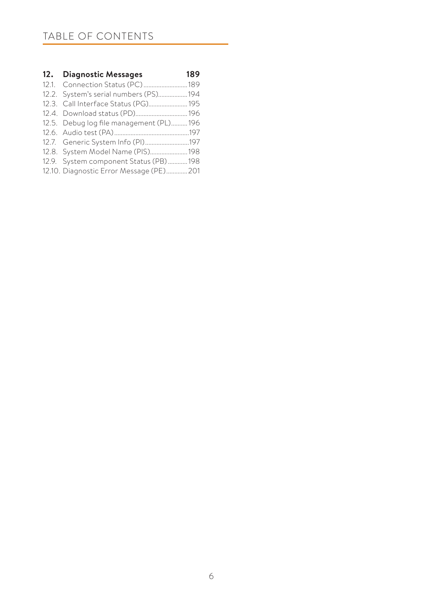# TABLE OF CONTENTS

| 12. Diagnostic Messages                  | 189 |
|------------------------------------------|-----|
| 12.1. Connection Status (PC) 189         |     |
| 12.2. System's serial numbers (PS)194    |     |
| 12.3. Call Interface Status (PG) 195     |     |
| 12.4. Download status (PD) 196           |     |
| 12.5. Debug log file management (PL)196  |     |
|                                          |     |
| 12.7. Generic System Info (PI)197        |     |
| 12.8. System Model Name (PIS) 198        |     |
| 12.9. System component Status (PB)198    |     |
| 12.10. Diagnostic Error Message (PE) 201 |     |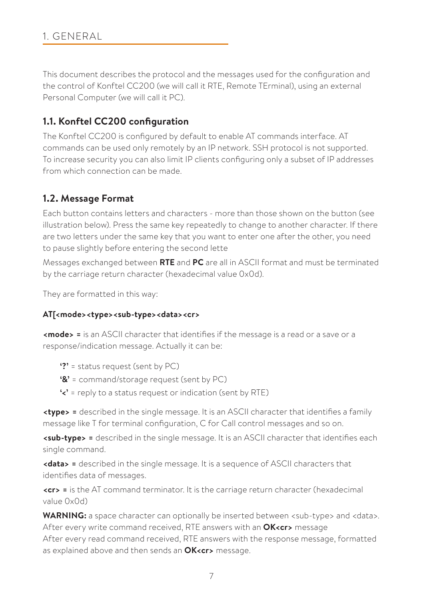# 1. GENERAL

This document describes the protocol and the messages used for the configuration and the control of Konftel CC200 (we will call it RTE, Remote TErminal), using an external Personal Computer (we will call it PC).

# **1.1. Konftel CC200 configuration**

The Konftel CC200 is configured by default to enable AT commands interface. AT commands can be used only remotely by an IP network. SSH protocol is not supported. To increase security you can also limit IP clients configuring only a subset of IP addresses from which connection can be made.

# **1.2. Message Format**

Each button contains letters and characters - more than those shown on the button (see illustration below). Press the same key repeatedly to change to another character. If there are two letters under the same key that you want to enter one after the other, you need to pause slightly before entering the second lette

Messages exchanged between **RTE** and **PC** are all in ASCII format and must be terminated by the carriage return character (hexadecimal value 0x0d).

They are formatted in this way:

# **AT[<mode><type><sub-type><data><cr>**

**<mode> =** is an ASCII character that identifies if the message is a read or a save or a response/indication message. Actually it can be:

- **'?'** = status request (sent by PC)
- **'&'** = command/storage request (sent by PC)
- **'<'** = reply to a status request or indication (sent by RTE)

**<type> =** described in the single message. It is an ASCII character that identifies a family message like T for terminal configuration, C for Call control messages and so on.

**<sub-type> =** described in the single message. It is an ASCII character that identifies each single command.

**<data> =** described in the single message. It is a sequence of ASCII characters that identifies data of messages.

**<cr> =** is the AT command terminator. It is the carriage return character (hexadecimal value 0x0d)

**WARNING:** a space character can optionally be inserted between <sub-type> and <data>. After every write command received, RTE answers with an **OK<cr>** message After every read command received, RTE answers with the response message, formatted as explained above and then sends an **OK<cr>** message.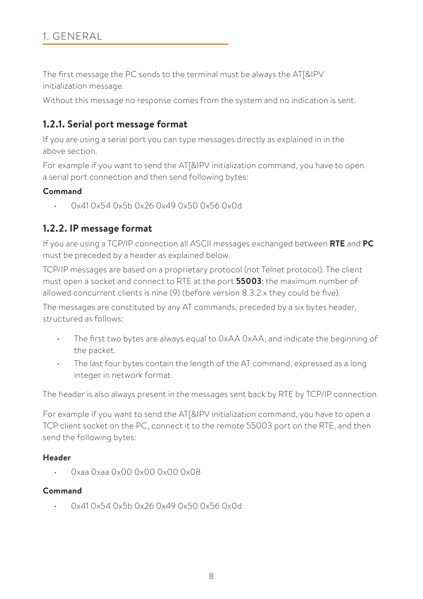The first message the PC sends to the terminal must be always the AT[&IPV initialization message.

Without this message no response comes from the system and no indication is sent.

# **1.2.1. Serial port message format**

If you are using a serial port you can type messages directly as explained in in the above section.

For example if you want to send the AT[&IPV initialization command, you have to open a serial port connection and then send following bytes:

# **Command**

• 0x41 0x54 0x5b 0x26 0x49 0x50 0x56 0x0d

# **1.2.2. IP message format**

If you are using a TCP/IP connection all ASCII messages exchanged between **RTE** and **PC** must be preceded by a header as explained below.

TCP/IP messages are based on a proprietary protocol (not Telnet protocol). The client must open a socket and connect to RTE at the port **55003**: the maximum number of allowed concurrent clients is nine (9) (before version 8.3.2.x they could be five).

The messages are constituted by any AT commands, preceded by a six bytes header, structured as follows:

- The first two bytes are always equal to  $OxAA$   $OxAA$ , and indicate the beginning of the packet.
- The last four bytes contain the length of the AT command, expressed as a long integer in network format.

The header is also always present in the messages sent back by RTE by TCP/IP connection.

For example if you want to send the AT[&IPV initialization command, you have to open a TCP client socket on the PC, connect it to the remote 55003 port on the RTE, and then send the following bytes:

# **Header**

• 0xaa 0xaa 0x00 0x00 0x00 0x08

# **Command**

• 0x41 0x54 0x5b 0x26 0x49 0x50 0x56 0x0d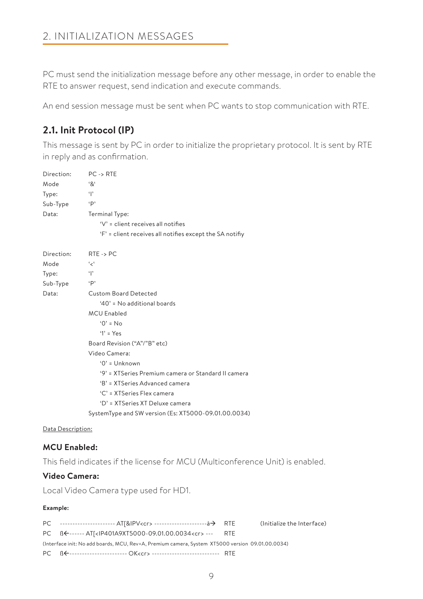PC must send the initialization message before any other message, in order to enable the RTE to answer request, send indication and execute commands.

An end session message must be sent when PC wants to stop communication with RTE.

# **2.1. Init Protocol (IP)**

This message is sent by PC in order to initialize the proprietary protocol. It is sent by RTE in reply and as confirmation.

| Direction: | $PC \rightarrow RTE$                                     |
|------------|----------------------------------------------------------|
| Mode       | $^{\mathbf{6}}\mathbf{8}^{\mathbf{6}}$                   |
| Type:      | $\ddot{\ }$                                              |
| Sub-Type   | $\cdot$ p                                                |
| Data:      | Terminal Type:                                           |
|            | 'V' = client receives all notifies                       |
|            | 'F' = client receives all notifies except the SA notifiy |
| Direction: | $RTE \rightarrow PC$                                     |
| Mode       | ، ر،                                                     |
| Type:      | $\mathbf{P}$                                             |
| Sub-Type   | $\cdot$ p                                                |
| Data:      | <b>Custom Board Detected</b>                             |
|            | '40' = No additional boards                              |
|            | <b>MCU Enabled</b>                                       |
|            | $'0' = No$                                               |
|            | $'1' = Yes$                                              |
|            | Board Revision ("A"/"B" etc)                             |
|            | Video Camera:                                            |
|            | $0'$ = Unknown                                           |
|            | '9' = XTSeries Premium camera or Standard II camera      |
|            | 'B' = XTSeries Advanced camera                           |
|            | 'C' = XTSeries Flex camera                               |
|            | 'D' = XTSeries XT Deluxe camera                          |
|            | SystemType and SW version (Es: XT5000-09.01.00.0034)     |

#### Data Description:

# **MCU Enabled:**

This field indicates if the license for MCU (Multiconference Unit) is enabled.

# **Video Camera:**

Local Video Camera type used for HD1.

#### **Example:**

PC --------------------- AT[&IPV<cr> ------------------------à-> RTE (Initialize the Interface) PC ßß------ AT[<IP401A9XT5000-09.01.00.0034<cr> --- RTE (Interface init: No add boards, MCU, Rev=A, Premium camera, System XT5000 version 09.01.00.0034) PC ßß----------------------- OK<cr> --------------------------- RTE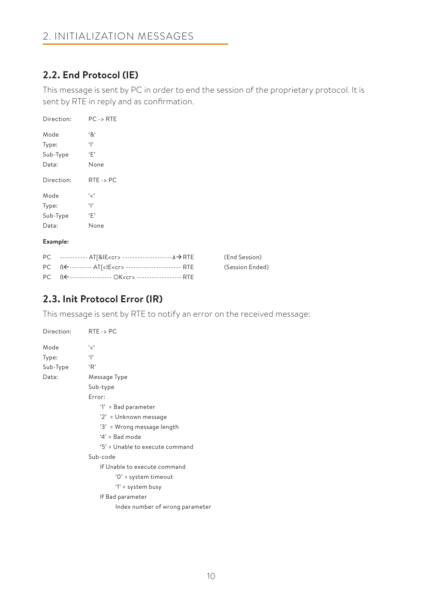# **2.2. End Protocol (IE)**

This message is sent by PC in order to end the session of the proprietary protocol. It is sent by RTE in reply and as confirmation.

| Direction:        | $PC \rightarrow RTE$ |
|-------------------|----------------------|
| Mode              | '&'                  |
| Type:             | $\mathbf{P}$         |
| Sub-Type          | ٠F'                  |
| Data:             | None                 |
| Direction:        | $RTE \rightarrow PC$ |
| Mode              | ' ج'                 |
| Type:             | $\mathbf{P}$         |
| Sub-Type          | ٠F'                  |
| Data:             | None                 |
| $\mathbf{r}$<br>- |                      |

#### **Example:**

|                                                                  | (End Session)   |
|------------------------------------------------------------------|-----------------|
| PC BE--------- AT[ <ie<cr> ------------------------- RTE</ie<cr> | (Session Ended) |
| PC BE------------------ OK <cr> -------------------- RTE</cr>    |                 |

# **2.3. Init Protocol Error (IR)**

This message is sent by RTE to notify an error on the received message:

| Direction: | $RTE \rightarrow PC$            |
|------------|---------------------------------|
| Mode       | ، بر،                           |
| Type:      | $\mathbf{r}$                    |
| Sub-Type   | 'R'                             |
| Data:      | Message Type                    |
|            | Sub-type                        |
|            | Error:                          |
|            | '1' = Bad parameter             |
|            | '2' = Unknown message           |
|            | '3' = Wrong message length      |
|            | $4'$ = Bad mode                 |
|            | '5' = Unable to execute command |
|            | Sub-code                        |
|            | If Unable to execute command    |
|            | '0' = system timeout            |
|            | '1' = system busy               |
|            | If Bad parameter                |
|            | Index number of wrong parameter |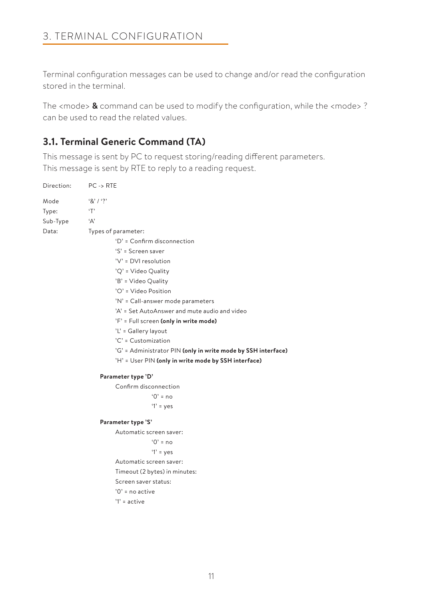Terminal configuration messages can be used to change and/or read the configuration stored in the terminal.

The <mode> **&** command can be used to modify the configuration, while the <mode> ? can be used to read the related values.

# **3.1. Terminal Generic Command (TA)**

This message is sent by PC to request storing/reading different parameters. This message is sent by RTE to reply to a reading request.

| Direction: | $PC \rightarrow RTE$                                          |
|------------|---------------------------------------------------------------|
| Mode       | 8' / ?                                                        |
| Type:      | T                                                             |
| Sub-Type   | 'А'                                                           |
| Data:      | Types of parameter:                                           |
|            | 'D' = Confirm disconnection                                   |
|            | $'S' = Screen saver$                                          |
|            | 'V' = DVI resolution                                          |
|            | 'Q' = Video Quality                                           |
|            | 'B' = Video Quality                                           |
|            | 'O' = Video Position                                          |
|            | 'N' = Call-answer mode parameters                             |
|            | 'A' = Set AutoAnswer and mute audio and video                 |
|            | 'F' = Full screen (only in write mode)                        |
|            | 'L' = Gallery layout                                          |
|            | 'C' = Customization                                           |
|            | 'G' = Administrator PIN (only in write mode by SSH interface) |
|            | 'H' = User PIN (only in write mode by SSH interface)          |
|            | Parameter type 'D'                                            |
|            | Confirm disconnection                                         |
|            | $0' = no$                                                     |
|            | $'1'$ = yes                                                   |
|            | Parameter type 'S'                                            |
|            | Automatic screen saver:                                       |
|            | $0' = no$                                                     |
|            | $'1'$ = yes                                                   |
|            | Automatic screen saver:                                       |
|            | Timeout (2 bytes) in minutes:                                 |
|            | Screen saver status:                                          |
|            | $'0'$ = no active                                             |
|            | $'1'$ = active                                                |
|            |                                                               |
|            |                                                               |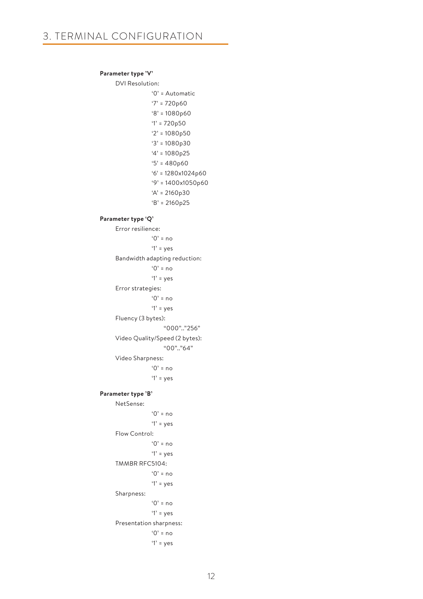#### **Parameter type 'V'**

# DVI Resolution:

 '0' = Automatic  $'7' = 720p60$  '8' = 1080p60 '1' = 720p50 '2' = 1080p50 '3' = 1080p30 '4' = 1080p25 '5' = 480p60 '6' = 1280x1024p60 '9' = 1400x1050p60 'A' = 2160p30 'B' = 2160p25 **Parameter type 'Q'** Error resilience: '0' = no  $'1'$  = yes Bandwidth adapting reduction: '0' = no '1' = yes Error strategies:  $^{\circ}$  0' = no '1' = yes Fluency (3 bytes): "000".."256" Video Quality/Speed (2 bytes):  $"00"$  "64" Video Sharpness:  $^{\circ}$  0' = no  $'1'$  = yes **Parameter type 'B'** NetSense:  $^{\circ}$  0' = no  $'1'$  = yes Flow Control: '0' = no '1' = yes TMMBR RFC5104:  $'0'$  = no '1' = yes Sharpness:  $^{\circ}$  0' = no  $'1'$  = yes Presentation sharpness:  $'0'$  = no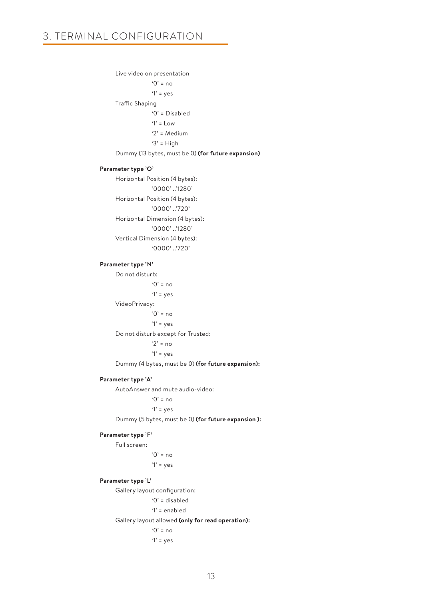Live video on presentation  $'0'$  = no '1' = yes Traffic Shaping '0' = Disabled  $'1' = 1$  ow '2' = Medium  $'3'$  = High Dummy (13 bytes, must be 0) **(for future expansion) Parameter type 'O'** Horizontal Position (4 bytes): '0000' ..'1280' Horizontal Position (4 bytes): '0000' ..'720' Horizontal Dimension (4 bytes): '0000' ..'1280' Vertical Dimension (4 bytes): '0000' '720'  **Parameter type 'N'** Do not disturb: '0' = no '1' = yes VideoPrivacy:  $^{\circ}$  0' = no  $'1'$  = yes Do not disturb except for Trusted:  $'2'$  = no  $'1'$  = yes Dummy (4 bytes, must be 0) **(for future expansion): Parameter type 'A'** AutoAnswer and mute audio-video:  $^{\circ}$  0' = no

'1' = yes

Dummy (5 bytes, must be 0) **(for future expansion ):**

#### **Parameter type 'F'**

Full screen:  $^{\circ}$  0' = no  $'1'$  = yes

#### **Parameter type 'L'**

Gallery layout configuration:

'0' = disabled

'1' = enabled

Gallery layout allowed **(only for read operation):**

 $^{\circ}$ <sup>0</sup> $^{\circ}$  = no

 $'1'$  = yes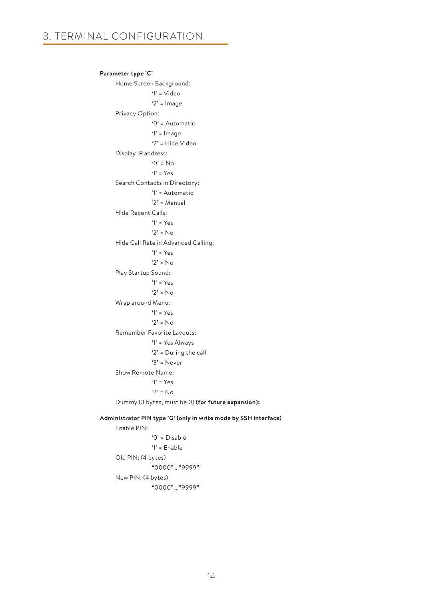```
 Parameter type 'C'
      Home Screen Background:
                   '1' = Video
                   '2' = Image
      Privacy Option:
                   '0' = Automatic
                   '1' = Image
                   '2' = Hide Video
      Display IP address:
                   '0' = No
                   '1' = Yes
      Search Contacts in Directory:
                   '1' = Automatic
                  '2' = Manual
      Hide Recent Calls:
                  '1' = Y_{PS}'2' = No Hide Call Rate in Advanced Calling:
                   '1' = Yes
                  '2' = No Play Startup Sound:
                   '1' = Yes
                  '2' = No Wrap around Menu:
                   '1' = Yes
                  '2' = N_0 Remember Favorite Layouts:
                   '1' = Yes Always
                   '2' = During the call
                   '3' = Never
      Show Remote Name:
                   '1' = Yes
                  '2' = No Dummy (3 bytes, must be 0) (for future expansion):
 Administrator PIN type 'G' (only in write mode by SSH interface) 
      Enable PIN:
```

```
 '0' = Disable
             '1' = Enable
 Old PIN: (4 bytes)
              "0000"…."9999" 
 New PIN: (4 bytes)
             "0000"…."9999"
```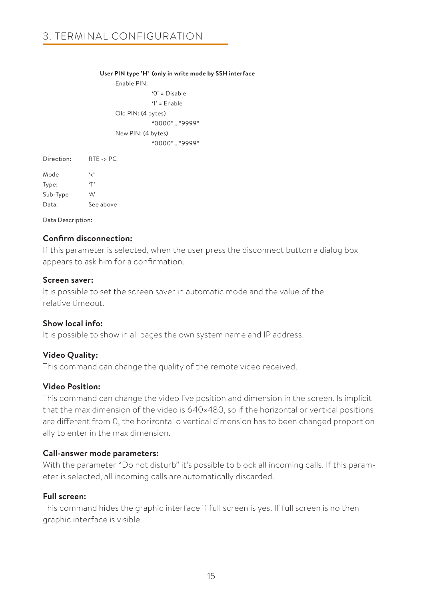#### **User PIN type 'H' (only in write mode by SSH interface**

Enable PIN: '0' = Disable '1' = Enable Old PIN: (4 bytes) "0000"…."9999" New PIN: (4 bytes) "0000"…."9999"

Direction: RTE -> PC Mode '<' Type: 'T' Sub-Type 'A' Data: See above

#### Data Description:

### **Confirm disconnection:**

If this parameter is selected, when the user press the disconnect button a dialog box appears to ask him for a confirmation.

### **Screen saver:**

It is possible to set the screen saver in automatic mode and the value of the relative timeout.

# **Show local info:**

It is possible to show in all pages the own system name and IP address.

# **Video Quality:**

This command can change the quality of the remote video received.

# **Video Position:**

This command can change the video live position and dimension in the screen. Is implicit that the max dimension of the video is 640x480, so if the horizontal or vertical positions are different from 0, the horizontal o vertical dimension has to been changed proportionally to enter in the max dimension.

# **Call-answer mode parameters:**

With the parameter "Do not disturb" it's possible to block all incoming calls. If this parameter is selected, all incoming calls are automatically discarded.

# **Full screen:**

This command hides the graphic interface if full screen is yes. If full screen is no then graphic interface is visible.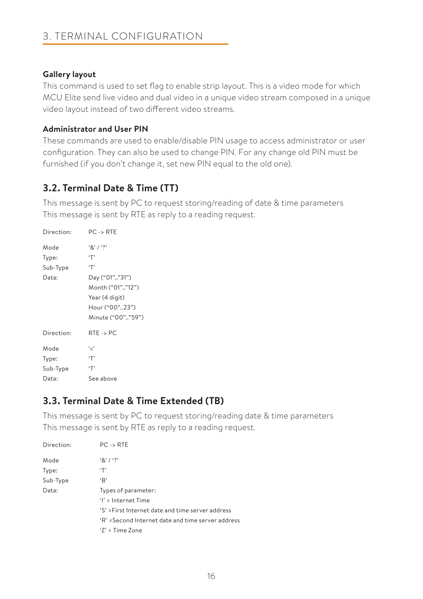# **Gallery layout**

This command is used to set flag to enable strip layout. This is a video mode for which MCU Elite send live video and dual video in a unique video stream composed in a unique video layout instead of two different video streams.

# **Administrator and User PIN**

These commands are used to enable/disable PIN usage to access administrator or user configuration. They can also be used to change PIN. For any change old PIN must be furnished (if you don't change it, set new PIN equal to the old one).

# **3.2. Terminal Date & Time (TT)**

This message is sent by PC to request storing/reading of date & time parameters This message is sent by RTE as reply to a reading request.

| Direction: | $PC \rightarrow RTE$ |
|------------|----------------------|
| Mode       | $8'1'$ ?             |
| Type:      | $\cdot$ T'           |
| Sub-Type   | $\cdot$ T'           |
| Data:      | Day ("01""31")       |
|            | Month ("01""12")     |
|            | Year (4 digit)       |
|            | Hour ("00"23")       |
|            | Minute ("00""59")    |
| Direction: | $RTE \rightarrow PC$ |
| Mode       | و مي ا               |
| Type:      | $\cdot$ T'           |
| Sub-Type   | $\cdot$ T'           |
| Data:      | See above            |

# **3.3. Terminal Date & Time Extended (TB)**

This message is sent by PC to request storing/reading date & time parameters This message is sent by RTE as reply to a reading request.

| Direction: | $PC \rightarrow RTE$                              |
|------------|---------------------------------------------------|
| Mode       | $\{8\}$ / $\{2\}$                                 |
| Type:      | $\cdot$ T'                                        |
| Sub-Type   | B                                                 |
| Data:      | Types of parameter:                               |
|            | $'$ l' = Internet Time                            |
|            | 'S' = First Internet date and time server address |
|            | 'R' =Second Internet date and time server address |
|            | $'Z' = Time$ Zone                                 |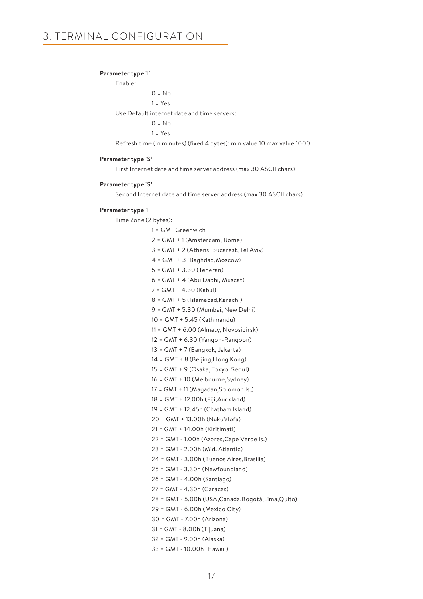#### **Parameter type 'I'**

Enable:  $0 = No$  $1 = Yes$  Use Default internet date and time servers:  $0 = No$  $1 = Yes$ 

Refresh time (in minutes) (fixed 4 bytes): min value 10 max value 1000

#### **Parameter type 'S'**

First Internet date and time server address (max 30 ASCII chars)

#### **Parameter type 'S'**

Second Internet date and time server address (max 30 ASCII chars)

#### **Parameter type 'I'**

Time Zone (2 bytes):

 1 = GMT Greenwich 2 = GMT + 1 (Amsterdam, Rome) 3 = GMT + 2 (Athens, Bucarest, Tel Aviv) 4 = GMT + 3 (Baghdad,Moscow) 5 = GMT + 3.30 (Teheran) 6 = GMT + 4 (Abu Dabhi, Muscat) 7 = GMT + 4.30 (Kabul)  $8 = GMT + 5$  (Islamabad, Karachi) 9 = GMT + 5.30 (Mumbai, New Delhi) 10 = GMT + 5.45 (Kathmandu) 11 = GMT + 6.00 (Almaty, Novosibirsk) 12 = GMT + 6.30 (Yangon-Rangoon) 13 = GMT + 7 (Bangkok, Jakarta) 14 = GMT + 8 (Beijing,Hong Kong) 15 = GMT + 9 (Osaka, Tokyo, Seoul) 16 = GMT + 10 (Melbourne,Sydney) 17 = GMT + 11 (Magadan,Solomon Is.) 18 = GMT + 12.00h (Fiji,Auckland) 19 = GMT + 12.45h (Chatham Island) 20 = GMT + 13.00h (Nuku'alofa) 21 = GMT + 14.00h (Kiritimati) 22 = GMT - 1.00h (Azores,Cape Verde Is.) 23 = GMT - 2.00h (Mid. Atlantic) 24 = GMT - 3.00h (Buenos Aires,Brasilia) 25 = GMT - 3.30h (Newfoundland) 26 = GMT - 4.00h (Santiago) 27 = GMT - 4.30h (Caracas) 28 = GMT - 5.00h (USA,Canada,Bogotà,Lima,Quito) 29 = GMT - 6.00h (Mexico City) 30 = GMT - 7.00h (Arizona) 31 = GMT - 8.00h (Tijuana) 32 = GMT - 9.00h (Alaska) 33 = GMT - 10.00h (Hawaii)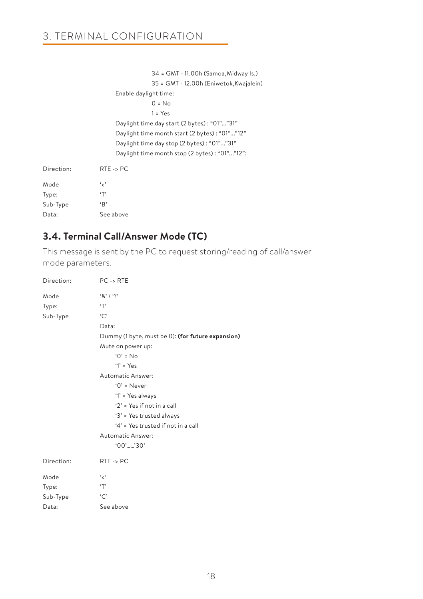|            | 34 = GMT - 11.00h (Samoa, Midway Is.)         |
|------------|-----------------------------------------------|
|            | 35 = GMT - 12.00h (Eniwetok, Kwajalein)       |
|            | Enable daylight time:                         |
|            | $0 = No$                                      |
|            | $1 = Yes$                                     |
|            | Daylight time day start (2 bytes): "01""31"   |
|            | Daylight time month start (2 bytes): "01""12" |
|            | Daylight time day stop (2 bytes) : "01""31"   |
|            | Daylight time month stop (2 bytes): "01""12": |
| Direction: | $RTE \rightarrow PC$                          |
| Mode       | و د                                           |
| Type:      | ٠т,                                           |
| Sub-Type   | ٠B'                                           |

# **3.4. Terminal Call/Answer Mode (TC)**

Data: See above

This message is sent by the PC to request storing/reading of call/answer mode parameters.

| Direction: | $PC \rightarrow RTE$                              |
|------------|---------------------------------------------------|
| Mode       | 8'13'                                             |
| Type:      | $\cdot$ T'                                        |
| Sub-Type   | `C`                                               |
|            | Data:                                             |
|            | Dummy (1 byte, must be 0): (for future expansion) |
|            | Mute on power up:                                 |
|            | $0' = No$                                         |
|            | $'1' = Yes$                                       |
|            | Automatic Answer:                                 |
|            | $'0'$ = Never                                     |
|            | '1' = Yes always                                  |
|            | ' $2'$ = Yes if not in a call                     |
|            | '3' = Yes trusted always                          |
|            | '4' = Yes trusted if not in a call                |
|            | Automatic Answer:                                 |
|            | $'00'$ '30'                                       |
| Direction: | $RTE \rightarrow PC$                              |
| Mode       | ، مج                                              |
| Type:      | T                                                 |
| Sub-Type   | °C                                                |
| Data:      | See above                                         |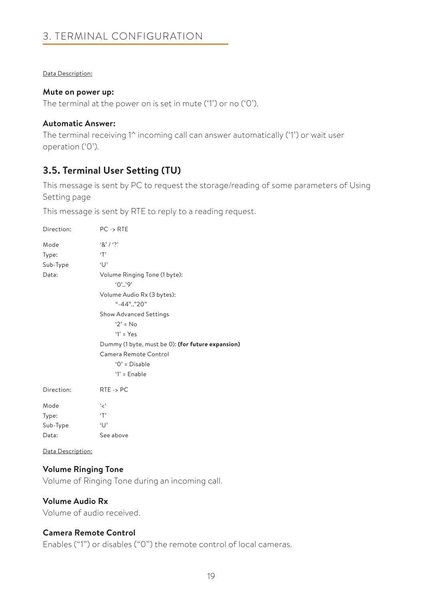# 3. TERMINAL CONFIGURATION

### Data Description:

### **Mute on power up:**

The terminal at the power on is set in mute ('1') or no ('0').

# **Automatic Answer:**

The terminal receiving 1^ incoming call can answer automatically ('1') or wait user operation ('0').

# **3.5. Terminal User Setting (TU)**

This message is sent by PC to request the storage/reading of some parameters of Using Setting page

This message is sent by RTE to reply to a reading request.

| Direction:         | $PC \rightarrow RTE$                              |
|--------------------|---------------------------------------------------|
| Mode               | $8'1'$ ?                                          |
| Type:              | T                                                 |
| Sub-Type           | $\cup$                                            |
| Data:              | Volume Ringing Tone (1 byte):                     |
|                    | .0, .0.                                           |
|                    | Volume Audio Rx (3 bytes):                        |
|                    | $" -44"$ "20"                                     |
|                    | Show Advanced Settings                            |
|                    | $2' = No$                                         |
|                    | $'1' = Yes$                                       |
|                    | Dummy (1 byte, must be 0): (for future expansion) |
|                    | Camera Remote Control                             |
|                    | $'0'$ = Disable                                   |
|                    | $'1'$ = Enable                                    |
| Direction:         | $RTE \rightarrow PC$                              |
| Mode               | ، مج                                              |
| Type:              | T                                                 |
| Sub-Type           | $\cup$                                            |
| Data:              | See above                                         |
| Deta Decentrations |                                                   |

Data Description:

# **Volume Ringing Tone**

Volume of Ringing Tone during an incoming call.

# **Volume Audio Rx**

Volume of audio received.

# **Camera Remote Control**

Enables ("1") or disables ("0") the remote control of local cameras.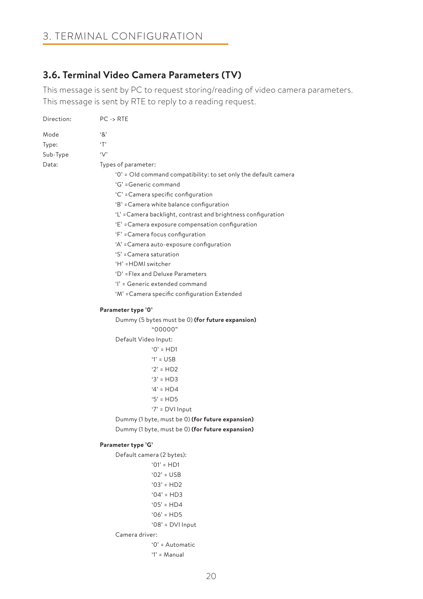# 3. TERMINAL CONFIGURATION

# **3.6. Terminal Video Camera Parameters (TV)**

This message is sent by PC to request storing/reading of video camera parameters. This message is sent by RTE to reply to a reading request.

| Direction:                         | $PC \rightarrow RTE$                                                                                                                                                                                                                                                                                                                                                                                                                                                                                               |
|------------------------------------|--------------------------------------------------------------------------------------------------------------------------------------------------------------------------------------------------------------------------------------------------------------------------------------------------------------------------------------------------------------------------------------------------------------------------------------------------------------------------------------------------------------------|
| Mode<br>Type:<br>Sub-Type<br>Data: | .8<br>T<br>$\vee$<br>Types of parameter:<br>'0' = Old command compatibility: to set only the default camera<br>'G' = Generic command<br>'C' = Camera specific configuration<br>'B' = Camera white balance configuration<br>'L' = Camera backlight, contrast and brightness configuration<br>'E' = Camera exposure compensation configuration<br>'F' = Camera focus configuration<br>'A' = Camera auto-exposure configuration<br>'S' = Camera saturation<br>'H' = HDMI switcher<br>'D' = Flex and Deluxe Parameters |
|                                    | 'l' = Generic extended command                                                                                                                                                                                                                                                                                                                                                                                                                                                                                     |
|                                    | 'M' = Camera specific configuration Extended                                                                                                                                                                                                                                                                                                                                                                                                                                                                       |
|                                    | Parameter type '0'<br>Dummy (5 bytes must be 0) (for future expansion)<br>"00000"                                                                                                                                                                                                                                                                                                                                                                                                                                  |
|                                    | Default Video Input:                                                                                                                                                                                                                                                                                                                                                                                                                                                                                               |
|                                    | $'0' = HD1$                                                                                                                                                                                                                                                                                                                                                                                                                                                                                                        |
|                                    | $'1' = \text{USB}$                                                                                                                                                                                                                                                                                                                                                                                                                                                                                                 |
|                                    | $'2' = HD2$                                                                                                                                                                                                                                                                                                                                                                                                                                                                                                        |
|                                    | $3' = HD3$                                                                                                                                                                                                                                                                                                                                                                                                                                                                                                         |
|                                    | $4' = HD4$                                                                                                                                                                                                                                                                                                                                                                                                                                                                                                         |
|                                    | $5'$ = HD5                                                                                                                                                                                                                                                                                                                                                                                                                                                                                                         |
|                                    | ' $7$ ' = DVI Input                                                                                                                                                                                                                                                                                                                                                                                                                                                                                                |
|                                    | Dummy (1 byte, must be 0) (for future expansion)<br>Dummy (1 byte, must be 0) (for future expansion)                                                                                                                                                                                                                                                                                                                                                                                                               |
|                                    |                                                                                                                                                                                                                                                                                                                                                                                                                                                                                                                    |
|                                    | Parameter type 'G'                                                                                                                                                                                                                                                                                                                                                                                                                                                                                                 |
|                                    | Default camera (2 bytes):                                                                                                                                                                                                                                                                                                                                                                                                                                                                                          |
|                                    | $'01' = HD1$                                                                                                                                                                                                                                                                                                                                                                                                                                                                                                       |
|                                    | $'02' = USB$                                                                                                                                                                                                                                                                                                                                                                                                                                                                                                       |
|                                    | $'03' = HD2$                                                                                                                                                                                                                                                                                                                                                                                                                                                                                                       |
|                                    | $'04' = HD3$                                                                                                                                                                                                                                                                                                                                                                                                                                                                                                       |
|                                    | $'05' = HDA$                                                                                                                                                                                                                                                                                                                                                                                                                                                                                                       |
|                                    | $'06' = HD5$                                                                                                                                                                                                                                                                                                                                                                                                                                                                                                       |
|                                    | '08' = $DVI$ Input                                                                                                                                                                                                                                                                                                                                                                                                                                                                                                 |
|                                    | Camera driver:                                                                                                                                                                                                                                                                                                                                                                                                                                                                                                     |
|                                    | '0' = Automatic                                                                                                                                                                                                                                                                                                                                                                                                                                                                                                    |

'1' = Manual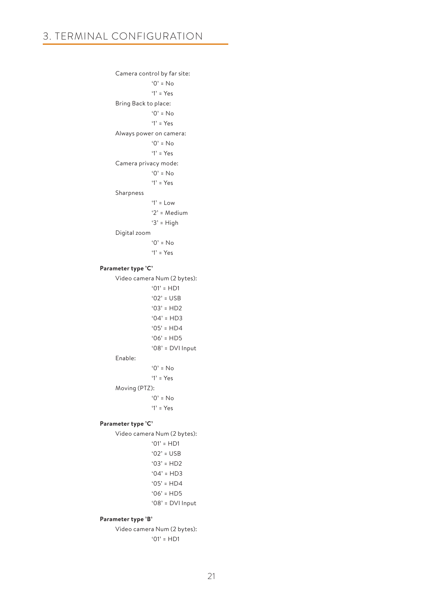```
 Camera control by far site:
                   '0' = No
                   '1' = Yes
      Bring Back to place:
                   '0' = No
                   '1' = Yes
      Always power on camera:
                   '0' = No
                   '1' = Yes
      Camera privacy mode:
                  '0' = No '1' = Yes
      Sharpness
                   '1' = Low
                   '2' = Medium
                   '3' = High
      Digital zoom
                   '0' = No
                   '1' = Yes
 Parameter type 'C'
      Video camera Num (2 bytes):
                  '01' = HD1'02' = USR'03' = HD2'04' = HD3'05' = HDA'06' = HDS '08' = DVI Input
      Enable:
                  '0' = No '1' = Yes
      Moving (PTZ):
                  '0' = No '1' = Yes
 Parameter type 'C' 
      Video camera Num (2 bytes):
                  '01' = HDI'02' = USB
                  '03' = HD2'04' = HD3'05' = HD4'06' = HDS '08' = DVI Input
```
#### **Parameter type 'B'**

Video camera Num (2 bytes):  $'01' = HDI$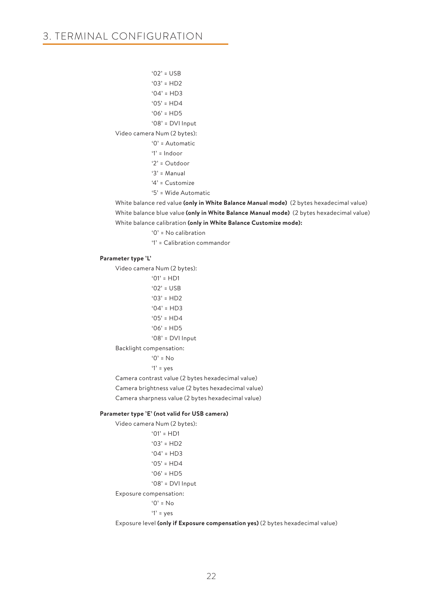'02' = USB  $'03' = HD2$  $'04' = HD3$  $'05' = HDA$  $'06' = HDS$  '08' = DVI Input Video camera Num (2 bytes): '0' = Automatic  $'1'$  = Indoor '2' = Outdoor '3' = Manual '4' = Customize '5' = Wide Automatic

 White balance red value **(only in White Balance Manual mode)** (2 bytes hexadecimal value) White balance blue value **(only in White Balance Manual mode)** (2 bytes hexadecimal value) White balance calibration **(only in White Balance Customize mode):**

'0' = No calibration

'1' = Calibration commandor

#### **Parameter type 'L'**

Video camera Num (2 bytes):

 $'01' = HDI$  $'02' = USB$  $'03' = HD2$  $'04' = HD3$  $'05' = HDA$  $'06' = HDS$  '08' = DVI Input Backlight compensation: '0' = No  $'1'$  = yes

Camera contrast value (2 bytes hexadecimal value)

Camera brightness value (2 bytes hexadecimal value)

Camera sharpness value (2 bytes hexadecimal value)

#### **Parameter type 'E' (not valid for USB camera)**

Video camera Num (2 bytes):

 '01' = HD1  $'03' = HD2$  $'04' = HD3$  $'05' = HDA$  $'06' = HD5$  '08' = DVI Input Exposure compensation:  $'0' = No$  $'1'$  = yes

Exposure level **(only if Exposure compensation yes)** (2 bytes hexadecimal value)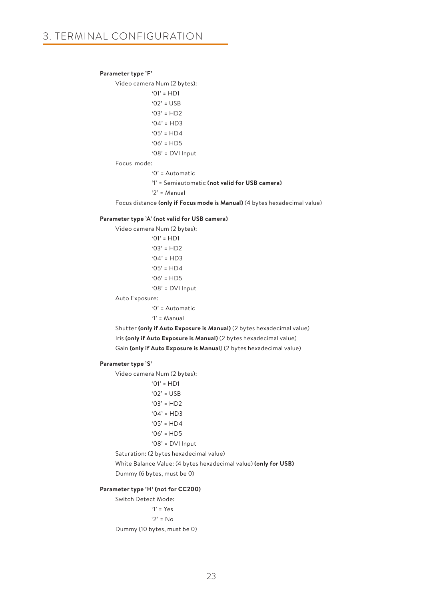#### **Parameter type 'F'**

Video camera Num (2 bytes):

 '01' = HD1  $'02' = USB$  $'03' = HD2$  $'04' = HDB$  $'05' = HD4$ 

 $'06' = HD5$ 

'08' = DVI Input

#### Focus mode:

'0' = Automatic

'1' = Semiautomatic **(not valid for USB camera)**

'2' = Manual

Focus distance **(only if Focus mode is Manual)** (4 bytes hexadecimal value)

#### **Parameter type 'A' (not valid for USB camera)**

Video camera Num (2 bytes):

 $'01' = HDI$  $'03' = HD2$  $'04' = HD3$  $'05' = HDA$  $'06' = HDS$ '08' = DVI Input

Auto Exposure:

'0' = Automatic

'1' = Manual

 Shutter **(only if Auto Exposure is Manual)** (2 bytes hexadecimal value) Iris **(only if Auto Exposure is Manual)** (2 bytes hexadecimal value) Gain **(only if Auto Exposure is Manual**) (2 bytes hexadecimal value)

#### **Parameter type 'S'**

Video camera Num (2 bytes):

 '01' = HD1  $'02' = USB$  '03' = HD2  $'04' = HDB$  $'05' = HD4$  $'06' = HD5$ 

'08' = DVI Input

Saturation: (2 bytes hexadecimal value)

 White Balance Value: (4 bytes hexadecimal value) **(only for USB)** Dummy (6 bytes, must be 0)

#### **Parameter type 'H' (not for CC200)**

Switch Detect Mode: '1' = Yes  $'2' = No$ 

Dummy (10 bytes, must be 0)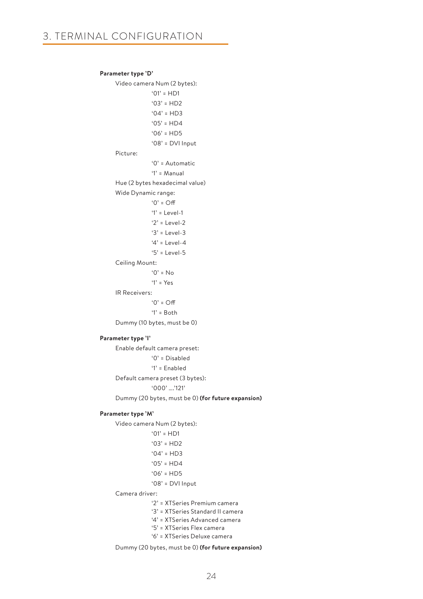#### **Parameter type 'D'**

Video camera Num (2 bytes): '01' = HD1 '03' = HD2  $'04' = HD3$  $'05' = HDA$  $'06' = HD5$  '08' = DVI Input Picture: '0' = Automatic '1' = Manual Hue (2 bytes hexadecimal value) Wide Dynamic range:  $'0'$  = Off '1' = Level-1  $'2' = \text{level-2}$  '3' = Level-3 '4' = Level-4 '5' = Level-5 Ceiling Mount:  $'0' = No$  '1' = Yes IR Receivers:  $'0' = \bigcirc f$  $'1' =$  Both Dummy (10 bytes, must be 0)

# **Parameter type 'I'**

Enable default camera preset: '0' = Disabled '1' = Enabled Default camera preset (3 bytes): '000' ….'121' Dummy (20 bytes, must be 0) **(for future expansion)**

#### **Parameter type 'M'**

Video camera Num (2 bytes):

 '01' = HD1  $'03' = HD2$  $'04' = HD3$  $'05' = HDA$  $'06' = HD5$ 

'08' = DVI Input

### Camera driver:

'2' = XTSeries Premium camera

'3' = XTSeries Standard II camera

'4' = XTSeries Advanced camera

- '5' = XTSeries Flex camera
- '6' = XTSeries Deluxe camera

Dummy (20 bytes, must be 0) **(for future expansion)**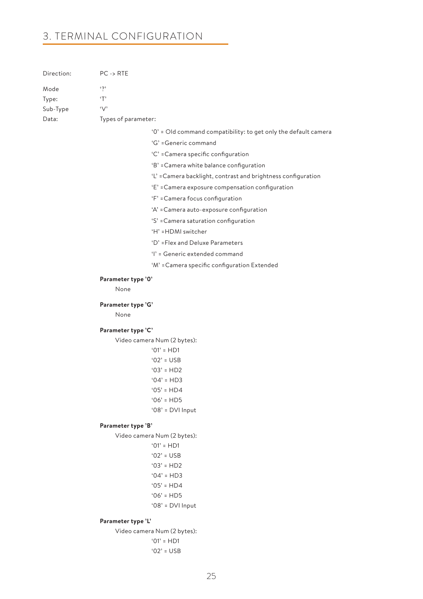# 3. TERMINAL CONFIGURATION

| Direction: | $PC \rightarrow RTE$ |                                                                 |  |
|------------|----------------------|-----------------------------------------------------------------|--|
| Mode       | $\ddots$             |                                                                 |  |
| Type:      | T                    |                                                                 |  |
| Sub-Type   | $\vee$               |                                                                 |  |
| Data:      | Types of parameter:  |                                                                 |  |
|            |                      | '0' = Old command compatibility: to get only the default camera |  |
|            |                      | 'G' = Generic command                                           |  |
|            |                      | 'C' = Camera specific configuration                             |  |
|            |                      | 'B' = Camera white balance configuration                        |  |
|            |                      | 'L' = Camera backlight, contrast and brightness configuration   |  |
|            |                      | 'E' = Camera exposure compensation configuration                |  |
|            |                      | 'F' = Camera focus configuration                                |  |
|            |                      | 'A' = Camera auto-exposure configuration                        |  |
|            |                      | 'S' = Camera saturation configuration                           |  |
|            |                      | 'H' = HDMI switcher                                             |  |
|            |                      | 'D' = Flex and Deluxe Parameters                                |  |
|            |                      | 'l' = Generic extended command                                  |  |
|            |                      | 'M' = Camera specific configuration Extended                    |  |
|            | Parameter type '0'   |                                                                 |  |
|            | None                 |                                                                 |  |
|            |                      |                                                                 |  |
|            | Parameter type 'G'   |                                                                 |  |
|            | None                 |                                                                 |  |
|            | Parameter type 'C'   |                                                                 |  |
|            |                      | Video camera Num (2 bytes):                                     |  |
|            |                      | $'01' = HD1$                                                    |  |
|            |                      | $'02' = USB$                                                    |  |
|            |                      | $'03' = HD2$                                                    |  |
|            |                      | $'04' = HD3$                                                    |  |
|            |                      | $'05' = HDA$                                                    |  |
|            |                      | $'06' = HD5$                                                    |  |
|            |                      | ' $08$ ' = DVI Input                                            |  |
|            | Parameter type 'B'   |                                                                 |  |
|            |                      | Video camera Num (2 bytes):                                     |  |
|            |                      | $'01' = HD1$                                                    |  |
|            |                      | $'02'$ = USB                                                    |  |
|            |                      | $'03' = HD2$                                                    |  |
|            |                      | $'04' = HD3$                                                    |  |
|            |                      | $'05' = HD4$<br>$'06' = HD5$                                    |  |
|            |                      | '08' = DVI Input                                                |  |
|            |                      |                                                                 |  |
|            | Parameter type 'L'   |                                                                 |  |

Video camera Num (2 bytes): '01' = HD1 '02' = USB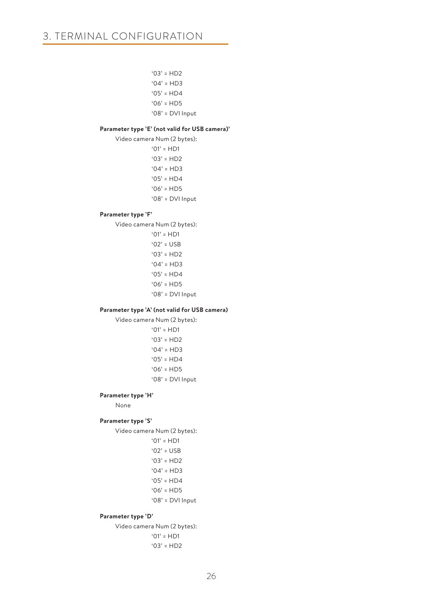'03' = HD2 '04' = HD3

 $'05' = HD4$ 

 $'06' = HDS$ 

'08' = DVI Input

### **Parameter type 'E' (not valid for USB camera)'**

Video camera Num (2 bytes):

 $'01' = HDI$ '03' = HD2

 $'04' = HD3$ 

 $'05' = HDA$ 

 $'06' = HD5$ 

'08' = DVI Input

### **Parameter type 'F'**

Video camera Num (2 bytes):

 '01' = HD1  $'02' = USB$  $'03' = HD2$  $'04' = HD3$  $'05' = HDA$  $'06' = HD5$ '08' = DVI Input

#### **Parameter type 'A' (not valid for USB camera)**

Video camera Num (2 bytes):  $'01' = HDI$ 

> $'03' = HD2$  '04' = HD3  $'05' = HD4$  $'06' = HDS$ '08' = DVI Input

#### **Parameter type 'H'**

None

### **Parameter type 'S'**

Video camera Num (2 bytes):

 '01' = HD1  $'02' = USR$  $'03' = HD2$  $'04' = HD3$  '05' = HD4  $'06' = HDS$ '08' = DVI Input

#### **Parameter type 'D'**

Video camera Num (2 bytes):

 '01' = HD1 '03' = HD2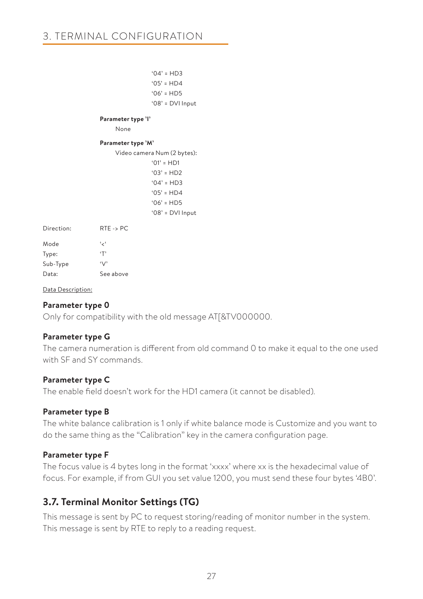$'$ <sup>04' = HD3</sub></sup>  $'05' = HD4$  $'06' = HD5$  '08' = DVI Input **Parameter type 'I'** None **Parameter type 'M'** Video camera Num (2 bytes): '01' = HD1  $'03' = HD2$  $'04' = HD3$  $'05' = HDA$  $'06' = HD5$  '08' = DVI Input Direction: RTE -> PC Mode '<' Type: 'T' Sub-Type 'V' Data: See above

### Data Description:

### **Parameter type 0**

Only for compatibility with the old message AT[&TV000000.

### **Parameter type G**

The camera numeration is different from old command 0 to make it equal to the one used with SF and SY commands.

### **Parameter type C**

The enable field doesn't work for the HD1 camera (it cannot be disabled).

### **Parameter type B**

The white balance calibration is 1 only if white balance mode is Customize and you want to do the same thing as the "Calibration" key in the camera configuration page.

### **Parameter type F**

The focus value is 4 bytes long in the format 'xxxx' where xx is the hexadecimal value of focus. For example, if from GUI you set value 1200, you must send these four bytes '4B0'.

# **3.7. Terminal Monitor Settings (TG)**

This message is sent by PC to request storing/reading of monitor number in the system. This message is sent by RTE to reply to a reading request.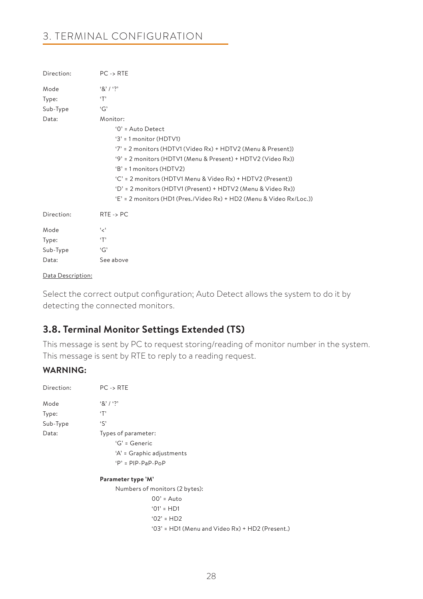# 3. TERMINAL CONFIGURATION

| Direction:                         | $PC \rightarrow RTE$                                                                                                                                                                                                                                                                                                                                                                                                                                    |
|------------------------------------|---------------------------------------------------------------------------------------------------------------------------------------------------------------------------------------------------------------------------------------------------------------------------------------------------------------------------------------------------------------------------------------------------------------------------------------------------------|
| Mode<br>Type:<br>Sub-Type<br>Data: | 8' / ?<br>T<br>'G'<br>Monitor:<br>$'0'$ = Auto Detect<br>$3' = 1$ monitor (HDTV1)<br>'7' = 2 monitors (HDTV1 (Video Rx) + HDTV2 (Menu & Present))<br>'9' = 2 monitors (HDTV1 (Menu & Present) + HDTV2 (Video Rx))<br>$B' = 1$ monitors (HDTV2)<br>$(C) = 2$ monitors (HDTV1 Menu & Video Rx) + HDTV2 (Present))<br>'D' = 2 monitors (HDTV1 (Present) + HDTV2 (Menu & Video Rx))<br>'E' = 2 monitors (HD1 (Pres./Video Rx) + HD2 (Menu & Video Rx/Loc.)) |
| Direction:                         | $RTE \rightarrow PC$                                                                                                                                                                                                                                                                                                                                                                                                                                    |
| Mode<br>Type:<br>Sub-Type<br>Data: | ، مج<br>T<br>G'<br>See above                                                                                                                                                                                                                                                                                                                                                                                                                            |

#### Data Description:

Select the correct output configuration; Auto Detect allows the system to do it by detecting the connected monitors.

# **3.8. Terminal Monitor Settings Extended (TS)**

This message is sent by PC to request storing/reading of monitor number in the system. This message is sent by RTE to reply to a reading request.

# **WARNING:**

| Direction: | $PC \rightarrow RTE$                            |
|------------|-------------------------------------------------|
| Mode       | $8'1'$ ?                                        |
| Type:      | T                                               |
| Sub-Type   | $\mathcal{S}$                                   |
| Data:      | Types of parameter:                             |
|            | $G' =$ Generic                                  |
|            | 'A' = Graphic adjustments                       |
|            | $P' = PIP-PaP-PoP$                              |
|            | Parameter type 'M'                              |
|            | Numbers of monitors (2 bytes):                  |
|            | $00'$ = Auto                                    |
|            | $'01' = H D1$                                   |
|            | $'02' = HD2$                                    |
|            | '03' = HD1 (Menu and Video Rx) + HD2 (Present.) |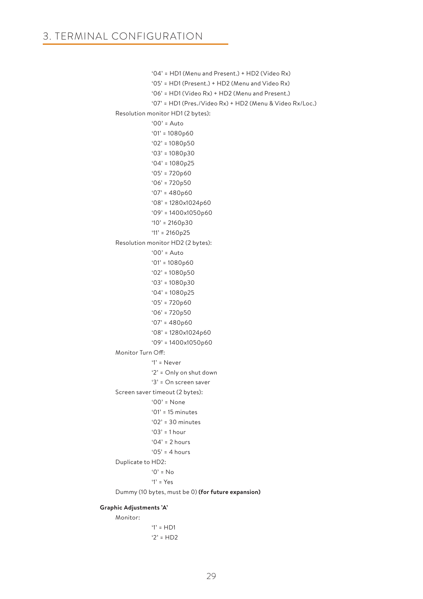```
 '04' = HD1 (Menu and Present.) + HD2 (Video Rx)
             '05' = HD1 (Present.) + HD2 (Menu and Video Rx)
             '06' = HD1 (Video Rx) + HD2 (Menu and Present.)
             '07' = HD1 (Pres./Video Rx) + HD2 (Menu & Video Rx/Loc.)
 Resolution monitor HD1 (2 bytes):
             '00' = Auto
             '01' = 1080p60
             '02' = 1080p50
             '03' = 1080p30
             '04' = 1080p25
            '05' = 720p60'06' = 720p50 '07' = 480p60
             '08' = 1280x1024p60
             '09' = 1400x1050p60
            '10' = 2160p30 '11' = 2160p25
 Resolution monitor HD2 (2 bytes):
             '00' = Auto
             '01' = 1080p60
             '02' = 1080p50
             '03' = 1080p30
             '04' = 1080p25
            '05' = 720p60 '06' = 720p50
             '07' = 480p60
             '08' = 1280x1024p60
             '09' = 1400x1050p60
 Monitor Turn Off:
             '1' = Never
             '2' = Only on shut down
             '3' = On screen saver
 Screen saver timeout (2 bytes):
             '00' = None
             '01' = 15 minutes
             '02' = 30 minutes
            '03' = 1 hour
            '04' = 2 hours
            '05' = 4 hours
 Duplicate to HD2:
             '0' = No
            '1' = Y_{PS} Dummy (10 bytes, must be 0) (for future expansion)
```
#### **Graphic Adjustments 'A'** Monitor:

 $'1' = HDI$  $'2' = H.D2$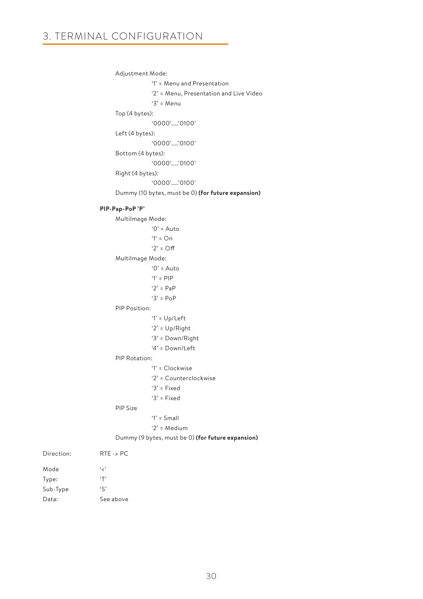Adjustment Mode:

 '1' = Menu and Presentation '2' = Menu, Presentation and Live Video

```
 '3' = Menu
```
Top (4 bytes):

'0000'…..'0100'

Left (4 bytes):

'0000'…..'0100'

Bottom (4 bytes):

'0000'…..'0100'

Right (4 bytes):

'0000'…..'0100'

Dummy (10 bytes, must be 0) **(for future expansion)**

### **PIP-Pap-PoP 'P'**

MultiImage Mode:

 $'0'$  = Auto  $'1' = On$  $'2' = \bigcap f$  MultiImage Mode:  $'0'$  = Auto '1' = PIP  $'2' = PaP$  '3' = PoP PIP Position: '1' = Up/Left '2' = Up/Right '3' = Down/Right '4' = Down/Left PIP Rotation: '1' = Clockwise '2' = Counterclockwise '3' = Fixed '3' = Fixed

PIP Size

#### '1' = Small

'2' = Medium

Dummy (9 bytes, must be 0) **(for future expansion)**

| Direction <sup>.</sup> | $RTE - > PC$ |
|------------------------|--------------|
| Mode                   | د پا         |
| Type:                  | $\cdot$ T'   |
| Sub-Type               | $\zeta$      |
| Data:                  | See above    |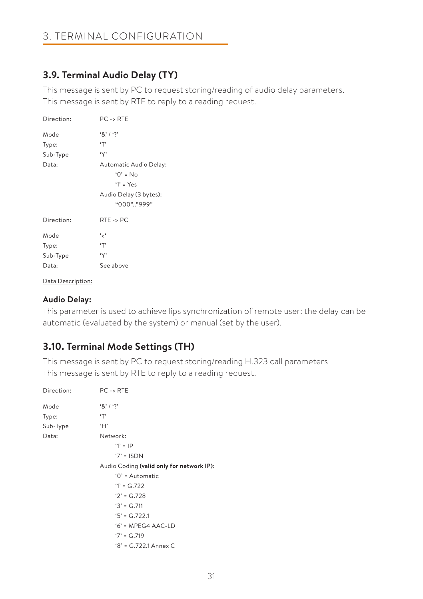# **3.9. Terminal Audio Delay (TY)**

This message is sent by PC to request storing/reading of audio delay parameters. This message is sent by RTE to reply to a reading request.

| Direction: | $PC \rightarrow RTE$                                                                      |
|------------|-------------------------------------------------------------------------------------------|
| Mode       | $8'1'$ ?                                                                                  |
| Type:      | ٠т,                                                                                       |
| Sub-Type   | $\ddot{\mathsf{y}}$                                                                       |
| Data:      | Automatic Audio Delay:<br>$0' = No$<br>$Y' = Yes$<br>Audio Delay (3 bytes):<br>"000""999" |
| Direction: | $RTE \rightarrow PC$                                                                      |
| Mode       | ، بر ،                                                                                    |
| Type:      | $\cdot$ T'                                                                                |
| Sub-Type   | $\ddot{\mathsf{y}}$                                                                       |
| Data:      | See above                                                                                 |

#### Data Description:

# **Audio Delay:**

This parameter is used to achieve lips synchronization of remote user: the delay can be automatic (evaluated by the system) or manual (set by the user).

# **3.10. Terminal Mode Settings (TH)**

This message is sent by PC to request storing/reading H.323 call parameters This message is sent by RTE to reply to a reading request.

| Direction: | $PC \rightarrow RTE$                      |
|------------|-------------------------------------------|
| Mode       | 8' / ?                                    |
| Type:      | ٠т,                                       |
| Sub-Type   | H                                         |
| Data:      | Network:                                  |
|            | $'1' = IP$                                |
|            | $'7' = ISDN$                              |
|            | Audio Coding (valid only for network IP): |
|            | $'0'$ = Automatic                         |
|            | $'1' = G.722$                             |
|            | $'2' = G.728$                             |
|            | $3' = G.711$                              |
|            | $5' = G.722.1$                            |
|            | $6'$ = MPEG4 AAC-LD                       |
|            | $'7' = G.719$                             |
|            | $8' = G.722.1$ Annex C                    |
|            |                                           |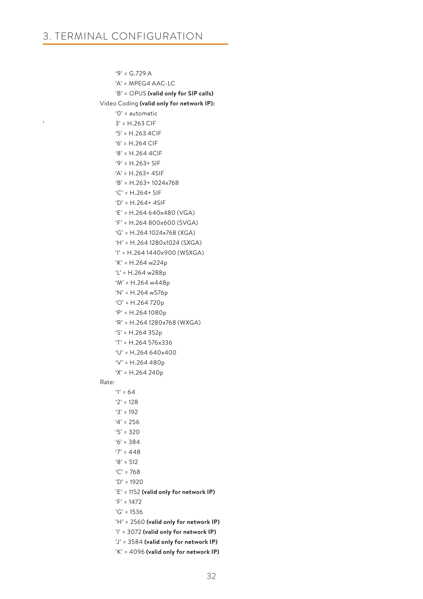$9' = G.729 A$  'A' = MPEG4 AAC-LC 'B' = OPUS **(valid only for SIP calls)** Video Coding **(valid only for network IP):** '0' = automatic  $3' = H.263$  CIF '5' = H.263 4CIF '6' = H.264 CIF '8' = H.264 4CIF '9' = H.263+ SIF 'A' = H.263+ 4SIF 'B' = H.263+ 1024x768 'C' = H.264+ SIF 'D' = H.264+ 4SIF 'E' = H.264 640x480 (VGA) 'F' = H.264 800x600 (SVGA) 'G' = H.264 1024x768 (XGA) 'H' = H.264 1280x1024 (SXGA) 'I' = H.264 1440x900 (WSXGA) 'K' = H.264 w224p 'L' = H.264 w288p 'M' = H.264 w448p 'N' = H.264 w576p 'O' = H.264 720p 'P' = H.264 1080p 'R' = H.264 1280x768 (WXGA) 'S' = H.264 352p 'T' = H.264 576x336  $'U' = H.264640x400$  'V' = H.264 480p 'X' = H.264 240p Rate:  $'1' = 64$  $'2' = 128$  '3' = 192  $4' = 256$  $5' = 320$  $6' = 384$  $'7' = 448$  $'8' = 512$  'C' = 768 'D' = 1920 'E' = 1152 **(valid only for network IP)** 'F' = 1472  $^{\circ}$ G' = 1536 'H' = 2560 **(valid only for network IP)** 'I' = 3072 **(valid only for network IP)** 'J' = 3584 **(valid only for network IP)** 'K' = 4096 **(valid only for network IP)**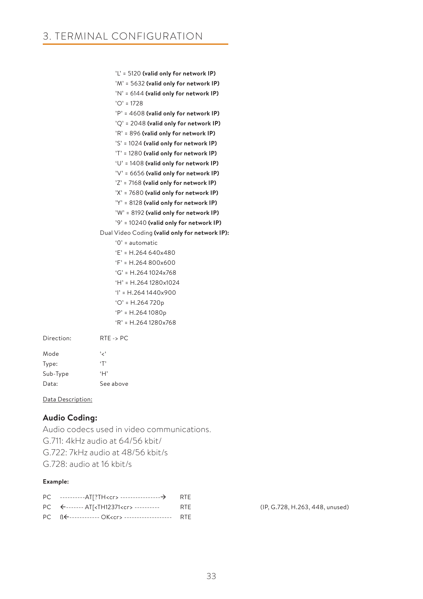'L' = 5120 **(valid only for network IP)** 'M' = 5632 **(valid only for network IP)** 'N' = 6144 **(valid only for network IP)** 'O' = 1728 'P' = 4608 **(valid only for network IP)** 'Q' = 2048 **(valid only for network IP)** 'R' = 896 **(valid only for network IP)** 'S' = 1024 **(valid only for network IP)** 'T' = 1280 **(valid only for network IP)** 'U' = 1408 **(valid only for network IP)** 'V' = 6656 **(valid only for network IP)** 'Z' = 7168 **(valid only for network IP)** 'X' = 7680 **(valid only for network IP)** 'Y' = 8128 **(valid only for network IP)** 'W' = 8192 **(valid only for network IP)** '9' = 10240 **(valid only for network IP)** Dual Video Coding **(valid only for network IP):** '0' = automatic 'E' = H.264 640x480 'F' = H.264 800x600 'G' = H.264 1024x768 'H' = H.264 1280x1024  $'I' = H.2641440x900$  'O' = H.264 720p 'P' = H.264 1080p 'R' = H.264 1280x768 Direction: RTE -> PC

| Mode     | ، ر ،     |
|----------|-----------|
| Type:    | T         |
| Sub-Type | ٠H,       |
| Data:    | See above |

Data Description:

# **Audio Coding:**

Audio codecs used in video communications. G.711: 4kHz audio at 64/56 kbit/ G.722: 7kHz audio at 48/56 kbit/s G.728: audio at 16 kbit/s

#### **Example:**

| PC $\leftarrow$ ------- AT[ <th12371<cr> ----------</th12371<cr>  | <b>RTF</b> |
|-------------------------------------------------------------------|------------|
| PC B <del>E</del> ------------- OK <cr> --------------------</cr> | <b>RTE</b> |

(IP, G.728, H.263, 448, unused)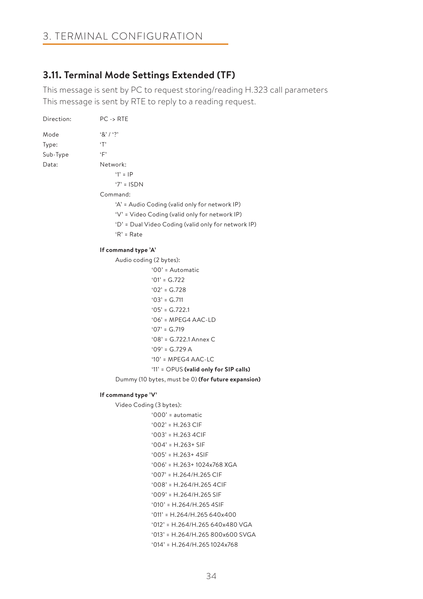# 3. TERMINAL CONFIGURATION

# **3.11. Terminal Mode Settings Extended (TF)**

This message is sent by PC to request storing/reading H.323 call parameters This message is sent by RTE to reply to a reading request.

| Direction: | $PC \rightarrow RTE$                                |
|------------|-----------------------------------------------------|
| Mode       | 8'13'                                               |
| Type:      | T                                                   |
| Sub-Type   | $\cdot_F$                                           |
| Data:      | Network:                                            |
|            | $'1' = IP$                                          |
|            | $'7' = ISDN$                                        |
|            | Command:                                            |
|            | 'A' = Audio Coding (valid only for network IP)      |
|            | 'V' = Video Coding (valid only for network IP)      |
|            | 'D' = Dual Video Coding (valid only for network IP) |
|            | $R' = Rate$                                         |
|            | If command type 'A'                                 |
|            | Audio coding (2 bytes):                             |
|            | '00' = Automatic                                    |
|            | $'01' = G.722$                                      |
|            | $'02' = G.728$                                      |
|            | $'03' = G.711$                                      |
|            | $'05' = G.722.1$                                    |
|            | $'06'$ = MPEG4 AAC-LD                               |
|            | $'07' = G.719$                                      |
|            | $'08' = G.722.1$ Annex C                            |
|            | $'09' = G.729 A$                                    |
|            | '10' = MPEG4 AAC-LC                                 |
|            | '11' = OPUS (valid only for SIP calls)              |
|            | Dummy (10 bytes, must be 0) (for future expansion)  |
|            | If command type 'V'                                 |
|            | Video Coding (3 bytes):                             |
|            | $'000'$ = automatic                                 |
|            | $'002' = H.263$ CIF                                 |
|            | $'003' = H.2634C$ CIF                               |
|            | $'004' = H.263 + SIF$                               |
|            | $'005' = H.263 + 4SIF$                              |
|            | $'006'$ = H.263+ 1024x768 XGA                       |
|            | $'007' = H.264/H.265$ CIF                           |
|            | $'008'$ = H.264/H.265 4CIF                          |
|            | $'009' = H.264/H.265$ SIF                           |
|            | $'010'$ = H.264/H.265 4SIF                          |
|            | $'011' = H.264/H.265640x400$                        |
|            | '012' = H.264/H.265 640x480 VGA                     |

'013' = H.264/H.265 800x600 SVGA

'014' = H.264/H.265 1024x768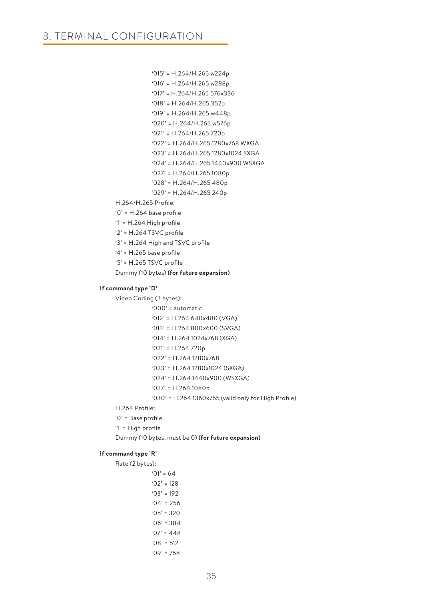'015' = H.264/H.265 w224p '016' = H.264/H.265 w288p '017' = H.264/H.265 576x336 '018' = H.264/H.265 352p '019' = H.264/H.265 w448p '020' = H.264/H.265 w576p '021' = H.264/H.265 720p '022' = H.264/H.265 1280x768 WXGA '023' = H.264/H.265 1280x1024 SXGA '024' = H.264/H.265 1440x900 WSXGA '027' = H.264/H.265 1080p '028' = H.264/H.265 480p '029' = H.264/H.265 240p H.264/H.265 Profile: '0' = H.264 base profile

'1' = H.264 High profile

'2' = H.264 TSVC profile

'3' = H.264 High and TSVC profile

'4' = H.265 base profile

'5' = H.265 TSVC profile

Dummy (10 bytes) **(for future expansion)**

#### **If command type 'D'**

Video Coding (3 bytes):

```
 '000' = automatic 
 '012' = H.264 640x480 (VGA)
 '013' = H.264 800x600 (SVGA)
 '014' = H.264 1024x768 (XGA)
 '021' = H.264 720p 
 '022' = H.264 1280x768
 '023' = H.264 1280x1024 (SXGA)
 '024' = H.264 1440x900 (WSXGA)
 '027' = H.264 1080p
 '030' = H.264 1360x765 (valid only for High Profile)
```
H.264 Profile:

'0' = Base profile

'1' = High profile

Dummy (10 bytes, must be 0) **(for future expansion)**

#### **If command type 'R'**

Rate (2 bytes):

```
'01' = 64'02' = 128'03' = 192'04' = 256'05' = 320'06' = 384'07' = 448'08' = 512 '09' = 768
```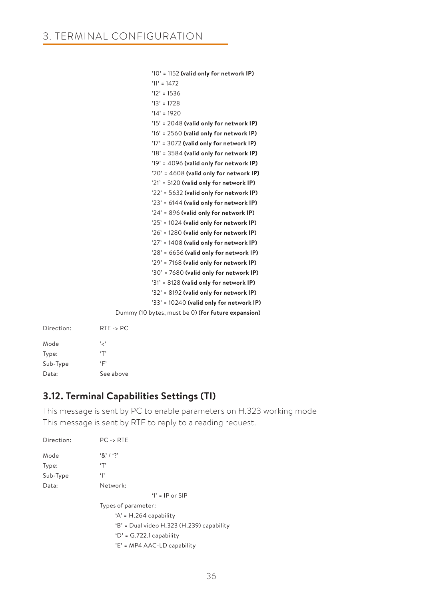| $'10'$ = 1152 (valid only for network IP)          |
|----------------------------------------------------|
| $'11' = 1472$                                      |
| $'12' = 1536$                                      |
| $'13' = 1728$                                      |
| $'14' = 1920$                                      |
| '15' = 2048 (valid only for network IP)            |
| '16' = 2560 (valid only for network IP)            |
| '17' = 3072 (valid only for network IP)            |
| $'18'$ = 3584 (valid only for network IP)          |
| $'19' = 4096$ (valid only for network IP)          |
| $'20'$ = 4608 (valid only for network IP)          |
| '21' = 5120 (valid only for network IP)            |
| $'22'$ = 5632 (valid only for network IP)          |
| '23' = 6144 (valid only for network IP)            |
| $24'$ = 896 (valid only for network IP)            |
| '25' = 1024 (valid only for network IP)            |
| $26'$ = 1280 (valid only for network IP)           |
| '27' = 1408 (valid only for network IP)            |
| $'28'$ = 6656 (valid only for network IP)          |
| '29' = 7168 (valid only for network IP)            |
| '30' = 7680 (valid only for network IP)            |
| '31' = 8128 (valid only for network IP)            |
| '32' = 8192 (valid only for network IP)            |
| '33' = 10240 (valid only for network IP)           |
| Dummy (10 bytes, must be 0) (for future expansion) |

| Direction <sup>.</sup> | $RTE \rightarrow PC$ |
|------------------------|----------------------|
| Mode                   | ، ر ،                |
| Type:                  | $\cdot$ T'           |
| Sub-Type               | ٠Γ                   |
| Data:                  | See above            |

# **3.12. Terminal Capabilities Settings (TI)**

This message is sent by PC to enable parameters on H.323 working mode This message is sent by RTE to reply to a reading request.

| Direction: | $PC \rightarrow RTE$                      |
|------------|-------------------------------------------|
| Mode       | $\{8\}$ / $\{2\}$                         |
| Type:      | ٠т,                                       |
| Sub-Type   | $\cdot$  '                                |
| Data:      | Network:                                  |
|            | '1' = $IP$ or SIP                         |
|            | Types of parameter:                       |
|            | $'A' = H.264$ capability                  |
|            | 'B' = Dual video H.323 (H.239) capability |
|            | $D' = G.722.1$ capability                 |
|            | 'E' = MP4 AAC-LD capability               |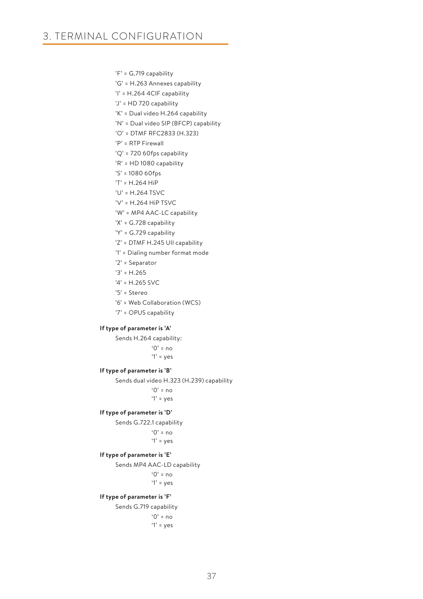'F' = G.719 capability

- 'G' = H.263 Annexes capability
- 'I' = H.264 4CIF capability
- 'J' = HD 720 capability
- 'K' = Dual video H.264 capability
- 'N' = Dual video SIP (BFCP) capability
- 'O' = DTMF RFC2833 (H.323)
- 'P' = RTP Firewall
- 'Q' = 720 60fps capability
- 'R' = HD 1080 capability
- 'S' = 1080 60fps
- 'T' = H.264 HiP
- 'U' = H.264 TSVC
- 'V' = H.264 HiP TSVC
- 'W' = MP4 AAC-LC capability
- 'X' = G.728 capability
- 'Y' = G.729 capability
- 'Z' = DTMF H.245 UII capability
- '1' = Dialing number format mode
- '2' = Separator
- '3' = H.265
- '4' = H.265 SVC
- '5' = Stereo
- '6' = Web Collaboration (WCS)
- '7' = OPUS capability

#### **If type of parameter is 'A'**

Sends H.264 capability:

 $^{\circ}$  0' = no  $'1'$  = yes

### **If type of parameter is 'B'**

Sends dual video H.323 (H.239) capability

 $^{\circ}$  0' = no '1' = yes

#### **If type of parameter is 'D'**

Sends G.722.1 capability

 $^{\circ}$  0' = no '1' = yes

#### **If type of parameter is 'E'**

Sends MP4 AAC-LD capability

'0' = no

'1' = yes

#### **If type of parameter is 'F'**

Sends G.719 capability  $^{\circ}$  0' = no  $'1'$  = yes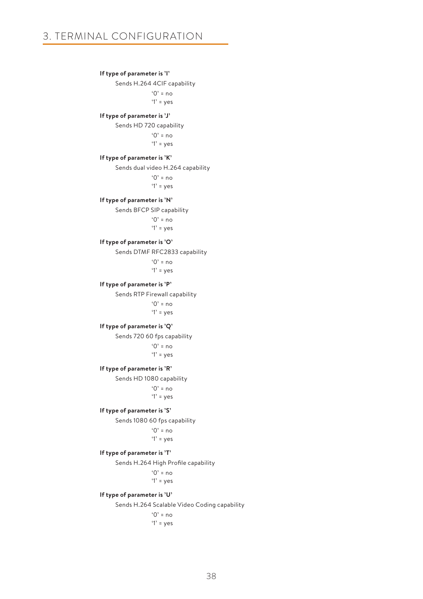#### **If type of parameter is 'I'**

Sends H.264 4CIF capability  $'0'$  = no  $'1'$  = yes

#### **If type of parameter is 'J'**

Sends HD 720 capability

 $'0'$  = no  $'1'$  = yes

#### **If type of parameter is 'K'**

Sends dual video H.264 capability

 $^{\circ}$  0' = no

'1' = yes

### **If type of parameter is 'N'**

Sends BFCP SIP capability  $'0'$  = no

 $'1'$  = yes

#### **If type of parameter is 'O'**

Sends DTMF RFC2833 capability

 $^{\circ}$  0' = no  $'1'$  = yes

#### **If type of parameter is 'P'**

Sends RTP Firewall capability  $^{\circ}$  0' = no  $'1'$  = yes

#### **If type of parameter is 'Q'**

Sends 720 60 fps capability

 $'0' = no$ '1' = yes

#### **If type of parameter is 'R'**

Sends HD 1080 capability

 $'0'$  = no '1' = yes

#### **If type of parameter is 'S'**

Sends 1080 60 fps capability

```
'0' = no
 '1' = yes
```
#### **If type of parameter is 'T'**

Sends H.264 High Profile capability

 $^{\circ}$  0' = no  $'1'$  = yes

#### **If type of parameter is 'U'**

Sends H.264 Scalable Video Coding capability

 $^{\circ}$  0' = no '1' = yes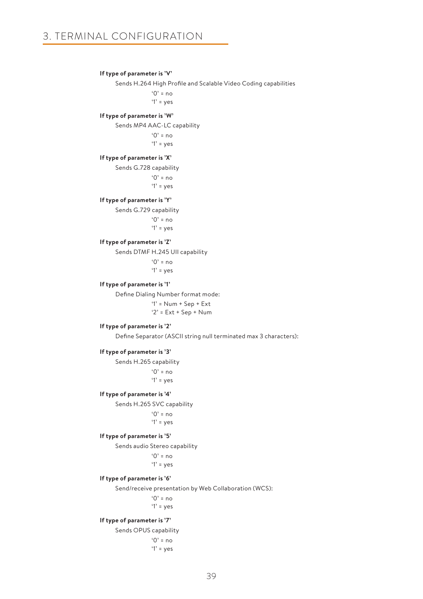#### **If type of parameter is 'V'**

Sends H.264 High Profile and Scalable Video Coding capabilities

 $'0'$  = no  $'1'$  = yes

### **If type of parameter is 'W'**

Sends MP4 AAC-LC capability

 $'0'$  = no '1' = yes

#### **If type of parameter is 'X'**

Sends G.728 capability

 $^{\circ}$  0' = no  $'1'$  = yes

### **If type of parameter is 'Y'**

Sends G.729 capability

 $'Q' = no$  $'1'$  = yes

### **If type of parameter is 'Z'**

Sends DTMF H.245 UII capability

 $^{\circ}$  0' = no  $'1'$  = yes

### **If type of parameter is '1'**

Define Dialing Number format mode:

 '1' = Num + Sep + Ext '2' = Ext + Sep + Num

#### **If type of parameter is '2'**

Define Separator (ASCII string null terminated max 3 characters):

### **If type of parameter is '3'**

Sends H.265 capability  $^{\circ}$  0' = no

 $'1'$  = yes

#### **If type of parameter is '4'**

Sends H.265 SVC capability

 $^{\circ}$  0' = no  $'1'$  = yes

### **If type of parameter is '5'**

Sends audio Stereo capability

 $'0'$  = no  $'1'$  = yes

### **If type of parameter is '6'**

Send/receive presentation by Web Collaboration (WCS):

 $^{\circ}$   $^{\circ}$  = no '1' = yes

#### **If type of parameter is '7'**

Sends OPUS capability

 $'0'$  = no  $'1'$  = yes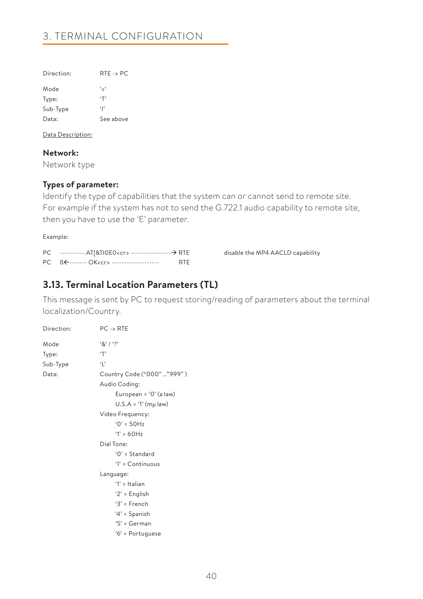| $RTE \rightarrow PC$ |
|----------------------|
| ، ر ،                |
| $\cdot$ T'           |
| Ф                    |
| See above            |
|                      |

Data Description:

**Network:**

Network type

# **Types of parameter:**

Identify the type of capabilities that the system can or cannot send to remote site. For example if the system has not to send the G.722.1 audio capability to remote site, then you have to use the 'E' parameter.

Example:

| PC ---------- AT[&TIOEO <cr> ---------------------- → RTE</cr> |            |
|----------------------------------------------------------------|------------|
| PC BE------- OK <cr> --------------------</cr>                 | <b>RTF</b> |

disable the MP4 AACLD capability

# **3.13. Terminal Location Parameters (TL)**

This message is sent by PC to request storing/reading of parameters about the terminal localization/Country.

| Direction: | $PC \rightarrow RTE$       |
|------------|----------------------------|
| Mode       | (8)12                      |
| Type:      | T                          |
| Sub-Type   | $\cdot$   $\cdot$          |
| Data:      | Country Code ("000" "999") |
|            | Audio Coding:              |
|            | European = '0' (a law)     |
|            | $U.S.A = '1' (mµ law)$     |
|            | Video Frequency:           |
|            | $0' = 50Hz$                |
|            | $'1' = 60Hz$               |
|            | Dial Tone:                 |
|            | $'0'$ = Standard           |
|            | '1' = Continuous           |
|            | Language:                  |
|            | '1' = Italian              |
|            | ' $2$ ' = English          |
|            | $3'$ = French              |
|            | $4'$ = Spanish             |
|            | '5' = German               |
|            | '6' = Portuguese           |
|            |                            |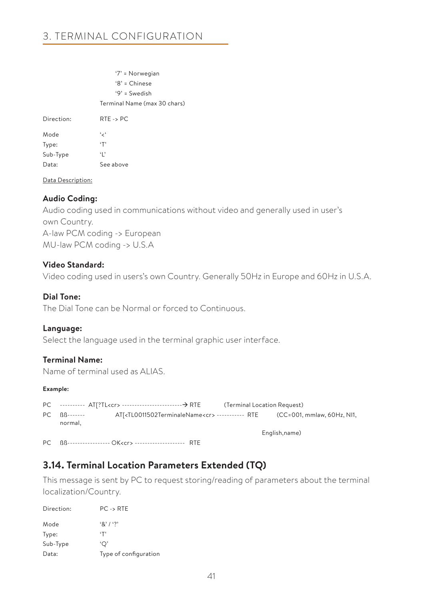'7' = Norwegian '8' = Chinese '9' = Swedish Terminal Name (max 30 chars) Direction: RTE -> PC Mode '<' Type: 'T' Sub-Type 'L' Data: See above

Data Description:

### **Audio Coding:**

Audio coding used in communications without video and generally used in user's own Country. A-law PCM coding -> European MU-law PCM coding -> U.S.A

### **Video Standard:**

Video coding used in users's own Country. Generally 50Hz in Europe and 60Hz in U.S.A.

# **Dial Tone:**

The Dial Tone can be Normal or forced to Continuous.

### **Language:**

Select the language used in the terminal graphic user interface.

### **Terminal Name:**

Name of terminal used as ALIAS.

### **Example:**

PC ---------- AT[?TL<cr> -------------------------------- ATE (Terminal Location Request) PC ßß------- AT[<TL0011502TerminaleName<cr> ----------- RTE (CC=001, mmlaw, 60Hz, NI1, normal, English,name) PC ßß----------------- OK<cr> -------------------- RTE

**3.14. Terminal Location Parameters Extended (TQ)**

This message is sent by PC to request storing/reading of parameters about the terminal localization/Country.

| Direction: | $PC -$ RTF            |
|------------|-----------------------|
| Mode       | (8) / ?               |
| Type:      | $\cdot$ T'            |
| Sub-Type   | 'O'                   |
| Data:      | Type of configuration |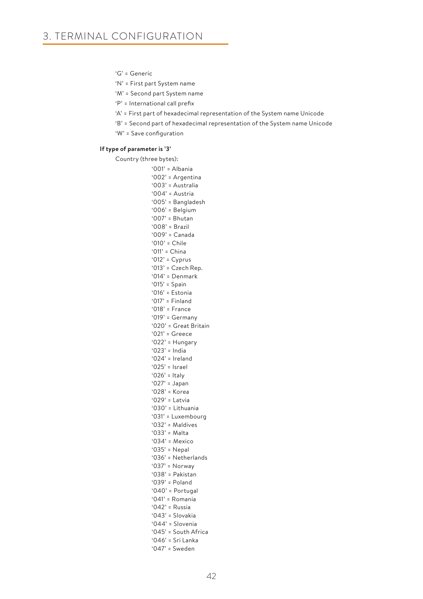'G' = Generic

'N' = First part System name

'M' = Second part System name

'P' = International call prefix

'A' = First part of hexadecimal representation of the System name Unicode

'B' = Second part of hexadecimal representation of the System name Unicode

'W' = Save configuration

#### **If type of parameter is '3'**

Country (three bytes): '001' = Albania '002' = Argentina '003' = Australia '004' = Austria '005' = Bangladesh '006' = Belgium '007' = Bhutan '008' = Brazil '009' = Canada '010' = Chile '011' = China '012' = Cyprus '013' = Czech Rep. '014' = Denmark '015' = Spain '016' = Estonia '017' = Finland '018' = France '019' = Germany '020' = Great Britain '021' = Greece '022' = Hungary '023' = India '024' = Ireland '025' = Israel '026' = Italy '027' = Japan '028' = Korea '029' = Latvia '030' = Lithuania '031' = Luxembourg '032' = Maldives '033' = Malta '034' = Mexico '035' = Nepal '036' = Netherlands '037' = Norway '038' = Pakistan '039' = Poland '040' = Portugal '041' = Romania '042' = Russia '043' = Slovakia '044' = Slovenia '045' = South Africa '046' = Sri Lanka '047' = Sweden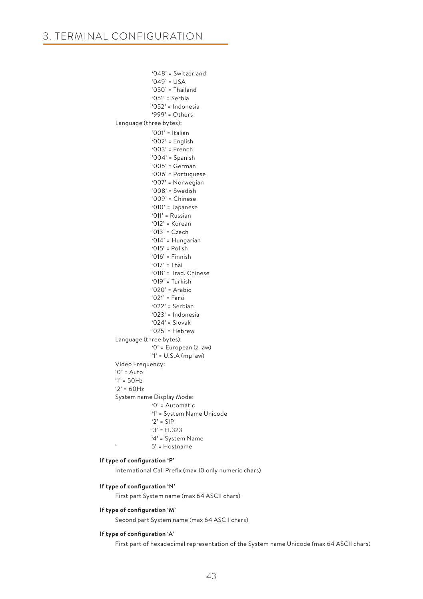```
 '048' = Switzerland
            '049' = 115A '050' = Thailand
             '051' = Serbia
             '052' = Indonesia
             '999' = Others
 Language (three bytes):
             '001' = Italian
             '002' = English
            '003' = French
            '004' = Spanish
            '005' = German
             '006' = Portuguese
             '007' = Norwegian
             '008' = Swedish
            '009' = Chinese
            '010' = Japanese
            '011' = Russian
              '012' = Korean
             '013' = Czech
             '014' = Hungarian
             '015' = Polish
             '016' = Finnish
             '017' = Thai
            '018' = Trad. Chinese
             '019' = Turkish
            '020' = Arabic
             '021' = Farsi
             '022' = Serbian
            '023' = Indonesia
             '024' = Slovak
            '025' = Hebrew
Language (three bytes):
            '0' = European (a law)
            '1' = U.S.A (mμ law)
 Video Frequency:
'0' = Auto
'1' = 50Hz
'2' = 60HzSystem name Display Mode:
             '0' = Automatic
            '1' = System Name Unicode
            '2' = SIP
            '3' = H.323
            '4' = System Name
' 5' = Hostname
```
### **If type of configuration 'P'**

International Call Prefix (max 10 only numeric chars)

### **If type of configuration 'N'**

First part System name (max 64 ASCII chars)

### **If type of configuration 'M'**

Second part System name (max 64 ASCII chars)

#### **If type of configuration 'A'**

First part of hexadecimal representation of the System name Unicode (max 64 ASCII chars)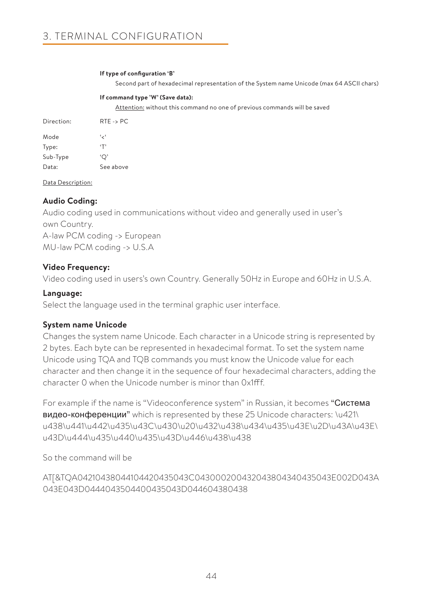### **If type of configuration 'B'**

Second part of hexadecimal representation of the System name Unicode (max 64 ASCII chars)

### **If command type 'W' (Save data):**

Attention: without this command no one of previous commands will be saved

| Direction: | $RTE - > PC$ |
|------------|--------------|
| Mode       | ، ر ،        |
| Type:      | $\cdot$ T'   |
| Sub-Type   | 'О'          |
| Data:      | See above    |

Data Description:

### **Audio Coding:**

Audio coding used in communications without video and generally used in user's own Country. A-law PCM coding -> European MU-law PCM coding -> U.S.A

# **Video Frequency:**

Video coding used in users's own Country. Generally 50Hz in Europe and 60Hz in U.S.A.

### **Language:**

Select the language used in the terminal graphic user interface.

# **System name Unicode**

Changes the system name Unicode. Each character in a Unicode string is represented by 2 bytes. Each byte can be represented in hexadecimal format. To set the system name Unicode using TQA and TQB commands you must know the Unicode value for each character and then change it in the sequence of four hexadecimal characters, adding the character 0 when the Unicode number is minor than 0x1fff.

For example if the name is "Videoconference system" in Russian, it becomes "Система видео-конференции" which is represented by these 25 Unicode characters: \u421\ u438\u441\u442\u435\u43C\u430\u20\u432\u438\u434\u435\u43E\u2D\u43A\u43E\ u43D\u444\u435\u440\u435\u43D\u446\u438\u438

So the command will be

AT[&TQA04210438044104420435043C043000200432043804340435043E002D043A 043E043D0444043504400435043D044604380438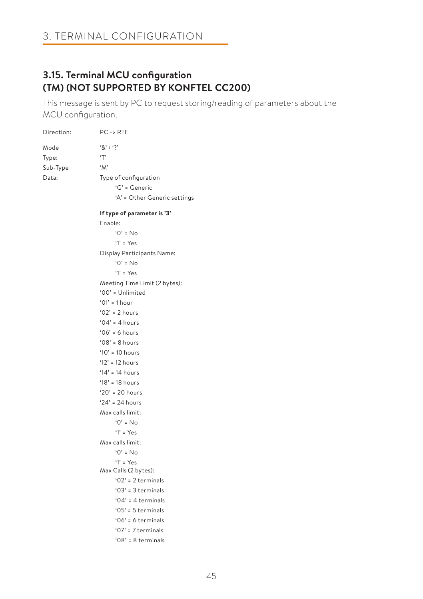# **3.15. Terminal MCU configuration (TM) (NOT SUPPORTED BY KONFTEL CC200)**

This message is sent by PC to request storing/reading of parameters about the MCU configuration.

| Direction: | $PC \rightarrow RTE$          |
|------------|-------------------------------|
| Mode       | 8'1'                          |
| Type:      | T                             |
| Sub-Type   | $^{\circ}M^{\circ}$           |
| Data:      | Type of configuration         |
|            | 'G' = Generic                 |
|            | 'A' = Other Generic settings  |
|            | If type of parameter is '3'   |
|            | Enable:                       |
|            | $0'$ = No                     |
|            | $Y = Yes$                     |
|            | Display Participants Name:    |
|            | $0' = No$                     |
|            | $Y = Yes$                     |
|            | Meeting Time Limit (2 bytes): |
|            | '00' = Unlimited              |
|            | $'01' = 1 hour$               |
|            | $'02' = 2 hours$              |
|            | '04' = 4 hours                |
|            | $'06' = 6$ hours              |
|            | $'08' = 8$ hours              |
|            | ' $10'$ = 10 hours            |
|            | '12' = 12 hours               |
|            | ' $14$ ' = 14 hours           |
|            | ' $18'$ = 18 hours            |
|            | ' $20'$ = 20 hours            |
|            | '24' = 24 hours               |
|            | Max calls limit:              |
|            | $'0' = No$                    |
|            | $Y = Yes$                     |
|            | Max calls limit:              |
|            | $0'$ = No                     |
|            | $Y = Yes$                     |
|            | Max Calls (2 bytes):          |
|            | '02' = $2$ terminals          |
|            | $'03' = 3$ terminals          |
|            | '04' = 4 terminals            |
|            | $'05' = 5$ terminals          |
|            | $'06' = 6$ terminals          |
|            | '07' = $7$ terminals          |
|            | '08' = 8 terminals            |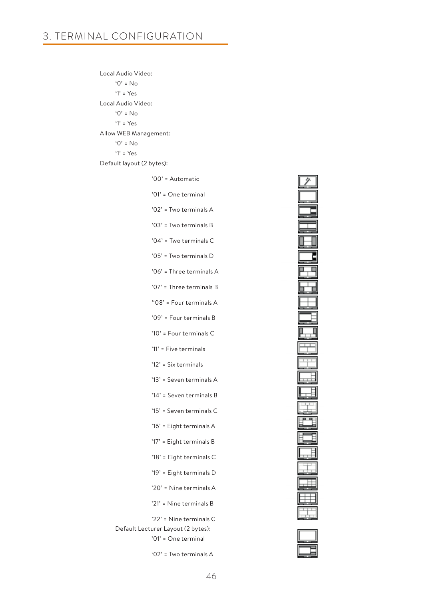Local Audio Video: '0' = No '1' = Yes Local Audio Video: '0' = No '1' = Yes Allow WEB Management: '0' = No '1' = Yes Default layout (2 bytes):

| '00' = Automatic                                                                     |
|--------------------------------------------------------------------------------------|
| '01' = One terminal                                                                  |
| '02' = Two terminals A                                                               |
| '03' = Two terminals B                                                               |
| '04' = Two terminals C                                                               |
| '05' = Two terminals D                                                               |
| '06' = Three terminals A                                                             |
| '07' = Three terminals B                                                             |
| "08" = Four terminals A                                                              |
| '09' = Four terminals B                                                              |
| '10' = Four terminals C                                                              |
| '11' = Five terminals                                                                |
| '12' = Six terminals                                                                 |
| '13' = Seven terminals A                                                             |
| '14' = Seven terminals B                                                             |
| '15' = Seven terminals C                                                             |
| '16' = Eight terminals A                                                             |
| '17' = Eight terminals B                                                             |
| '18' = Eight terminals C                                                             |
| '19' = Eight terminals D                                                             |
| '20' = Nine terminals A                                                              |
| '21' = Nine terminals B                                                              |
| '22' = Nine terminals C<br>Default Lecturer Layout (2 bytes):<br>'01' = One terminal |
| '02' = Two terminals A                                                               |



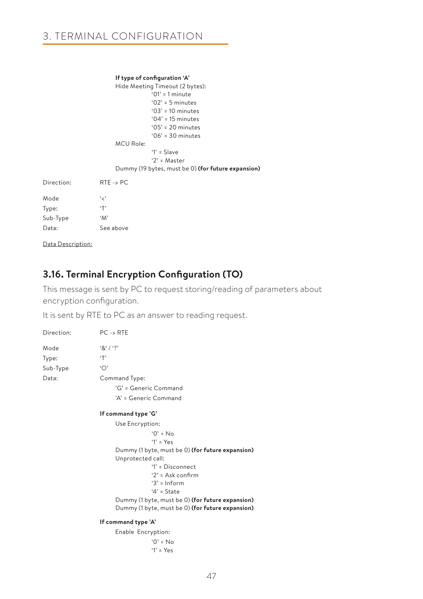#### **If type of configuration 'A'** Hide Meeting Timeout (2 bytes):

|            | $\frac{1}{2}$ in the case of $\frac{1}{2}$ in the back $\frac{1}{2}$ by test. |
|------------|-------------------------------------------------------------------------------|
|            | $'01' = 1$ minute                                                             |
|            | $'02' = 5$ minutes                                                            |
|            | $'03' = 10$ minutes                                                           |
|            | $'04' = 15$ minutes                                                           |
|            | $.05' = 20$ minutes                                                           |
|            | $'06' = 30$ minutes                                                           |
|            | <b>MCU Role:</b>                                                              |
|            | $'1' = Slave$                                                                 |
|            | ' $2$ ' = Master                                                              |
|            | Dummy (19 bytes, must be 0) (for future expansion)                            |
| Direction: | $RTE \rightarrow PC$                                                          |
| Mode       | ، بر،                                                                         |
| Type:      | T                                                                             |
| Sub-Type   | 'M'                                                                           |
| Data:      | See above                                                                     |
|            |                                                                               |

Data Description:

# **3.16. Terminal Encryption Configuration (TO)**

This message is sent by PC to request storing/reading of parameters about encryption configuration.

It is sent by RTE to PC as an answer to reading request.

| Direction: | $PC \rightarrow RTE$                             |
|------------|--------------------------------------------------|
| Mode       | $8'1'$ ?                                         |
| Type:      | ٠т,                                              |
| Sub-Type   | ٠О,                                              |
| Data:      | Command Type:                                    |
|            | 'G' = Generic Command                            |
|            | 'A' = Generic Command                            |
|            | If command type 'G'                              |
|            | Use Encryption:                                  |
|            | $'()' = N_0$                                     |
|            | $Y = Yes$                                        |
|            | Dummy (1 byte, must be 0) (for future expansion) |
|            | Unprotected call:                                |
|            | $'1'$ = Disconnect                               |
|            | $2' = Ask \text{ confirm}$                       |
|            | $3'$ = Inform                                    |
|            | $4'$ = State                                     |
|            | Dummy (1 byte, must be 0) (for future expansion) |
|            | Dummy (1 byte, must be 0) (for future expansion) |
|            | If command type 'A'                              |
|            | Enable Encryption:                               |
|            | $'O' = No$                                       |
|            | $'1' = Yes$                                      |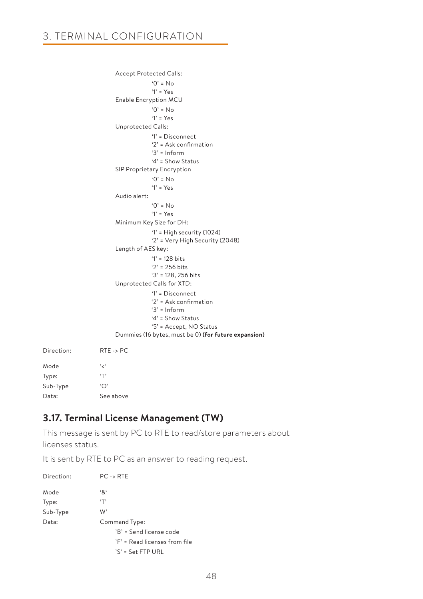```
 Accept Protected Calls:
                                      '0' = No
                                     '1' = Yes
                         Enable Encryption MCU
                                     '0' = No '1' = Yes
                         Unprotected Calls:
                                      '1' = Disconnect
                                     '2' = Ask confirmation 
                                     '3' = Inform
                                     '4' = Show Status
                         SIP Proprietary Encryption
                                      '0' = No
                                      '1' = Yes
                         Audio alert: 
                                     '0' = No '1' = Yes
                         Minimum Key Size for DH:
                                      '1' = High security (1024)
                                     '2' = Very High Security (2048) 
                         Length of AES key: 
                                      '1' = 128 bits
                                     '2' = 256 bits
                                     '3' = 128, 256 bits
                         Unprotected Calls for XTD:
                                     '1' = Disconnect
                                    '2' = Ask confirmation 
                                     '3' = Inform
                                    '4' = Show Status
                                    '5' = Accept, NO Status
                         Dummies (16 bytes, must be 0) (for future expansion)
Direction: RTE -> PC
Mode '<'
Type: 'T'
Sub-Type 'O'
```
# **3.17. Terminal License Management (TW)**

Data: See above

This message is sent by PC to RTE to read/store parameters about licenses status.

It is sent by RTE to PC as an answer to reading request.

| Direction: | $PC \rightarrow RTE$          |
|------------|-------------------------------|
| Mode       | '&'                           |
| Type:      | ٠T'                           |
| Sub-Type   | W'                            |
| Data:      | Command Type:                 |
|            | 'B' = Send license code       |
|            | 'F' = Read licenses from file |
|            | 'S' = Set FTP URL             |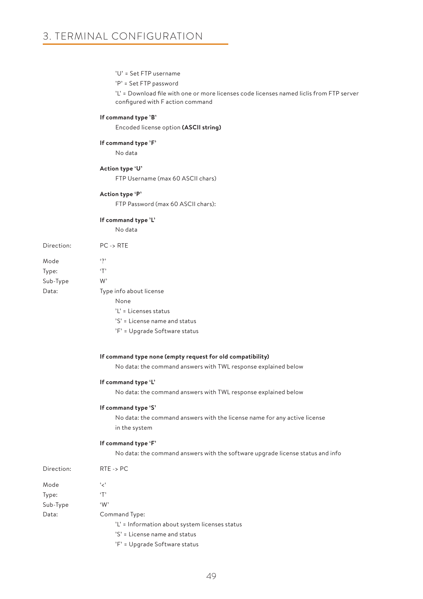### 'U' = Set FTP username

#### 'P' = Set FTP password

 'L' = Download file with one or more licenses code licenses named liclis from FTP server configured with F action command

### **If command type 'B'**

Encoded license option **(ASCII string)**

### **If command type 'F'**

No data

#### **Action type 'U'**

FTP Username (max 60 ASCII chars)

### **Action type 'P'**

FTP Password (max 60 ASCII chars):

#### **If command type 'L'**

No data

| Direction: | $PC \rightarrow RTE$    |
|------------|-------------------------|
| Mode       | $\ddot{\phantom{0}}$    |
| Type:      | $\cdot$ T'              |
| Sub-Type   | W,                      |
| Data:      | Type info about license |
|            | None                    |
|            |                         |

| Data: | Type info about license       |
|-------|-------------------------------|
|       | None                          |
|       | 'L' = Licenses status         |
|       | 'S' = License name and status |
|       | 'F' = Upgrade Software status |

# **If command type none (empty request for old compatibility)**

No data: the command answers with TWL response explained below

#### **If command type 'L'**

No data: the command answers with TWL response explained below

#### **If command type 'S'**

No data: the command answers with the license name for any active license in the system

#### **If command type 'F'**

No data: the command answers with the software upgrade license status and info

| Direction: | $RTE \rightarrow PC$                           |
|------------|------------------------------------------------|
| Mode       | ' ج'                                           |
| Type:      | ٠T'                                            |
| Sub-Type   | 'W'                                            |
| Data:      | Command Type:                                  |
|            | 'L' = Information about system licenses status |
|            | 'S' = License name and status                  |

'F' = Upgrade Software status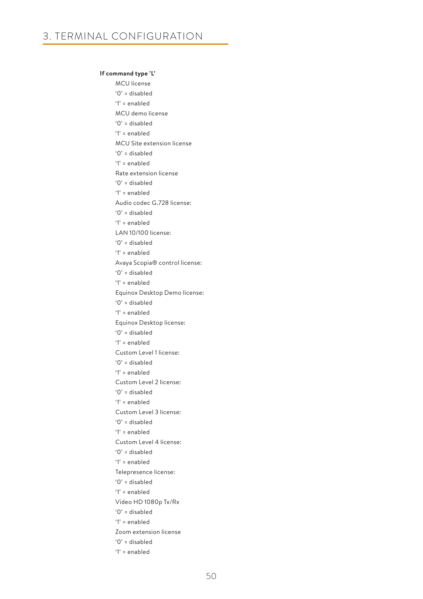### **If command type 'L'**

MCU license '0' = disabled '1' = enabled MCU demo license '0' = disabled '1' = enabled MCU Site extension license '0' = disabled '1' = enabled Rate extension license '0' = disabled '1' = enabled Audio codec G.728 license: '0' = disabled '1' = enabled LAN 10/100 license: '0' = disabled '1' = enabled Avaya Scopia® control license: '0' = disabled '1' = enabled Equinox Desktop Demo license: '0' = disabled '1' = enabled Equinox Desktop license: '0' = disabled '1' = enabled Custom Level 1 license: '0' = disabled '1' = enabled Custom Level 2 license: '0' = disabled '1' = enabled Custom Level 3 license: '0' = disabled '1' = enabled Custom Level 4 license: '0' = disabled '1' = enabled Telepresence license: '0' = disabled '1' = enabled Video HD 1080p Tx/Rx '0' = disabled '1' = enabled Zoom extension license '0' = disabled '1' = enabled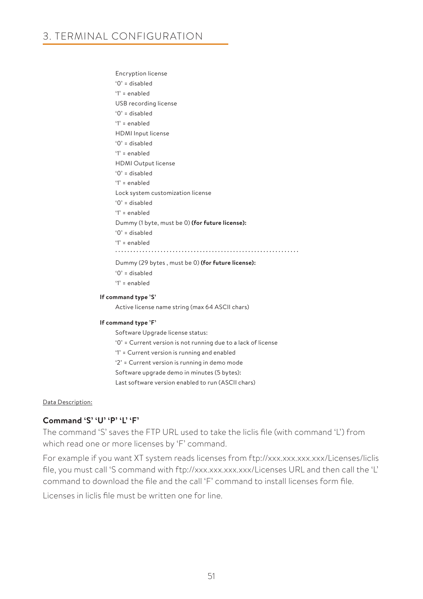Encryption license '0' = disabled '1' = enabled USB recording license '0' = disabled '1' = enabled HDMI Input license '0' = disabled '1' = enabled HDMI Output license '0' = disabled '1' = enabled Lock system customization license '0' = disabled '1' = enabled Dummy (1 byte, must be 0) **(for future license):** '0' = disabled '1' = enabled Dummy (29 bytes , must be 0) **(for future license):** '0' = disabled

'1' = enabled

### **If command type 'S'**

Active license name string (max 64 ASCII chars)

#### **If command type 'F'**

Software Upgrade license status:

- '0' = Current version is not running due to a lack of license
- '1' = Current version is running and enabled

'2' = Current version is running in demo mode

Software upgrade demo in minutes (5 bytes):

Last software version enabled to run (ASCII chars)

### Data Description:

### **Command 'S' 'U' 'P' 'L' 'F'**

The command 'S' saves the FTP URL used to take the liclis file (with command 'L') from which read one or more licenses by 'F' command.

For example if you want XT system reads licenses from ftp://xxx.xxx.xxx.xxx/Licenses/liclis file, you must call 'S command with ftp://xxx.xxx.xxx.xxx/Licenses URL and then call the 'L' command to download the file and the call 'F' command to install licenses form file.

Licenses in liclis file must be written one for line.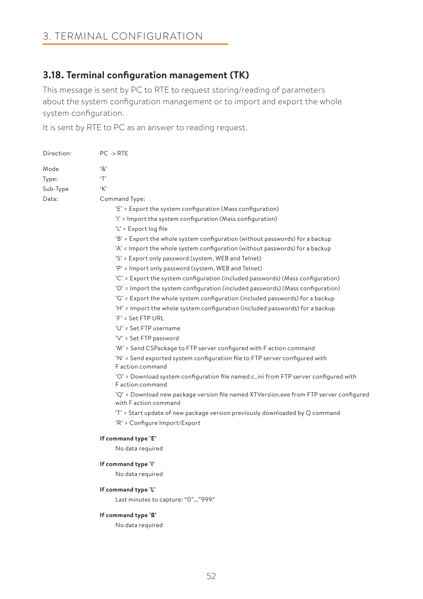# **3.18. Terminal configuration management (TK)**

This message is sent by PC to RTE to request storing/reading of parameters about the system configuration management or to import and export the whole system configuration.

It is sent by RTE to PC as an answer to reading request.

| Direction: | $PC \rightarrow RTE$                                                                                            |  |  |  |
|------------|-----------------------------------------------------------------------------------------------------------------|--|--|--|
| Mode       | '&'                                                                                                             |  |  |  |
| Type:      | ٠т,                                                                                                             |  |  |  |
| Sub-Type   | 'K'                                                                                                             |  |  |  |
| Data:      | Command Type:                                                                                                   |  |  |  |
|            | 'E' = Export the system configuration (Mass configuration)                                                      |  |  |  |
|            | 'l' = Import the system configuration (Mass configuration)                                                      |  |  |  |
|            | 'L' = Export log file                                                                                           |  |  |  |
|            | 'B' = Export the whole system configuration (without passwords) for a backup                                    |  |  |  |
|            | 'A' = Import the whole system configuration (without passwords) for a backup                                    |  |  |  |
|            | 'S' = Export only password (system, WEB and Telnet)                                                             |  |  |  |
|            | 'P' = Import only password (system, WEB and Telnet)                                                             |  |  |  |
|            | 'C' = Export the system configuration (included passwords) (Mass configuration)                                 |  |  |  |
|            | 'D' = Import the system configuration (included passwords) (Mass configuration)                                 |  |  |  |
|            | 'G' = Export the whole system configuration (included passwords) for a backup                                   |  |  |  |
|            | 'H' = Import the whole system configuration (included passwords) for a backup                                   |  |  |  |
|            | 'F' = Set FTP URL                                                                                               |  |  |  |
|            | 'U' = Set FTP username                                                                                          |  |  |  |
|            | 'V' = Set FTP password                                                                                          |  |  |  |
|            | 'M' = Send CSPackage to FTP server configured with F action command                                             |  |  |  |
|            | 'N' = Send exported system configuration file to FTP server configured with<br>F action command                 |  |  |  |
|            | 'O' = Download system configuration file named c_ini from FTP server configured with<br>F action command        |  |  |  |
|            | 'Q' = Download new package version file named XTVersion.exe from FTP server configured<br>with F action command |  |  |  |
|            | 'T' = Start update of new package version previously downloaded by Q command                                    |  |  |  |
|            | 'R' = Configure Import/Export                                                                                   |  |  |  |
|            | If command type 'E'                                                                                             |  |  |  |
|            | No data required                                                                                                |  |  |  |
|            | If command type 'I'                                                                                             |  |  |  |
|            | No data required                                                                                                |  |  |  |
|            | If command type 'L'                                                                                             |  |  |  |
|            | Last minutes to capture: "0""999"                                                                               |  |  |  |
|            | If command type 'B'                                                                                             |  |  |  |
|            | No data required                                                                                                |  |  |  |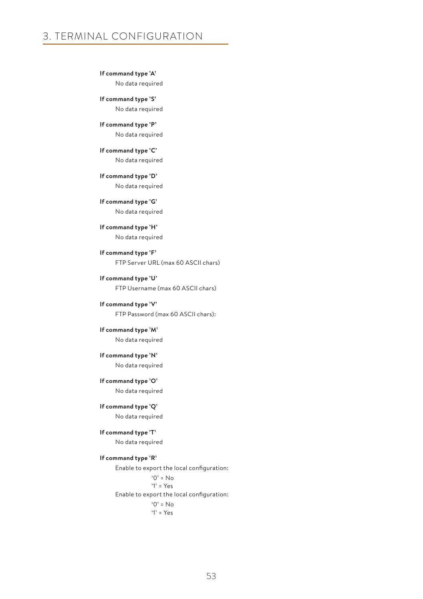**If command type 'A'** No data required

 **If command type 'S'** No data required

 **If command type 'P'** No data required

 **If command type 'C'** No data required

 **If command type 'D'** No data required

 **If command type 'G'** No data required

 **If command type 'H'** No data required

 **If command type 'F'** FTP Server URL (max 60 ASCII chars)

 **If command type 'U'** FTP Username (max 60 ASCII chars)

 **If command type 'V'** FTP Password (max 60 ASCII chars):

 **If command type 'M'** No data required

**If command type 'N'**

No data required

 **If command type 'O'** No data required

 **If command type 'Q'** No data required

**If command type 'T'**

No data required

**If command type 'R'**

Enable to export the local configuration:  $^{\circ}$  0' = No  $'1' = Y_{PS}$  Enable to export the local configuration:  $'0' = No$ '1' = Yes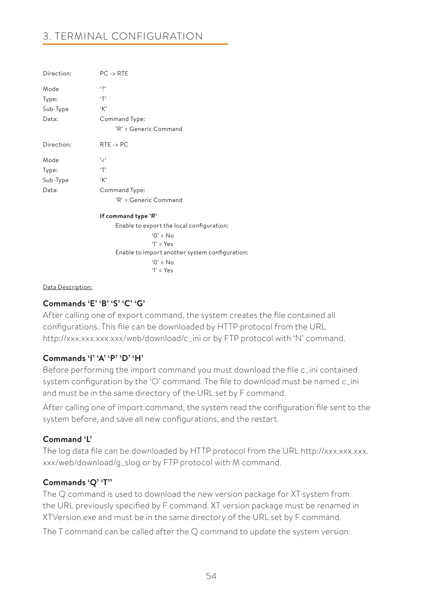| Direction: | $PC \rightarrow RTE$                           |
|------------|------------------------------------------------|
| Mode       | $\mathfrak{c}_2$                               |
| Type:      | T                                              |
| Sub-Type   | K                                              |
| Data:      | Command Type:                                  |
|            | 'R' = Generic Command                          |
| Direction: | $RTE \rightarrow PC$                           |
| Mode       | ، مج                                           |
| Type:      | T                                              |
| Sub-Type   | K                                              |
| Data:      | Command Type:                                  |
|            | 'R' = Generic Command                          |
|            | If command type 'R'                            |
|            | Enable to export the local configuration:      |
|            | $0' = No$                                      |
|            | $Y = Yes$                                      |
|            | Enable to import another system configuration: |

Data Description:

# **Commands 'E' 'B' 'S' 'C' 'G'**

After calling one of export command, the system creates the file contained all configurations. This file can be downloaded by HTTP protocol from the URL http://xxx.xxx.xxx.xxx/web/download/c\_ini or by FTP protocol with 'N' command.

 $^{\circ}$   $^{\circ}$   $\circ$   $^{\circ}$   $\circ$   $\circ$ '1' = Yes

### **Commands 'I' 'A' 'P' 'D' 'H'**

Before performing the import command you must download the file c\_ini contained system configuration by the 'O' command. The file to download must be named c\_ini and must be in the same directory of the URL set by F command.

After calling one of import command, the system read the configuration file sent to the system before, and save all new configurations, and the restart.

### **Command 'L'**

The log data file can be downloaded by HTTP protocol from the URL http://xxx.xxx.xxx. xxx/web/download/g\_slog or by FTP protocol with M command.

### **Commands 'Q' 'T''**

The Q command is used to download the new version package for XT system from the URL previously specified by F command. XT version package must be renamed in XTVersion.exe and must be in the same directory of the URL set by F command.

The T command can be called after the Q command to update the system version.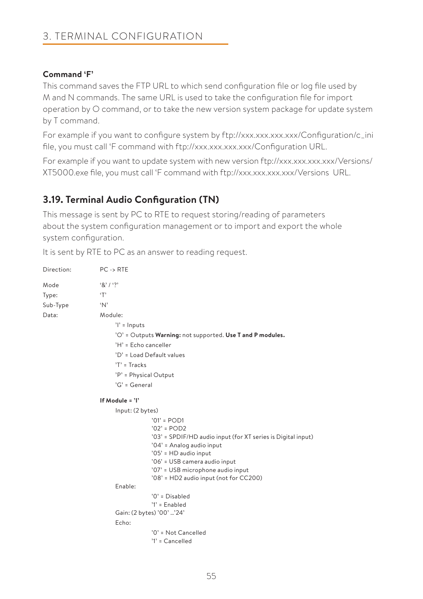# **Command 'F'**

This command saves the FTP URL to which send configuration file or log file used by M and N commands. The same URL is used to take the configuration file for import operation by O command, or to take the new version system package for update system by T command.

For example if you want to configure system by ftp://xxx.xxx.xxx.xxx/Configuration/c\_ini file, you must call 'F command with ftp://xxx.xxx.xxx.xxx/Configuration URL.

For example if you want to update system with new version ftp://xxx.xxx.xxx.xxx/Versions/ XT5000.exe file, you must call 'F command with ftp://xxx.xxx.xxx.xxx/Versions URL.

# **3.19. Terminal Audio Configuration (TN)**

This message is sent by PC to RTE to request storing/reading of parameters about the system configuration management or to import and export the whole system configuration.

It is sent by RTE to PC as an answer to reading request.

| Direction: | $PC \rightarrow RTE$                                                                      |
|------------|-------------------------------------------------------------------------------------------|
| Mode       | 8' / ?                                                                                    |
| Type:      | T                                                                                         |
| Sub-Type   | $^{\circ}N^{\circ}$                                                                       |
| Data:      | Module:                                                                                   |
|            | $'$ l' = Inputs                                                                           |
|            | 'O' = Outputs Warning: not supported. Use T and P modules.                                |
|            | 'H' = Echo canceller                                                                      |
|            | 'D' = Load Default values                                                                 |
|            | $'T' = \text{Tracks}$                                                                     |
|            | 'P' = Physical Output                                                                     |
|            | $'G' = General$                                                                           |
|            | If Module $= 'I'$                                                                         |
|            | Input: (2 bytes)                                                                          |
|            | $'01' = POD1$                                                                             |
|            | $'02' = POD2$                                                                             |
|            | '03' = SPDIF/HD audio input (for XT series is Digital input)<br>'04' = Analog audio input |
|            | '05' = HD audio input                                                                     |
|            | '06' = USB camera audio input                                                             |
|            | '07' = USB microphone audio input                                                         |
|            | '08' = HD2 audio input (not for CC200)                                                    |
|            | Enable:                                                                                   |
|            | $'0'$ = Disabled<br>$'1'$ = Enabled                                                       |
|            | Gain: (2 bytes) '00' '24'                                                                 |
|            | Echo:                                                                                     |
|            | '0' = Not Cancelled<br>$'1' =$ Cancelled                                                  |
|            |                                                                                           |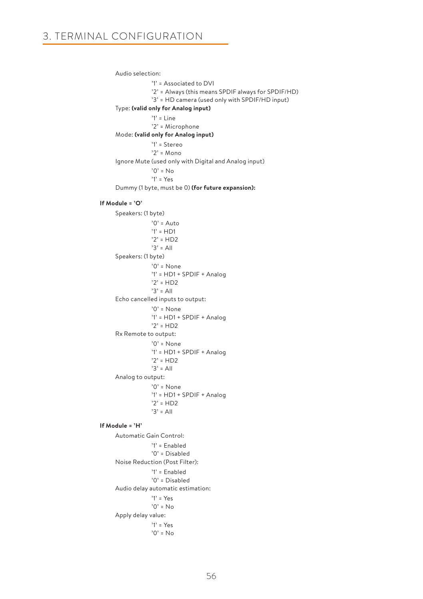Audio selection: '1' = Associated to DVI '2' = Always (this means SPDIF always for SPDIF/HD) '3' = HD camera (used only with SPDIF/HD input) Type: **(valid only for Analog input)**  $'1'$  = Line '2' = Microphone Mode: **(valid only for Analog input)** '1' = Stereo '2' = Mono Ignore Mute (used only with Digital and Analog input) '0' = No '1' = Yes Dummy (1 byte, must be 0) **(for future expansion): If Module = 'O'** Speakers: (1 byte)  $'0'$  = Auto '1' = HD1 '2' = HD2 '3' = All Speakers: (1 byte) '0' = None '1' = HD1 + SPDIF + Analog '2' = HD2 '3' = All Echo cancelled inputs to output: '0' = None '1' = HD1 + SPDIF + Analog '2' = HD2 Rx Remote to output: '0' = None '1' = HD1 + SPDIF + Analog '2' = HD2  $'3' = AII$  Analog to output: '0' = None '1' = HD1 + SPDIF + Analog '2' = HD2 '3' = All  **If Module = 'H'** Automatic Gain Control: '1' = Enabled '0' = Disabled Noise Reduction (Post Filter): '1' = Enabled '0' = Disabled Audio delay automatic estimation: '1' = Yes '0' = No

Apply delay value:

 '1' = Yes  $'0'$  = No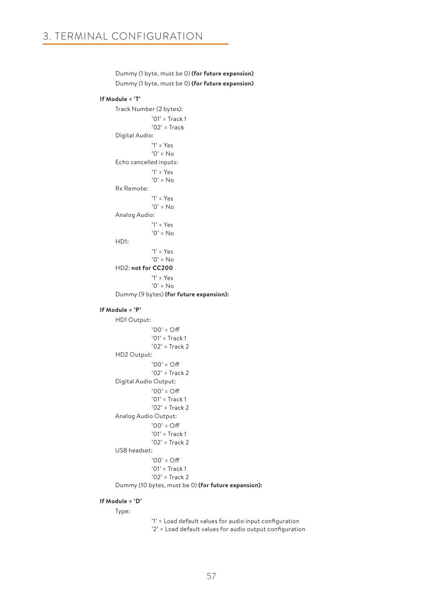Dummy (1 byte, must be 0) **(for future expansion) If Module = 'T'** Track Number (2 bytes): '01' = Track 1 '02' = Track Digital Audio: '1' = Yes  $'0' = No$  Echo cancelled inputs: '1' = Yes  $'0' = No$  Rx Remote: '1' = Yes  $'0'$  = No Analog Audio: '1' = Yes  $'0' = No$  HD1: '1' = Yes  $'0' = No$  HD2: **not for CC200** '1' = Yes  $'0' = No$  Dummy (9 bytes) **(for future expansion): If Module = 'P'** HD1 Output:  $'00' = \bigcap_{i=1}^{n}$ '01' = Track 1 '02' = Track 2 HD2 Output:  $'00' = \bigcap_{i=1}^{n}$ '02' = Track 2 Digital Audio Output: '00' = Off '01' = Track 1 '02' = Track 2 Analog Audio Output:  $'00' = \bigcap_{i=1}^{n}$ '01' = Track 1 '02' = Track 2 USB headset:  $'00' = \bigcirc$ ff '01' = Track 1 '02' = Track 2 Dummy (10 bytes, must be 0) **(for future expansion):**

Dummy (1 byte, must be 0) **(for future expansion)**

### **If Module = 'D'**

Type:

 '1' = Load default values for audio input configuration '2' = Load default values for audio output configuration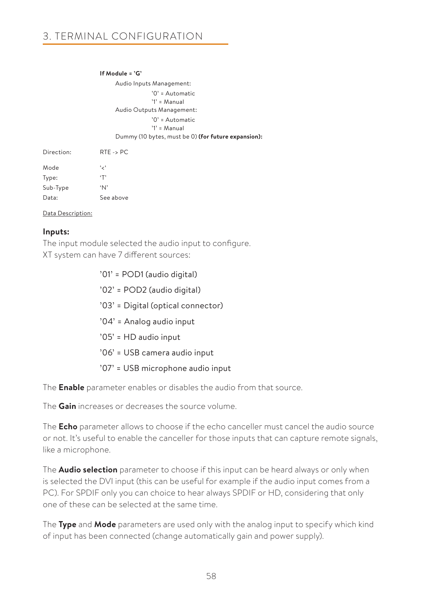### **If Module = 'G'**

Audio Inputs Management: '0' = Automatic '1' = Manual Audio Outputs Management: '0' = Automatic '1' = Manual Dummy (10 bytes, must be 0) **(for future expansion):**

| Direction: | $RTE \rightarrow PC$ |
|------------|----------------------|
| Mode       | ، ر ،                |
| Type:      | $\cdot$ T'           |
| Sub-Type   | $^{\circ}$ N'        |
| Data:      | See above            |

### Data Description:

### **Inputs:**

The input module selected the audio input to configure. XT system can have 7 different sources:

> '01' = POD1 (audio digital) '02' = POD2 (audio digital) '03' = Digital (optical connector) '04' = Analog audio input '05' = HD audio input '06' = USB camera audio input '07' = USB microphone audio input

The **Enable** parameter enables or disables the audio from that source.

The **Gain** increases or decreases the source volume.

The **Echo** parameter allows to choose if the echo canceller must cancel the audio source or not. It's useful to enable the canceller for those inputs that can capture remote signals, like a microphone.

The **Audio selection** parameter to choose if this input can be heard always or only when is selected the DVI input (this can be useful for example if the audio input comes from a PC). For SPDIF only you can choice to hear always SPDIF or HD, considering that only one of these can be selected at the same time.

The **Type** and **Mode** parameters are used only with the analog input to specify which kind of input has been connected (change automatically gain and power supply).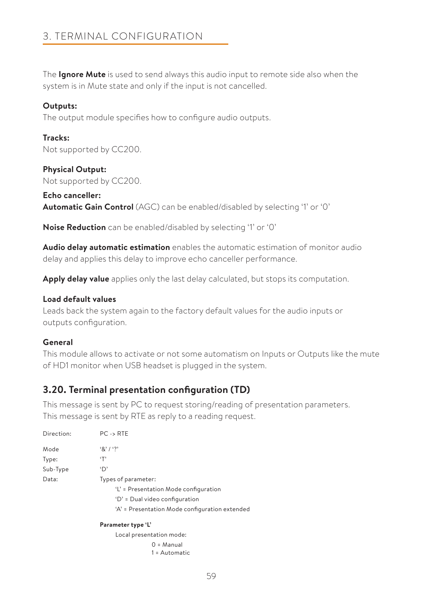The **Ignore Mute** is used to send always this audio input to remote side also when the system is in Mute state and only if the input is not cancelled.

### **Outputs:**

The output module specifies how to configure audio outputs.

### **Tracks:** Not supported by CC200.

**Physical Output:** Not supported by CC200.

**Echo canceller: Automatic Gain Control** (AGC) can be enabled/disabled by selecting '1' or '0'

**Noise Reduction** can be enabled/disabled by selecting '1' or '0'

**Audio delay automatic estimation** enables the automatic estimation of monitor audio delay and applies this delay to improve echo canceller performance.

**Apply delay value** applies only the last delay calculated, but stops its computation.

### **Load default values**

Leads back the system again to the factory default values for the audio inputs or outputs configuration.

### **General**

This module allows to activate or not some automatism on Inputs or Outputs like the mute of HD1 monitor when USB headset is plugged in the system.

# **3.20. Terminal presentation configuration (TD)**

This message is sent by PC to request storing/reading of presentation parameters. This message is sent by RTE as reply to a reading request.

| Direction: | $PC \rightarrow RTE$                           |
|------------|------------------------------------------------|
| Mode       | $\frac{1}{2}$ $\frac{1}{2}$                    |
| Type:      | ٠т,                                            |
| Sub-Type   | 'D'                                            |
| Data:      | Types of parameter:                            |
|            | 'L' = Presentation Mode configuration          |
|            | 'D' = Dual video configuration                 |
|            | 'A' = Presentation Mode configuration extended |
|            | Parameter type 'L'                             |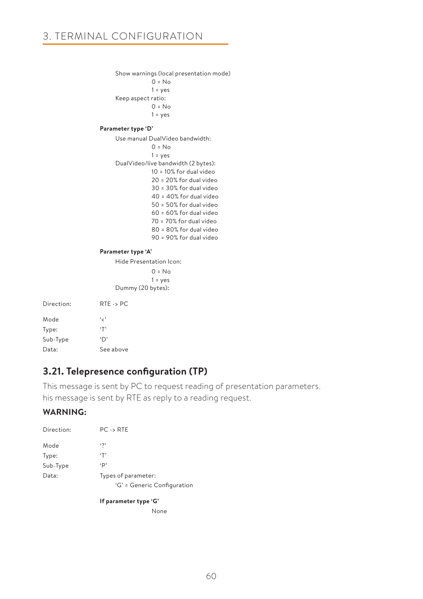```
Show warnings (local presentation mode)
           0 = No1 = yesKeep aspect ratio:
           0 = No1 = yes
```
### **Parameter type 'D'**

Use manual DualVideo bandwidth:  $0 = No$  1 = yes DualVideo/live bandwidth (2 bytes): 10 = 10% for dual video 20 = 20% for dual video 30 = 30% for dual video 40 = 40% for dual video 50 = 50% for dual video 60 = 60% for dual video 70 = 70% for dual video 80 = 80% for dual video 90 = 90% for dual video

### **Parameter type 'A'**

Hide Presentation Icon:  $0 = No$  $1 = yes$ Dummy (20 bytes):

| Direction <sup>.</sup> | $RTE \rightarrow PC$ |
|------------------------|----------------------|
| Mode                   | و ر،                 |
| Type:                  | $\cdot$ T'           |
| Sub-Type               | $\mathbf{D}$         |
| Data:                  | See above            |

# **3.21. Telepresence configuration (TP)**

This message is sent by PC to request reading of presentation parameters. his message is sent by RTE as reply to a reading request.

### **WARNING:**

| Direction: | $PC \rightarrow RTE$        |
|------------|-----------------------------|
| Mode       | $\ddot{\phantom{0}}$        |
| Type:      | ٠T'                         |
| Sub-Type   | ٠p                          |
| Data:      | Types of parameter:         |
|            | 'G' = Generic Configuration |

**If parameter type 'G'**

None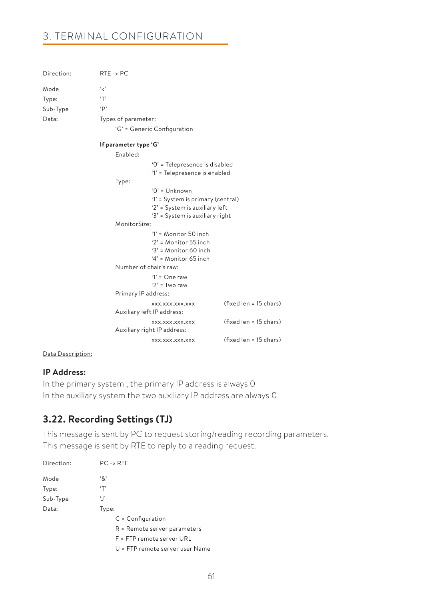| Direction: | $RTE \rightarrow PC$   |                                               |                        |
|------------|------------------------|-----------------------------------------------|------------------------|
| Mode       | و د                    |                                               |                        |
| Type:      | T                      |                                               |                        |
| Sub-Type   | $\cdot$ p              |                                               |                        |
| Data:      | Types of parameter:    |                                               |                        |
|            |                        | 'G' = Generic Configuration                   |                        |
|            | If parameter type 'G'  |                                               |                        |
|            | Enabled:               |                                               |                        |
|            |                        | '0' = Telepresence is disabled                |                        |
|            |                        | '1' = Telepresence is enabled                 |                        |
|            | Type:                  |                                               |                        |
|            |                        | $0'$ = Unknown                                |                        |
|            |                        | '1' = System is primary (central)             |                        |
|            |                        | '2' = System is auxiliary left                |                        |
|            |                        | '3' = System is auxiliary right               |                        |
|            | MonitorSize:           |                                               |                        |
|            |                        | $1' =$ Monitor 50 inch                        |                        |
|            |                        | $2'$ = Monitor 55 inch                        |                        |
|            |                        | $3'$ = Monitor 60 inch                        |                        |
|            |                        | $4'$ = Monitor 65 inch                        |                        |
|            | Number of chair's raw: |                                               |                        |
|            |                        | $'1' = One raw$                               |                        |
|            |                        | ' $2'$ = Two raw                              |                        |
|            | Primary IP address:    |                                               |                        |
|            |                        | XXX.XXX.XXX.XXX<br>Auxiliary left IP address: | (fixed len = 15 chars) |
|            |                        | XXX.XXX.XXX.XXX                               | (fixed len = 15 chars) |
|            |                        | Auxiliary right IP address:                   |                        |
|            |                        | XXX.XXX.XXX.XXX                               | (fixed len = 15 chars) |

Data Description:

# **IP Address:**

In the primary system , the primary IP address is always 0 In the auxiliary system the two auxiliary IP address are always 0

# **3.22. Recording Settings (TJ)**

This message is sent by PC to request storing/reading recording parameters. This message is sent by RTE to reply to a reading request.

| Direction: | $PC \rightarrow RTE$         |
|------------|------------------------------|
| Mode       | '&'                          |
| Type:      | ٠T'                          |
| Sub-Type   | ʻJ'                          |
| Data:      | Type:                        |
|            | $C =$ Configuration          |
|            | R = Remote server parameters |
|            | F = FTP remote server URL    |

U = FTP remote server user Name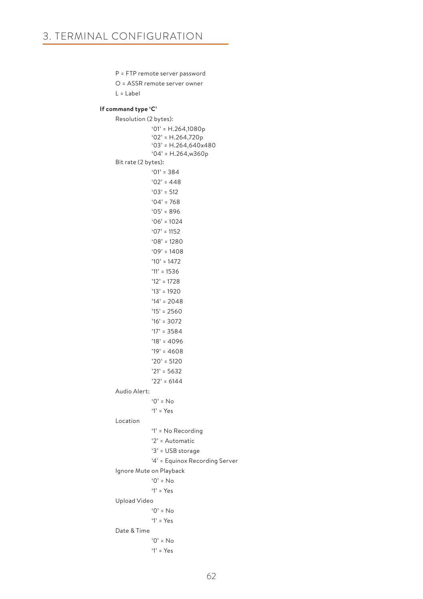```
 P = FTP remote server password
      O = ASSR remote server owner
      L = Label
 If command type 'C' 
      Resolution (2 bytes):
                   '01' = H.264,1080p
                  '02' = H.264,720p'03' = H.264,640 \times 480'04' = H.264,w360p
      Bit rate (2 bytes):
                  '01' = 384'02' = 448 '03' = 512
                  '04' = 768'05' = 896'06' = 1024'07' = 1152 '08' = 1280
                  '09' = 1408 '10' = 1472
                  '11' = 1536 '12' = 1728
                   '13' = 1920
                   '14' = 2048
                  '15' = 2560 '16' = 3072
                   '17' = 3584
                   '18' = 4096
                   '19' = 4608
                   '20' = 5120
                   '21' = 5632
                   '22' = 6144
      Audio Alert:
                  '0' = No '1' = Yes
      Location 
                   '1' = No Recording
                   '2' = Automatic
                   '3' = USB storage
                   '4' = Equinox Recording Server
      Ignore Mute on Playback 
                   '0' = No
                   '1' = Yes
      Upload Video 
                  '0' = No '1' = Yes
      Date & Time 
                   '0' = No
```
'1' = Yes

62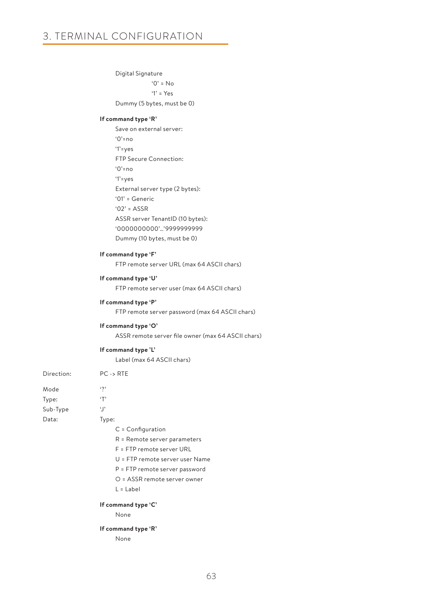|            | Digital Signature                                  |  |  |  |  |
|------------|----------------------------------------------------|--|--|--|--|
|            | $'0' = No$                                         |  |  |  |  |
|            | $'1' = Yes$                                        |  |  |  |  |
|            | Dummy (5 bytes, must be 0)                         |  |  |  |  |
|            | If command type 'R'                                |  |  |  |  |
|            | Save on external server:                           |  |  |  |  |
|            | $'0'$ =no                                          |  |  |  |  |
|            | $'1'$ =yes                                         |  |  |  |  |
|            | FTP Secure Connection:                             |  |  |  |  |
|            | $'0'$ =no                                          |  |  |  |  |
|            | $'1'$ = yes                                        |  |  |  |  |
|            | External server type (2 bytes):                    |  |  |  |  |
|            | '01' = Generic                                     |  |  |  |  |
|            | $'02' = ASSR$                                      |  |  |  |  |
|            | ASSR server TenantID (10 bytes):                   |  |  |  |  |
|            | '0000000000''9999999999                            |  |  |  |  |
|            | Dummy (10 bytes, must be 0)                        |  |  |  |  |
|            | If command type 'F'                                |  |  |  |  |
|            | FTP remote server URL (max 64 ASCII chars)         |  |  |  |  |
|            | If command type 'U'                                |  |  |  |  |
|            | FTP remote server user (max 64 ASCII chars)        |  |  |  |  |
|            | If command type 'P'                                |  |  |  |  |
|            | FTP remote server password (max 64 ASCII chars)    |  |  |  |  |
|            | If command type 'O'                                |  |  |  |  |
|            | ASSR remote server file owner (max 64 ASCII chars) |  |  |  |  |
|            | If command type 'L'                                |  |  |  |  |
|            | Label (max 64 ASCII chars)                         |  |  |  |  |
| Direction: | $PC \rightarrow RTE$                               |  |  |  |  |
| Mode       | $\cdot$ ?                                          |  |  |  |  |
| Type:      | $\cdot$ T'                                         |  |  |  |  |
| Sub-Type   | ٠J,                                                |  |  |  |  |
| Data:      | Type:                                              |  |  |  |  |
|            | $C =$ Configuration                                |  |  |  |  |
|            | R = Remote server parameters                       |  |  |  |  |
|            | F = FTP remote server URL                          |  |  |  |  |
|            | U = FTP remote server user Name                    |  |  |  |  |
|            | P = FTP remote server password                     |  |  |  |  |
|            | O = ASSR remote server owner                       |  |  |  |  |
|            | $L =$ Label                                        |  |  |  |  |
|            | If command type 'C'                                |  |  |  |  |
|            | None                                               |  |  |  |  |
|            | If command type 'R'                                |  |  |  |  |

None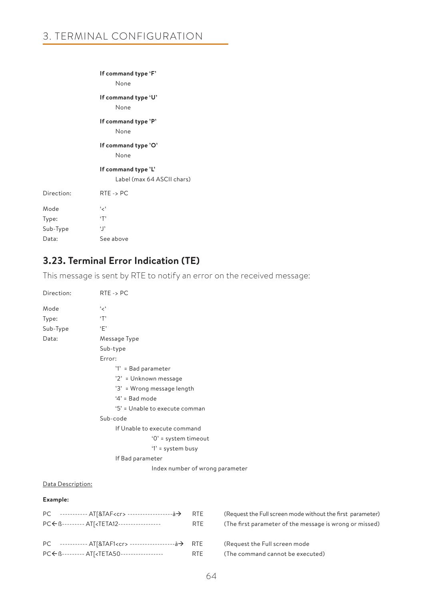### **If command type 'F'**

None

**If command type 'U'** 

None

# **If command type 'P'**

None

# **If command type 'O'**

None

### **If command type 'L'**

Label (max 64 ASCII chars)

| Direction: | $RTE \rightarrow PC$ |
|------------|----------------------|
| Mode       | ، بر ،               |
| Type:      | $\cdot$ T'           |
| Sub-Type   | $\cdot$  '           |
| Data:      | See above            |
|            |                      |

# **3.23. Terminal Error Indication (TE)**

This message is sent by RTE to notify an error on the received message:

| Direction:        | $RTE \rightarrow PC$            |  |  |  |  |
|-------------------|---------------------------------|--|--|--|--|
| Mode              | ، مخ                            |  |  |  |  |
| Type:             | T                               |  |  |  |  |
| Sub-Type          | ٠Ε'                             |  |  |  |  |
| Data:             | Message Type                    |  |  |  |  |
|                   | Sub-type                        |  |  |  |  |
|                   | Error:                          |  |  |  |  |
|                   | '1' = Bad parameter             |  |  |  |  |
|                   | '2' = Unknown message           |  |  |  |  |
|                   | '3' = Wrong message length      |  |  |  |  |
|                   | $4'$ = Bad mode                 |  |  |  |  |
|                   | '5' = Unable to execute comman  |  |  |  |  |
|                   | Sub-code                        |  |  |  |  |
|                   | If Unable to execute command    |  |  |  |  |
|                   | '0' = system timeout            |  |  |  |  |
|                   | '1' = system busy               |  |  |  |  |
|                   | If Bad parameter                |  |  |  |  |
|                   | Index number of wrong parameter |  |  |  |  |
| Data Description: |                                 |  |  |  |  |
| Example:          |                                 |  |  |  |  |

| PC ----------- AT[&TAF1 <cr> -------------------à→ RTE<br/>PC ← ß--------- ATI<teta50------------------<br>RTE</teta50------------------<br></cr> | (Request the Full screen mode<br>(The command cannot be executed) |
|---------------------------------------------------------------------------------------------------------------------------------------------------|-------------------------------------------------------------------|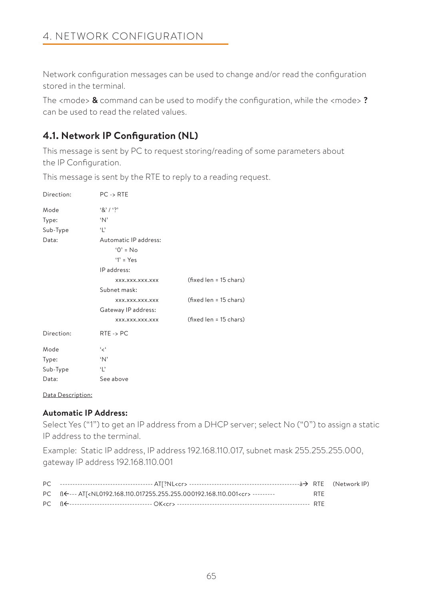Network configuration messages can be used to change and/or read the configuration stored in the terminal.

The <mode> **&** command can be used to modify the configuration, while the <mode> **?**  can be used to read the related values.

# **4.1. Network IP Configuration (NL)**

This message is sent by PC to request storing/reading of some parameters about the IP Configuration.

This message is sent by the RTE to reply to a reading request.

| Direction: | $PC \rightarrow RTE$  |                        |
|------------|-----------------------|------------------------|
| Mode       | $8'1'$ ?              |                        |
| Type:      | 'N'                   |                        |
| Sub-Type   | Ч,                    |                        |
| Data:      | Automatic IP address: |                        |
|            | $'0' = No$            |                        |
|            | $'1' = Yes$           |                        |
|            | IP address:           |                        |
|            | XXX.XXX.XXX.XXX       | (fixed len = 15 chars) |
|            | Subnet mask:          |                        |
|            | XXX.XXX.XXX.XXX       | (fixed len = 15 chars) |
|            | Gateway IP address:   |                        |
|            | XXX.XXX.XXX.XXX       | (fixed len = 15 chars) |
| Direction: | $RTE \rightarrow PC$  |                        |
| Mode       | ' ح'                  |                        |
| Type:      | 'N'                   |                        |
| Sub-Type   | $\cdot$   $\cdot$     |                        |
| Data:      | See above             |                        |

Data Description:

# **Automatic IP Address:**

Select Yes ("1") to get an IP address from a DHCP server; select No ("0") to assign a static IP address to the terminal.

Example: Static IP address, IP address 192.168.110.017, subnet mask 255.255.255.000, gateway IP address 192.168.110.001

| PC $\mathbb{R}$ $\leftarrow$ --- AT[ <nl0192.168.110.017255.255.255.000192.168.110.001<cr> ---------</nl0192.168.110.017255.255.255.000192.168.110.001<cr> | <b>RTE</b> |  |
|------------------------------------------------------------------------------------------------------------------------------------------------------------|------------|--|
|                                                                                                                                                            |            |  |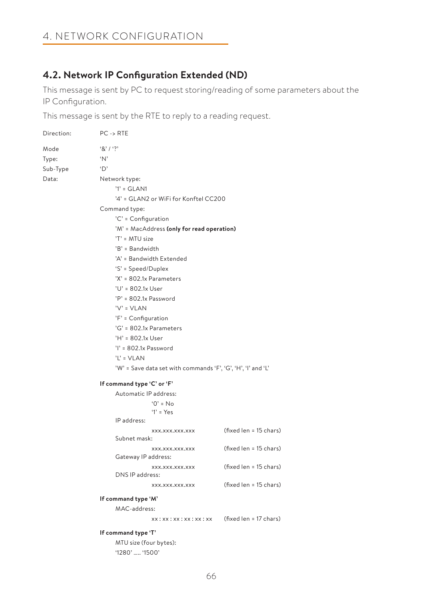# 4. NETWORK CONFIGURATION

# **4.2. Network IP Configuration Extended (ND)**

This message is sent by PC to request storing/reading of some parameters about the IP Configuration.

This message is sent by the RTE to reply to a reading request.

| Direction: | $PC \rightarrow RTE$                                         |                                               |  |  |  |
|------------|--------------------------------------------------------------|-----------------------------------------------|--|--|--|
| Mode       | 8' / ?                                                       |                                               |  |  |  |
| Type:      | 'N'                                                          |                                               |  |  |  |
| Sub-Type   | 'D'                                                          |                                               |  |  |  |
| Data:      | Network type:                                                |                                               |  |  |  |
|            | $'1' = GLAN1$                                                |                                               |  |  |  |
|            | '4' = GLAN2 or WiFi for Konftel CC200                        |                                               |  |  |  |
|            | Command type:                                                |                                               |  |  |  |
|            | 'C' = Configuration                                          |                                               |  |  |  |
|            | 'M' = MacAddress (only for read operation)                   |                                               |  |  |  |
|            | 'T' = MTU size                                               |                                               |  |  |  |
|            | 'B' = Bandwidth                                              |                                               |  |  |  |
|            | 'A' = Bandwidth Extended                                     |                                               |  |  |  |
|            | 'S' = Speed/Duplex                                           |                                               |  |  |  |
|            | 'X' = 802.1x Parameters                                      |                                               |  |  |  |
|            | 'U' = 802.1x User                                            |                                               |  |  |  |
|            | 'P' = 802.1x Password                                        |                                               |  |  |  |
|            | 'V' = VLAN                                                   |                                               |  |  |  |
|            | $'F' =$ Configuration                                        |                                               |  |  |  |
|            | 'G' = 802.1x Parameters                                      |                                               |  |  |  |
|            | 'H' = 802.1x User                                            |                                               |  |  |  |
|            | $'l' = 802.1x$ Password                                      |                                               |  |  |  |
|            | 'L' = VLAN                                                   |                                               |  |  |  |
|            | 'W' = Save data set with commands 'F', 'G', 'H', 'I' and 'L' |                                               |  |  |  |
|            | If command type 'C' or 'F'                                   |                                               |  |  |  |
|            | Automatic IP address:                                        |                                               |  |  |  |
|            | $'0' = No$                                                   |                                               |  |  |  |
|            | $'1' = Yes$                                                  |                                               |  |  |  |
|            | IP address:                                                  |                                               |  |  |  |
|            | XXX.XXX.XXX.XXX<br>Subnet mask:                              | (fixed len = 15 chars)                        |  |  |  |
|            |                                                              |                                               |  |  |  |
|            | xxx.xxx.xxx.xxx<br>Gateway IP address:                       | (fixed len = 15 chars)                        |  |  |  |
|            | XXX.XXX.XXX.XXX                                              | (fixed len = 15 chars)                        |  |  |  |
|            | DNS IP address:                                              |                                               |  |  |  |
|            | XXX.XXX.XXX.XXX                                              | (fixed len = 15 chars)                        |  |  |  |
|            | If command type 'M'                                          |                                               |  |  |  |
|            | MAC-address:                                                 |                                               |  |  |  |
|            |                                                              | xx: xx: xx: xx: xx: xx (fixed len = 17 chars) |  |  |  |
|            | If command type 'T'                                          |                                               |  |  |  |
|            | MTU size (four bytes):                                       |                                               |  |  |  |
|            | '1280'  '1500'                                               |                                               |  |  |  |
|            |                                                              |                                               |  |  |  |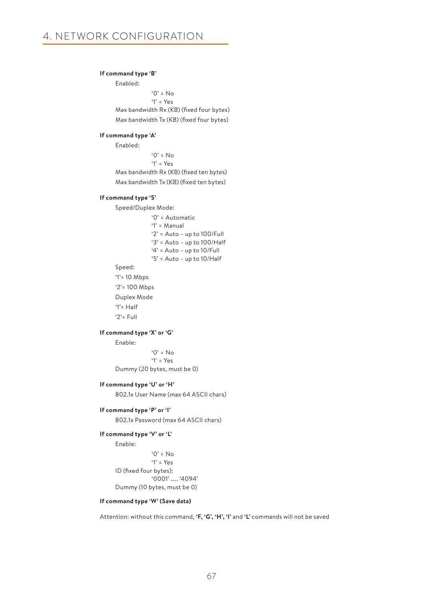### **If command type 'B'**

Enabled:  $'0' = No$  '1' = Yes Max bandwidth Rx (KB) (fixed four bytes) Max bandwidth Tx (KB) (fixed four bytes)

#### **If command type 'A'**

Enabled:  $'0' = No$  '1' = Yes Max bandwidth Rx (KB) (fixed ten bytes) Max bandwidth Tx (KB) (fixed ten bytes)

#### **If command type 'S'**

Speed/Duplex Mode:

 '0' = Automatic '1' = Manual '2' = Auto – up to 100/Full '3' = Auto – up to 100/Half '4' = Auto – up to 10/Full '5' = Auto – up to 10/Half

Speed:

'1'= 10 Mbps

'2'= 100 Mbps

 Duplex Mode '1'= Half

'2'= Full

### **If command type 'X' or 'G'**

Enable:

 $^{\circ}$   $\Omega$ <sup>2</sup> = No '1' = Yes Dummy (20 bytes, must be 0)

#### **If command type 'U' or 'H'**

802.1x User Name (max 64 ASCII chars)

### **If command type 'P' or 'I'**

802.1x Password (max 64 ASCII chars)

### **If command type 'V' or 'L'**

Enable:

```
'0' = No '1' = Yes
 ID (fixed four bytes):
              '0001' ….. '4094'
Dummy (10 bytes, must be 0)
```
### **If command type 'W' (Save data)**

Attention: without this command, **'F, 'G', 'H', 'I'** and **'L'** commands will not be saved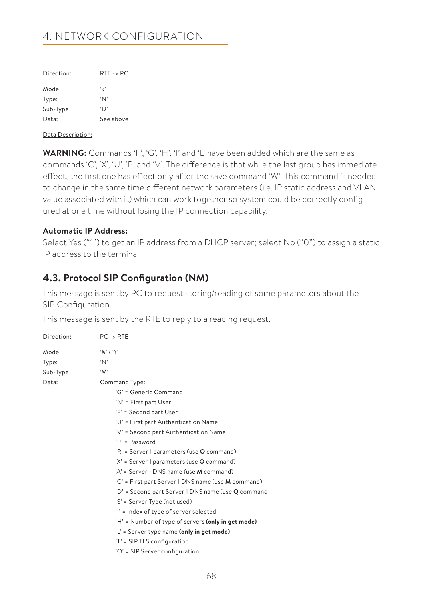# 4. NETWORK CONFIGURATION

| Direction: | $RTE \rightarrow PC$ |
|------------|----------------------|
| Mode       | ، ر ،                |
| Type:      | $^{\circ}$ N'        |
| Sub-Type   | $\Delta$             |
| Data:      | See above            |
|            |                      |

Data Description:

**WARNING:** Commands 'F', 'G', 'H', 'I' and 'L' have been added which are the same as commands 'C', 'X', 'U', 'P' and 'V'. The difference is that while the last group has immediate effect, the first one has effect only after the save command 'W'. This command is needed to change in the same time different network parameters (i.e. IP static address and VLAN value associated with it) which can work together so system could be correctly configured at one time without losing the IP connection capability.

### **Automatic IP Address:**

Select Yes ("1") to get an IP address from a DHCP server; select No ("0") to assign a static IP address to the terminal.

# **4.3. Protocol SIP Configuration (NM)**

This message is sent by PC to request storing/reading of some parameters about the SIP Configuration.

This message is sent by the RTE to reply to a reading request.

| Direction: | $PC \rightarrow RTE$                               |
|------------|----------------------------------------------------|
| Mode       | 8' / ?                                             |
| Type:      | 'N'                                                |
| Sub-Type   | 'M'                                                |
| Data:      | Command Type:                                      |
|            | 'G' = Generic Command                              |
|            | 'N' = First part User                              |
|            | 'F' = Second part User                             |
|            | 'U' = First part Authentication Name               |
|            | 'V' = Second part Authentication Name              |
|            | $'P' =$ Password                                   |
|            | 'R' = Server 1 parameters (use O command)          |
|            | 'X' = Server 1 parameters (use O command)          |
|            | 'A' = Server 1 DNS name (use M command)            |
|            | 'C' = First part Server 1 DNS name (use M command) |
|            | 'D' = Second part Server 1 DNS name (use Q command |
|            | 'S' = Server Type (not used)                       |
|            | 'l' = Index of type of server selected             |
|            | 'H' = Number of type of servers (only in get mode) |
|            | 'L' = Server type name (only in get mode)          |
|            | 'T' = SIP TLS configuration                        |
|            | 'O' = SIP Server configuration                     |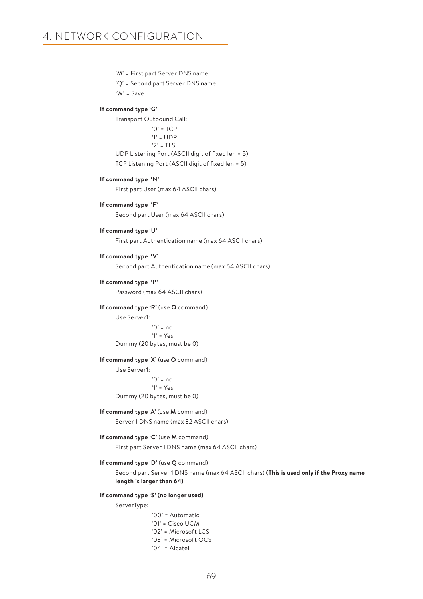'M' = First part Server DNS name

'Q' = Second part Server DNS name

'W' = Save

#### **If command type 'G'**

Transport Outbound Call:

 $'0'$  = TCP

'1' = UDP

 $'2'$  = TLS

 UDP Listening Port (ASCII digit of fixed len = 5) TCP Listening Port (ASCII digit of fixed len = 5)

#### **If command type 'N'**

First part User (max 64 ASCII chars)

### **If command type 'F'**

Second part User (max 64 ASCII chars)

### **If command type 'U'**

First part Authentication name (max 64 ASCII chars)

### **If command type 'V'**

Second part Authentication name (max 64 ASCII chars)

### **If command type 'P'**

Password (max 64 ASCII chars)

### **If command type 'R'** (use **O** command)

Use Server1:  $'0'$  = no '1' = Yes Dummy (20 bytes, must be 0)

#### **If command type 'X'** (use **O** command)

Use Server1: '0' = no '1' = Yes Dummy (20 bytes, must be 0)

### **If command type 'A'** (use **M** command)

Server 1 DNS name (max 32 ASCII chars)

### **If command type 'C'** (use **M** command)

First part Server 1 DNS name (max 64 ASCII chars)

#### **If command type 'D'** (use **Q** command)

Second part Server 1 DNS name (max 64 ASCII chars) **(This is used only if the Proxy name length is larger than 64)** 

#### **If command type 'S' (no longer used)**

ServerType:

 '00' = Automatic '01' = Cisco UCM '02' = Microsoft LCS '03' = Microsoft OCS '04' = Alcatel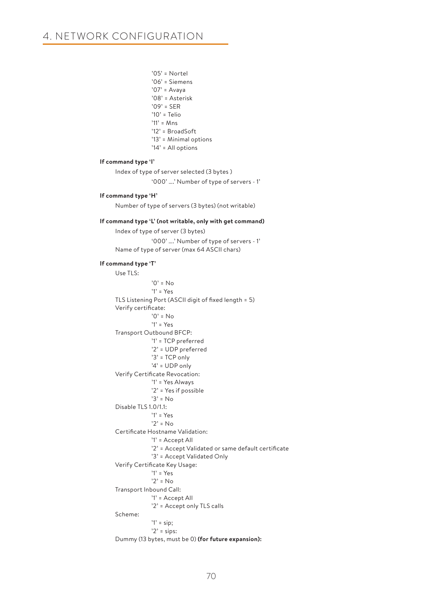# 4. NETWORK CONFIGURATION

```
 '05' = Nortel
                  '06' = Siemens
                  '07' = Avaya
                   '08' = Asterisk
                  '09' = SER
                   '10' = Telio
                  '11' = Mns'12' = BroadSoft
                  '13' = Minimal options
                  '14' = All options
 If command type 'I' 
      Index of type of server selected (3 bytes )
                   '000' ….' Number of type of servers - 1'
 If command type 'H' 
      Number of type of servers (3 bytes) (not writable)
 If command type 'L' (not writable, only with get command)
      Index of type of server (3 bytes)
                   '000' ….' Number of type of servers - 1'
     Name of type of server (max 64 ASCII chars)
 If command type 'T' 
      Use TLS:
                  '0' = No '1' = Yes
     TLS Listening Port (ASCII digit of fixed length = 5)
      Verify certificate:
                  '0' = No '1' = Yes
     Transport Outbound BFCP:
                  '1' = TCP preferred
                  '2' = UDP preferred
                  '3' = TCP only
                  '4' = UDP only
     Verify Certificate Revocation:
                  '1' = Yes Always
                  '2' = Yes if possible
                   '3' = No
     Disable TLS 1.0/1.1:
                  '1' = Yes
                  '2' = NoCertificate Hostname Validation:
                  '1' = Accept All
                  '2' = Accept Validated or same default certificate
                  '3' = Accept Validated Only
      Verify Certificate Key Usage:
                   '1' = Yes
                  '2' = NoTransport Inbound Call:
                  '1' = Accept All
                  '2' = Accept only TLS calls
      Scheme: 
                  '1' =sip;
                  '2' = sips:
     Dummy (13 bytes, must be 0) (for future expansion):
```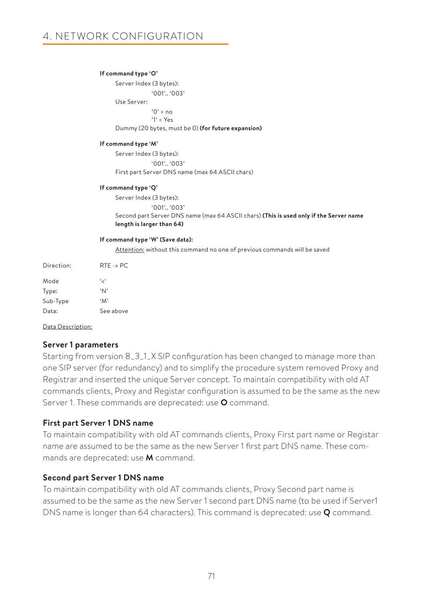### **If command type 'O'**

Server Index (3 bytes): '001'.. '003' Use Server:  $'0'$  = no '1' = Yes Dummy (20 bytes, must be 0) **(for future expansion)**

### **If command type 'M'**

Server Index (3 bytes): '001'.. '003' First part Server DNS name (max 64 ASCII chars)

#### **If command type 'Q'**

Server Index (3 bytes): '001'.. '003' Second part Server DNS name (max 64 ASCII chars) **(This is used only if the Server name length is larger than 64)**

#### **If command type 'W' (Save data):**

Attention: without this command no one of previous commands will be saved

| Direction: | $RTE \rightarrow PC$ |
|------------|----------------------|
| Mode       | ، ر،                 |
| Type:      | 'N'                  |
| Sub-Type   | 'M'                  |
| Data:      | See above            |

Data Description:

### **Server 1 parameters**

Starting from version 8\_3\_1\_X SIP configuration has been changed to manage more than one SIP server (for redundancy) and to simplify the procedure system removed Proxy and Registrar and inserted the unique Server concept. To maintain compatibility with old AT commands clients, Proxy and Registar configuration is assumed to be the same as the new Server 1. These commands are deprecated: use **O** command.

### **First part Server 1 DNS name**

To maintain compatibility with old AT commands clients, Proxy First part name or Registar name are assumed to be the same as the new Server 1 first part DNS name. These commands are deprecated: use **M** command.

### **Second part Server 1 DNS name**

To maintain compatibility with old AT commands clients, Proxy Second part name is assumed to be the same as the new Server 1 second part DNS name (to be used if Server1 DNS name is longer than 64 characters). This command is deprecated: use **Q** command.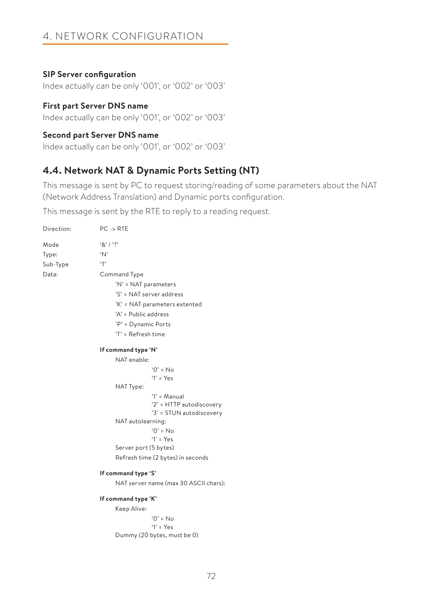# 4. NETWORK CONFIGURATION

### **SIP Server configuration**

Index actually can be only '001', or '002' or '003'

# **First part Server DNS name**

Index actually can be only '001', or '002' or '003'

### **Second part Server DNS name**

Index actually can be only '001', or '002' or '003'

# **4.4. Network NAT & Dynamic Ports Setting (NT)**

This message is sent by PC to request storing/reading of some parameters about the NAT (Network Address Translation) and Dynamic ports configuration.

This message is sent by the RTE to reply to a reading request.

| Direction: | $PC \rightarrow RTE$          |                                                      |  |  |
|------------|-------------------------------|------------------------------------------------------|--|--|
| Mode       | 8'13'                         |                                                      |  |  |
| Type:      | $\Delta$                      |                                                      |  |  |
| Sub-Type   | $\cdot$ T'                    |                                                      |  |  |
| Data:      | Command Type                  |                                                      |  |  |
|            | 'N' = NAT parameters          |                                                      |  |  |
|            | 'S' = NAT server address      |                                                      |  |  |
|            | 'K' = NAT parameters extented |                                                      |  |  |
|            | 'A' = Public address          |                                                      |  |  |
|            | 'P' = Dynamic Ports           |                                                      |  |  |
|            | 'T' = Refresh time            |                                                      |  |  |
|            | If command type 'N'           |                                                      |  |  |
|            | NAT enable:                   |                                                      |  |  |
|            |                               | $'0' = No$                                           |  |  |
|            |                               | $'1' = Y_{PS}$                                       |  |  |
|            | NAT Type:                     |                                                      |  |  |
|            |                               | $'1' = Manual$                                       |  |  |
|            |                               | '2' = HTTP autodiscovery<br>'3' = STUN autodiscovery |  |  |
|            | NAT autolearning:             |                                                      |  |  |
|            |                               | $0' = No$                                            |  |  |
|            |                               | $Y = Yes$                                            |  |  |
|            | Server port (5 bytes)         |                                                      |  |  |
|            |                               | Refresh time (2 bytes) in seconds                    |  |  |
|            | If command type 'S'           |                                                      |  |  |
|            |                               | NAT server name (max 30 ASCII chars):                |  |  |
|            | If command type 'K'           |                                                      |  |  |
|            | Keep Alive:                   |                                                      |  |  |
|            |                               | $0' = No$                                            |  |  |
|            |                               | $'1' = Yes$                                          |  |  |
|            |                               | Dummy (20 bytes, must be 0)                          |  |  |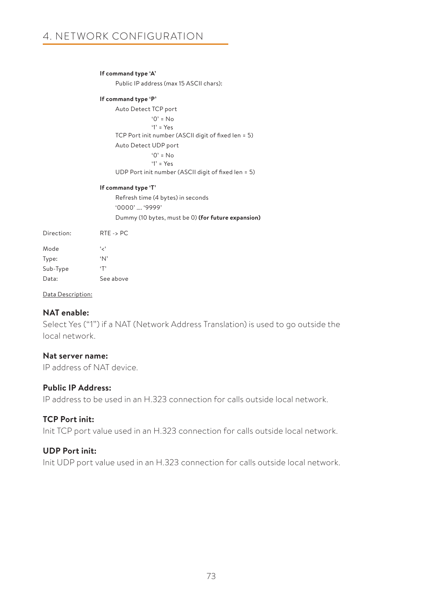### **If command type 'A'**

Public IP address (max 15 ASCII chars):

### **If command type 'P'**

Auto Detect TCP port  $'0' = No$  '1' = Yes TCP Port init number (ASCII digit of fixed len = 5) Auto Detect UDP port '0' = No '1' = Yes UDP Port init number (ASCII digit of fixed len = 5)

### **If command type 'T'**

Refresh time (4 bytes) in seconds '0000' …. '9999' Dummy (10 bytes, must be 0) **(for future expansion)**

| Direction: | $RTE \rightarrow PC$ |
|------------|----------------------|
| Mode       | ، ر ،                |
| Type:      | $^{\circ}N$          |
| Sub-Type   | $\cdot$ T'           |
| Data:      | See above            |

Data Description:

# **NAT enable:**

Select Yes ("1") if a NAT (Network Address Translation) is used to go outside the local network.

### **Nat server name:**

IP address of NAT device.

### **Public IP Address:**

IP address to be used in an H.323 connection for calls outside local network.

### **TCP Port init:**

Init TCP port value used in an H.323 connection for calls outside local network.

### **UDP Port init:**

Init UDP port value used in an H.323 connection for calls outside local network.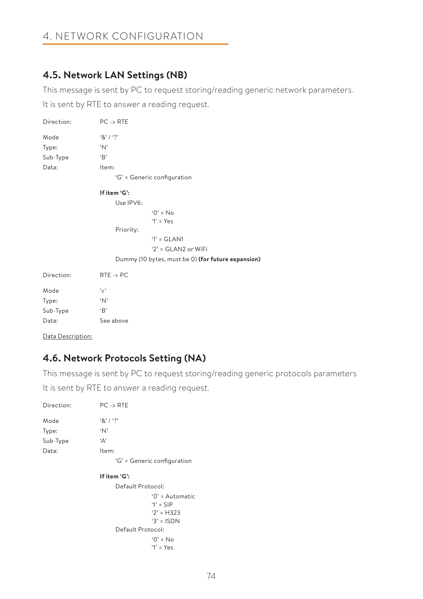# 4. NETWORK CONFIGURATION

# **4.5. Network LAN Settings (NB)**

This message is sent by PC to request storing/reading generic network parameters.

It is sent by RTE to answer a reading request.

| Direction:        | $PC \rightarrow RTE$ |                                                    |
|-------------------|----------------------|----------------------------------------------------|
| Mode              | $8'1'$ ?             |                                                    |
| Type:             | 'N'                  |                                                    |
| Sub-Type          | B                    |                                                    |
| Data:             | Item:                |                                                    |
|                   |                      | 'G' = Generic configuration                        |
|                   | If item 'G':         |                                                    |
|                   | Use IPV6:            |                                                    |
|                   |                      | $0' = No$                                          |
|                   |                      | $'1' = Yes$                                        |
|                   | Priority:            |                                                    |
|                   |                      | $'1' = GLAN1$                                      |
|                   |                      | ' $2$ ' = GLAN2 or WiFi                            |
|                   |                      | Dummy (10 bytes, must be 0) (for future expansion) |
| Direction:        | $RTE \rightarrow PC$ |                                                    |
| Mode              | ، مج                 |                                                    |
| Type:             | 'N'                  |                                                    |
| Sub-Type          | B                    |                                                    |
| Data:             | See above            |                                                    |
| Data Description: |                      |                                                    |

# **4.6. Network Protocols Setting (NA)**

This message is sent by PC to request storing/reading generic protocols parameters

It is sent by RTE to answer a reading request.

| Direction: | $PC \rightarrow RTE$                                                                             |  |
|------------|--------------------------------------------------------------------------------------------------|--|
| Mode       | $8'1'$ ?                                                                                         |  |
| Type:      | ʻΝ'                                                                                              |  |
| Sub-Type   | 'Α'                                                                                              |  |
| Data:      | Item:                                                                                            |  |
|            | 'G' = Generic configuration                                                                      |  |
|            | If item 'G':                                                                                     |  |
|            | Default Protocol:                                                                                |  |
|            | $'0'$ = Automatic<br>$1' =$ SIP<br>$'2' = H323$<br>$3' = ISDN$<br>Default Protocol:<br>$0' = No$ |  |
|            | $Y = Yes$                                                                                        |  |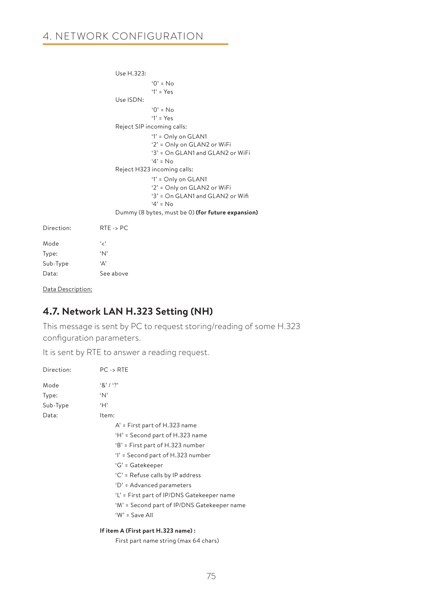```
 Use H.323:
                                     '0' = No
                                     '1' = Yes
                         Use ISDN:
                                    '0' = No '1' = Yes
                         Reject SIP incoming calls:
                                    '1' = Only on GLAN1
                                    '2' = Only on GLAN2 or WiFi
                                    '3' = On GLAN1 and GLAN2 or WiFi
                                     '4' = No
                         Reject H323 incoming calls: 
                                    '1' = Only on GLAN1
                                    '2' = Only on GLAN2 or WiFi
                                    '3' = On GLAN1 and GLAN2 or Wifi
                                    '4' = No Dummy (8 bytes, must be 0) (for future expansion)
Direction: PTE - PC
```

| <b>170 CG.LIOU</b> | 17. IL - 2 F C |
|--------------------|----------------|
| Mode               | ، ر ،          |
| Type:              | $^{\circ}N$    |
| Sub-Type           | ۰Δ'            |
| Data:              | See above      |

Data Description:

## **4.7. Network LAN H.323 Setting (NH)**

This message is sent by PC to request storing/reading of some H.323 configuration parameters.

It is sent by RTE to answer a reading request.

| Direction: | $PC \rightarrow RTE$                        |
|------------|---------------------------------------------|
| Mode       | 8' / ?                                      |
| Type:      | ʻΝ'                                         |
| Sub-Type   | ʻΗ'                                         |
| Data:      | Item:                                       |
|            | A' = First part of H.323 name               |
|            | 'H' = Second part of H.323 name             |
|            | 'B' = First part of H.323 number            |
|            | 'l' = Second part of H.323 number           |
|            | 'G' = Gatekeeper                            |
|            | 'C' = Refuse calls by IP address            |
|            | 'D' = Advanced parameters                   |
|            | 'L' = First part of IP/DNS Gatekeeper name  |
|            | 'M' = Second part of IP/DNS Gatekeeper name |
|            | 'W' = Save All                              |
|            | 16:1 4.75111.2221                           |

### **If item A (First part H.323 name) :**

First part name string (max 64 chars)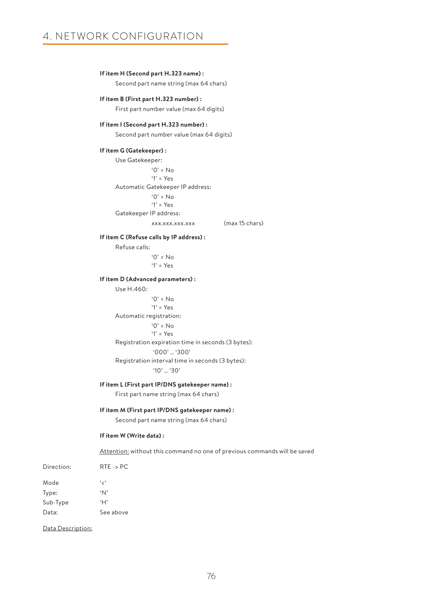#### **If item H (Second part H.323 name) :**

Second part name string (max 64 chars)

#### **If item B (First part H.323 number) :**

First part number value (max 64 digits)

#### **If item I (Second part H.323 number) :**

Second part number value (max 64 digits)

#### **If item G (Gatekeeper) :**

Use Gatekeeper:  $^{\circ}$   $\Omega$ <sup>2</sup> = No '1' = Yes Automatic Gatekeeper IP address:  $'0' = No$  '1' = Yes Gatekeeper IP address:

xxx.xxx.xxx.xxx (max 15 chars)

#### **If item C (Refuse calls by IP address) :**

Refuse calls:  $'0'$  = No '1' = Yes

#### **If item D (Advanced parameters) :**

Use H.460: '0' = No '1' = Yes Automatic registration:  $'0'$  = No '1' = Yes Registration expiration time in seconds (3 bytes): '000' … '300' Registration interval time in seconds (3 bytes): '10' … '30'

#### **If item L (First part IP/DNS gatekeeper name) :**

First part name string (max 64 chars)

#### **If item M (First part IP/DNS gatekeeper name) :**

Second part name string (max 64 chars)

#### **If item W (Write data) :**

Attention: without this command no one of previous commands will be saved

| Direction: | $RTE \rightarrow PC$ |
|------------|----------------------|
| Mode       | ، ر ،                |
| Type:      | $^{\circ}N$          |
| Sub-Type   | ʻΗ'                  |
| Data:      | See above            |

Data Description: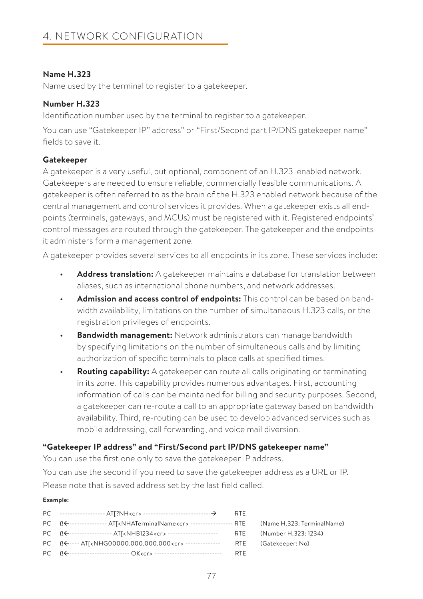### **Name H.323**

Name used by the terminal to register to a gatekeeper.

## **Number H.323**

Identification number used by the terminal to register to a gatekeeper.

You can use "Gatekeeper IP" address" or "First/Second part IP/DNS gatekeeper name" fields to save it.

### **Gatekeeper**

A gatekeeper is a very useful, but optional, component of an H.323-enabled network. Gatekeepers are needed to ensure reliable, commercially feasible communications. A gatekeeper is often referred to as the brain of the H.323 enabled network because of the central management and control services it provides. When a gatekeeper exists all endpoints (terminals, gateways, and MCUs) must be registered with it. Registered endpoints' control messages are routed through the gatekeeper. The gatekeeper and the endpoints it administers form a management zone.

A gatekeeper provides several services to all endpoints in its zone. These services include:

- **Address translation:** A gatekeeper maintains a database for translation between aliases, such as international phone numbers, and network addresses.
- **Admission and access control of endpoints:** This control can be based on bandwidth availability, limitations on the number of simultaneous H.323 calls, or the registration privileges of endpoints.
- **Bandwidth management:** Network administrators can manage bandwidth by specifying limitations on the number of simultaneous calls and by limiting authorization of specific terminals to place calls at specified times.
- **Routing capability:** A gatekeeper can route all calls originating or terminating in its zone. This capability provides numerous advantages. First, accounting information of calls can be maintained for billing and security purposes. Second, a gatekeeper can re-route a call to an appropriate gateway based on bandwidth availability. Third, re-routing can be used to develop advanced services such as mobile addressing, call forwarding, and voice mail diversion.

## **"Gatekeeper IP address" and "First/Second part IP/DNS gatekeeper name"**

You can use the first one only to save the gatekeeper IP address. You can use the second if you need to save the gatekeeper address as a URL or IP. Please note that is saved address set by the last field called.

### **Example:**

| PC BE--------------- AT( <nhaterminalname<cr> ------------------- RTE (Name H.323: TerminalName)</nhaterminalname<cr> |  |
|-----------------------------------------------------------------------------------------------------------------------|--|
| PC B<---------------- AT <nhb1234<cr> --------------------- RTE (Number H.323:1234)</nhb1234<cr>                      |  |
| PC BE---- AT[ <nhg00000.000.000.000<cr> --------------- RTE (Gatekeeper: No)</nhg00000.000.000.000<cr>                |  |
| PC BE------------------------ OK <cr> ------------------------------- RTE</cr>                                        |  |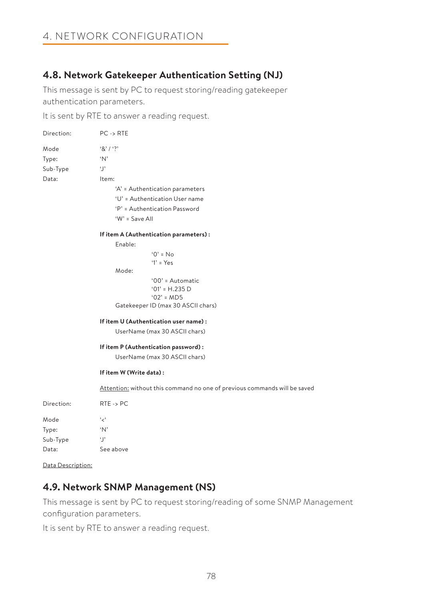## **4.8. Network Gatekeeper Authentication Setting (NJ)**

This message is sent by PC to request storing/reading gatekeeper authentication parameters.

It is sent by RTE to answer a reading request.

| Direction: | $PC \rightarrow RTE$                                                      |  |  |
|------------|---------------------------------------------------------------------------|--|--|
| Mode       | $8'1'$ ?                                                                  |  |  |
| Type:      | 'N'                                                                       |  |  |
| Sub-Type   | q.                                                                        |  |  |
| Data:      | Item:                                                                     |  |  |
|            | 'A' = Authentication parameters                                           |  |  |
|            | 'U' = Authentication User name                                            |  |  |
|            | 'P' = Authentication Password                                             |  |  |
|            | 'W' = Save All                                                            |  |  |
|            | If item A (Authentication parameters):                                    |  |  |
|            | Enable:                                                                   |  |  |
|            | $'0' = No$                                                                |  |  |
|            | $'1' = Yes$                                                               |  |  |
|            | Mode:                                                                     |  |  |
|            | '00' = Automatic                                                          |  |  |
|            | $'01' = H.235 D$<br>$'02' = MD5$                                          |  |  |
|            | Gatekeeper ID (max 30 ASCII chars)                                        |  |  |
|            |                                                                           |  |  |
|            | If item U (Authentication user name) :                                    |  |  |
|            | UserName (max 30 ASCII chars)                                             |  |  |
|            | If item P (Authentication password):                                      |  |  |
|            | UserName (max 30 ASCII chars)                                             |  |  |
|            | If item W (Write data):                                                   |  |  |
|            | Attention: without this command no one of previous commands will be saved |  |  |
| Direction: | $RTE \rightarrow PC$                                                      |  |  |
| Mode       | ' ج'                                                                      |  |  |
| Type:      | 'N'                                                                       |  |  |
| Sub-Type   | q,                                                                        |  |  |
| Data:      | See above                                                                 |  |  |

Data Description:

## **4.9. Network SNMP Management (NS)**

This message is sent by PC to request storing/reading of some SNMP Management configuration parameters.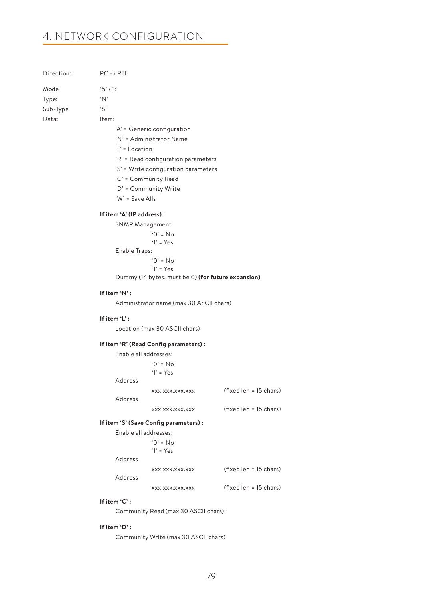| Direction: | $PC \rightarrow RTE$ |
|------------|----------------------|
| Mode       | 8' / ?               |
| Type:      | $^{\circ}$ N'        |
| Sub-Type   | $\zeta$              |
| Data:      | ltem:                |
|            |                      |

 'A' = Generic configuration 'N' = Administrator Name

'L' = Location

- 'R' = Read configuration parameters
- 'S' = Write configuration parameters
- 'C' = Community Read
- 'D' = Community Write

'W' = Save Alls

#### **If item 'A' (IP address) :**

SNMP Management

 $'0' = No$  $'1' = Y_{PS}$ Enable Traps: '0' = No '1' = Yes Dummy (14 bytes, must be 0) **(for future expansion)**

#### **If item 'N' :**

Administrator name (max 30 ASCII chars)

#### **If item 'L' :**

Location (max 30 ASCII chars)

#### **If item 'R' (Read Config parameters) :**

| Enable all addresses:      |                        |
|----------------------------|------------------------|
| $0' = No$<br>'1' = $Yes$   |                        |
| Address                    |                        |
| XXX.XXX.XXX.XXX<br>Address | (fixed len = 15 chars) |
| XXX.XXX.XXX.XXX            | (fixed len = 15 chars) |

#### **If item 'S' (Save Config parameters) :**

|         | $\frac{1}{2}$ is the colling parameter sy . |                        |
|---------|---------------------------------------------|------------------------|
|         | Enable all addresses:                       |                        |
|         | $0' = No$                                   |                        |
|         | $'1' = Yes$                                 |                        |
| Address |                                             |                        |
|         | XXX.XXX.XXX.XXX                             | (fixed len = 15 chars) |
| Address |                                             |                        |
|         | XXX.XXX.XXX.XXX                             | (fixed len = 15 chars) |

#### **If item 'C' :**

Community Read (max 30 ASCII chars):

### **If item 'D' :**

Community Write (max 30 ASCII chars)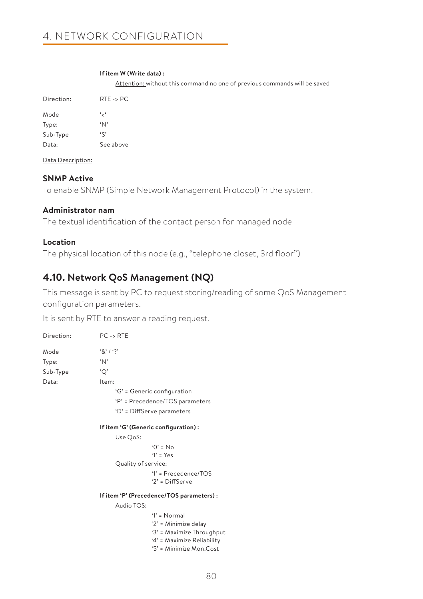#### **If item W (Write data) :**

Attention: without this command no one of previous commands will be saved

| Direction: | $RTE \rightarrow PC$ |
|------------|----------------------|
| Mode       | ، ر،                 |
| Type:      | $^{\circ}$ N'        |
| Sub-Type   | $\mathfrak{c}$       |
| Data:      | See above            |

Data Description:

### **SNMP Active**

To enable SNMP (Simple Network Management Protocol) in the system.

### **Administrator nam**

The textual identification of the contact person for managed node

### **Location**

The physical location of this node (e.g., "telephone closet, 3rd floor")

## **4.10. Network QoS Management (NQ)**

This message is sent by PC to request storing/reading of some QoS Management configuration parameters.

It is sent by RTE to answer a reading request.

| Direction: | $PC \rightarrow RTE$                      |                                 |  |  |
|------------|-------------------------------------------|---------------------------------|--|--|
| Mode       | 8' / ?                                    |                                 |  |  |
| Type:      | 'N'                                       |                                 |  |  |
| Sub-Type   | 'Q'                                       |                                 |  |  |
| Data:      | Item:                                     |                                 |  |  |
|            | 'G' = Generic configuration               |                                 |  |  |
|            |                                           | 'P' = Precedence/TOS parameters |  |  |
|            | 'D' = DiffServe parameters                |                                 |  |  |
|            | If item 'G' (Generic configuration) :     |                                 |  |  |
|            | Use QoS:                                  |                                 |  |  |
|            | $0' = No$                                 |                                 |  |  |
|            | $'1' = Yes$                               |                                 |  |  |
|            |                                           | Quality of service:             |  |  |
|            |                                           | $'1'$ = Precedence/TOS          |  |  |
|            |                                           | $'2'$ = DiffServe               |  |  |
|            | If item 'P' (Precedence/TOS parameters) : |                                 |  |  |
|            | Audio TOS:                                |                                 |  |  |
|            |                                           | $'1' = Normal$                  |  |  |
|            |                                           | '2' = Minimize delay            |  |  |
|            |                                           | '3' = Maximize Throughput       |  |  |
|            |                                           | '4' = Maximize Reliability      |  |  |

'5' = Minimize Mon.Cost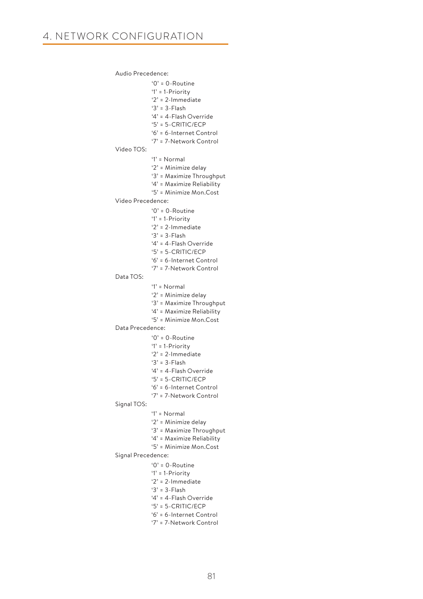Audio Precedence:

'0' = 0-Routine

 '1' = 1-Priority '2' = 2-Immediate '3' = 3-Flash '4' = 4-Flash Override '5' = 5-CRITIC/ECP '6' = 6-Internet Control '7' = 7-Network Control Video TOS: '1' = Normal '2' = Minimize delay '3' = Maximize Throughput '4' = Maximize Reliability '5' = Minimize Mon.Cost Video Precedence: '0' = 0-Routine '1' = 1-Priority '2' = 2-Immediate '3' = 3-Flash '4' = 4-Flash Override '5' = 5-CRITIC/ECP '6' = 6-Internet Control '7' = 7-Network Control Data TOS: '1' = Normal '2' = Minimize delay '3' = Maximize Throughput '4' = Maximize Reliability '5' = Minimize Mon.Cost Data Precedence: '0' = 0-Routine '1' = 1-Priority '2' = 2-Immediate '3' = 3-Flash '4' = 4-Flash Override '5' = 5-CRITIC/ECP '6' = 6-Internet Control '7' = 7-Network Control Signal TOS: '1' = Normal '2' = Minimize delay '3' = Maximize Throughput '4' = Maximize Reliability '5' = Minimize Mon.Cost Signal Precedence:  $^{\circ}$  0<sup>-</sup> Routine '1' = 1-Priority '2' = 2-Immediate '3' = 3-Flash '4' = 4-Flash Override '5' = 5-CRITIC/ECP '6' = 6-Internet Control '7' = 7-Network Control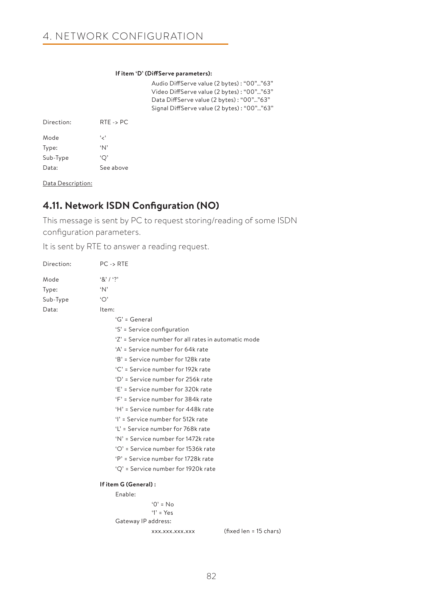#### **If item 'D' (DiffServe parameters):**

Audio DiffServe value (2 bytes) : "00"…"63" Video DiffServe value (2 bytes) : "00"…"63" Data DiffServe value (2 bytes) : "00"…"63" Signal DiffServe value (2 bytes) : "00"…"63"

| Direction <sup>*</sup> | $RTE \rightarrow PC$ |
|------------------------|----------------------|
| Mode                   | ، ر ،                |
| Type:                  | $^{\circ}N$          |
| Sub-Type               | 'О'                  |
| Data:                  | See above            |

Data Description:

## **4.11. Network ISDN Configuration (NO)**

This message is sent by PC to request storing/reading of some ISDN configuration parameters.

| Direction: | $PC \rightarrow RTE$                                 |  |  |
|------------|------------------------------------------------------|--|--|
| Mode       | $8'1'$ ?                                             |  |  |
| Type:      | 'N'                                                  |  |  |
| Sub-Type   | `O`                                                  |  |  |
| Data:      | Item:                                                |  |  |
|            | $G' = General$                                       |  |  |
|            | 'S' = Service configuration                          |  |  |
|            | 'Z' = Service number for all rates in automatic mode |  |  |
|            | 'A' = Service number for 64k rate                    |  |  |
|            | 'B' = Service number for 128k rate                   |  |  |
|            | 'C' = Service number for 192k rate                   |  |  |
|            | 'D' = Service number for 256k rate                   |  |  |
|            | 'F' = Service number for 320k rate                   |  |  |
|            | 'F' = Service number for 384k rate                   |  |  |
|            | 'H' = Service number for 448k rate                   |  |  |
|            | 'I' = Service number for 512k rate                   |  |  |
|            | 'L' = Service number for 768k rate                   |  |  |
|            | 'N' = Service number for 1472k rate                  |  |  |
|            | 'O' = Service number for 1536k rate                  |  |  |
|            | 'P' = Service number for 1728k rate                  |  |  |
|            | 'Q' = Service number for 1920k rate                  |  |  |
|            | If item G (General):                                 |  |  |
|            | Enable:                                              |  |  |
|            | $0' = No$                                            |  |  |
|            | $'1' = Y_{PS}$                                       |  |  |
|            | Gateway IP address:                                  |  |  |
|            | (fixed len = 15 chars)<br>XXX.XXX.XXX.XXX            |  |  |
|            |                                                      |  |  |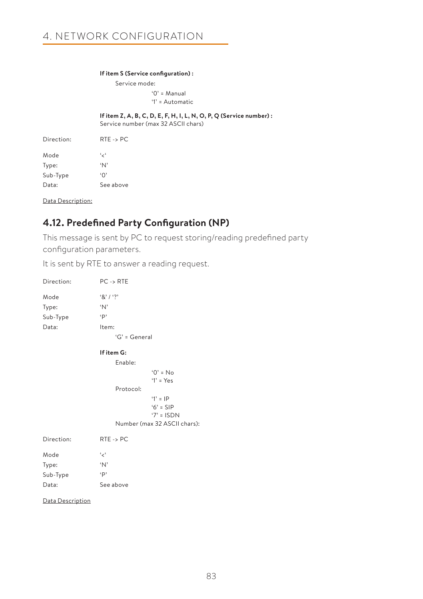#### **If item S (Service configuration) :**

Service mode: '0' = Manual '1' = Automatic

**If item Z, A, B, C, D, E, F, H, I, L, N, O, P, Q (Service number) :**

Service number (max 32 ASCII chars)

| Direction: | $RTE \rightarrow PC$ |
|------------|----------------------|
| Mode       | ، ر ،                |
| Type:      | $^{\circ}N^{\circ}$  |
| Sub-Type   | $\Omega$             |
| Data:      | See above            |

Data Description:

## **4.12. Predefined Party Configuration (NP)**

This message is sent by PC to request storing/reading predefined party configuration parameters.

| Direction:                         | $PC \rightarrow RTE$                                        |                              |
|------------------------------------|-------------------------------------------------------------|------------------------------|
| Mode<br>Type:<br>Sub-Type<br>Data: | $8'1'$ ?<br>$\Delta$<br>$\cdot$ p<br>Item:<br>'G' = General |                              |
|                                    | If item G:                                                  |                              |
|                                    | Enable:                                                     |                              |
|                                    |                                                             | $'O' = No$                   |
|                                    |                                                             | $'1' = Yes$                  |
|                                    | Protocol:                                                   |                              |
|                                    |                                                             | $'1' = IP$                   |
|                                    |                                                             | $6' =$ SIP                   |
|                                    |                                                             | $7' = ISDN$                  |
|                                    |                                                             | Number (max 32 ASCII chars): |
| Direction:                         | $RTE \rightarrow PC$                                        |                              |
| Mode                               | ، رِ ،                                                      |                              |
| Type:                              | 'N'                                                         |                              |
| Sub-Type                           | $\cdot$ p                                                   |                              |
| Data:                              | See above                                                   |                              |
| Data Description                   |                                                             |                              |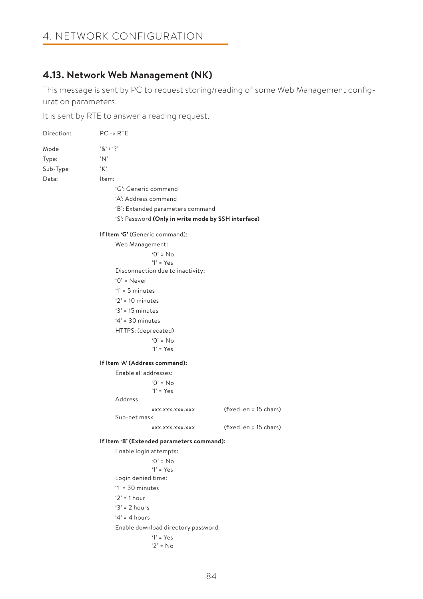## **4.13. Network Web Management (NK)**

This message is sent by PC to request storing/reading of some Web Management configuration parameters.

| Direction: | $PC \rightarrow RTE$           |                                                     |                        |
|------------|--------------------------------|-----------------------------------------------------|------------------------|
| Mode       | 8' / ?                         |                                                     |                        |
| Type:      | 'N'                            |                                                     |                        |
| Sub-Type   | K                              |                                                     |                        |
| Data:      | Item:                          |                                                     |                        |
|            |                                | 'G': Generic command                                |                        |
|            |                                | 'A': Address command                                |                        |
|            |                                | 'B': Extended parameters command                    |                        |
|            |                                | 'S': Password (Only in write mode by SSH interface) |                        |
|            | If Item 'G' (Generic command): |                                                     |                        |
|            | Web Management:                |                                                     |                        |
|            |                                | $'0' = No$                                          |                        |
|            |                                | $'1' = Yes$                                         |                        |
|            |                                | Disconnection due to inactivity:                    |                        |
|            | $0'$ = Never                   |                                                     |                        |
|            | $'1' = 5$ minutes              |                                                     |                        |
|            | $2' = 10$ minutes              |                                                     |                        |
|            | $3' = 15$ minutes              |                                                     |                        |
|            | $4' = 30$ minutes              |                                                     |                        |
|            |                                | HTTPS: (deprecated)                                 |                        |
|            |                                | $'0' = No$                                          |                        |
|            |                                | $Y' = Yes$                                          |                        |
|            | If Item 'A' (Address command): |                                                     |                        |
|            | Enable all addresses:          |                                                     |                        |
|            |                                | $'0' = No$                                          |                        |
|            |                                | $'1'$ = Yes                                         |                        |
|            | Address                        |                                                     |                        |
|            |                                | XXX.XXX.XXX.XXX                                     | (fixed len = 15 chars) |
|            | Sub-net mask                   |                                                     |                        |
|            |                                | XXX.XXX.XXX.XXX                                     | (fixed len = 15 chars) |
|            |                                | If Item 'B' (Extended parameters command):          |                        |
|            |                                | Enable login attempts:                              |                        |
|            |                                | $'0' = No$<br>$'1' = Yes$                           |                        |
|            | Login denied time:             |                                                     |                        |
|            | $'1' = 30$ minutes             |                                                     |                        |
|            | ' $2' = 1$ hour                |                                                     |                        |
|            | $3' = 2$ hours                 |                                                     |                        |
|            | $4' = 4$ hours                 |                                                     |                        |
|            |                                | Enable download directory password:                 |                        |
|            |                                | $Y' = Yes$                                          |                        |
|            |                                | $2' = No$                                           |                        |
|            |                                |                                                     |                        |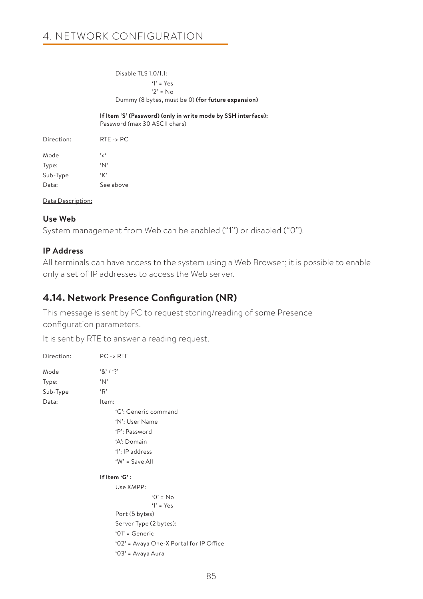Disable TLS 1.0/1.1: '1' = Yes '2' = No Dummy (8 bytes, must be 0) **(for future expansion)**

**If Item 'S' (Password) (only in write mode by SSH interface):**

Password (max 30 ASCII chars)

| Direction: | $RTE \rightarrow PC$ |
|------------|----------------------|
| Mode       | ، ر ،                |
| Type:      | $^{\circ}$ N'        |
| Sub-Type   | K                    |
| Data:      | See above            |

Data Description:

### **Use Web**

System management from Web can be enabled ("1") or disabled ("0").

### **IP Address**

All terminals can have access to the system using a Web Browser; it is possible to enable only a set of IP addresses to access the Web server.

## **4.14. Network Presence Configuration (NR)**

This message is sent by PC to request storing/reading of some Presence configuration parameters.

| Direction: | $PC \rightarrow RTE$                    |
|------------|-----------------------------------------|
| Mode       | 8' / ?                                  |
| Type:      | ʻΝ'                                     |
| Sub-Type   | R                                       |
| Data:      | Item:                                   |
|            | 'G': Generic command                    |
|            | 'N': User Name                          |
|            | 'P': Password                           |
|            | 'A': Domain                             |
|            | 'I': IP address                         |
|            | 'W' = Save All                          |
|            | If Item 'G':                            |
|            | Use XMPP:                               |
|            | $'O' = No$                              |
|            | $'1' = Yes$                             |
|            | Port (5 bytes)                          |
|            | Server Type (2 bytes):                  |
|            | $'01'$ = Generic                        |
|            | '02' = Avaya One-X Portal for IP Office |
|            | '03' = Avaya Aura                       |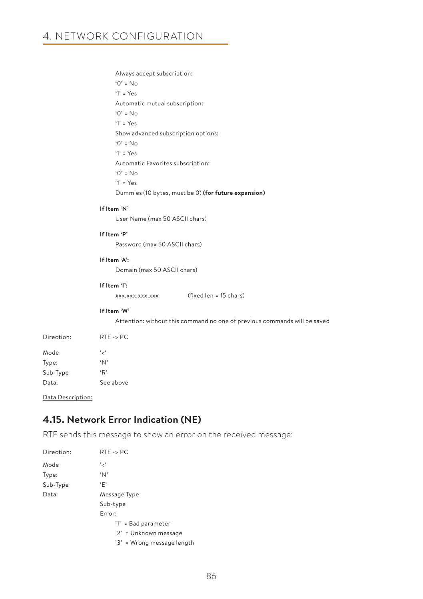Always accept subscription: '0' = No '1' = Yes Automatic mutual subscription: '0' = No '1' = Yes Show advanced subscription options:  $'0' = No$  '1' = Yes Automatic Favorites subscription:  $'0' = No$  '1' = Yes Dummies (10 bytes, must be 0) **(for future expansion)**

#### **If Item 'N'**

User Name (max 50 ASCII chars)

### **If Item 'P'**

Password (max 50 ASCII chars)

#### **If Item 'A':**

Domain (max 50 ASCII chars)

### **If Item 'I':**

xxx.xxx.xxx.xxx (fixed len = 15 chars)

#### **If Item 'W'**

Attention: without this command no one of previous commands will be saved

| Direction: | $RTE \rightarrow PC$ |
|------------|----------------------|
| Mode       | ، ر ،                |
| Type:      | $^{\circ}N$          |
| Sub-Type   | P                    |
| Data:      | See above            |

Data Description:

## **4.15. Network Error Indication (NE)**

RTE sends this message to show an error on the received message:

| Direction: | $RTE \rightarrow PC$       |
|------------|----------------------------|
| Mode       | ، برء                      |
| Type:      | 'N'                        |
| Sub-Type   | ٠F'                        |
| Data:      | Message Type               |
|            | Sub-type                   |
|            | Error:                     |
|            | '1' = Bad parameter        |
|            | '2' = Unknown message      |
|            | '3' = Wrong message length |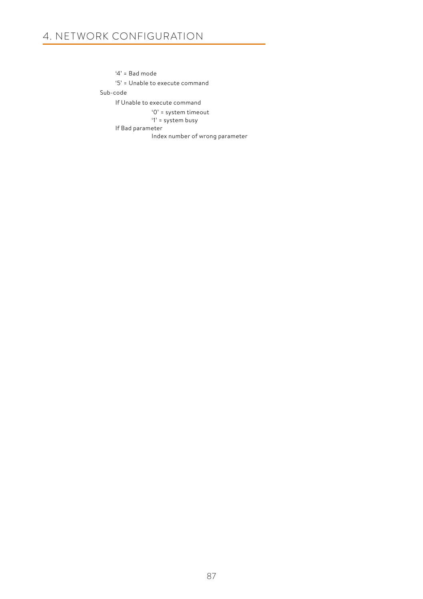'4' = Bad mode '5' = Unable to execute command Sub-code If Unable to execute command '0' = system timeout '1' = system busy If Bad parameter Index number of wrong parameter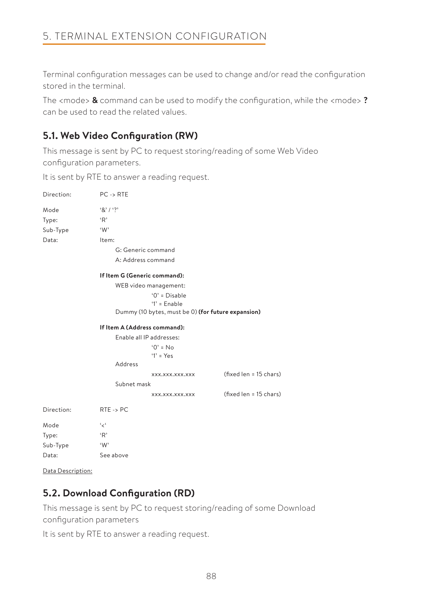Terminal configuration messages can be used to change and/or read the configuration stored in the terminal.

The <mode> **&** command can be used to modify the configuration, while the <mode> **?** can be used to read the related values.

## **5.1. Web Video Configuration (RW)**

This message is sent by PC to request storing/reading of some Web Video configuration parameters.

It is sent by RTE to answer a reading request.

| Direction: | $PC \rightarrow RTE$         |                                                    |                        |
|------------|------------------------------|----------------------------------------------------|------------------------|
| Mode       | $8'1'$ ?                     |                                                    |                        |
| Type:      | 'R'                          |                                                    |                        |
| Sub-Type   | W                            |                                                    |                        |
| Data:      | Item:                        |                                                    |                        |
|            |                              | G: Generic command                                 |                        |
|            |                              | A: Address command                                 |                        |
|            | If Item G (Generic command): |                                                    |                        |
|            |                              | WEB video management:                              |                        |
|            |                              | $'0'$ = Disable                                    |                        |
|            |                              | $'1'$ = Enable                                     |                        |
|            |                              | Dummy (10 bytes, must be 0) (for future expansion) |                        |
|            | If Item A (Address command): |                                                    |                        |
|            |                              | Enable all IP addresses:                           |                        |
|            |                              | $'0' = No$                                         |                        |
|            |                              | $'1' = Yes$                                        |                        |
|            | Address                      |                                                    |                        |
|            |                              | XXX.XXX.XXX.XXX                                    | (fixed len = 15 chars) |
|            | Subnet mask                  |                                                    |                        |
|            |                              | XXX.XXX.XXX.XXX                                    | (fixed len = 15 chars) |
| Direction: | $RTE \rightarrow PC$         |                                                    |                        |
| Mode       | ، ب                          |                                                    |                        |
| Type:      | 'R'                          |                                                    |                        |
| Sub-Type   | W                            |                                                    |                        |
| Data:      | See above                    |                                                    |                        |

Data Description:

## **5.2. Download Configuration (RD)**

This message is sent by PC to request storing/reading of some Download configuration parameters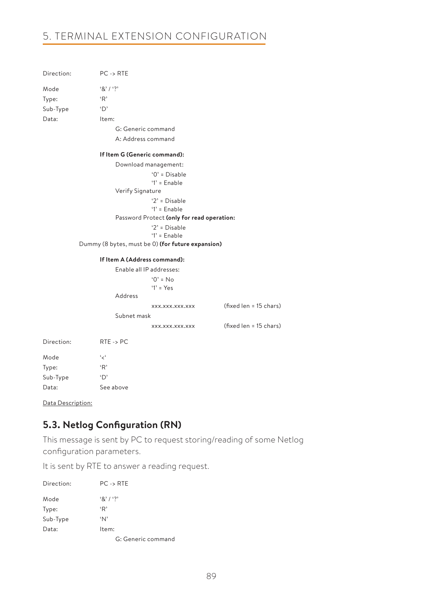| Direction: | $PC \rightarrow RTE$ |                                                   |                        |  |
|------------|----------------------|---------------------------------------------------|------------------------|--|
| Mode       | $8'1'$ ?             |                                                   |                        |  |
| Type:      | R                    |                                                   |                        |  |
| Sub-Type   | 'D'                  |                                                   |                        |  |
| Data:      | Item:                |                                                   |                        |  |
|            |                      | G: Generic command                                |                        |  |
|            |                      | A: Address command                                |                        |  |
|            |                      | If Item G (Generic command):                      |                        |  |
|            |                      | Download management:                              |                        |  |
|            |                      | $'0'$ = Disable<br>$T =$ Enable                   |                        |  |
|            | Verify Signature     |                                                   |                        |  |
|            |                      | $2'$ = Disable<br>$1'$ = Enable                   |                        |  |
|            |                      | Password Protect (only for read operation:        |                        |  |
|            |                      | $2' = Disable$                                    |                        |  |
|            |                      | $'1'$ = Enable                                    |                        |  |
|            |                      | Dummy (8 bytes, must be 0) (for future expansion) |                        |  |
|            |                      | If Item A (Address command):                      |                        |  |
|            |                      | Enable all IP addresses:                          |                        |  |
|            |                      | $'0' = No$                                        |                        |  |
|            |                      | $'1' = Yes$                                       |                        |  |
|            | Address              |                                                   |                        |  |
|            |                      | XXX.XXX.XXX.XXX                                   | (fixed len = 15 chars) |  |
|            | Subnet mask          |                                                   |                        |  |
|            |                      | XXX.XXX.XXX.XXX                                   | (fixed len = 15 chars) |  |
| Direction: | $RTE \rightarrow PC$ |                                                   |                        |  |
| Mode       | ' بر'                |                                                   |                        |  |
| Type:      | ίK,                  |                                                   |                        |  |
| Sub-Type   | 'D'                  |                                                   |                        |  |

Data Description:

Data: See above

## **5.3. Netlog Configuration (RN)**

This message is sent by PC to request storing/reading of some Netlog configuration parameters.

| Direction: | $PC \rightarrow RTE$ |
|------------|----------------------|
| Mode       | 8' / ?               |
| Type:      | ٠R'                  |
| Sub-Type   | 'N'                  |
| Data:      | Item:                |
|            | G: Generic command   |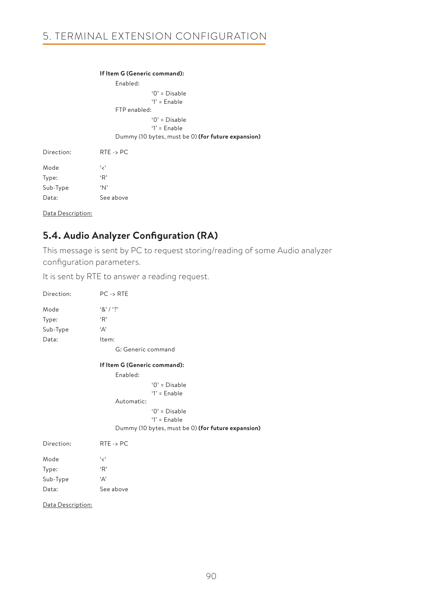|            | If Item G (Generic command):                       |
|------------|----------------------------------------------------|
|            | Enabled:                                           |
|            | $'0'$ = Disable<br>$'1'$ = Enable<br>FTP enabled:  |
|            |                                                    |
|            | $'0'$ = Disable<br>$'1'$ = Enable                  |
|            | Dummy (10 bytes, must be 0) (for future expansion) |
| Direction: | $RTE \rightarrow PC$                               |
| Mode       | ، بر،                                              |
| Type:      | 'R'                                                |
| Sub-Type   | 'N'                                                |
| Data:      | See above                                          |
|            |                                                    |

Data Description:

## **5.4. Audio Analyzer Configuration (RA)**

This message is sent by PC to request storing/reading of some Audio analyzer configuration parameters.

| Direction:        | $PC \rightarrow RTE$                               |
|-------------------|----------------------------------------------------|
| Mode              | 8' / ?                                             |
| Type:             | 'R'                                                |
| Sub-Type          | 'А'                                                |
| Data:             | Item:                                              |
|                   | G: Generic command                                 |
|                   | If Item G (Generic command):                       |
|                   | Enabled:                                           |
|                   | $'0'$ = Disable                                    |
|                   | $1'$ = Enable                                      |
|                   | Automatic:                                         |
|                   | $'0'$ = Disable<br>$'1'$ = Enable                  |
|                   | Dummy (10 bytes, must be 0) (for future expansion) |
| Direction:        | $RTE \rightarrow PC$                               |
| Mode              | ، ج'                                               |
| Type:             | 'R'                                                |
| Sub-Type          | 'Α'                                                |
| Data:             | See above                                          |
| Data Description: |                                                    |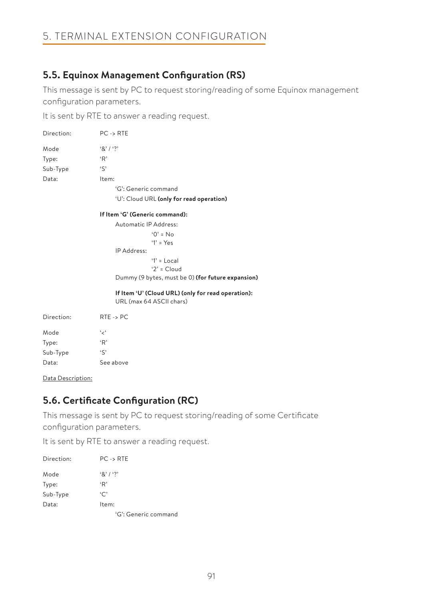## **5.5. Equinox Management Configuration (RS)**

This message is sent by PC to request storing/reading of some Equinox management configuration parameters.

It is sent by RTE to answer a reading request.

| Direction: | $PC \rightarrow RTE$                                                           |
|------------|--------------------------------------------------------------------------------|
| Mode       | 8' / ?                                                                         |
| Type:      | 'R'                                                                            |
| Sub-Type   | 'S'                                                                            |
| Data:      | Item:                                                                          |
|            | 'G': Generic command                                                           |
|            | 'U': Cloud URL (only for read operation)                                       |
|            | If Item 'G' (Generic command):                                                 |
|            | Automatic IP Address:                                                          |
|            | $0' = No$                                                                      |
|            | $'1' = Yes$                                                                    |
|            | IP Address:                                                                    |
|            | $'1' = Local$                                                                  |
|            | $2' = Cloud$                                                                   |
|            | Dummy (9 bytes, must be 0) (for future expansion)                              |
|            | If Item 'U' (Cloud URL) (only for read operation):<br>URL (max 64 ASCII chars) |
| Direction: | $RTE \rightarrow PC$                                                           |
| Mode       | ، رِ ،                                                                         |
| Type:      | 'R'                                                                            |
| Sub-Type   | $\mathfrak{s}$                                                                 |
| Data:      | See above                                                                      |

Data Description:

## **5.6. Certificate Configuration (RC)**

This message is sent by PC to request storing/reading of some Certificate configuration parameters.

| Direction: | $PC \rightarrow RTE$ |
|------------|----------------------|
| Mode       | 8' / ?               |
| Type:      | ίŖ,                  |
| Sub-Type   | $\cdot$ C            |
| Data:      | Item:                |
|            | 'G': Generic command |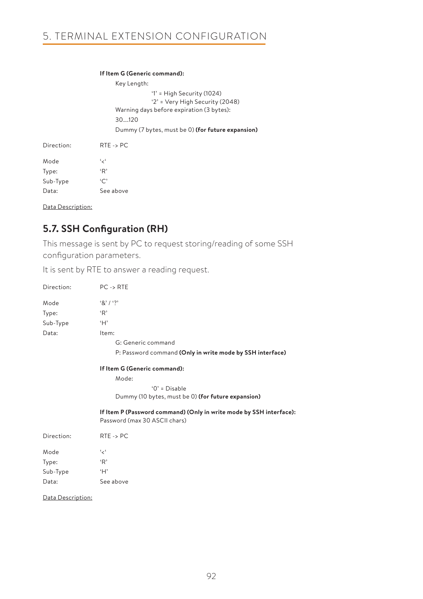#### **If Item G (Generic command):**

Key Length: '1' = High Security (1024) '2' = Very High Security (2048) Warning days before expiration (3 bytes): 30….120 Dummy (7 bytes, must be 0) **(for future expansion)** Direction: RTE -> PC Mode '<'

| Type:    | ٠R,          |
|----------|--------------|
| Sub-Type | $\cdot \cap$ |
| Data:    | See above    |

Data Description:

## **5.7. SSH Configuration (RH)**

This message is sent by PC to request storing/reading of some SSH configuration parameters.

It is sent by RTE to answer a reading request.

| Direction: | $PC \rightarrow RTE$                                                                                 |  |  |
|------------|------------------------------------------------------------------------------------------------------|--|--|
| Mode       | $8'1'$ ?                                                                                             |  |  |
| Type:      | R                                                                                                    |  |  |
| Sub-Type   | H                                                                                                    |  |  |
| Data:      | Item:                                                                                                |  |  |
|            | G: Generic command                                                                                   |  |  |
|            | P: Password command (Only in write mode by SSH interface)                                            |  |  |
|            | If Item G (Generic command):                                                                         |  |  |
|            | Mode:                                                                                                |  |  |
|            | $'0'$ = Disable                                                                                      |  |  |
|            | Dummy (10 bytes, must be 0) (for future expansion)                                                   |  |  |
|            | If Item P (Password command) (Only in write mode by SSH interface):<br>Password (max 30 ASCII chars) |  |  |
| Direction: | $RTE \rightarrow PC$                                                                                 |  |  |
| Mode       | ، مج                                                                                                 |  |  |
| Type:      | 'R'                                                                                                  |  |  |
| Sub-Type   | H                                                                                                    |  |  |

Data: See above

Data Description: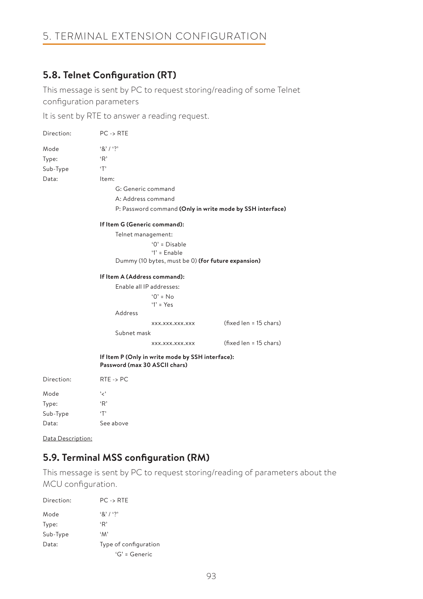## **5.8. Telnet Configuration (RT)**

This message is sent by PC to request storing/reading of some Telnet configuration parameters

It is sent by RTE to answer a reading request.

| Direction: | $PC \rightarrow RTE$                                                              |                              |                                                           |  |
|------------|-----------------------------------------------------------------------------------|------------------------------|-----------------------------------------------------------|--|
| Mode       | $8'1'$ ?                                                                          |                              |                                                           |  |
| Type:      | 'R'                                                                               |                              |                                                           |  |
| Sub-Type   | T                                                                                 |                              |                                                           |  |
| Data:      | Item:                                                                             |                              |                                                           |  |
|            |                                                                                   | G: Generic command           |                                                           |  |
|            |                                                                                   | A: Address command           |                                                           |  |
|            |                                                                                   |                              | P: Password command (Only in write mode by SSH interface) |  |
|            |                                                                                   | If Item G (Generic command): |                                                           |  |
|            |                                                                                   | Telnet management:           |                                                           |  |
|            |                                                                                   | $'0'$ = Disable              |                                                           |  |
|            |                                                                                   | $'1'$ = Enable               |                                                           |  |
|            | Dummy (10 bytes, must be 0) (for future expansion)                                |                              |                                                           |  |
|            | If Item A (Address command):                                                      |                              |                                                           |  |
|            | Enable all IP addresses:                                                          |                              |                                                           |  |
|            |                                                                                   | $'0' = No$                   |                                                           |  |
|            |                                                                                   | $Y = Yes$                    |                                                           |  |
|            | Address                                                                           |                              |                                                           |  |
|            |                                                                                   | XXX.XXX.XXX.XXX              | (fixed len = 15 chars)                                    |  |
|            | Subnet mask                                                                       |                              |                                                           |  |
|            |                                                                                   | XXX.XXX.XXX.XXX              | $(fixed len = 15 chars)$                                  |  |
|            | If Item P (Only in write mode by SSH interface):<br>Password (max 30 ASCII chars) |                              |                                                           |  |
| Direction: | $RTE \rightarrow PC$                                                              |                              |                                                           |  |
| Mode       | ، ج'                                                                              |                              |                                                           |  |
| Type:      | R                                                                                 |                              |                                                           |  |
| Sub-Type   | $\cdot$ T'                                                                        |                              |                                                           |  |
| Data:      | See above                                                                         |                              |                                                           |  |

Data Description:

## **5.9. Terminal MSS configuration (RM)**

This message is sent by PC to request storing/reading of parameters about the MCU configuration.

| Direction: | $PC -$ RTF            |
|------------|-----------------------|
| Mode       | 8' / ?                |
| Type:      | ٠R'                   |
| Sub-Type   | $^{\circ}M^{\circ}$   |
| Data:      | Type of configuration |
|            | $G' =$ Generic        |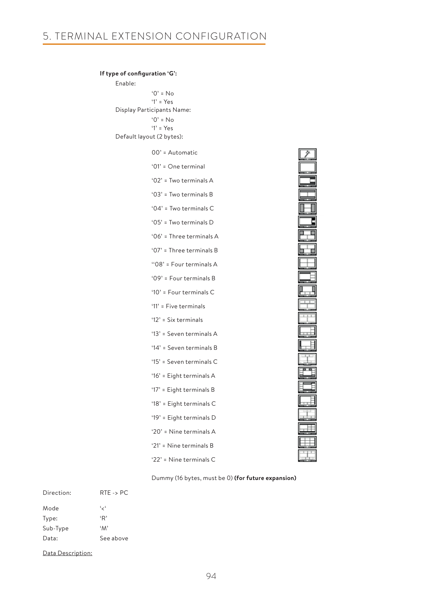| If type of configuration 'G':           |                             |  |
|-----------------------------------------|-----------------------------|--|
| Enable:                                 |                             |  |
|                                         | $'0' = No$                  |  |
| $Y = Yes$<br>Display Participants Name: |                             |  |
|                                         | $'0' = No$                  |  |
|                                         | $Y = Yes$                   |  |
|                                         | Default layout (2 bytes):   |  |
|                                         | 00' = Automatic             |  |
|                                         | '01' = $One terminal$       |  |
|                                         | '02' = Two terminals $A$    |  |
|                                         | '03' = Two terminals B      |  |
|                                         | '04' = Two terminals $C$    |  |
|                                         | '05' = Two terminals D      |  |
|                                         | '06' = Three terminals A    |  |
|                                         | '07' = Three terminals B    |  |
|                                         | "08' = Four terminals A     |  |
|                                         | '09' = Four terminals B     |  |
|                                         | '10' = $Four$ terminals $C$ |  |
|                                         | '11' = Five terminals       |  |
|                                         | ' $12$ ' = Six terminals    |  |
|                                         | '13' = Seven terminals A    |  |
|                                         | '14' = Seven terminals B    |  |
|                                         | '15' = Seven terminals C    |  |
|                                         | '16' = Eight terminals A    |  |
|                                         | '17' = Eight terminals B    |  |
|                                         | '18' = Eight terminals C    |  |
|                                         | '19' = Eight terminals D    |  |
|                                         | '20' = Nine terminals A     |  |
|                                         | '21' = Nine terminals B     |  |
|                                         | ' $22$ ' = Nine terminals C |  |

e de la colone de la colone de la colone de la colone de la colone de la colone de la colone de la colone de l

Dummy (16 bytes, must be 0) **(for future expansion)**

| Direction <sup>.</sup> | $RTE \rightarrow PC$ |
|------------------------|----------------------|
| Mode                   | ، ر ،                |
| Type:                  | ٠R,                  |
| Sub-Type               | 'M'                  |
| Data:                  | See above            |

Data Description: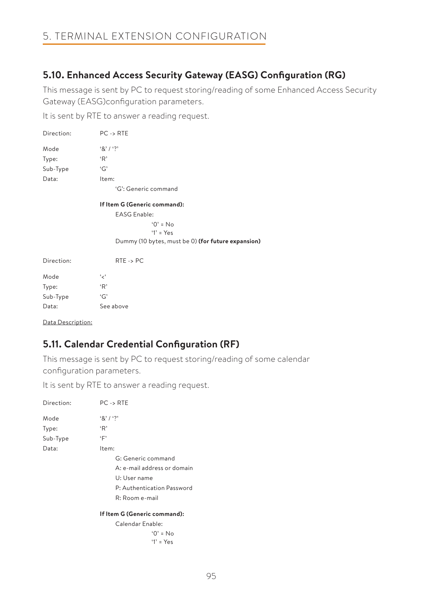## **5.10. Enhanced Access Security Gateway (EASG) Configuration (RG)**

This message is sent by PC to request storing/reading of some Enhanced Access Security Gateway (EASG)configuration parameters.

It is sent by RTE to answer a reading request.

| Direction:                   | $PC \rightarrow RTE$ |  |
|------------------------------|----------------------|--|
| Mode                         | 8' / ?               |  |
| Type:                        | ίŖ,                  |  |
| Sub-Type                     | G'                   |  |
| Data:                        | Item:                |  |
| 'G': Generic command         |                      |  |
| If Item G (Generic command): |                      |  |

EASG Enable:  $^{\circ}$   $^{\circ}$   $\circ$  No  $'1' = Y_{\text{PS}}$ Dummy (10 bytes, must be 0) **(for future expansion)**

| Direction: | $RTE \rightarrow PC$ |
|------------|----------------------|
| Mode       | ، بر،                |
| Type:      | ٠R,                  |
| Sub-Type   | G                    |
| Data:      | See above            |

Data Description:

## **5.11. Calendar Credential Configuration (RF)**

This message is sent by PC to request storing/reading of some calendar configuration parameters.

| Direction: | $PC \rightarrow RTE$         |  |  |
|------------|------------------------------|--|--|
| Mode       | $8'1'$ ?                     |  |  |
| Type:      | ٠R,                          |  |  |
| Sub-Type   | ٠Ε,                          |  |  |
| Data:      | Item:                        |  |  |
|            | G: Generic command           |  |  |
|            | A: e-mail address or domain  |  |  |
|            | U: User name                 |  |  |
|            | P: Authentication Password   |  |  |
|            | R: Room e-mail               |  |  |
|            | If Item G (Generic command): |  |  |
|            | Calendar Enable:             |  |  |
|            | $0' = No$                    |  |  |
|            | '1' = $Y_{PS}$               |  |  |
|            |                              |  |  |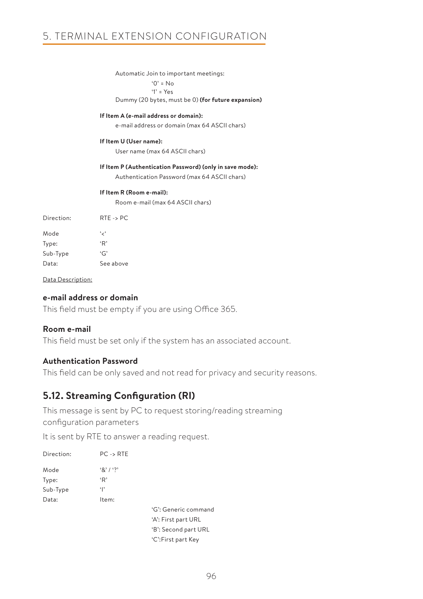Automatic Join to important meetings: '0' = No '1' = Yes Dummy (20 bytes, must be 0) **(for future expansion) If Item A (e-mail address or domain):** e-mail address or domain (max 64 ASCII chars) **If Item U (User name):** User name (max 64 ASCII chars) **If Item P (Authentication Password) (only in save mode):** Authentication Password (max 64 ASCII chars) **If Item R (Room e-mail):** Room e-mail (max 64 ASCII chars) Direction: RTE -> PC Mode '<' Type: 'R'

Data Description:

Sub-Type 'G' Data: See above

### **e-mail address or domain**

This field must be empty if you are using Office 365.

### **Room e-mail**

This field must be set only if the system has an associated account.

### **Authentication Password**

This field can be only saved and not read for privacy and security reasons.

## **5.12. Streaming Configuration (RI)**

This message is sent by PC to request storing/reading streaming configuration parameters

| Direction: | $PC \rightarrow RTE$ |                      |
|------------|----------------------|----------------------|
| Mode       | 8' / ?               |                      |
| Type:      | ٠R,                  |                      |
| Sub-Type   | $\cdot$  '           |                      |
| Data:      | Item:                |                      |
|            |                      | 'G': Generic command |
|            |                      | 'A': First part URL  |
|            |                      | 'B': Second part URL |
|            |                      | 'C':First part Key   |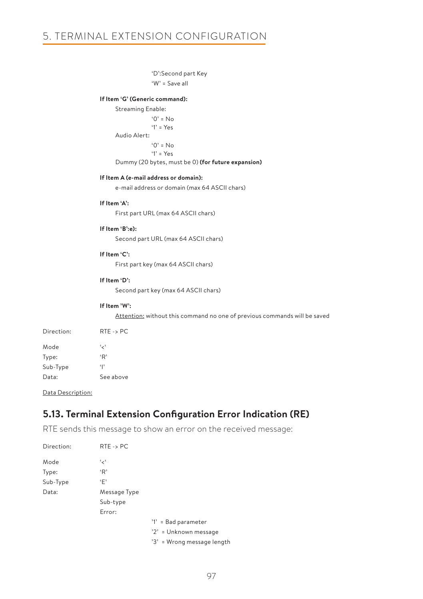```
 'D':Second part Key
```

```
 'W' = Save all
```
### **If Item 'G' (Generic command):**

Streaming Enable: '0' = No '1' = Yes Audio Alert:  $'0' = No$  '1' = Yes Dummy (20 bytes, must be 0) **(for future expansion)**

#### **If Item A (e-mail address or domain):**

e-mail address or domain (max 64 ASCII chars)

#### **If Item 'A':**

First part URL (max 64 ASCII chars)

#### **If Item 'B':e):**

Second part URL (max 64 ASCII chars)

#### **If Item 'C':**

First part key (max 64 ASCII chars)

#### **If Item 'D':**

Second part key (max 64 ASCII chars)

#### **If Item 'W':**

Attention: without this command no one of previous commands will be saved

| Direction <sup>.</sup> | $RTE \rightarrow PC$ |
|------------------------|----------------------|
| Mode                   | ، ر ،                |
| Type:                  | ٠R,                  |
| Sub-Type               | $\mathbf{P}$         |
| Data:                  | See above            |

Data Description:

## **5.13. Terminal Extension Configuration Error Indication (RE)**

RTE sends this message to show an error on the received message:

| Direction: | $RTE \rightarrow PC$ |                            |
|------------|----------------------|----------------------------|
| Mode       | ، ج'                 |                            |
| Type:      | 'R'                  |                            |
| Sub-Type   | ٠F'                  |                            |
| Data:      | Message Type         |                            |
|            | Sub-type             |                            |
|            | Error:               |                            |
|            |                      | '1' = Bad parameter        |
|            |                      | '2' = Unknown message      |
|            |                      | '3' = Wrong message length |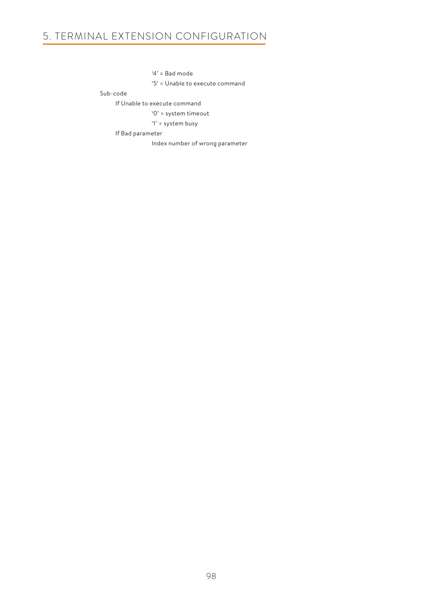'4' = Bad mode

'5' = Unable to execute command

Sub-code

If Unable to execute command

'0' = system timeout

'1' = system busy

If Bad parameter

Index number of wrong parameter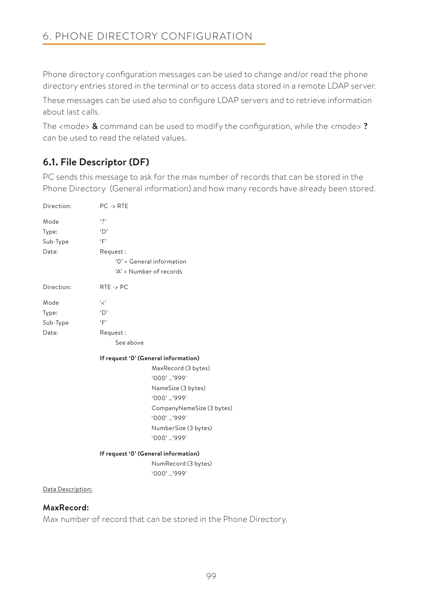Phone directory configuration messages can be used to change and/or read the phone directory entries stored in the terminal or to access data stored in a remote LDAP server.

These messages can be used also to configure LDAP servers and to retrieve information about last calls.

The <mode> **&** command can be used to modify the configuration, while the <mode> **?** can be used to read the related values.

## **6.1. File Descriptor (DF)**

PC sends this message to ask for the max number of records that can be stored in the Phone Directory (General information) and how many records have already been stored.

| Direction:                         | $PC \rightarrow RTE$                                                                            |                                                                                 |
|------------------------------------|-------------------------------------------------------------------------------------------------|---------------------------------------------------------------------------------|
| Mode<br>Type:<br>Sub-Type<br>Data: | $\mathfrak{c}$<br>$\Delta$<br>$\overline{F}$<br>Request:<br>'A' = Number of records             | '0' = General information                                                       |
| Direction:                         | $RTE \rightarrow PC$                                                                            |                                                                                 |
| Mode<br>Type:<br>Sub-Type<br>Data: | ، ج'<br>$\Delta$<br>$\cdot$ F'<br>Request:<br>See above<br>If request '0' (General information) | MaxRecord (3 bytes)<br>'000' '999'<br>NameSize (3 bytes)<br>'000' '999'         |
|                                    |                                                                                                 | CompanyNameSize (3 bytes)<br>'000' '999'<br>NumberSize (3 bytes)<br>'000' '999' |
|                                    | If request '0' (General information)                                                            | NumRecord (3 bytes)<br>'000' '999'                                              |

## **MaxRecord:**

Max number of record that can be stored in the Phone Directory.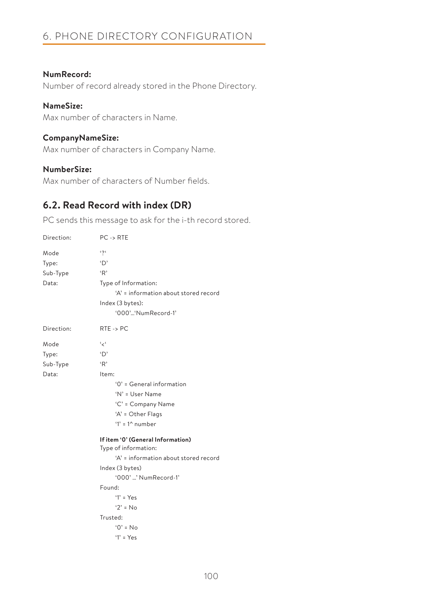# 6. PHONE DIRECTORY CONFIGURATION

## **NumRecord:**

Number of record already stored in the Phone Directory.

## **NameSize:**

Max number of characters in Name.

### **CompanyNameSize:**

Max number of characters in Company Name.

## **NumberSize:**

Max number of characters of Number fields.

## **6.2. Read Record with index (DR)**

PC sends this message to ask for the i-th record stored.

| Direction:                         | $PC \rightarrow RTE$                                                                                                                                                                                                         |
|------------------------------------|------------------------------------------------------------------------------------------------------------------------------------------------------------------------------------------------------------------------------|
| Mode<br>Type:<br>Sub-Type<br>Data: | $\mathfrak{c}$<br>$\Delta$<br>R<br>Type of Information:<br>'A' = information about stored record<br>Index (3 bytes):<br>'000''NumRecord-1'                                                                                   |
| Direction:                         | $RTE \rightarrow PC$                                                                                                                                                                                                         |
| Mode<br>Type:<br>Sub-Type<br>Data: | ، بر ،<br>$\Delta$<br>R<br>Item:<br>'0' = General information<br>'N' = User Name<br>'C' = Company Name<br>'A' = Other Flags<br>'1' = $1^{\wedge}$ number                                                                     |
|                                    | If item '0' (General Information)<br>Type of information:<br>'A' = information about stored record<br>Index (3 bytes)<br>'000' ' NumRecord-1'<br>Found:<br>$'1' = Yes$<br>$'2' = No$<br>Trusted:<br>$0' = No$<br>$'1' = Yes$ |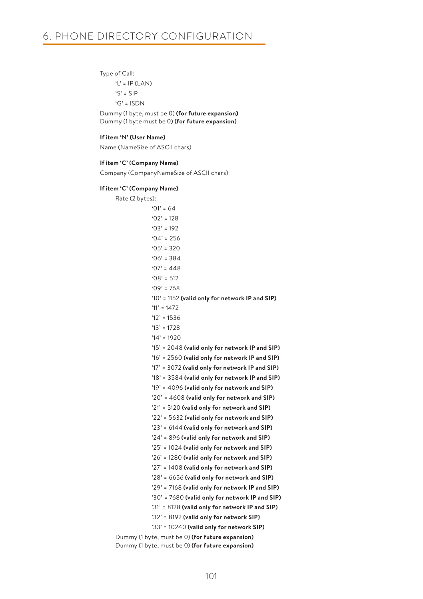#### Type of Call:

 $'L' = IP (LAN)$  'S' = SIP 'G' = ISDN

 Dummy (1 byte, must be 0) **(for future expansion)** Dummy (1 byte must be 0) **(for future expansion)**

#### **If item 'N' (User Name)**

Name (NameSize of ASCII chars)

#### **If item 'C' (Company Name)**

Company (CompanyNameSize of ASCII chars)

#### **If item 'C' (Company Name)**

Rate (2 bytes):  $`01' = 64$  $'02' = 128$  $'03' = 192$  $A' = 256$  $'05' = 320$  $'06' = 384$  $'07' = 448$  $'08' = 512$  $'09' = 768$  '10' = 1152 **(valid only for network IP and SIP)**  $'11' = 1472$  $'12' = 1536$  '13' = 1728  $'14' = 1920$  '15' = 2048 **(valid only for network IP and SIP)** '16' = 2560 **(valid only for network IP and SIP)** '17' = 3072 **(valid only for network IP and SIP)** '18' = 3584 **(valid only for network IP and SIP)** '19' = 4096 **(valid only for network and SIP)** '20' = 4608 **(valid only for network and SIP)** '21' = 5120 **(valid only for network and SIP)** '22' = 5632 **(valid only for network and SIP)** '23' = 6144 **(valid only for network and SIP)** '24' = 896 **(valid only for network and SIP)** '25' = 1024 **(valid only for network and SIP)** '26' = 1280 **(valid only for network and SIP)** '27' = 1408 **(valid only for network and SIP)** '28' = 6656 **(valid only for network and SIP)** '29' = 7168 **(valid only for network IP and SIP)** '30' = 7680 **(valid only for network IP and SIP)** '31' = 8128 **(valid only for network IP and SIP)** '32' = 8192 **(valid only for network SIP)** '33' = 10240 **(valid only for network SIP)** Dummy (1 byte, must be 0) **(for future expansion)** Dummy (1 byte, must be 0) **(for future expansion)**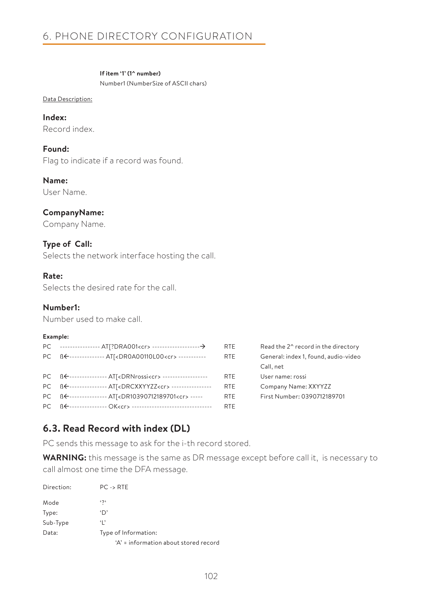### **If item '1' (1^ number)**

Number1 (NumberSize of ASCII chars)

#### Data Description:

**Index:** Record index.

**Found:** Flag to indicate if a record was found.

**Name:**

User Name.

## **CompanyName:**

Company Name.

### **Type of Call:**

Selects the network interface hosting the call.

### **Rate:**

Selects the desired rate for the call.

### **Number1:**

Number used to make call.

### **Example:**

|                                                                           | RTE.       | Read the 2 <sup>^</sup> record in the directory |
|---------------------------------------------------------------------------|------------|-------------------------------------------------|
| PC BE-------------- AT  <dr0a00110l00<cr>------------</dr0a00110l00<cr>   | <b>RTE</b> | General: index 1, found, audio-video            |
|                                                                           |            | Call, net                                       |
| PC BE--------------- ATI <drnrossi<cr>--------------------</drnrossi<cr>  | RTE.       | User name: rossi                                |
| PC BE---------------- AT[ <drcxxyyzz<cr>-----------------</drcxxyyzz<cr>  | <b>RTE</b> | Company Name: XXYYZZ                            |
| PC BE--------------- AT[ <dr10390712189701<cr>-----</dr10390712189701<cr> | <b>RTE</b> | First Number: 0390712189701                     |
|                                                                           | <b>RTE</b> |                                                 |

## **6.3. Read Record with index (DL)**

PC sends this message to ask for the i-th record stored.

**WARNING:** this message is the same as DR message except before call it, is necessary to call almost one time the DFA message.

| Direction: | $PC \rightarrow RTE$                  |  |
|------------|---------------------------------------|--|
| Mode       | $\mathfrak{c}$                        |  |
| Type:      | 'D'                                   |  |
| Sub-Type   | ٠,                                    |  |
| Data:      | Type of Information:                  |  |
|            | 'A' = information about stored record |  |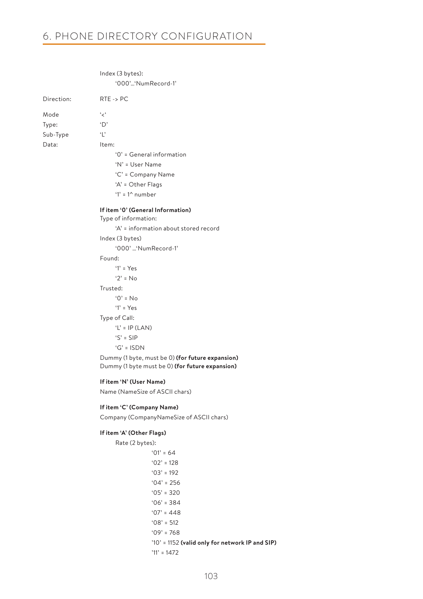## 6. PHONE DIRECTORY CONFIGURATION

 Index (3 bytes): '000'…'NumRecord-1' Direction: RTE -> PC Mode '<' Type: 'D' Sub-Type 'L' Data: Item: '0' = General information 'N' = User Name 'C' = Company Name 'A' = Other Flags '1' = 1^ number **If item '0' (General Information)** Type of information: 'A' = information about stored record Index (3 bytes) '000' …'NumRecord-1' Found:  $'1' = Y_{PS}$  '2' = No Trusted:  $'0' = No$  $'1' = Y_{\text{PS}}$  Type of Call:  $'L' = IP (LAN)$  'S' = SIP 'G' = ISDN Dummy (1 byte, must be 0) **(for future expansion)** Dummy (1 byte must be 0) **(for future expansion) If item 'N' (User Name)** Name (NameSize of ASCII chars)

#### **If item 'C' (Company Name)**

Company (CompanyNameSize of ASCII chars)

#### **If item 'A' (Other Flags)**

Rate (2 bytes):  $'01' = 64$  '02' = 128  $'03' = 192$  $04' = 256$  $'05' = 320$  $'06' = 384$  $'07' = 448$  $'08' = 512$  $'09' = 768$  '10' = 1152 **(valid only for network IP and SIP)** '11' = 1472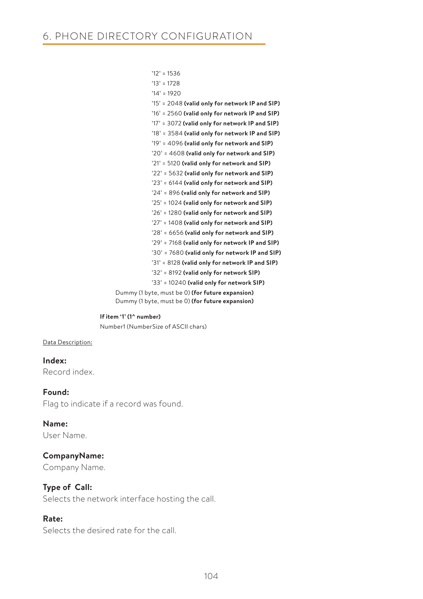| $'12' = 1536$                                     |
|---------------------------------------------------|
| $'13' = 1728$                                     |
| $'14' = 1920$                                     |
| '15' = 2048 (valid only for network IP and SIP)   |
| $'16'$ = 2560 (valid only for network IP and SIP) |
| '17' = 3072 (valid only for network IP and SIP)   |
| '18' = 3584 (valid only for network IP and SIP)   |
| $'19' = 4096$ (valid only for network and SIP)    |
| $'20'$ = 4608 (valid only for network and SIP)    |
| '21' = 5120 (valid only for network and SIP)      |
| '22' = 5632 (valid only for network and SIP)      |
| '23' = 6144 (valid only for network and SIP)      |
| '24' = 896 (valid only for network and SIP)       |
| '25' = 1024 (valid only for network and SIP)      |
| '26' = 1280 (valid only for network and SIP)      |
| $'27'$ = 1408 (valid only for network and SIP)    |
| $'28'$ = 6656 (valid only for network and SIP)    |
| '29' = 7168 (valid only for network IP and SIP)   |
| '30' = 7680 (valid only for network IP and SIP)   |
| '31' = 8128 (valid only for network IP and SIP)   |
| '32' = 8192 (valid only for network SIP)          |
| $33'$ = 10240 (valid only for network SIP)        |
| Dummy (1 byte, must be 0) (for future expansion)  |
| Dummy (1 byte, must be 0) (for future expansion)  |

 **If item '1' (1^ number)**

Number1 (NumberSize of ASCII chars)

### Data Description:

**Index:** Record index.

**Found:** Flag to indicate if a record was found.

**Name:** User Name.

### **CompanyName:**

Company Name.

### **Type of Call:**

Selects the network interface hosting the call.

### **Rate:**

Selects the desired rate for the call.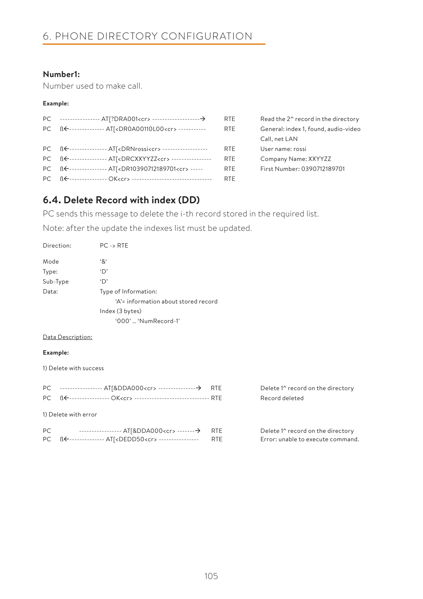## **Number1:**

Number used to make call.

#### **Example:**

|                                                                           | RTE.       | Read the 2^ record in the directory  |
|---------------------------------------------------------------------------|------------|--------------------------------------|
| PC BE--------------- AT<br>DR0A00110L00 <cr>------------</cr>             | <b>RTE</b> | General: index 1, found, audio-video |
|                                                                           |            | Call, net LAN                        |
| PC BE--------------- ATI <drnrossi<cr>--------------------</drnrossi<cr>  | <b>RTE</b> | User name: rossi                     |
| PC BE--------------- ATI <drcxxyyzz<cr>-----------------</drcxxyyzz<cr>   | <b>RTF</b> | Company Name: XXYYZZ                 |
| PC BE--------------- AT[ <dr10390712189701<cr>-----</dr10390712189701<cr> | <b>RTE</b> | First Number: 0390712189701          |
|                                                                           | <b>RTE</b> |                                      |

## **6.4. Delete Record with index (DD)**

PC sends this message to delete the i-th record stored in the required list.

Note: after the update the indexes list must be updated.

| Direction: | $PC \rightarrow RTE$                 |
|------------|--------------------------------------|
| Mode       | '&'                                  |
| Type:      | 'D'                                  |
| Sub-Type   | 'D'                                  |
| Data:      | Type of Information:                 |
|            | 'A'= information about stored record |
|            | Index (3 bytes)                      |
|            | $'000'$ 'NumRecord-1'                |

#### Data Description:

#### **Example:**

1) Delete with success

|     | PC BE---------------- OK <cr> --------------------------------- RTE</cr> |            |
|-----|--------------------------------------------------------------------------|------------|
|     | 1) Delete with error                                                     |            |
| PC. | PC BE--------------- AT[ <dedd50<cr> ----------------- RTE</dedd50<cr>   | <b>RTE</b> |

Delete 1^ record on the directory Record deleted

Delete 1^ record on the directory Error: unable to execute command.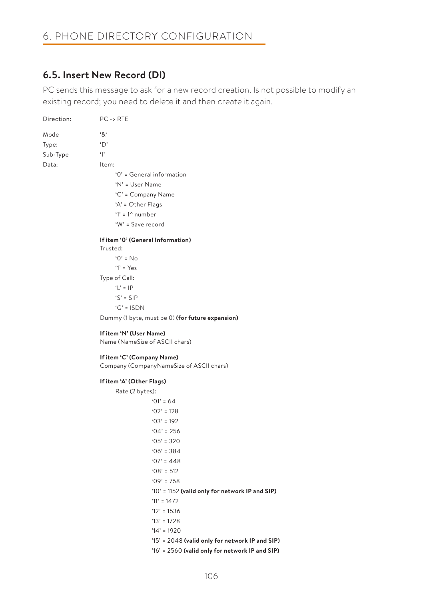## **6.5. Insert New Record (DI)**

PC sends this message to ask for a new record creation. Is not possible to modify an existing record; you need to delete it and then create it again.

| Direction: | $PC \rightarrow RTE$                             |
|------------|--------------------------------------------------|
| Mode       | $^{\mathfrak{c}}8^{\mathfrak{c}}$                |
| Type:      | $\Delta$                                         |
| Sub-Type   | $\ddot{\ }$                                      |
| Data:      | Item:                                            |
|            | $'0'$ = General information                      |
|            | $'N' = User Name$                                |
|            | 'C' = Company Name                               |
|            | 'A' = Other Flags                                |
|            | '1' = $1^{\wedge}$ number                        |
|            | 'W' = Save record                                |
|            | If item '0' (General Information)                |
|            | Trusted:                                         |
|            | $0' = No$                                        |
|            | $'1' = Yes$                                      |
|            | Type of Call:                                    |
|            | 'L' = $IP$                                       |
|            | $'S' = SIP$                                      |
|            | $'G' = ISDN$                                     |
|            | Dummy (1 byte, must be 0) (for future expansion) |
|            | If item 'N' (User Name)                          |
|            | Name (NameSize of ASCII chars)                   |

#### **If item 'C' (Company Name)**

Company (CompanyNameSize of ASCII chars)

#### **If item 'A' (Other Flags)**

Rate (2 bytes):  $'01' = 64$  '02' = 128 '03' = 192  $'04' = 256$  $'05' = 320$  '06' = 384  $'07' = 448$  $'08' = 512$  '09' = 768 '10' = 1152 **(valid only for network IP and SIP)** '11' = 1472  $'12' = 1536$  '13' = 1728 '14' = 1920 '15' = 2048 **(valid only for network IP and SIP)** '16' = 2560 **(valid only for network IP and SIP)**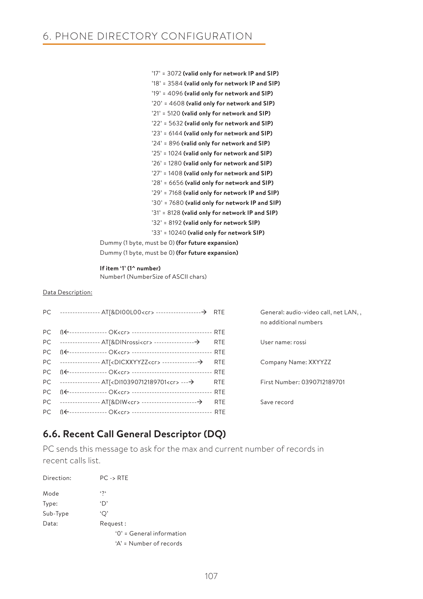'17' = 3072 **(valid only for network IP and SIP)** '18' = 3584 **(valid only for network IP and SIP)** '19' = 4096 **(valid only for network and SIP)** '20' = 4608 **(valid only for network and SIP)** '21' = 5120 **(valid only for network and SIP)** '22' = 5632 **(valid only for network and SIP)** '23' = 6144 **(valid only for network and SIP)** '24' = 896 **(valid only for network and SIP)** '25' = 1024 **(valid only for network and SIP)** '26' = 1280 **(valid only for network and SIP)** '27' = 1408 **(valid only for network and SIP)** '28' = 6656 **(valid only for network and SIP)** '29' = 7168 **(valid only for network IP and SIP)** '30' = 7680 **(valid only for network IP and SIP)** '31' = 8128 **(valid only for network IP and SIP)** '32' = 8192 **(valid only for network SIP)** '33' = 10240 **(valid only for network SIP)** Dummy (1 byte, must be 0) **(for future expansion)**

Dummy (1 byte, must be 0) **(for future expansion)**

#### **If item '1' (1^ number)**

Number1 (NumberSize of ASCII chars)

#### Data Description:

|                                                                                  | General: audio-video call, net LAN,,<br>no additional numbers |
|----------------------------------------------------------------------------------|---------------------------------------------------------------|
| PC BE--------------- OK <cr> ----------------------------------- RTE</cr>        |                                                               |
|                                                                                  | User name: rossi                                              |
|                                                                                  |                                                               |
| PC ---------------- AT[ <dicxxyyzz<cr> ------------------&gt; RTE</dicxxyyzz<cr> | Company Name: XXYYZZ                                          |
|                                                                                  |                                                               |
| PC ---------------- AT[ <di10390712189701<cr> ----&gt; RTE</di10390712189701<cr> | First Number: 0390712189701                                   |
|                                                                                  |                                                               |
|                                                                                  | Save record                                                   |
| PC BE---------------- OK <cr> ----------------------------------- RTE</cr>       |                                                               |

## **6.6. Recent Call General Descriptor (DQ)**

PC sends this message to ask for the max and current number of records in recent calls list.

| Direction: | $PC \rightarrow RTE$        |
|------------|-----------------------------|
| Mode       | $\mathfrak{c}$              |
| Type:      | 'D'                         |
| Sub-Type   | 'O'                         |
| Data:      | Request:                    |
|            | $'0'$ = General information |
|            | $A' =$ Number of records    |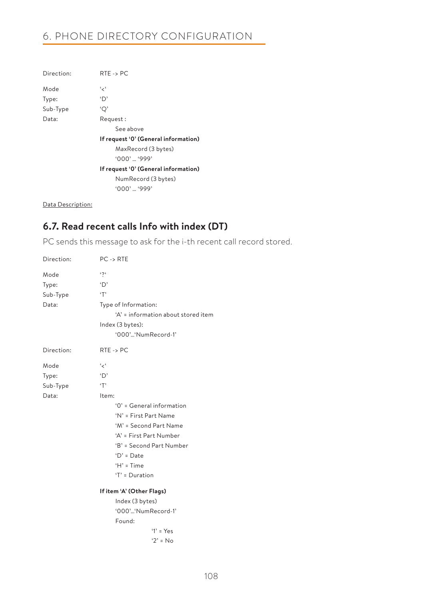# 6. PHONE DIRECTORY CONFIGURATION

| Direction: | $RTE \rightarrow PC$                 |
|------------|--------------------------------------|
| Mode       | ، برء                                |
| Type:      | 'D'                                  |
| Sub-Type   | 'Q'                                  |
| Data:      | Request:                             |
|            | See above                            |
|            | If request '0' (General information) |
|            | MaxRecord (3 bytes)                  |
|            | $'000'$ '999'                        |
|            | If request '0' (General information) |
|            | NumRecord (3 bytes)                  |
|            | $'000'$ '999'                        |
|            |                                      |

Data Description:

## **6.7. Read recent calls Info with index (DT)**

PC sends this message to ask for the i-th recent call record stored.

| Direction: | $PC \rightarrow RTE$                |
|------------|-------------------------------------|
| Mode       | $\mathfrak{c}$                      |
| Type:      | 'D'                                 |
| Sub-Type   | T                                   |
| Data:      | Type of Information:                |
|            | 'A' = information about stored item |
|            | Index (3 bytes):                    |
|            | '000''NumRecord-1'                  |
| Direction: | $RTE \rightarrow PC$                |
| Mode       | ، ج'                                |
| Type:      | $\Delta$                            |
| Sub-Type   | T                                   |
| Data:      | Item:                               |
|            | '0' = General information           |
|            | 'N' = First Part Name               |
|            | 'M' = Second Part Name              |
|            | 'A' = First Part Number             |
|            | 'B' = Second Part Number            |
|            | $D' = Date$                         |
|            | $H' = Time$                         |
|            | $T = Duration$                      |
|            | If item 'A' (Other Flags)           |
|            | Index (3 bytes)                     |
|            | '000''NumRecord-1'                  |
|            | Found:                              |
|            | $'1' = Yes$                         |
|            | $'2' = No$                          |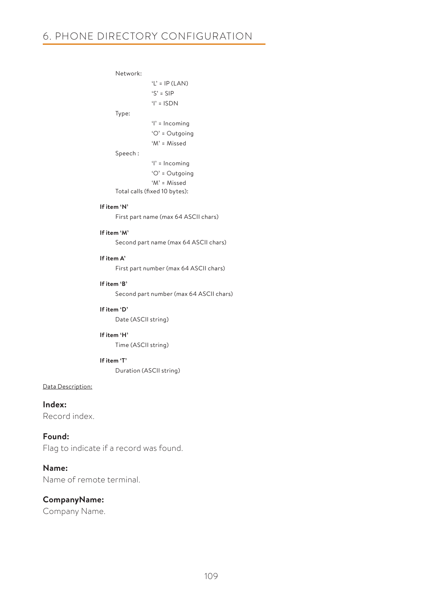Network:

```
 'L' = IP (LAN)
              'S' = SIP
             ' = ISDN
 Type:
              'I' = Incoming 
              'O' = Outgoing
              'M' = Missed
 Speech :
              'I' = Incoming 
              'O' = Outgoing
```
'M' = Missed

## Total calls (fixed 10 bytes):

#### **If item 'N'**

First part name (max 64 ASCII chars)

#### **If item 'M'**

Second part name (max 64 ASCII chars)

#### **If item A'**

First part number (max 64 ASCII chars)

#### **If item 'B'**

Second part number (max 64 ASCII chars)

#### **If item 'D'**

Date (ASCII string)

### **If item 'H'**

Time (ASCII string)

#### **If item 'T'**

Duration (ASCII string)

#### Data Description:

**Index:** Record index.

### **Found:**

Flag to indicate if a record was found.

### **Name:**

Name of remote terminal.

### **CompanyName:**

Company Name.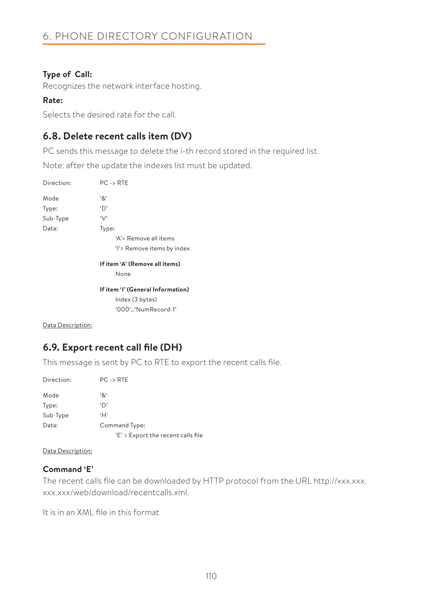## **Type of Call:**

Recognizes the network interface hosting.

### **Rate:**

Selects the desired rate for the call.

## **6.8. Delete recent calls item (DV)**

PC sends this message to delete the i-th record stored in the required list.

Note: after the update the indexes list must be updated.

| Direction: | $PC \rightarrow RTE$              |
|------------|-----------------------------------|
| Mode       | '&'                               |
| Type:      | 'D'                               |
| Sub-Type   | $\vee$                            |
| Data:      | Type:                             |
|            | 'A'= Remove all items             |
|            | 'I'= Remove items by index        |
|            | If item 'A' (Remove all items)    |
|            | None                              |
|            | If item 'I' (General Information) |
|            | Index (3 bytes)                   |
|            | $(0.00)$ 'NumRecord-1'            |

Data Description:

## **6.9. Export recent call file (DH)**

This message is sent by PC to RTE to export the recent calls file.

| Direction: | $PC \rightarrow RTE$               |
|------------|------------------------------------|
| Mode       | '&'                                |
| Type:      | 'D'                                |
| Sub-Type   | H                                  |
| Data:      | Command Type:                      |
|            | 'E' = Export the recent calls file |

### Data Description:

### **Command 'E'**

The recent calls file can be downloaded by HTTP protocol from the URL http://xxx.xxx. xxx.xxx/web/download/recentcalls.xml.

It is in an XML file in this format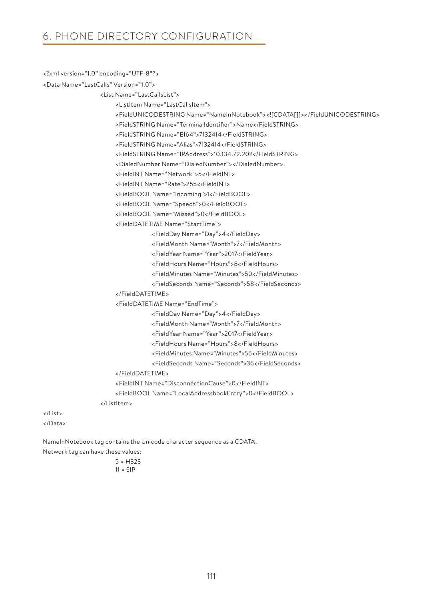```
<?xml version="1.0" encoding="UTF-8"?>
```

```
<Data Name="LastCalls" Version="1.0">
```
<List Name="LastCallsList">

<ListItem Name="LastCallsItem">

```
 <FieldUNICODESTRING Name="NameInNotebook"><![CDATA[]]></FieldUNICODESTRING>
```
<FieldSTRING Name="TerminalIdentifier">Name</FieldSTRING>

<FieldSTRING Name="E164">7132414</FieldSTRING>

<FieldSTRING Name="Alias">7132414</FieldSTRING>

<FieldSTRING Name="IPAddress">10.134.72.202</FieldSTRING>

<DialedNumber Name="DialedNumber"></DialedNumber>

<FieldINT Name="Network">5</FieldINT>

<FieldINT Name="Rate">255</FieldINT>

<FieldBOOL Name="Incoming">1</FieldBOOL>

<FieldBOOL Name="Speech">0</FieldBOOL>

<FieldBOOL Name="Missed">0</FieldBOOL>

<FieldDATETIME Name="StartTime">

<FieldDay Name="Day">4</FieldDay>

<FieldMonth Name="Month">7</FieldMonth>

<FieldYear Name="Year">2017</FieldYear>

<FieldHours Name="Hours">8</FieldHours>

<FieldMinutes Name="Minutes">50</FieldMinutes>

<FieldSeconds Name="Seconds">58</FieldSeconds>

</FieldDATETIME>

<FieldDATETIME Name="EndTime">

<FieldDay Name="Day">4</FieldDay>

<FieldMonth Name="Month">7</FieldMonth>

<FieldYear Name="Year">2017</FieldYear>

<FieldHours Name="Hours">8</FieldHours>

<FieldMinutes Name="Minutes">56</FieldMinutes>

- <FieldSeconds Name="Seconds">36</FieldSeconds>
- </FieldDATETIME>

<FieldINT Name="DisconnectionCause">0</FieldINT>

<FieldBOOL Name="LocalAddressbookEntry">0</FieldBOOL>

</ListItem>

</List> </Data>

NameInNotebook tag contains the Unicode character sequence as a CDATA.

Network tag can have these values:

5 = H323  $11 =$  SIP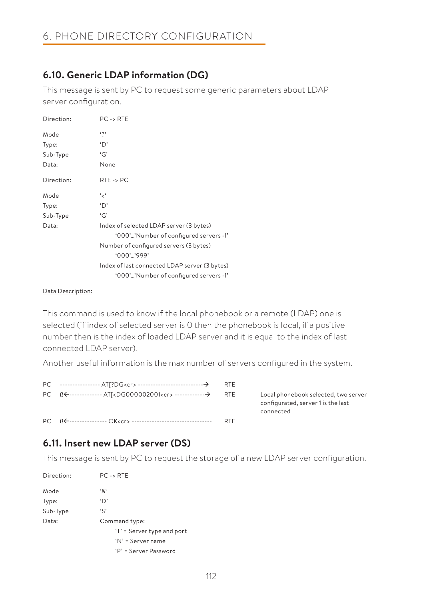## **6.10. Generic LDAP information (DG)**

This message is sent by PC to request some generic parameters about LDAP server configuration.

| Direction: | $PC \rightarrow RTE$                          |
|------------|-----------------------------------------------|
| Mode       | $\ddot{\phantom{0}}$                          |
| Type:      | ٠D,                                           |
| Sub-Type   | 'G'                                           |
| Data:      | None                                          |
| Direction: | $RTE \rightarrow PC$                          |
| Mode       | ، بر ،                                        |
| Type:      | 'D'                                           |
| Sub-Type   | 'G'                                           |
| Data:      | Index of selected LDAP server (3 bytes)       |
|            | '000''Number of configured servers -1'        |
|            | Number of configured servers (3 bytes)        |
|            | $'000'$ '999'                                 |
|            | Index of last connected LDAP server (3 bytes) |
|            | '000''Number of configured servers -1'        |

### Data Description:

This command is used to know if the local phonebook or a remote (LDAP) one is selected (if index of selected server is 0 then the phonebook is local, if a positive number then is the index of loaded LDAP server and it is equal to the index of last connected LDAP server).

Another useful information is the max number of servers configured in the system.

|  | <b>RTF</b> |
|--|------------|

E Local phonebook selected, two server configurated, server 1 is the last connected

## **6.11. Insert new LDAP server (DS)**

This message is sent by PC to request the storage of a new LDAP server configuration.

| Direction: | $PC \rightarrow RTE$       |
|------------|----------------------------|
| Mode       | '&'                        |
| Type:      | 'D'                        |
| Sub-Type   | $\mathfrak{c}$             |
| Data:      | Command type:              |
|            | 'T' = Server type and port |
|            | $'N' =$ Server name        |
|            | 'P' = Server Password      |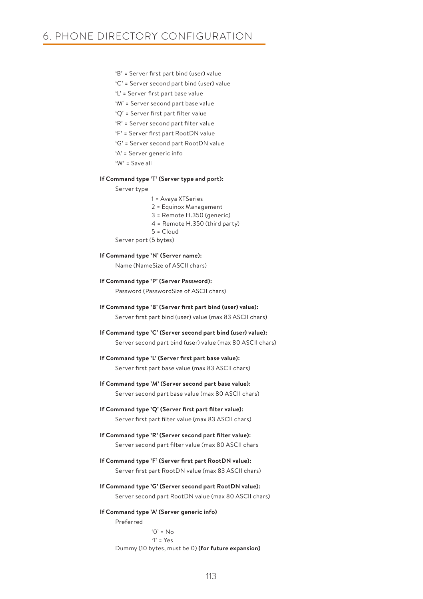- 'B' = Server first part bind (user) value
- 'C' = Server second part bind (user) value
- 'L' = Server first part base value
- 'M' = Server second part base value
- 'Q' = Server first part filter value
- 'R' = Server second part filter value
- 'F' = Server first part RootDN value
- 'G' = Server second part RootDN value
- 'A' = Server generic info
- 'W' = Save all

#### **If Command type 'T' (Server type and port):**

Server type

- 1 = Avaya XTSeries
- 2 = Equinox Management
- 3 = Remote H.350 (generic)
- 4 = Remote H.350 (third party)
- $5 =$ Cloud

Server port (5 bytes)

#### **If Command type 'N' (Server name):**

Name (NameSize of ASCII chars)

**If Command type 'P' (Server Password):**

Password (PasswordSize of ASCII chars)

- **If Command type 'B' (Server first part bind (user) value):** Server first part bind (user) value (max 83 ASCII chars)
- **If Command type 'C' (Server second part bind (user) value):**
	- Server second part bind (user) value (max 80 ASCII chars)
- **If Command type 'L' (Server first part base value):** Server first part base value (max 83 ASCII chars)
- **If Command type 'M' (Server second part base value):** Server second part base value (max 80 ASCII chars)
- **If Command type 'Q' (Server first part filter value):** Server first part filter value (max 83 ASCII chars)
- **If Command type 'R' (Server second part filter value):** Server second part filter value (max 80 ASCII chars
- **If Command type 'F' (Server first part RootDN value):** Server first part RootDN value (max 83 ASCII chars)
- **If Command type 'G' (Server second part RootDN value):** Server second part RootDN value (max 80 ASCII chars)

#### **If Command type 'A' (Server generic info)** Preferred

 $'0' = No$  '1' = Yes Dummy (10 bytes, must be 0) **(for future expansion)**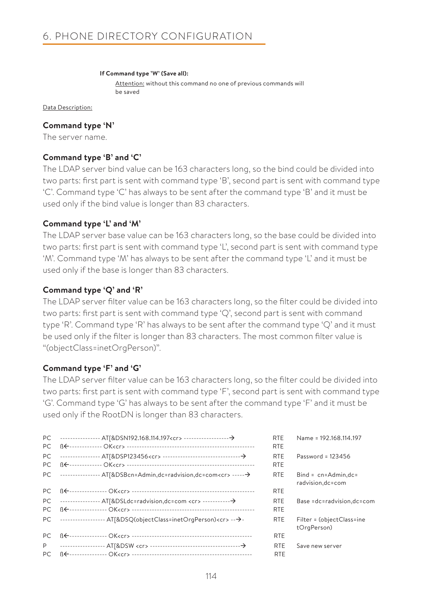#### **If Command type 'W' (Save all):**

Attention: without this command no one of previous commands will be saved

Data Description:

### **Command type 'N'**

The server name.

## **Command type 'B' and 'C'**

The LDAP server bind value can be 163 characters long, so the bind could be divided into two parts: first part is sent with command type 'B', second part is sent with command type 'C'. Command type 'C' has always to be sent after the command type 'B' and it must be used only if the bind value is longer than 83 characters.

### **Command type 'L' and 'M'**

The LDAP server base value can be 163 characters long, so the base could be divided into two parts: first part is sent with command type 'L', second part is sent with command type 'M'. Command type 'M' has always to be sent after the command type 'L' and it must be used only if the base is longer than 83 characters.

### **Command type 'Q' and 'R'**

The LDAP server filter value can be 163 characters long, so the filter could be divided into two parts: first part is sent with command type 'Q', second part is sent with command type 'R'. Command type 'R' has always to be sent after the command type 'Q' and it must be used only if the filter is longer than 83 characters. The most common filter value is "(objectClass=inetOrgPerson)".

### **Command type 'F' and 'G'**

The LDAP server filter value can be 163 characters long, so the filter could be divided into two parts: first part is sent with command type 'F', second part is sent with command type 'G'. Command type 'G' has always to be sent after the command type 'F' and it must be used only if the RootDN is longer than 83 characters.

|     |                                                                              | <b>RTE</b> | Name = 192.168.114.197                         |
|-----|------------------------------------------------------------------------------|------------|------------------------------------------------|
| PC. |                                                                              | <b>RTE</b> |                                                |
| PC. |                                                                              | <b>RTE</b> | Password = $123456$                            |
| PC. |                                                                              | <b>RTF</b> |                                                |
|     | PC --------------- AT[&DSBcn=Admin,dc=radvision,dc=com <cr> ------ &gt;</cr> | <b>RTE</b> | $Bind = cn = Admin, dc =$<br>radvision, dc=com |
|     |                                                                              | <b>RTE</b> |                                                |
|     |                                                                              | <b>RTE</b> | Base =dc=radvision,dc=com                      |
|     |                                                                              | <b>RTE</b> |                                                |
|     | PC ----------------- AT[&DSQ(objectClass=inetOrgPerson) <cr> ---&gt;-</cr>   | <b>RTE</b> | Filter = (objectClass=ine<br>tOrgPerson)       |
| PC. |                                                                              | <b>RTE</b> |                                                |
| P   |                                                                              | <b>RTE</b> | Save new server                                |
| PC. |                                                                              | <b>RTF</b> |                                                |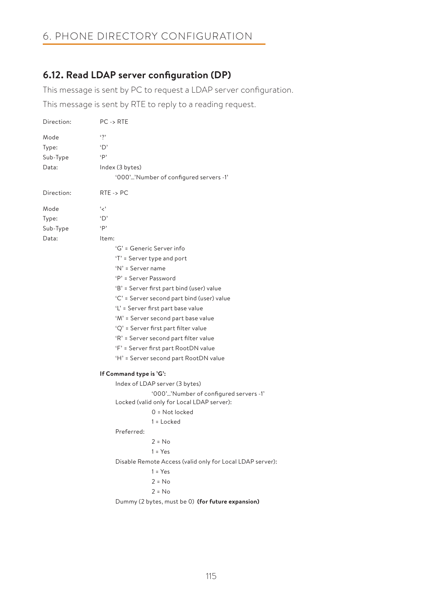# 6. PHONE DIRECTORY CONFIGURATION

## **6.12. Read LDAP server configuration (DP)**

This message is sent by PC to request a LDAP server configuration.

This message is sent by RTE to reply to a reading request.

| $\ddot{\phantom{0}}$<br>Mode<br>'D'<br>Type:<br>$\cdot$ P<br>Sub-Type<br>Index (3 bytes)<br>Data:<br>'000''Number of configured servers -1'<br>$RTE \rightarrow PC$<br>Direction:<br>، بر ،<br>Mode<br>'D'<br>Type:<br>$\cdot$ p<br>Sub-Type |
|----------------------------------------------------------------------------------------------------------------------------------------------------------------------------------------------------------------------------------------------|
|                                                                                                                                                                                                                                              |
|                                                                                                                                                                                                                                              |
|                                                                                                                                                                                                                                              |
|                                                                                                                                                                                                                                              |
|                                                                                                                                                                                                                                              |
|                                                                                                                                                                                                                                              |
|                                                                                                                                                                                                                                              |
|                                                                                                                                                                                                                                              |
|                                                                                                                                                                                                                                              |
| Data:<br>Item:                                                                                                                                                                                                                               |
| 'G' = Generic Server info                                                                                                                                                                                                                    |
| 'T' = Server type and port                                                                                                                                                                                                                   |
| 'N' = Server name                                                                                                                                                                                                                            |
| 'P' = Server Password                                                                                                                                                                                                                        |
| 'B' = Server first part bind (user) value                                                                                                                                                                                                    |
| 'C' = Server second part bind (user) value                                                                                                                                                                                                   |
| 'L' = Server first part base value                                                                                                                                                                                                           |
| 'M' = Server second part base value                                                                                                                                                                                                          |
| 'Q' = Server first part filter value                                                                                                                                                                                                         |
| 'R' = Server second part filter value                                                                                                                                                                                                        |
| 'F' = Server first part RootDN value                                                                                                                                                                                                         |
| 'H' = Server second part RootDN value                                                                                                                                                                                                        |
| If Command type is 'G':                                                                                                                                                                                                                      |
| Index of LDAP server (3 bytes)                                                                                                                                                                                                               |
| '000''Number of configured servers -1'<br>Locked (valid only for Local LDAP server):                                                                                                                                                         |
| $0 = Not locked$                                                                                                                                                                                                                             |
| $1 =$ Locked                                                                                                                                                                                                                                 |
| Preferred:                                                                                                                                                                                                                                   |
| $2 = No$                                                                                                                                                                                                                                     |
| $1 = Yes$                                                                                                                                                                                                                                    |
| Disable Remote Access (valid only for Local LDAP server):                                                                                                                                                                                    |
| $1 = Yes$                                                                                                                                                                                                                                    |
| $2 = No$                                                                                                                                                                                                                                     |
| $2 = No$                                                                                                                                                                                                                                     |
| Dummy (2 bytes, must be 0) (for future expansion)                                                                                                                                                                                            |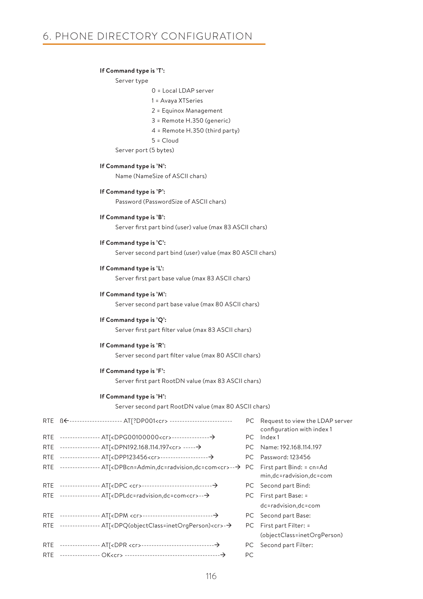### **If Command type is 'T':**

Server type

- 0 = Local LDAP server
- 1 = Avaya XTSeries
- 2 = Equinox Management
- 3 = Remote H.350 (generic)
- 4 = Remote H.350 (third party)
- 5 = Cloud

Server port (5 bytes)

#### **If Command type is 'N':**

Name (NameSize of ASCII chars)

#### **If Command type is 'P':**

Password (PasswordSize of ASCII chars)

#### **If Command type is 'B':**

Server first part bind (user) value (max 83 ASCII chars)

#### **If Command type is 'C':**

Server second part bind (user) value (max 80 ASCII chars)

#### **If Command type is 'L':**

Server first part base value (max 83 ASCII chars)

### **If Command type is 'M':**

Server second part base value (max 80 ASCII chars)

#### **If Command type is 'Q':**

Server first part filter value (max 83 ASCII chars)

#### **If Command type is 'R':**

Server second part filter value (max 80 ASCII chars)

#### **If Command type is 'F':**

Server first part RootDN value (max 83 ASCII chars)

#### **If Command type is 'H':**

Server second part RootDN value (max 80 ASCII chars)

| RTE BE--------------------- AT[?DP001 <cr>----------------------------</cr>                            |     | PC Request to view the LDAP server<br>configuration with index 1 |
|--------------------------------------------------------------------------------------------------------|-----|------------------------------------------------------------------|
|                                                                                                        |     | PC Index 1                                                       |
| RTE ----------------- AT[ <dpn192.168.114.197<cr> -----→</dpn192.168.114.197<cr>                       |     | PC Name: 192.168.114.197                                         |
| RTE ---------------- AT<br>AT<br>AT<br>AT<br>                                                          |     | PC Password: 123456                                              |
| RTE --------------- AT[ <dpbcn=admin,dc=radvision,dc=com<cr>--→</dpbcn=admin,dc=radvision,dc=com<cr>   | PC. | First part Bind: = cn=Ad<br>min,dc=radvision,dc=com              |
|                                                                                                        |     | PC Second part Bind:                                             |
| RTE --------------- AT[ <dpldc=radvision,dc=com<cr>--→</dpldc=radvision,dc=com<cr>                     |     | PC First part Base: =                                            |
|                                                                                                        |     | dc=radvision,dc=com                                              |
|                                                                                                        |     | PC Second part Base:                                             |
| RTE ---------------- AT[ <dpq(objectclass=inetorgperson)<cr>--&gt;</dpq(objectclass=inetorgperson)<cr> |     | PC First part Filter: =                                          |
|                                                                                                        |     | (objectClass=inetOrgPerson)                                      |
|                                                                                                        |     | PC Second part Filter:                                           |
|                                                                                                        | PC. |                                                                  |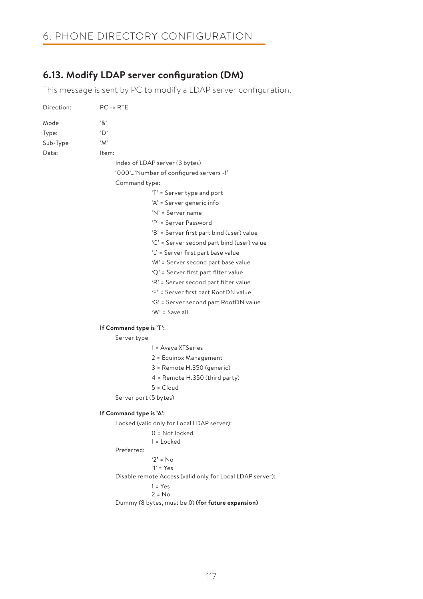# 6. PHONE DIRECTORY CONFIGURATION

## **6.13. Modify LDAP server configuration (DM)**

This message is sent by PC to modify a LDAP server configuration.

| Direction: | $PC \rightarrow RTE$                                      |  |
|------------|-----------------------------------------------------------|--|
| Mode       | $\cdot$ 8'                                                |  |
| Type:      | $\Delta$                                                  |  |
| Sub-Type   | $^{\circ}M^{\circ}$                                       |  |
| Data:      | Item:                                                     |  |
|            | Index of LDAP server (3 bytes)                            |  |
|            | '000''Number of configured servers -1'                    |  |
|            | Command type:                                             |  |
|            | 'T' = Server type and port                                |  |
|            | 'A' = Server generic info                                 |  |
|            | 'N' = Server name                                         |  |
|            | 'P' = Server Password                                     |  |
|            | 'B' = Server first part bind (user) value                 |  |
|            | 'C' = Server second part bind (user) value                |  |
|            | 'L' = Server first part base value                        |  |
|            | 'M' = Server second part base value                       |  |
|            | 'Q' = Server first part filter value                      |  |
|            | 'R' = Server second part filter value                     |  |
|            | 'F' = Server first part RootDN value                      |  |
|            | 'G' = Server second part RootDN value                     |  |
|            | 'W' = Save all                                            |  |
|            | If Command type is 'T':                                   |  |
|            | Server type                                               |  |
|            | 1 = Avaya XTSeries                                        |  |
|            | 2 = Equinox Management                                    |  |
|            | 3 = Remote H.350 (generic)                                |  |
|            | 4 = Remote H.350 (third party)                            |  |
|            | $5 = Cloud$                                               |  |
|            | Server port (5 bytes)                                     |  |
|            | If Command type is 'A':                                   |  |
|            | Locked (valid only for Local LDAP server):                |  |
|            | $0 = Not locked$                                          |  |
|            | $1 =$ Locked                                              |  |
|            | Preferred:                                                |  |
|            | $'2' = No$<br>$Y = Yes$                                   |  |
|            | Disable remote Access (valid only for Local LDAP server): |  |
|            | $1 = Yes$                                                 |  |
|            | $2 = No$                                                  |  |
|            | Dummy (8 bytes, must be 0) (for future expansion)         |  |
|            |                                                           |  |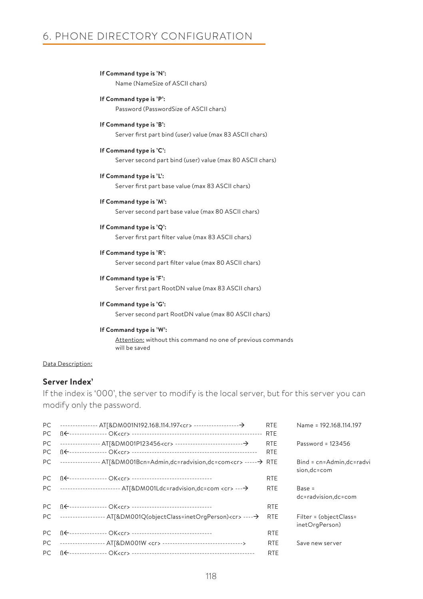# 6. PHONE DIRECTORY CONFIGURATION

- **If Command type is 'N':** Name (NameSize of ASCII chars)
- **If Command type is 'P':** Password (PasswordSize of ASCII chars)
- **If Command type is 'B':** Server first part bind (user) value (max 83 ASCII chars)
- **If Command type is 'C':** Server second part bind (user) value (max 80 ASCII chars)
- **If Command type is 'L':** Server first part base value (max 83 ASCII chars)
- **If Command type is 'M':** Server second part base value (max 80 ASCII chars)
- **If Command type is 'Q':** Server first part filter value (max 83 ASCII chars)
- **If Command type is 'R':** Server second part filter value (max 80 ASCII chars)
- **If Command type is 'F':** Server first part RootDN value (max 83 ASCII chars)
- **If Command type is 'G':** Server second part RootDN value (max 80 ASCII chars)

## **If Command type is 'W':**

Attention: without this command no one of previous commands will be saved

### Data Description:

### **Server Index'**

If the index is '000', the server to modify is the local server, but for this server you can modify only the password.

|                                                                                                                                                                                                                                                                                                                                                                                                                                                                                     | Name = 192.168.114.197                                                                                          |
|-------------------------------------------------------------------------------------------------------------------------------------------------------------------------------------------------------------------------------------------------------------------------------------------------------------------------------------------------------------------------------------------------------------------------------------------------------------------------------------|-----------------------------------------------------------------------------------------------------------------|
|                                                                                                                                                                                                                                                                                                                                                                                                                                                                                     |                                                                                                                 |
| <b>RTE</b>                                                                                                                                                                                                                                                                                                                                                                                                                                                                          | Password = 123456                                                                                               |
| <b>RTE</b>                                                                                                                                                                                                                                                                                                                                                                                                                                                                          |                                                                                                                 |
|                                                                                                                                                                                                                                                                                                                                                                                                                                                                                     | Bind = cn=Admin,dc=radvi<br>sion, dc=com                                                                        |
| <b>RTE</b>                                                                                                                                                                                                                                                                                                                                                                                                                                                                          |                                                                                                                 |
| <b>RTE</b>                                                                                                                                                                                                                                                                                                                                                                                                                                                                          | $Base =$<br>dc=radvision,dc=com                                                                                 |
| <b>RTE</b>                                                                                                                                                                                                                                                                                                                                                                                                                                                                          |                                                                                                                 |
| <b>RTE</b>                                                                                                                                                                                                                                                                                                                                                                                                                                                                          | Filter = (objectClass=<br>inetOrgPerson)                                                                        |
| <b>RTE</b>                                                                                                                                                                                                                                                                                                                                                                                                                                                                          |                                                                                                                 |
| <b>RTE</b>                                                                                                                                                                                                                                                                                                                                                                                                                                                                          | Save new server                                                                                                 |
| <b>RTE</b>                                                                                                                                                                                                                                                                                                                                                                                                                                                                          |                                                                                                                 |
| BE--------------- OK <cr> ---------------------------------<br/>PC ----------------------- AT[&amp;DM001Ldc=radvision,dc=com <cr> ---→<br/>B<del>E</del>---------------- OK<cr> -----------------------------------<br/>PC ----------------- AT[&amp;DM001Q(objectClass=inetOrgPerson)<cr> ----- &gt;<br/>BE---------------- OK<cr> ----------------------------------<br/>----------------- AT[&amp;DM001W <cr> --------------------------------&gt;</cr></cr></cr></cr></cr></cr> | <b>RTE</b><br><b>RTE</b><br>PC --------------- AT[&DM001Bcn=Admin,dc=radvision,dc=com <cr> ------ &gt; RTE</cr> |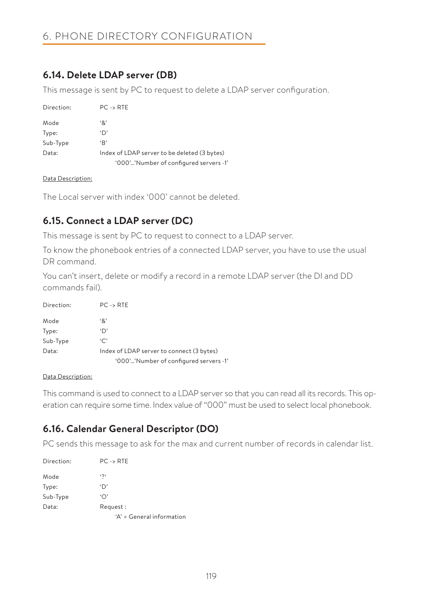## **6.14. Delete LDAP server (DB)**

This message is sent by PC to request to delete a LDAP server configuration.

| Direction: | $PC \rightarrow RTE$                         |
|------------|----------------------------------------------|
| Mode       | ٠&٠                                          |
| Type:      | 'D'                                          |
| Sub-Type   | B                                            |
| Data:      | Index of LDAP server to be deleted (3 bytes) |
|            | '000''Number of configured servers -1"       |

### Data Description:

The Local server with index '000' cannot be deleted.

## **6.15. Connect a LDAP server (DC)**

This message is sent by PC to request to connect to a LDAP server.

To know the phonebook entries of a connected LDAP server, you have to use the usual DR command.

You can't insert, delete or modify a record in a remote LDAP server (the DI and DD commands fail).

| Direction: | $PC \rightarrow RTE$                      |
|------------|-------------------------------------------|
| Mode       | ٠&٠                                       |
| Type:      | 'D'                                       |
| Sub-Type   | $\cdot$ C'                                |
| Data:      | Index of LDAP server to connect (3 bytes) |
|            | '000''Number of configured servers -1'    |

### Data Description:

This command is used to connect to a LDAP server so that you can read all its records. This operation can require some time. Index value of "000" must be used to select local phonebook.

## **6.16. Calendar General Descriptor (DO)**

PC sends this message to ask for the max and current number of records in calendar list.

| Direction: | $PC \rightarrow RTE$      |
|------------|---------------------------|
| Mode       | $\mathfrak{c}$            |
| Type:      | 'D'                       |
| Sub-Type   | '∩'                       |
| Data:      | Request:                  |
|            | 'A' = General information |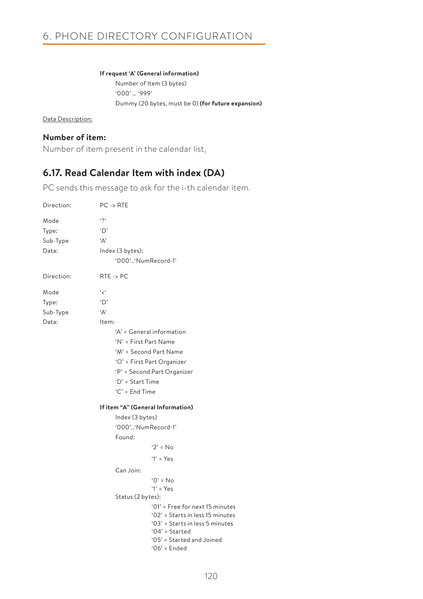### **If request 'A' (General information)**

Number of Item (3 bytes) '000' … '999' Dummy (20 bytes, must be 0) **(for future expansion)**

Data Description:

## **Number of item:**

Number of item present in the calendar list,

## **6.17. Read Calendar Item with index (DA)**

PC sends this message to ask for the i-th calendar item.

| Direction: | $PC \rightarrow RTE$                                                                                                       |
|------------|----------------------------------------------------------------------------------------------------------------------------|
| Mode       | $\mathfrak{c}$                                                                                                             |
| Type:      | 'D'                                                                                                                        |
| Sub-Type   | 'Α'                                                                                                                        |
| Data:      | Index (3 bytes):                                                                                                           |
|            | '000''NumRecord-1'                                                                                                         |
| Direction: | $RTE \rightarrow PC$                                                                                                       |
| Mode       | عر ع                                                                                                                       |
| Type:      | $\Delta$                                                                                                                   |
| Sub-Type   | 'Д'                                                                                                                        |
| Data:      | Item:                                                                                                                      |
|            | 'A' = General information                                                                                                  |
|            | 'N' = First Part Name                                                                                                      |
|            | 'M' = Second Part Name                                                                                                     |
|            | 'O' = First Part Organizer                                                                                                 |
|            | 'P' = Second Part Organizer                                                                                                |
|            | 'D' = Start Time                                                                                                           |
|            | $C' =$ End Time                                                                                                            |
|            |                                                                                                                            |
|            | If item "A" (General Information)                                                                                          |
|            | Index (3 bytes)                                                                                                            |
|            | '000''NumRecord-1'                                                                                                         |
|            | Found:                                                                                                                     |
|            | $2' = No$                                                                                                                  |
|            | $'1' = Yes$                                                                                                                |
|            | Can Join:                                                                                                                  |
|            | $'0' = No$                                                                                                                 |
|            | $'1' = Yes$                                                                                                                |
|            | Status (2 bytes):                                                                                                          |
|            | '01' = Free for next 15 minutes<br>'02' = Starts in less 15 minutes<br>'03' = Starts in less 5 minutes<br>$'04'$ = Started |
|            | '05' = Started and Joined<br>$'06'$ = Ended                                                                                |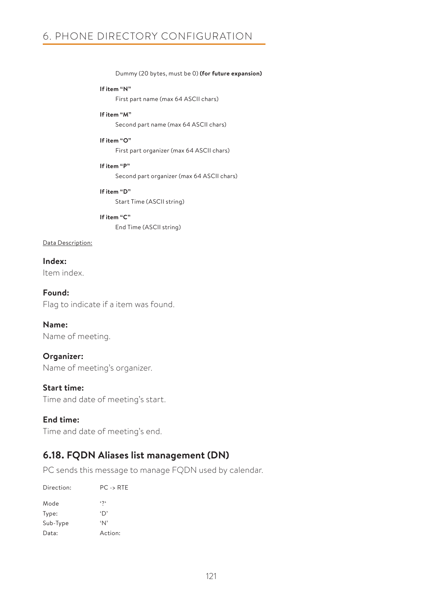Dummy (20 bytes, must be 0) **(for future expansion)**

#### **If item "N"**

First part name (max 64 ASCII chars)

### **If item "M"**

Second part name (max 64 ASCII chars)

#### **If item "O"**

First part organizer (max 64 ASCII chars)

### **If item "P"**

Second part organizer (max 64 ASCII chars)

### **If item "D"**

Start Time (ASCII string)

## **If item "C"**

End Time (ASCII string)

### Data Description:

**Index:** Item index.

**Found:** Flag to indicate if a item was found.

# **Name:**

Name of meeting.

### **Organizer:**

Name of meeting's organizer.

### **Start time:**

Time and date of meeting's start.

### **End time:**

Time and date of meeting's end.

## **6.18. FQDN Aliases list management (DN)**

PC sends this message to manage FQDN used by calendar.

| Direction: | $PC \rightarrow RTE$ |
|------------|----------------------|
| Mode       | $\mathfrak{c}$       |
| Type:      | 'D'                  |
| Sub-Type   | $^{\circ}N^{\circ}$  |
| Data:      | Action:              |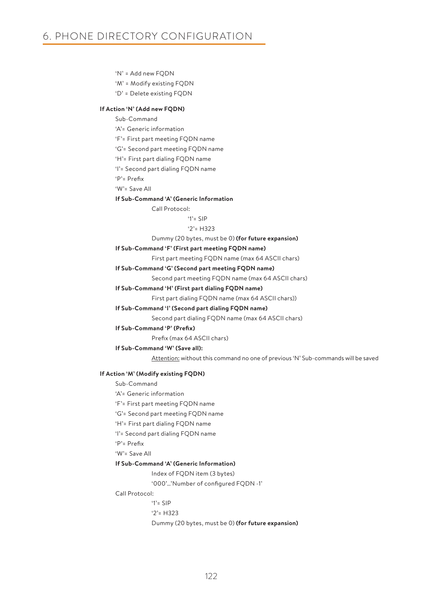'N' = Add new FQDN

'M' = Modify existing FQDN

'D' = Delete existing FQDN

#### **If Action 'N' (Add new FQDN)**

Sub-Command

'A'= Generic information

'F'= First part meeting FQDN name

'G'= Second part meeting FQDN name

'H'= First part dialing FQDN name

'I'= Second part dialing FQDN name

'P'= Prefix

'W'= Save All

**If Sub-Command 'A' (Generic Information**

Call Protocol:

#### $'1'$ = SIP

#### '2'= H323

Dummy (20 bytes, must be 0) **(for future expansion)**

#### **If Sub-Command 'F' (First part meeting FQDN name)**

First part meeting FQDN name (max 64 ASCII chars)

#### **If Sub-Command 'G' (Second part meeting FQDN name)**

Second part meeting FQDN name (max 64 ASCII chars)

#### **If Sub-Command 'H' (First part dialing FQDN name)**

First part dialing FQDN name (max 64 ASCII chars))

#### **If Sub-Command 'I' (Second part dialing FQDN name)**

Second part dialing FQDN name (max 64 ASCII chars)

#### **If Sub-Command 'P' (Prefix)**

Prefix (max 64 ASCII chars)

### **If Sub-Command 'W' (Save all):**

Attention: without this command no one of previous 'N' Sub-commands will be saved

#### **If Action 'M' (Modify existing FQDN)**

Sub-Command 'A'= Generic information

- 'F'= First part meeting FQDN name
- 'G'= Second part meeting FQDN name
- 'H'= First part dialing FQDN name

'I'= Second part dialing FQDN name

'P'= Prefix

'W'= Save All

#### **If Sub-Command 'A' (Generic Information)**

Index of FQDN item (3 bytes)

'000'…'Number of configured FQDN -1'

### Call Protocol:

'1'= SIP

'2'= H323

Dummy (20 bytes, must be 0) **(for future expansion)**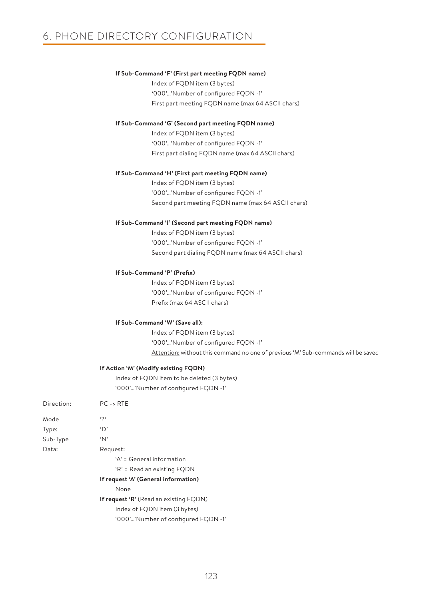#### **If Sub-Command 'F' (First part meeting FQDN name)**

Index of FQDN item (3 bytes) '000'…'Number of configured FQDN -1' First part meeting FQDN name (max 64 ASCII chars)

#### **If Sub-Command 'G' (Second part meeting FQDN name)**

Index of FQDN item (3 bytes) '000'…'Number of configured FQDN -1' First part dialing FQDN name (max 64 ASCII chars)

#### **If Sub-Command 'H' (First part meeting FQDN name)**

Index of FQDN item (3 bytes) '000'…'Number of configured FQDN -1' Second part meeting FQDN name (max 64 ASCII chars)

#### **If Sub-Command 'I' (Second part meeting FQDN name)**

Index of FQDN item (3 bytes) '000'…'Number of configured FQDN -1' Second part dialing FQDN name (max 64 ASCII chars)

#### **If Sub-Command 'P' (Prefix)**

Index of FQDN item (3 bytes) '000'…'Number of configured FQDN -1' Prefix (max 64 ASCII chars)

#### **If Sub-Command 'W' (Save all):**

Index of FQDN item (3 bytes) '000'…'Number of configured FQDN -1' Attention: without this command no one of previous 'M' Sub-commands will be saved

#### **If Action 'M' (Modify existing FQDN)**

Index of FQDN item to be deleted (3 bytes) '000'…'Number of configured FQDN -1'

| Direction: | $PC \rightarrow RTE$                          |
|------------|-----------------------------------------------|
| Mode       | $\mathfrak{c}$                                |
| Type:      | 'D'                                           |
| Sub-Type   | 'N'                                           |
| Data:      | Request:                                      |
|            | $A' = General information$                    |
|            | 'R' = Read an existing FQDN                   |
|            | If request 'A' (General information)          |
|            | None                                          |
|            | <b>If request 'R'</b> (Read an existing FQDN) |
|            | Index of FQDN item (3 bytes)                  |

'000'…'Number of configured FQDN -1'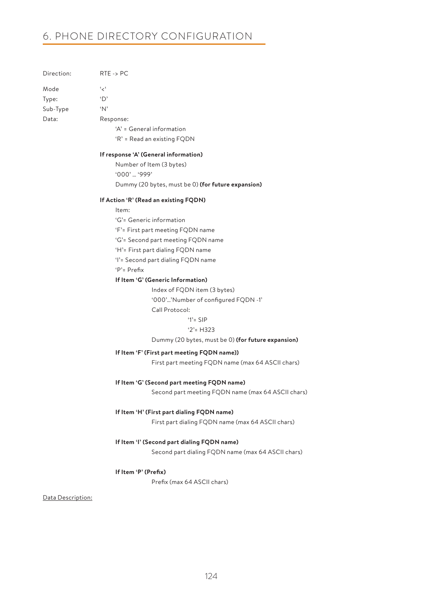## 6. PHONE DIRECTORY CONFIGURATION

| Direction: | $RTE \rightarrow PC$        |  |
|------------|-----------------------------|--|
| Mode       | ' ج'                        |  |
| Type:      | 'D'                         |  |
| Sub-Type   | ʻΝ'                         |  |
| Data:      | Response:                   |  |
|            | 'A' = General information   |  |
|            | 'R' = Read an existing FQDN |  |
|            |                             |  |

#### **If response 'A' (General information)**

Number of Item (3 bytes) '000' … '999' Dummy (20 bytes, must be 0) **(for future expansion)**

#### **If Action 'R' (Read an existing FQDN)**

Item:

- 'G'= Generic information
- 'F'= First part meeting FQDN name
- 'G'= Second part meeting FQDN name
- 'H'= First part dialing FQDN name
- 'I'= Second part dialing FQDN name

'P'= Prefix

#### **If Item 'G' (Generic Information)**

Index of FQDN item (3 bytes)

'000'…'Number of configured FQDN -1'

Call Protocol:

#### '1'= SIP

#### '2'= H323

Dummy (20 bytes, must be 0) **(for future expansion)**

### **If Item 'F' (First part meeting FQDN name))**

First part meeting FQDN name (max 64 ASCII chars)

#### **If Item 'G' (Second part meeting FQDN name)**

Second part meeting FQDN name (max 64 ASCII chars)

### **If Item 'H' (First part dialing FQDN name)**

First part dialing FQDN name (max 64 ASCII chars)

### **If Item 'I' (Second part dialing FQDN name)**

Second part dialing FQDN name (max 64 ASCII chars)

#### **If Item 'P' (Prefix)**

Prefix (max 64 ASCII chars)

### Data Description: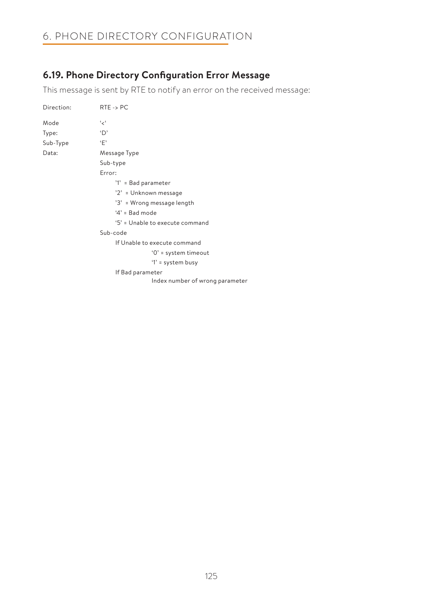# 6. PHONE DIRECTORY CONFIGURATION

## **6.19. Phone Directory Configuration Error Message**

This message is sent by RTE to notify an error on the received message:

| Direction:                                    | $RTE \rightarrow PC$            |
|-----------------------------------------------|---------------------------------|
| Mode                                          | ، بر ،                          |
| Type:                                         | 'D'                             |
| Sub-Type                                      | ٠F'                             |
| Data:                                         | Message Type                    |
|                                               | Sub-type                        |
|                                               | Error:                          |
|                                               | '1' = Bad parameter             |
|                                               | '2' = Unknown message           |
| '3' = Wrong message length<br>$4'$ = Bad mode |                                 |
|                                               |                                 |
|                                               | '5' = Unable to execute command |
|                                               | Sub-code                        |
|                                               | If Unable to execute command    |
|                                               | $'0'$ = system timeout          |
|                                               | '1' = system busy               |
|                                               | If Bad parameter                |
|                                               | Index number of wrong parameter |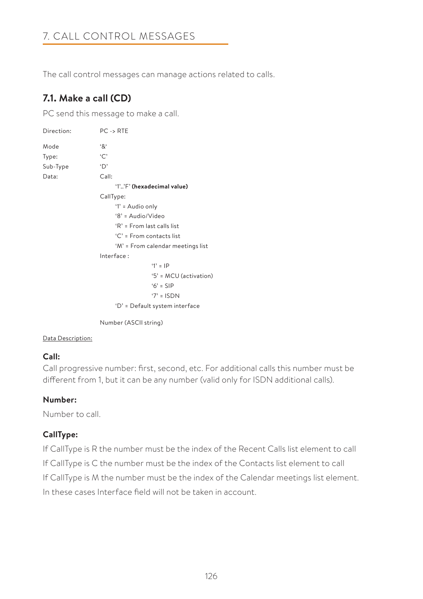# 7. CALL CONTROL MESSAGES

The call control messages can manage actions related to calls.

# **7.1. Make a call (CD)**

PC send this message to make a call.

| Direction: | $PC \rightarrow RTE$              |
|------------|-----------------------------------|
| Mode       | '&'                               |
| Type:      | `C`                               |
| Sub-Type   | 'D'                               |
| Data:      | Call:                             |
|            | '1''F' (hexadecimal value)        |
|            | CallType:                         |
|            | '1' = Audio only                  |
|            | '8' = Audio/Video                 |
|            | 'R' = From last calls list        |
|            | 'C' = From contacts list          |
|            | 'M' = From calendar meetings list |
|            | Interface:                        |
|            | $'1' = IP$                        |
|            | '5' = MCU (activation)            |
|            | $6'$ = SIP                        |
|            | $'7' = ISDN$                      |
|            | 'D' = Default system interface    |

Number (ASCII string)

### Data Description:

## **Call:**

Call progressive number: first, second, etc. For additional calls this number must be different from 1, but it can be any number (valid only for ISDN additional calls).

## **Number:**

Number to call.

## **CallType:**

If CallType is R the number must be the index of the Recent Calls list element to call If CallType is C the number must be the index of the Contacts list element to call If CallType is M the number must be the index of the Calendar meetings list element. In these cases Interface field will not be taken in account.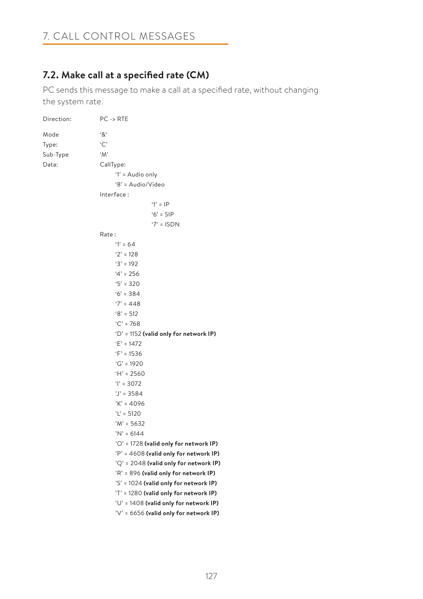## **7.2. Make call at a specified rate (CM)**

PC sends this message to make a call at a specified rate, without changing the system rate.

| Direction: | $PC \rightarrow RTE$                     |
|------------|------------------------------------------|
| Mode       | $^{\mathfrak{c}}8^{\mathfrak{c}}$        |
| Type:      | ۲C'                                      |
| Sub-Type   | $^{\circ}M^{\circ}$                      |
| Data:      | CallType:                                |
|            | '1' = Audio only                         |
|            | '8' = Audio/Video                        |
|            | Interface:                               |
|            | $'1' = IP$                               |
|            | $6'$ = SIP                               |
|            | $'7' = ISDN$                             |
|            | Rate:                                    |
|            | $1' = 64$                                |
|            | $'2' = 128$                              |
|            | $3' = 192$                               |
|            | $4' = 256$                               |
|            | $5' = 320$                               |
|            | $6' = 384$                               |
|            | $'7' = 448$                              |
|            | $8' = 512$                               |
|            | $°C = 768$                               |
|            | 'D' = 1152 (valid only for network IP)   |
|            | $E' = 1472$                              |
|            | $'F' = 1536$                             |
|            | $G' = 1920$                              |
|            | $H' = 2560$                              |
|            | $Y = 3072$                               |
|            | $'J' = 3584$                             |
|            | $'K' = 4096$                             |
|            | $'L' = 5120$                             |
|            | $'M' = 5632$                             |
|            | $'N' = 6144$                             |
|            | 'O' = 1728 (valid only for network IP)   |
|            | 'P' = 4608 (valid only for network IP)   |
|            | $'Q' = 2048$ (valid only for network IP) |
|            | 'R' = 896 (valid only for network IP)    |
|            | 'S' = 1024 (valid only for network IP)   |
|            | 'T' = 1280 (valid only for network IP)   |
|            | 'U' = 1408 (valid only for network IP)   |
|            | $'V' = 6656$ (valid only for network IP) |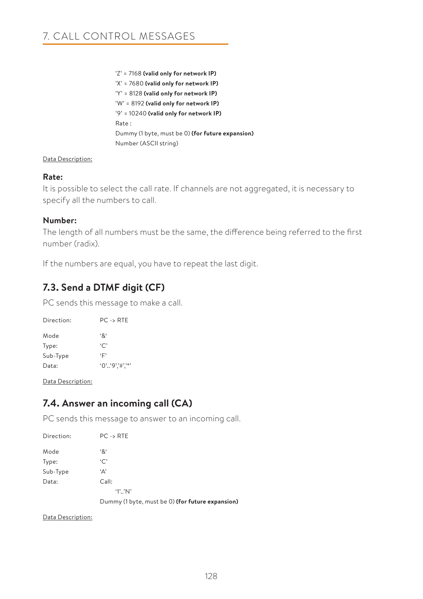'Z' = 7168 **(valid only for network IP)** 'X' = 7680 **(valid only for network IP)** 'Y' = 8128 **(valid only for network IP)** 'W' = 8192 **(valid only for network IP)** '9' = 10240 **(valid only for network IP)** Rate : Dummy (1 byte, must be 0) **(for future expansion)**  Number (ASCII string)

### Data Description:

### **Rate:**

It is possible to select the call rate. If channels are not aggregated, it is necessary to specify all the numbers to call.

## **Number:**

The length of all numbers must be the same, the difference being referred to the first number (radix).

If the numbers are equal, you have to repeat the last digit.

# **7.3. Send a DTMF digit (CF)**

PC sends this message to make a call.

| Direction: | $PC -$ RTF        |
|------------|-------------------|
| Mode       | ۰χ.               |
| Type:      | $\cdot$ C         |
| Sub-Type   | ٠Γ                |
| Data:      | $'0'$ '9','#','*' |

Data Description:

## **7.4. Answer an incoming call (CA)**

PC sends this message to answer to an incoming call.

| Direction: | $PC \rightarrow RTE$                             |
|------------|--------------------------------------------------|
| Mode       | $^{\mathfrak{c}}8^{\mathfrak{c}}$                |
| Type:      | `C`                                              |
| Sub-Type   | 'Α'                                              |
| Data:      | Call:                                            |
|            | $'1'$ 'N'                                        |
|            | Dummy (1 byte, must be 0) (for future expansion) |

Data Description: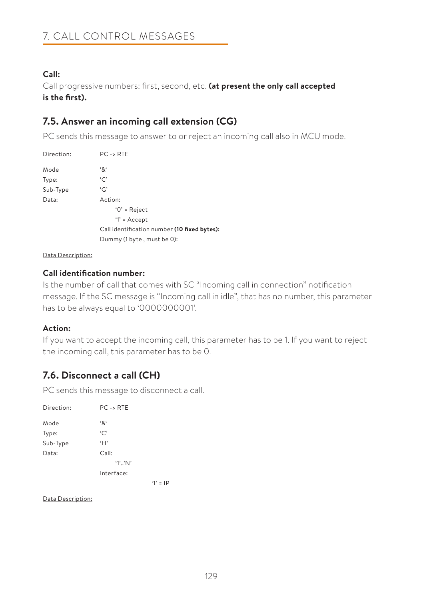## **Call:**

Call progressive numbers: first, second, etc. **(at present the only call accepted is the first).**

## **7.5. Answer an incoming call extension (CG)**

PC sends this message to answer to or reject an incoming call also in MCU mode.

| Direction: | $PC \rightarrow RTE$                         |
|------------|----------------------------------------------|
| Mode       | '&'                                          |
| Type:      | ٠C'                                          |
| Sub-Type   | G'                                           |
| Data:      | Action:                                      |
|            | $'0'$ = Reject                               |
|            | $'1' = Accept$                               |
|            | Call identification number (10 fixed bytes): |
|            | Dummy (1 byte, must be 0):                   |
|            |                                              |

Data Description:

## **Call identification number:**

Is the number of call that comes with SC "Incoming call in connection" notification message. If the SC message is "Incoming call in idle", that has no number, this parameter has to be always equal to '0000000001'.

### **Action:**

If you want to accept the incoming call, this parameter has to be 1. If you want to reject the incoming call, this parameter has to be 0.

## **7.6. Disconnect a call (CH)**

PC sends this message to disconnect a call.

| Direction: | $PC \rightarrow RTE$ |            |
|------------|----------------------|------------|
| Mode       | '&'                  |            |
| Type:      | ٠C'                  |            |
| Sub-Type   | Ή,                   |            |
| Data:      | Call:                |            |
|            | $'1'$ 'N'            |            |
|            | Interface:           |            |
|            |                      | $'1' = IP$ |

Data Description: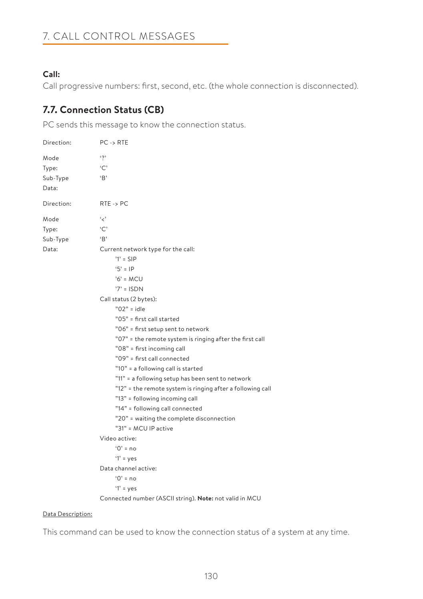## **Call:**

Call progressive numbers: first, second, etc. (the whole connection is disconnected).

# **7.7. Connection Status (CB)**

PC sends this message to know the connection status.

| Direction:                         | $PC \rightarrow RTE$                                                                                                                                                                                                                                                                                                                                                                                                                                                                                                                                                                                                                                                                                                                     |
|------------------------------------|------------------------------------------------------------------------------------------------------------------------------------------------------------------------------------------------------------------------------------------------------------------------------------------------------------------------------------------------------------------------------------------------------------------------------------------------------------------------------------------------------------------------------------------------------------------------------------------------------------------------------------------------------------------------------------------------------------------------------------------|
| Mode<br>Type:<br>Sub-Type<br>Data: | $\mathfrak{c}_{2}$<br>`C`<br>B                                                                                                                                                                                                                                                                                                                                                                                                                                                                                                                                                                                                                                                                                                           |
| Direction:                         | $RTE \rightarrow PC$                                                                                                                                                                                                                                                                                                                                                                                                                                                                                                                                                                                                                                                                                                                     |
| Mode<br>Type:<br>Sub-Type<br>Data: | و د<br>$\cdot$ $\sim$<br>B<br>Current network type for the call:<br>$1' =$ SIP<br>$5' = IP$<br>$'6'$ = MCU<br>$7'$ = ISDN<br>Call status (2 bytes):<br>$"02"$ = idle<br>"05" = first call started<br>"06" = first setup sent to network<br>"07" = the remote system is ringing after the first call<br>"08" = first incoming call<br>"09" = first call connected<br>"10" = a following call is started<br>"11" = a following setup has been sent to network<br>"12" = the remote system is ringing after a following call<br>"13" = following incoming call<br>"14" = following call connected<br>"20" = waiting the complete disconnection<br>"31" = MCU IP active<br>Video active:<br>$0' = no$<br>$'1'$ = yes<br>Data channel active: |
|                                    | $0' = no$<br>$'1'$ = yes<br>Connected number (ASCII string). Note: not valid in MCU                                                                                                                                                                                                                                                                                                                                                                                                                                                                                                                                                                                                                                                      |

### Data Description:

This command can be used to know the connection status of a system at any time.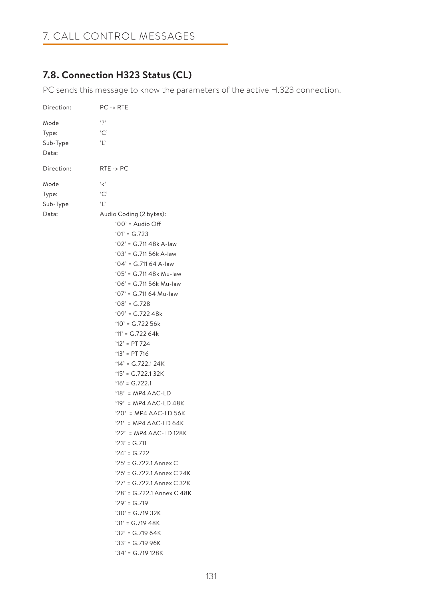# 7. CALL CONTROL MESSAGES

# **7.8. Connection H323 Status (CL)**

PC sends this message to know the parameters of the active H.323 connection.

| Direction: | PC -> RTE                               |
|------------|-----------------------------------------|
| Mode       | $\ddot{\phantom{0}}$                    |
| Type:      | C                                       |
| Sub-Type   | $\mathbf{r}$                            |
| Data:      |                                         |
|            |                                         |
| Direction: | $RTE \rightarrow PC$                    |
| Mode       | و د                                     |
| Type:      | C                                       |
| Sub-Type   | $\ddot{\phantom{0}}$                    |
| Data:      | Audio Coding (2 bytes):                 |
|            | '00' = Audio Off                        |
|            | $'01' = G.723$                          |
|            | '02' = G.711 48k A-law                  |
|            | $'03' = G.71156k A-law$                 |
|            | $'04' = G.71164$ A-law                  |
|            | '05' = G.711 48k Mu-law                 |
|            | '06' = G.711 56k Mu-law                 |
|            | '07' = G.711 64 Mu-law                  |
|            | $'08' = G.728$                          |
|            | $'09' = G.72248k$                       |
|            | $'10' = G.72256k$                       |
|            | $11' = G.72264k$                        |
|            | $'12' = PT 724$                         |
|            | $'13' = PT 716$                         |
|            | $'14' = G.722.124K$                     |
|            | $15' = G.722.132K$                      |
|            | $16' = G.722.1$                         |
|            | '18' = MP4 AAC-LD                       |
|            | '19' = MP4 AAC-LD 48K                   |
|            | '20' = MP4 AAC-LD 56K                   |
|            | '21' = MP4 AAC-LD 64K                   |
|            | '22' = MP4 AAC-LD 128K<br>$23' = G.711$ |
|            | $24' = G.722$                           |
|            | '25' = G.722.1 Annex C                  |
|            | '26' = G.722.1 Annex C 24K              |
|            | '27' = G.722.1 Annex C 32K              |
|            | '28' = G.722.1 Annex C 48K              |
|            | $29' = G.719$                           |
|            | $30'$ = G.719 32K                       |
|            | $31' = G.71948K$                        |
|            | $32' = G.71964K$                        |
|            | $33' = G.71996K$                        |
|            | $34' = G.719128K$                       |
|            |                                         |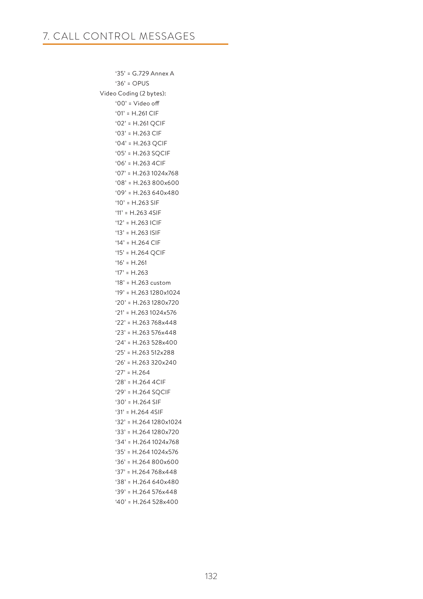'35' = G.729 Annex A '36' = OPUS Video Coding (2 bytes): '00' = Video off '01' = H.261 CIF '02' = H.261 QCIF '03' = H.263 CIF '04' = H.263 QCIF '05' = H.263 SQCIF '06' = H.263 4CIF '07' = H.263 1024x768 '08' = H.263 800x600 '09' = H.263 640x480 '10' = H.263 SIF '11' = H.263 4SIF '12' = H.263 ICIF '13' = H.263 ISIF '14' = H.264 CIF '15' = H.264 QCIF  $'16' = H.261$  $'17' = H.263$  '18' = H.263 custom '19' = H.263 1280x1024 '20' = H.263 1280x720 '21' = H.263 1024x576 '22' = H.263 768x448 '23' = H.263 576x448 '24' = H.263 528x400 '25' = H.263 512x288 '26' = H.263 320x240 '27' = H.264 '28' = H.264 4CIF '29' = H.264 SQCIF '30' = H.264 SIF '31' = H.264 4SIF '32' = H.264 1280x1024 '33' = H.264 1280x720 '34' = H.264 1024x768 '35' = H.264 1024x576 '36' = H.264 800x600 '37' = H.264 768x448 '38' = H.264 640x480 '39' = H.264 576x448  $'40'$  = H.264 528x400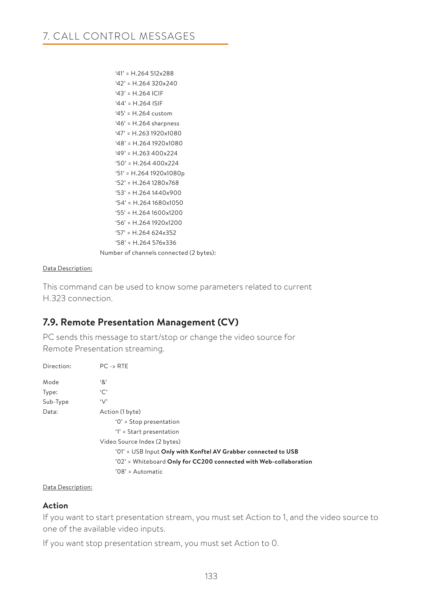```
'41' = H.264512x288 '42' = H.264 320x240
     '43' = H.264 ICIF
     '44' = H.264 ISIF
     '45' = H.264 custom
     '46' = H.264 sharpness
     '47' = H.263 1920x1080
     '48' = H.264 1920x1080
     '49' = H.263 400x224
     '50' = H.264 400x224
     '51' = H.264 1920x1080p
     '52' = H.264 1280x768
     '53' = H.264 1440x900
     '54' = H.264 1680x1050
     '55' = H.264 1600x1200
     '56' = H.264 1920x1200
     '57' = H.264 624x352
     '58' = H.264 576x336
 Number of channels connected (2 bytes):
```
### Data Description:

This command can be used to know some parameters related to current H.323 connection.

## **7.9. Remote Presentation Management (CV)**

PC sends this message to start/stop or change the video source for Remote Presentation streaming.

| Direction: | $PC \rightarrow RTE$                                              |
|------------|-------------------------------------------------------------------|
| Mode       | '&'                                                               |
| Type:      | `C`                                                               |
| Sub-Type   | $\vee$                                                            |
| Data:      | Action (1 byte)                                                   |
|            | $'0'$ = Stop presentation                                         |
|            | $'1'$ = Start presentation                                        |
|            | Video Source Index (2 bytes)                                      |
|            | '01' = USB Input Only with Konftel AV Grabber connected to USB    |
|            | '02' = Whiteboard Only for CC200 connected with Web-collaboration |
|            | $'08'$ = Automatic                                                |

### Data Description:

### **Action**

If you want to start presentation stream, you must set Action to 1, and the video source to one of the available video inputs.

If you want stop presentation stream, you must set Action to 0.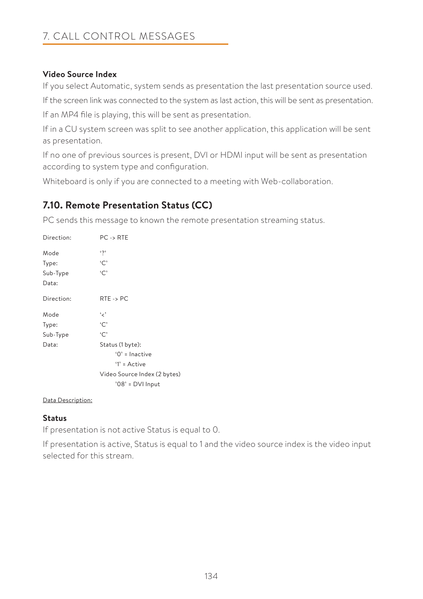## **Video Source Index**

If you select Automatic, system sends as presentation the last presentation source used.

If the screen link was connected to the system as last action, this will be sent as presentation.

If an MP4 file is playing, this will be sent as presentation.

If in a CU system screen was split to see another application, this application will be sent as presentation.

If no one of previous sources is present, DVI or HDMI input will be sent as presentation according to system type and configuration.

Whiteboard is only if you are connected to a meeting with Web-collaboration.

## **7.10. Remote Presentation Status (CC)**

PC sends this message to known the remote presentation streaming status.

| Direction: | $PC \rightarrow RTE$         |
|------------|------------------------------|
| Mode       | $\mathfrak{c}_2$             |
| Type:      | `C`                          |
| Sub-Type   | `C`                          |
| Data:      |                              |
| Direction: | $RTE \rightarrow PC$         |
| Mode       | و مي                         |
| Type:      | $\cdot \cap$                 |
| Sub-Type   | `C`                          |
| Data:      | Status (1 byte):             |
|            | $'0'$ = Inactive             |
|            | $'1'$ = Active               |
|            | Video Source Index (2 bytes) |
|            | '08' = DVI Input             |

### Data Description:

### **Status**

If presentation is not active Status is equal to 0.

If presentation is active, Status is equal to 1 and the video source index is the video input selected for this stream.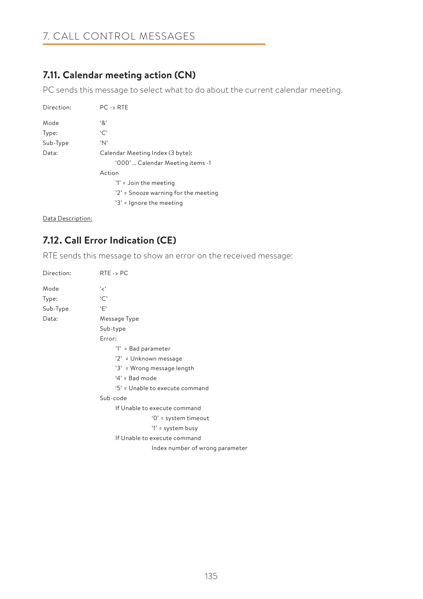## **7.11. Calendar meeting action (CN)**

PC sends this message to select what to do about the current calendar meeting.

| Direction: | $PC \rightarrow RTE$                 |
|------------|--------------------------------------|
| Mode       | '&'                                  |
| Type:      | `C`                                  |
| Sub-Type   | $^{\circ}N^{\circ}$                  |
| Data:      | Calendar Meeting Index (3 byte):     |
|            | '000'  Calendar Meeting items -1     |
|            | Action                               |
|            | '1' = Join the meeting               |
|            | '2' = Snooze warning for the meeting |
|            | '3' = Ignore the meeting             |

Data Description:

# **7.12. Call Error Indication (CE)**

RTE sends this message to show an error on the received message:

| Direction: | $RTE \rightarrow PC$            |
|------------|---------------------------------|
| Mode       | ' پ'                            |
| Type:      | `C`                             |
| Sub-Type   | $\cdot_F$                       |
| Data:      | Message Type                    |
|            | Sub-type                        |
|            | Error:                          |
|            | '1' = Bad parameter             |
|            | '2' = Unknown message           |
|            | '3' = Wrong message length      |
|            | $4'$ = Bad mode                 |
|            | '5' = Unable to execute command |
|            | Sub-code                        |
|            | If Unable to execute command    |
|            | $'0'$ = system timeout          |
|            | '1' = system busy               |
|            | If Unable to execute command    |
|            | Index number of wrong parameter |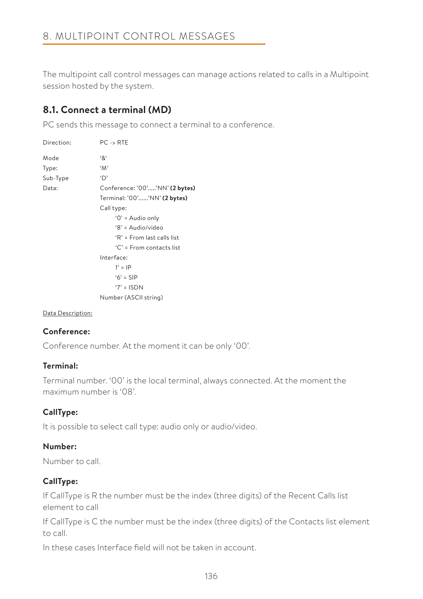The multipoint call control messages can manage actions related to calls in a Multipoint session hosted by the system.

## **8.1. Connect a terminal (MD)**

PC sends this message to connect a terminal to a conference.

| Direction: | $PC \rightarrow RTE$                       |
|------------|--------------------------------------------|
| Mode       | .8.                                        |
| Type:      | 'M'                                        |
| Sub-Type   | 'D'                                        |
| Data:      | Conference: '00''NN' (2 bytes)             |
|            | Terminal: '00''NN' (2 bytes)               |
|            | Call type:                                 |
|            | '0' = Audio only                           |
|            | $8' = \Delta u \text{di}_Q / \text{video}$ |
|            | 'R' = From last calls list                 |
|            | $C'$ = From contacts list                  |
|            | Interface:                                 |
|            | $1' =  P $                                 |
|            | $6' =$ SIP                                 |
|            | $7' = ISDN$                                |
|            | Number (ASCII string)                      |

### Data Description:

## **Conference:**

Conference number. At the moment it can be only '00'.

### **Terminal:**

Terminal number. '00' is the local terminal, always connected. At the moment the maximum number is '08'.

## **CallType:**

It is possible to select call type: audio only or audio/video.

## **Number:**

Number to call.

## **CallType:**

If CallType is R the number must be the index (three digits) of the Recent Calls list element to call

If CallType is C the number must be the index (three digits) of the Contacts list element to call.

In these cases Interface field will not be taken in account.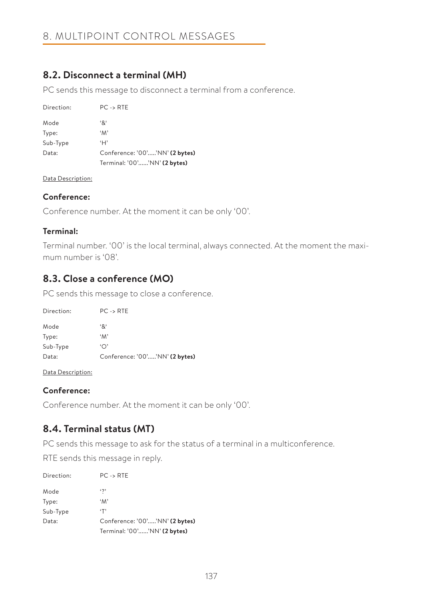## **8.2. Disconnect a terminal (MH)**

PC sends this message to disconnect a terminal from a conference.

| Direction: | $PC \rightarrow RTE$           |
|------------|--------------------------------|
| Mode       | '&'                            |
| Type:      | $^{\circ}M^{\circ}$            |
| Sub-Type   | ʻΗ'                            |
| Data:      | Conference: '00''NN' (2 bytes) |
|            | Terminal: '00''NN' (2 bytes)   |

Data Description:

## **Conference:**

Conference number. At the moment it can be only '00'.

## **Terminal:**

Terminal number. '00' is the local terminal, always connected. At the moment the maximum number is '08'.

## **8.3. Close a conference (MO)**

PC sends this message to close a conference.

| Direction: | $PC \rightarrow RTE$           |
|------------|--------------------------------|
| Mode       | '&'                            |
| Type:      | $^{\circ}M^{\circ}$            |
| Sub-Type   | $\Delta$                       |
| Data:      | Conference: '00''NN' (2 bytes) |

Data Description:

## **Conference:**

Conference number. At the moment it can be only '00'.

## **8.4. Terminal status (MT)**

PC sends this message to ask for the status of a terminal in a multiconference.

RTE sends this message in reply.

| Direction: | $PC \rightarrow RTE$           |
|------------|--------------------------------|
| Mode       | $\ddotsc$                      |
| Type:      | $^{\circ}M^{\circ}$            |
| Sub-Type   | ٠T'                            |
| Data:      | Conference: '00''NN' (2 bytes) |
|            | Terminal: '00''NN' (2 bytes)   |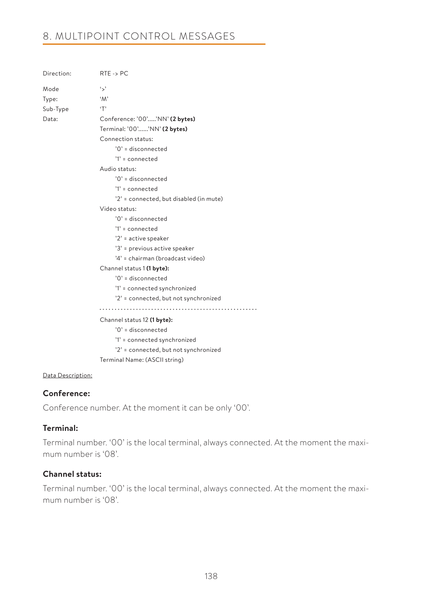# 8. MULTIPOINT CONTROL MESSAGES

| Direction: | $RTE \rightarrow PC$                    |
|------------|-----------------------------------------|
| Mode       | ς,                                      |
| Type:      | $^{\circ}M^{\circ}$                     |
| Sub-Type   | T                                       |
| Data:      | Conference: '00''NN' (2 bytes)          |
|            | Terminal: '00''NN' (2 bytes)            |
|            | Connection status:                      |
|            | '0' = disconnected                      |
|            | $'1'$ = connected                       |
|            | Audio status:                           |
|            | $'0'$ = disconnected                    |
|            | $'1' = connected$                       |
|            | '2' = connected, but disabled (in mute) |
|            | Video status:                           |
|            | $'0'$ = disconnected                    |
|            | $'1'$ = connected                       |
|            | '2' = active speaker                    |
|            | '3' = previous active speaker           |
|            | '4' = chairman (broadcast video)        |
|            | Channel status 1 (1 byte):              |
|            | '0' = disconnected                      |
|            | '1' = connected synchronized            |
|            | '2' = connected, but not synchronized   |
|            |                                         |
|            | Channel status 12 (1 byte):             |
|            | $'0'$ = disconnected                    |
|            | '1' = connected synchronized            |
|            | '2' = connected, but not synchronized   |
|            | Terminal Name: (ASCII string)           |
|            |                                         |

Data Description:

### **Conference:**

Conference number. At the moment it can be only '00'.

### **Terminal:**

Terminal number. '00' is the local terminal, always connected. At the moment the maximum number is '08'.

### **Channel status:**

Terminal number. '00' is the local terminal, always connected. At the moment the maximum number is '08'.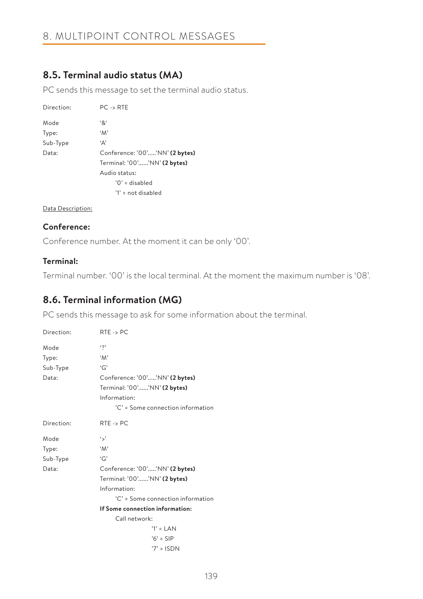## **8.5. Terminal audio status (MA)**

PC sends this message to set the terminal audio status.

| Direction: | $PC \rightarrow RTE$           |
|------------|--------------------------------|
| Mode       | '&'                            |
| Type:      | $^{\circ}M^{\circ}$            |
| Sub-Type   | 'Α'                            |
| Data:      | Conference: '00''NN' (2 bytes) |
|            | Terminal: '00''NN' (2 bytes)   |
|            | Audio status:                  |
|            | $'0'$ = disabled               |
|            | $'1' = not disabled$           |

### Data Description:

## **Conference:**

Conference number. At the moment it can be only '00'.

## **Terminal:**

Terminal number. '00' is the local terminal. At the moment the maximum number is '08'.

## **8.6. Terminal information (MG)**

PC sends this message to ask for some information about the terminal.

| Direction: | $RTE \rightarrow PC$              |
|------------|-----------------------------------|
| Mode       | $\mathfrak{c}_2$                  |
| Type:      | 'M'                               |
| Sub-Type   | 'G'                               |
| Data:      | Conference: '00''NN' (2 bytes)    |
|            | Terminal: '00''NN' (2 bytes)      |
|            | Information:                      |
|            | 'C' = Some connection information |
| Direction: | $RTE \rightarrow PC$              |
| Mode       | ٠.,                               |
| Type:      | $^{\circ}M^{\circ}$               |
| Sub-Type   | 'G'                               |
| Data:      | Conference: '00''NN' (2 bytes)    |
|            | Terminal: '00''NN' (2 bytes)      |
|            | Information:                      |
|            | 'C' = Some connection information |
|            | If Some connection information:   |
|            | Call network:                     |
|            | $'1' = LAN$                       |
|            | $'6' =$ SIP                       |
|            | $7' = ISDN$                       |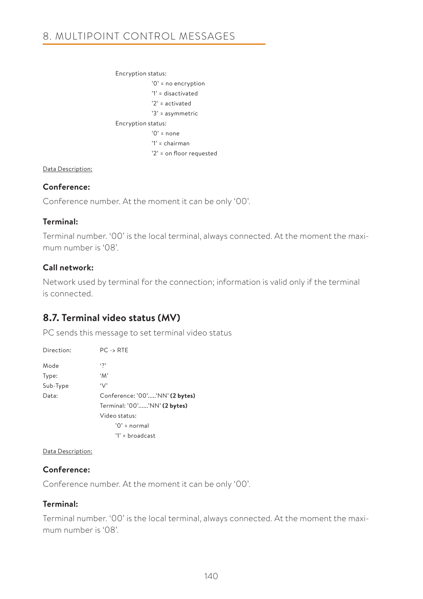```
 Encryption status:
              '0' = no encryption
              '1' = disactivated
              '2' = activated
              '3' = asymmetric
 Encryption status:
              '0' = none
              '1' = chairman
              '2' = on floor requested
```
### Data Description:

### **Conference:**

Conference number. At the moment it can be only '00'.

### **Terminal:**

Terminal number. '00' is the local terminal, always connected. At the moment the maximum number is '08'.

## **Call network:**

Network used by terminal for the connection; information is valid only if the terminal is connected.

## **8.7. Terminal video status (MV)**

PC sends this message to set terminal video status

| Direction: | $PC \rightarrow RTE$           |
|------------|--------------------------------|
| Mode       | $\mathfrak{c}_{2}$             |
| Type:      | $^{\circ}M^{\circ}$            |
| Sub-Type   | $\vee$                         |
| Data:      | Conference: '00''NN' (2 bytes) |
|            | Terminal: '00''NN' (2 bytes)   |
|            | Video status:                  |
|            | $'0'$ = normal                 |
|            | $'1'$ = broadcast              |

Data Description:

## **Conference:**

Conference number. At the moment it can be only '00'.

## **Terminal:**

Terminal number. '00' is the local terminal, always connected. At the moment the maximum number is '08'.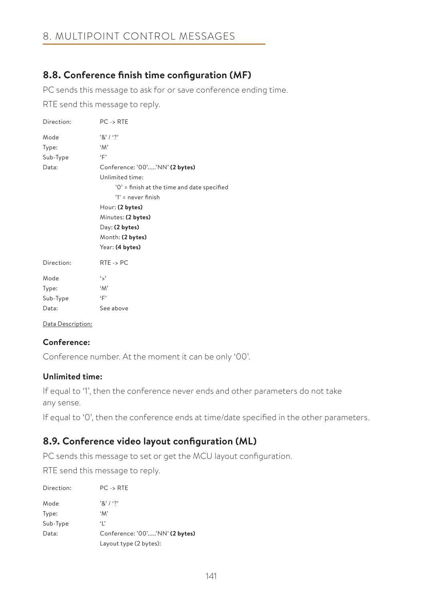## **8.8. Conference finish time configuration (MF)**

PC sends this message to ask for or save conference ending time.

RTE send this message to reply.

| Direction: | $PC \rightarrow RTE$                        |
|------------|---------------------------------------------|
| Mode       | $'8'$ / '?'                                 |
| Type:      | 'M'                                         |
| Sub-Type   | $\cdot$ F'                                  |
| Data:      | Conference: '00''NN' (2 bytes)              |
|            | Unlimited time:                             |
|            | '0' = finish at the time and date specified |
|            | $'1'$ = never finish                        |
|            | Hour: (2 bytes)                             |
|            | Minutes: (2 bytes)                          |
|            | Day: (2 bytes)                              |
|            | Month: (2 bytes)                            |
|            | Year: (4 bytes)                             |
| Direction: | $RTE \rightarrow PC$                        |
| Mode       | ٠.,                                         |
| Type:      | $^{\circ}M^{\circ}$                         |
| Sub-Type   | ٠Ε,                                         |
| Data:      | See above                                   |
|            |                                             |

Data Description:

## **Conference:**

Conference number. At the moment it can be only '00'.

## **Unlimited time:**

If equal to '1', then the conference never ends and other parameters do not take any sense.

If equal to '0', then the conference ends at time/date specified in the other parameters.

## **8.9. Conference video layout configuration (ML)**

PC sends this message to set or get the MCU layout configuration.

RTE send this message to reply.

| Direction: | $PC \rightarrow RTE$           |
|------------|--------------------------------|
| Mode       | 18'1'                          |
| Type:      | $^{\circ}M^{\circ}$            |
| Sub-Type   | ٠,                             |
| Data:      | Conference: '00''NN' (2 bytes) |
|            | Layout type (2 bytes):         |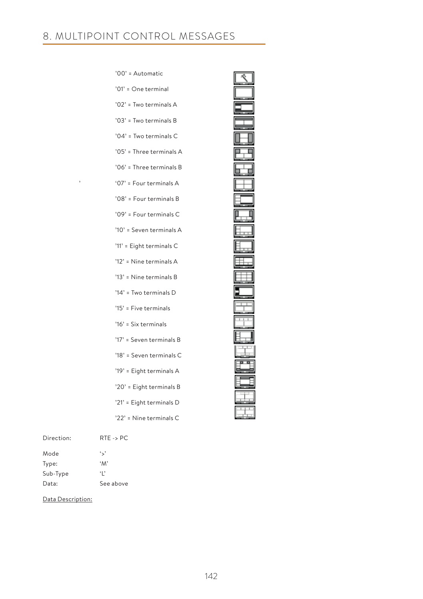|   | '00' = Automatic         |
|---|--------------------------|
|   | '01' = One terminal      |
|   | '02' = Two terminals A   |
|   | '03' = Two terminals B   |
|   | '04' = Two terminals C   |
|   | '05' = Three terminals A |
|   | '06' = Three terminals B |
| , | '07' = Four terminals A  |
|   | '08' = Four terminals B  |
|   | '09' = Four terminals C  |
|   | '10' = Seven terminals A |
|   | '11' = Eight terminals C |
|   | '12' = Nine terminals A  |
|   | '13' = Nine terminals B  |
|   | '14' = Two terminals D   |
|   | '15' = Five terminals    |
|   | '16' = Six terminals     |
|   | '17' = Seven terminals B |
|   | '18' = Seven terminals C |
|   | '19' = Eight terminals A |
|   | '20' = Eight terminals B |
|   | '21' = Eight terminals D |
|   | '22' = Nine terminals C  |
|   |                          |

| Ī |
|---|
|   |
|   |
|   |
|   |
|   |
|   |
|   |
|   |
|   |
|   |
|   |
| l |
|   |
|   |
|   |
|   |

| Direction <sup>.</sup> | $RTE \rightarrow PC$ |
|------------------------|----------------------|
| Mode                   | $\ddot{\phantom{0}}$ |
| Type:                  | $^{\circ}M^{\circ}$  |
| Sub-Type               | $\cdot$   '          |
| Data:                  | See above            |

Data Description: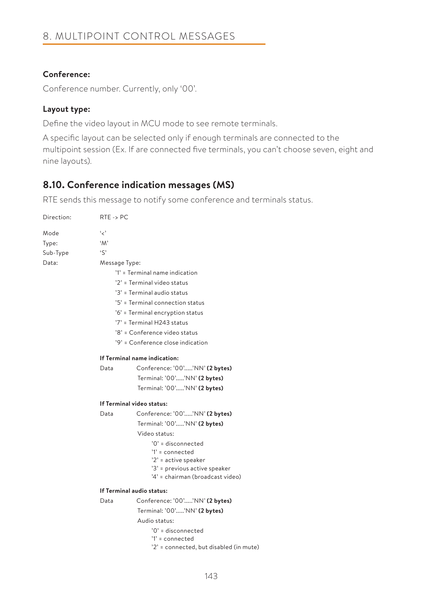## **Conference:**

Conference number. Currently, only '00'.

## **Layout type:**

Define the video layout in MCU mode to see remote terminals.

A specific layout can be selected only if enough terminals are connected to the multipoint session (Ex. If are connected five terminals, you can't choose seven, eight and nine layouts).

## **8.10. Conference indication messages (MS)**

RTE sends this message to notify some conference and terminals status.

| Direction: | $RTE \rightarrow PC$ |                                         |  |  |
|------------|----------------------|-----------------------------------------|--|--|
| Mode       | '<'                  |                                         |  |  |
| Type:      | $^{\circ}M^{\circ}$  |                                         |  |  |
| Sub-Type   | $\cdot$ S'           |                                         |  |  |
| Data:      | Message Type:        |                                         |  |  |
|            |                      | '1' = Terminal name indication          |  |  |
|            |                      | '2' = Terminal video status             |  |  |
|            |                      | '3' = Terminal audio status             |  |  |
|            |                      | '5' = Terminal connection status        |  |  |
|            |                      | '6' = Terminal encryption status        |  |  |
|            |                      | '7' = Terminal H243 status              |  |  |
|            |                      | '8' = Conference video status           |  |  |
|            |                      | '9' = Conference close indication       |  |  |
|            |                      | If Terminal name indication:            |  |  |
|            | Data                 | Conference: '00''NN' (2 bytes)          |  |  |
|            |                      | Terminal: '00''NN' (2 bytes)            |  |  |
|            |                      | Terminal: '00''NN' (2 bytes)            |  |  |
|            |                      | If Terminal video status:               |  |  |
|            | Data                 | Conference: '00''NN' (2 bytes)          |  |  |
|            |                      | Terminal: '00''NN' (2 bytes)            |  |  |
|            |                      | Video status:                           |  |  |
|            |                      | '0' = disconnected                      |  |  |
|            |                      | '1' = connected                         |  |  |
|            |                      | '2' = active speaker                    |  |  |
|            |                      | '3' = previous active speaker           |  |  |
|            |                      | '4' = chairman (broadcast video)        |  |  |
|            |                      | If Terminal audio status:               |  |  |
|            | Data                 | Conference: '00''NN' (2 bytes)          |  |  |
|            |                      | Terminal: '00''NN' (2 bytes)            |  |  |
|            |                      | Audio status:                           |  |  |
|            |                      | '0' = disconnected                      |  |  |
|            |                      | $'1'$ = connected                       |  |  |
|            |                      | '2' = connected, but disabled (in mute) |  |  |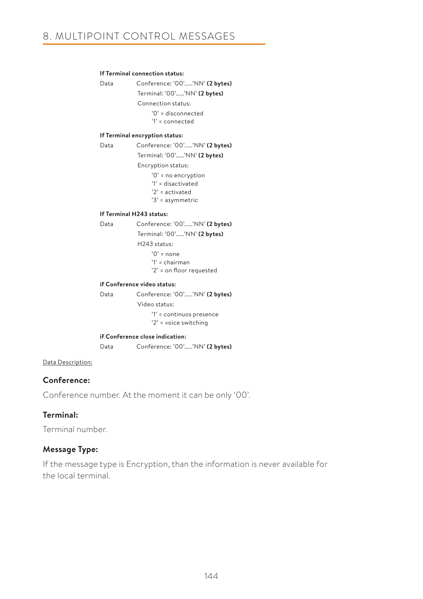### **If Terminal connection status:**

```
 Data Conference: '00'.....'NN' (2 bytes)
             Terminal: '00'.....'NN' (2 bytes)
              Connection status:
                  '0' = disconnected
                  '1' = connected
```
#### **If Terminal encryption status:**

 Data Conference: '00'.....'NN' **(2 bytes)** Terminal: '00'.....'NN' **(2 bytes)** Encryption status: '0' = no encryption '1' = disactivated '2' = activated '3' = asymmetric

#### **If Terminal H243 status:**

 Data Conference: '00'.....'NN' **(2 bytes)** Terminal: '00'.....'NN' **(2 bytes)** H243 status:

'0' = none

'1' = chairman

'2' = on floor requested

#### **if Conference video status:**

| Data | Conference: '00''NN' (2 bytes) |
|------|--------------------------------|
|      | Video status:                  |
|      | $'1'$ = continuos presence     |
|      | '2' = voice switching          |
|      |                                |

### **if Conference close indication:**

Data Conference: '00'.....'NN' **(2 bytes)**

### Data Description:

### **Conference:**

Conference number. At the moment it can be only '00'.

### **Terminal:**

Terminal number.

### **Message Type:**

If the message type is Encryption, than the information is never available for the local terminal.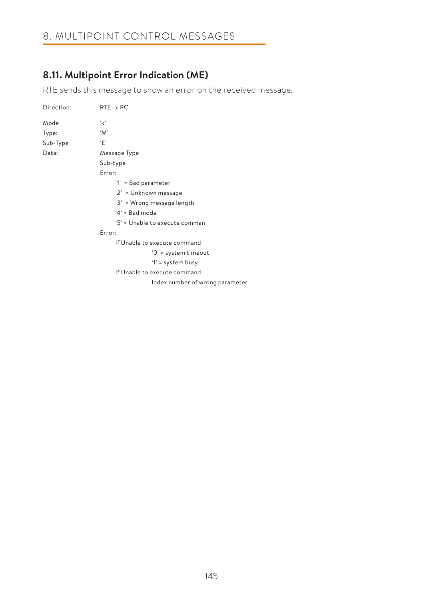# 8. MULTIPOINT CONTROL MESSAGES

## **8.11. Multipoint Error Indication (ME)**

RTE sends this message to show an error on the received message.

| Direction: | $RTE \rightarrow PC$            |
|------------|---------------------------------|
| Mode       | ، مج                            |
| Type:      | 'M'                             |
| Sub-Type   | ٠F'                             |
| Data:      | Message Type                    |
|            | Sub-type                        |
|            | Error:                          |
|            | '1' = Bad parameter             |
|            | '2' = Unknown message           |
|            | '3' = Wrong message length      |
|            | $4'$ = Bad mode                 |
|            | '5' = Unable to execute comman  |
|            | Error:                          |
|            | If Unable to execute command    |
|            | $'0'$ = system timeout          |
|            | '1' = system busy               |
|            | If Unable to execute command    |
|            | Index number of wrong parameter |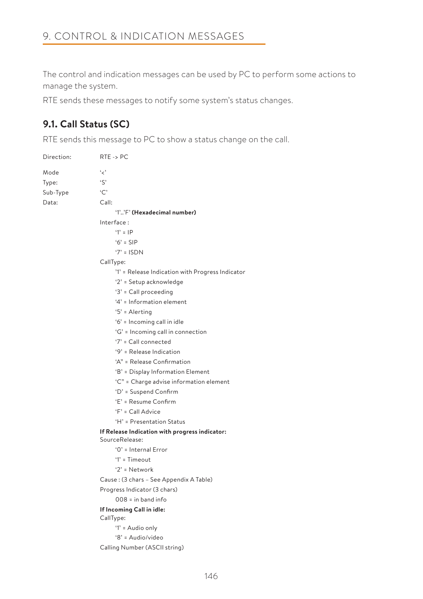The control and indication messages can be used by PC to perform some actions to manage the system.

RTE sends these messages to notify some system's status changes.

## **9.1. Call Status (SC)**

RTE sends this message to PC to show a status change on the call.

| Direction: | $RTE \rightarrow PC$                             |  |  |
|------------|--------------------------------------------------|--|--|
| Mode       | ورء                                              |  |  |
| Type:      | $\mathfrak{c}$                                   |  |  |
| Sub-Type   | C                                                |  |  |
| Data:      | Call:                                            |  |  |
|            | '1''F' (Hexadecimal number)                      |  |  |
|            | Interface:                                       |  |  |
|            | $'1' = IP$                                       |  |  |
|            | $6' =$ SIP                                       |  |  |
|            | $'7' = ISDN$                                     |  |  |
|            | CallType:                                        |  |  |
|            | '1' = Release Indication with Progress Indicator |  |  |
|            | '2' = Setup acknowledge                          |  |  |
|            | '3' = Call proceeding                            |  |  |
|            | '4' = Information element                        |  |  |
|            | '5' = Alerting                                   |  |  |
|            | '6' = Incoming call in idle                      |  |  |
|            | 'G' = Incoming call in connection                |  |  |
|            | '7' = Call connected                             |  |  |
|            | '9' = Release Indication                         |  |  |
|            | 'A" = Release Confirmation                       |  |  |
|            | 'B' = Display Information Element                |  |  |
|            | 'C" = Charge advise information element          |  |  |
|            | 'D' = Suspend Confirm                            |  |  |
|            | 'E' = Resume Confirm                             |  |  |
|            | 'F' = Call Advice                                |  |  |
|            | 'H' = Presentation Status                        |  |  |
|            | If Release Indication with progress indicator:   |  |  |
|            | SourceRelease:                                   |  |  |
|            | '0' = Internal Error                             |  |  |
|            | $1'$ = Timeout                                   |  |  |
|            | '2' = Network                                    |  |  |
|            | Cause: (3 chars - See Appendix A Table)          |  |  |
|            | Progress Indicator (3 chars)                     |  |  |
|            | $008 = in band info$                             |  |  |
|            | If Incoming Call in idle:<br>CallType:           |  |  |
|            | '1' = Audio only                                 |  |  |
|            | '8' = Audio/video                                |  |  |
|            | Calling Number (ASCII string)                    |  |  |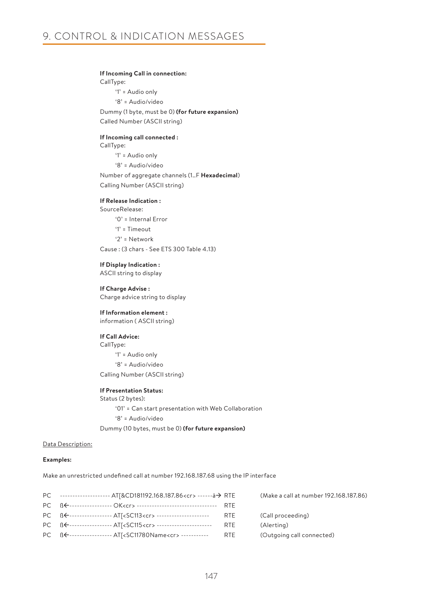#### **If Incoming Call in connection:**

CallType:

'1' = Audio only '8' = Audio/video

 Dummy (1 byte, must be 0) **(for future expansion)** Called Number (ASCII string)

#### **If Incoming call connected :**

CallType: '1' = Audio only '8' = Audio/video Number of aggregate channels (1..F **Hexadecimal**)

Calling Number (ASCII string)

# **If Release Indication :** SourceRelease:

'0' = Internal Error

'1' = Timeout

'2' = Network

Cause : (3 chars - See ETS 300 Table 4.13)

#### **If Display Indication :**

ASCII string to display

#### **If Charge Advise :**

Charge advice string to display

### **If Information element :**

information ( ASCII string)

#### **If Call Advice:** CallType:

 '1' = Audio only '8' = Audio/video

Calling Number (ASCII string)

#### **If Presentation Status:**

Status (2 bytes): '01' = Can start presentation with Web Collaboration '8' = Audio/video Dummy (10 bytes, must be 0) **(for future expansion)**

#### Data Description:

#### **Examples:**

Make an unrestricted undefined call at number 192.168.187.68 using the IP interface

| PC ------------------- AT[&CD181192.168.187.86 <cr> ------à→ RTE</cr>                      | (Make a call at number 192.168.187.86) |
|--------------------------------------------------------------------------------------------|----------------------------------------|
| PC BE----------------- OK <cr> ---------------------------------- RTE</cr>                 |                                        |
| PC B <del>C</del> ----------------- ATI <sc113<cr> ------------------------ RTE</sc113<cr> | (Call proceeding)                      |
| PC BE----------------- ATI <sc115<cr> ------------------------ RTE</sc115<cr>              | (Alerting)                             |
| PC BE----------------- AT[ <sc11780name<cr> ----------- RTE</sc11780name<cr>               | (Outgoing call connected)              |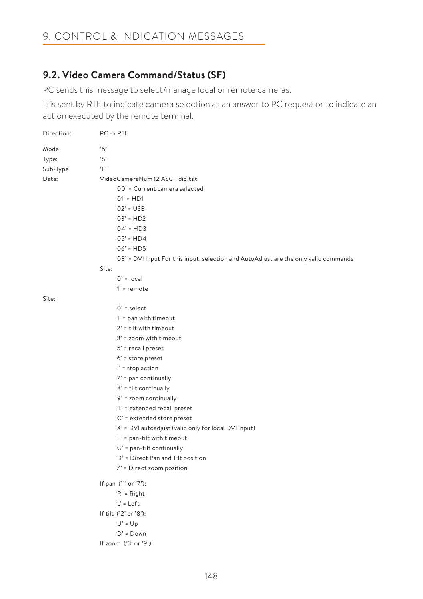# **9.2. Video Camera Command/Status (SF)**

PC sends this message to select/manage local or remote cameras.

It is sent by RTE to indicate camera selection as an answer to PC request or to indicate an action executed by the remote terminal.

| Direction: | $PC \rightarrow RTE$                                                                  |
|------------|---------------------------------------------------------------------------------------|
| Mode       | $^{\circ}8^{\circ}$                                                                   |
| Type:      | $\cdot$ S'                                                                            |
| Sub-Type   | 'F'                                                                                   |
| Data:      | VideoCameraNum (2 ASCII digits):                                                      |
|            | '00' = Current camera selected                                                        |
|            | $'01' = HD1$                                                                          |
|            | $'02' = USB$                                                                          |
|            | $'03' = HD2$                                                                          |
|            | $'04' = HD3$                                                                          |
|            | $'05' = HD4$                                                                          |
|            | $'06' = HD5$                                                                          |
|            | '08' = DVI Input For this input, selection and AutoAdjust are the only valid commands |
|            | Site:                                                                                 |
|            | $0'$ = local                                                                          |
|            | $'1'$ = remote                                                                        |
| Site:      |                                                                                       |
|            | $'0'$ = select                                                                        |
|            | '1' = pan with timeout                                                                |
|            | '2' = tilt with timeout                                                               |
|            | '3' = zoom with timeout                                                               |
|            | '5' = recall preset                                                                   |
|            | '6' = store preset                                                                    |
|            | $'$ : stop action                                                                     |
|            | '7' = pan continually                                                                 |
|            | '8' = tilt continually                                                                |
|            | '9' = zoom continually                                                                |
|            | 'B' = extended recall preset                                                          |
|            | 'C' = extended store preset                                                           |
|            | 'X' = DVI autoadjust (valid only for local DVI input)                                 |
|            | 'F' = pan-tilt with timeout                                                           |
|            | 'G' = pan-tilt continually                                                            |
|            | 'D' = Direct Pan and Tilt position                                                    |
|            | 'Z' = Direct zoom position                                                            |
|            | If pan ('1' or '7'):                                                                  |
|            | $R' = Right$                                                                          |
|            | $'L' = Left$                                                                          |
|            | If tilt ('2' or '8'):                                                                 |
|            | $U' = Up$                                                                             |
|            | $D' = Down$                                                                           |
|            | If zoom ('3' or '9'):                                                                 |
|            |                                                                                       |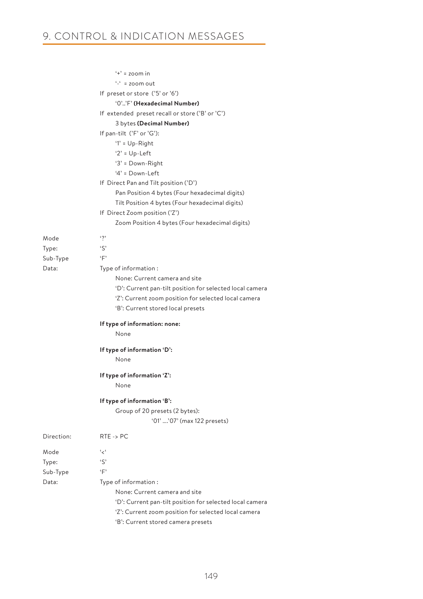|            | $'t' = zoom$ in                                          |
|------------|----------------------------------------------------------|
|            | $-4$ = zoom out                                          |
|            | If preset or store ('5' or '6')                          |
|            | '0''F' (Hexadecimal Number)                              |
|            | If extended preset recall or store ('B' or 'C')          |
|            | 3 bytes (Decimal Number)                                 |
|            | If pan-tilt ('F' or 'G'):                                |
|            | $'1' = Up-Right$                                         |
|            | ' $2$ ' = $Up$ -Left                                     |
|            | '3' = Down-Right                                         |
|            | $4'$ = Down-Left                                         |
|            | If Direct Pan and Tilt position ('D')                    |
|            | Pan Position 4 bytes (Four hexadecimal digits)           |
|            | Tilt Position 4 bytes (Four hexadecimal digits)          |
|            | If Direct Zoom position ('Z')                            |
|            | Zoom Position 4 bytes (Four hexadecimal digits)          |
|            |                                                          |
| Mode       | $\cdot$ ?                                                |
| Type:      | ۰S,                                                      |
| Sub-Type   | $\cdot_F$                                                |
| Data:      | Type of information:                                     |
|            | None: Current camera and site                            |
|            | 'D': Current pan-tilt position for selected local camera |
|            | 'Z': Current zoom position for selected local camera     |
|            | 'B': Current stored local presets                        |
|            | If type of information: none:                            |
|            | None                                                     |
|            | If type of information 'D':                              |
|            | None                                                     |
|            |                                                          |
|            | If type of information 'Z':                              |
|            | None                                                     |
|            | If type of information 'B':                              |
|            | Group of 20 presets (2 bytes):                           |
|            | '01' '07' (max 122 presets)                              |
| Direction: | $RTE \rightarrow PC$                                     |
| Mode       | ، ج'                                                     |
| Type:      | ۰S,                                                      |
| Sub-Type   | $\cdot_F$                                                |
| Data:      | Type of information:                                     |
|            | None: Current camera and site                            |
|            | 'D': Current pan-tilt position for selected local camera |
|            | 'Z': Current zoom position for selected local camera     |
|            | 'B': Current stored camera presets                       |
|            |                                                          |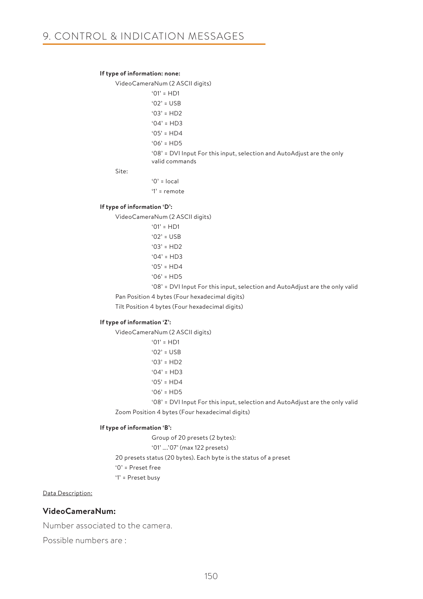#### **If type of information: none:**

VideoCameraNum (2 ASCII digits)

 $'01' = HD1$  '02' = USB  $'03' = HD2$  $'04' = HDB$  $'05' = HD4$  $'06' = HD5$  '08' = DVI Input For this input, selection and AutoAdjust are the only valid commands

Site:

 $'0'$  = local

'1' = remote

#### **If type of information 'D':**

VideoCameraNum (2 ASCII digits)

 '01' = HD1  $'02' = USB$  $'03' = HD2$  $'04' = HDB$  $'05' = HD4$ '06' = HD5

'08' = DVI Input For this input, selection and AutoAdjust are the only valid

Pan Position 4 bytes (Four hexadecimal digits)

Tilt Position 4 bytes (Four hexadecimal digits)

#### **If type of information 'Z':**

VideoCameraNum (2 ASCII digits)

 $'01' = HDI$  '02' = USB  $'03' = HD2$  $'04' = HD3$  $'05' = HDA$ 

 $'06' = HD5$ 

 '08' = DVI Input For this input, selection and AutoAdjust are the only valid Zoom Position 4 bytes (Four hexadecimal digits)

#### **If type of information 'B':**

Group of 20 presets (2 bytes):

'01' ….'07' (max 122 presets)

20 presets status (20 bytes). Each byte is the status of a preset

'0' = Preset free

'1' = Preset busy

#### Data Description:

### **VideoCameraNum:**

Number associated to the camera.

Possible numbers are :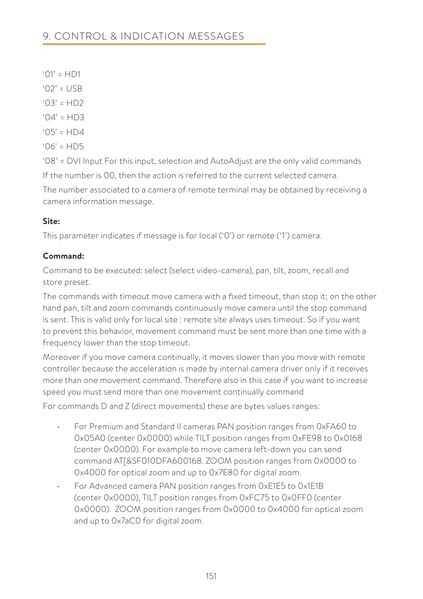- $'$ <sup>1</sup> = HD1
- $'$  02' = USB
- $'03' = HD2$
- $'04' = HD3$
- $'05' = HDA$
- $'06' = HDS$

'08' = DVI Input For this input, selection and AutoAdjust are the only valid commands If the number is 00, then the action is referred to the current selected camera.

The number associated to a camera of remote terminal may be obtained by receiving a camera information message.

# **Site:**

This parameter indicates if message is for local ('0') or remote ('1') camera.

# **Command:**

Command to be executed: select (select video-camera), pan, tilt, zoom, recall and store preset.

The commands with timeout move camera with a fixed timeout, than stop it; on the other hand pan, tilt and zoom commands continuously move camera until the stop command is sent. This is valid only for local site : remote site always uses timeout. So if you want to prevent this behavior, movement command must be sent more than one time with a frequency lower than the stop timeout.

Moreover if you move camera continually, it moves slower than you move with remote controller because the acceleration is made by internal camera driver only if it receives more than one movement command. Therefore also in this case if you want to increase speed you must send more than one movement continually command

For commands D and Z (direct movements) these are bytes values ranges:

- For Premium and Standard II cameras PAN position ranges from 0xFA60 to 0x05A0 (center 0x0000) while TILT position ranges from 0xFE98 to 0x0168 (center 0x0000). For example to move camera left-down you can send command AT[&SF010DFA600168. ZOOM position ranges from 0x0000 to 0x4000 for optical zoom and up to 0x7E80 for digital zoom.
- For Advanced camera PAN position ranges from 0xE1E5 to 0x1E1B (center 0x0000), TILT position ranges from 0xFC75 to 0x0FF0 (center 0x0000). ZOOM position ranges from 0x0000 to 0x4000 for optical zoom and up to 0x7aC0 for digital zoom.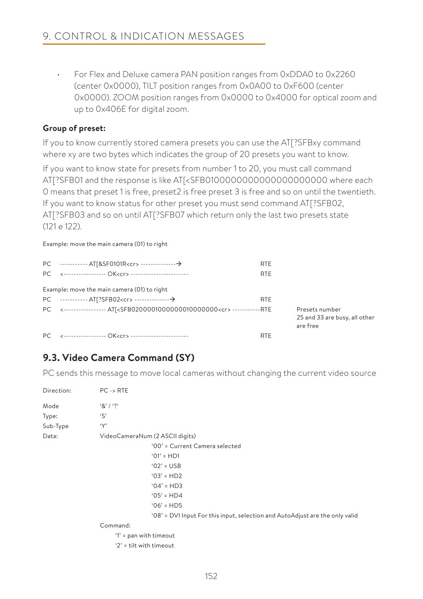• For Flex and Deluxe camera PAN position ranges from 0xDDA0 to 0x2260 (center 0x0000), TILT position ranges from 0x0A00 to 0xF600 (center 0x0000). ZOOM position ranges from 0x0000 to 0x4000 for optical zoom and up to 0x406E for digital zoom.

### **Group of preset:**

If you to know currently stored camera presets you can use the AT[?SFBxy command where xy are two bytes which indicates the group of 20 presets you want to know.

If you want to know state for presets from number 1 to 20, you must call command AT[?SFB01 and the response is like AT[<SFB0100000000000000000000 where each 0 means that preset 1 is free, preset2 is free preset 3 is free and so on until the twentieth. If you want to know status for other preset you must send command AT[?SFB02, AT[?SFB03 and so on until AT[?SFB07 which return only the last two presets state (121 e 122).

#### Example: move the main camera (01) to right

|                                                                                                         | <b>RTE</b> |                                                             |
|---------------------------------------------------------------------------------------------------------|------------|-------------------------------------------------------------|
| PC <----------------- OK <cr> -----------------------</cr>                                              | <b>RTE</b> |                                                             |
| Example: move the main camera (01) to right                                                             |            |                                                             |
|                                                                                                         | <b>RTE</b> |                                                             |
| PC <---------------- AT[ <sfb0200001000000010000000<cr> ------------ RTE</sfb0200001000000010000000<cr> |            | Presets number<br>25 and 33 are busy, all other<br>are free |
| PC <----------------- OK <cr> -----------------------</cr>                                              | <b>RTE</b> |                                                             |

# **9.3. Video Camera Command (SY)**

PC sends this message to move local cameras without changing the current video source

| Direction: | $PC \rightarrow RTE$     |                                                                              |
|------------|--------------------------|------------------------------------------------------------------------------|
| Mode       | 8' / ?                   |                                                                              |
| Type:      | $\mathcal{S}'$           |                                                                              |
| Sub-Type   | $\cdot_Y$                |                                                                              |
| Data:      |                          | VideoCameraNum (2 ASCII digits)                                              |
|            |                          | '00' = Current Camera selected                                               |
|            |                          | $'01' = HD1$                                                                 |
|            |                          | $'02' = USB$                                                                 |
|            |                          | $'03' = HD2$                                                                 |
|            |                          | $'04' = HD3$                                                                 |
|            |                          | $'05' = HD4$                                                                 |
|            |                          | $'06' = HD5$                                                                 |
|            |                          | '08' = DVI Input For this input, selection and AutoAdjust are the only valid |
|            | Command:                 |                                                                              |
|            | $'1'$ = pan with timeout |                                                                              |
|            | $2$ = tilt with timeout  |                                                                              |
|            |                          |                                                                              |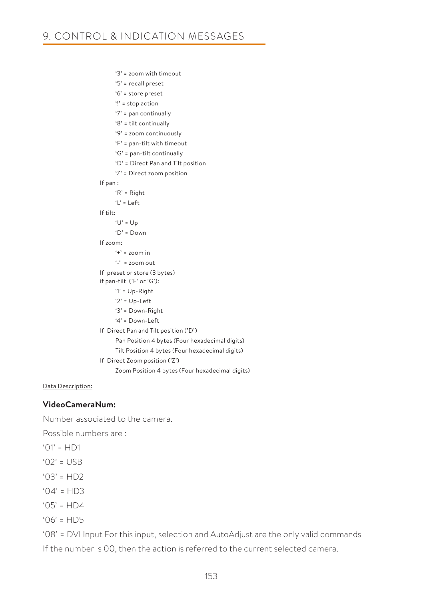'3' = zoom with timeout '5' = recall preset '6' = store preset '!' = stop action '7' = pan continually '8' = tilt continually '9' = zoom continuously 'F' = pan-tilt with timeout 'G' = pan-tilt continually 'D' = Direct Pan and Tilt position 'Z' = Direct zoom position If pan : 'R' = Right 'L' = Left If tilt:  $'U' = U_D$  'D' = Down If zoom:  $'$  =  $z$ 00m in  $\frac{1}{2}$  = zoom out If preset or store (3 bytes) if pan-tilt ('F' or 'G'): '1' = Up-Right '2' = Up-Left '3' = Down-Right '4' = Down-Left If Direct Pan and Tilt position ('D') Pan Position 4 bytes (Four hexadecimal digits) Tilt Position 4 bytes (Four hexadecimal digits) If Direct Zoom position ('Z') Zoom Position 4 bytes (Four hexadecimal digits)

Data Description:

### **VideoCameraNum:**

Number associated to the camera.

Possible numbers are :

 $'01' = HDI$ 

'02' = USB

 $'03' = HD2$ 

- $'04' = HD3$
- $'05' = HDA$

 $'06' = HDS$ 

'08' = DVI Input For this input, selection and AutoAdjust are the only valid commands If the number is 00, then the action is referred to the current selected camera.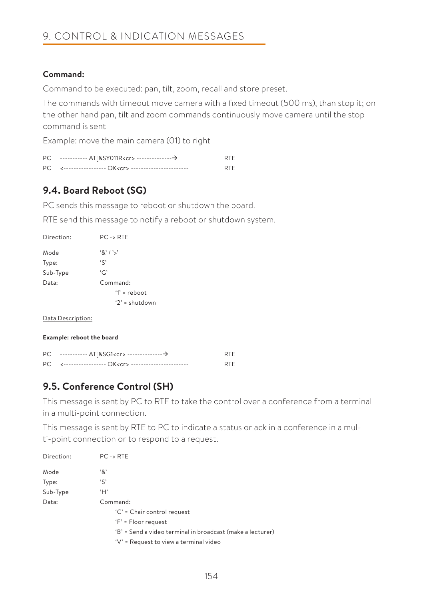# **Command:**

Command to be executed: pan, tilt, zoom, recall and store preset.

The commands with timeout move camera with a fixed timeout (500 ms), than stop it; on the other hand pan, tilt and zoom commands continuously move camera until the stop command is sent

Example: move the main camera (01) to right

|                                                             | <b>RTF</b> |
|-------------------------------------------------------------|------------|
| PC <----------------- OK <cr> ------------------------</cr> | <b>RTF</b> |

# **9.4. Board Reboot (SG)**

PC sends this message to reboot or shutdown the board.

RTE send this message to notify a reboot or shutdown system.

| Direction: | $PC \rightarrow RTE$ |
|------------|----------------------|
| Mode       | 8' /                 |
| Type:      | $\mathfrak{c}$       |
| Sub-Type   | G                    |
| Data:      | Command:             |
|            | $T =$ reboot         |
|            | $2' =$ shutdown      |

Data Description:

#### **Example: reboot the board**

| PC ----------- AT[&SG1 <cr> -----------------→</cr> | <b>RTF</b> |
|-----------------------------------------------------|------------|
|                                                     | <b>RTF</b> |

# **9.5. Conference Control (SH)**

This message is sent by PC to RTE to take the control over a conference from a terminal in a multi-point connection.

This message is sent by RTE to PC to indicate a status or ack in a conference in a multi-point connection or to respond to a request.

| Direction: | $PC \rightarrow RTE$                                       |
|------------|------------------------------------------------------------|
| Mode       | '&'                                                        |
| Type:      | $\mathcal{S}'$                                             |
| Sub-Type   | ʻΗ'                                                        |
| Data:      | Command:                                                   |
|            | 'C' = Chair control request                                |
|            | $F = Floor request$                                        |
|            | 'B' = Send a video terminal in broadcast (make a lecturer) |
|            | $V' =$ Request to view a terminal video                    |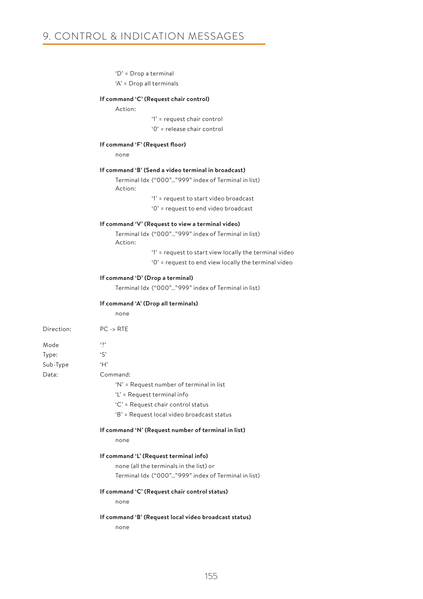'D' = Drop a terminal

'A' = Drop all terminals

#### **If command 'C' (Request chair control)**

#### Action:

 '1' = request chair control '0' = release chair control

#### **If command 'F' (Request floor)**

none

#### **If command 'B' (Send a video terminal in broadcast)**

 Terminal Idx ("000"…"999" index of Terminal in list) Action:

'1' = request to start video broadcast

'0' = request to end video broadcast

#### **If command 'V' (Request to view a terminal video)**

 Terminal Idx ("000"…"999" index of Terminal in list) Action:

'1' = request to start view locally the terminal video

'0' = request to end view locally the terminal video

#### **If command 'D' (Drop a terminal)**

Terminal Idx ("000"…"999" index of Terminal in list)

#### **If command 'A' (Drop all terminals)**

none

| Direction: | $PC \rightarrow RTE$                       |
|------------|--------------------------------------------|
| Mode       | $\ddot{\phantom{0}}$                       |
| Type:      | $\mathcal{S}'$                             |
| Sub-Type   | ʻΗ'                                        |
| Data:      | Command:                                   |
|            | 'N' = Request number of terminal in list   |
|            | 'L' = Request terminal info                |
|            | 'C' = Request chair control status         |
|            | 'B' = Request local video broadcast status |
|            |                                            |

#### **If command 'N' (Request number of terminal in list)**

none

#### **If command 'L' (Request terminal info)**

 none (all the terminals in the list) or Terminal Idx ("000"…"999" index of Terminal in list)

#### **If command 'C' (Request chair control status)**

none

#### **If command 'B' (Request local video broadcast status)**

none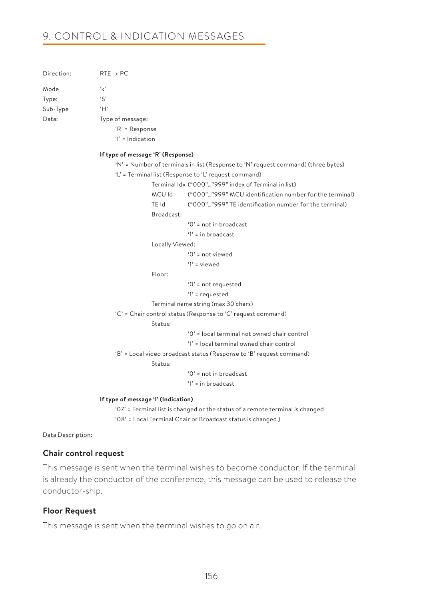# 9. CONTROL & INDICATION MESSAGES

| Direction: | $RTE \rightarrow PC$ |
|------------|----------------------|
| Mode       | د ،                  |
| Type:      | $\zeta$              |
| Sub-Type   | H                    |
| Data:      | Type of message:     |
|            | $R' = Respo$         |
|            |                      |

ponse

'I' = Indication

#### **If type of message 'R' (Response)**

```
 'N' = Number of terminals in list (Response to 'N' request command) (three bytes)
```
'L' = Terminal list (Response to 'L' request command)

Terminal Idx ("000"…"999" index of Terminal in list)

 MCU Id ("000"…"999" MCU identification number for the terminal) TE Id ("000"…"999" TE identification number for the terminal)

Broadcast:

'0' = not in broadcast

'1' = in broadcast

Locally Viewed:

'0' = not viewed

'1' = viewed

Floor:

'0' = not requested

'1' = requested

Terminal name string (max 30 chars)

'C' = Chair control status (Response to 'C' request command)

Status:

'0' = local terminal not owned chair control

'1' = local terminal owned chair control

'B' = Local video broadcast status (Response to 'B' request command)

Status:

'0' = not in broadcast

'1' = in broadcast

#### **If type of message 'I' (Indication)**

 '07' = Terminal list is changed or the status of a remote terminal is changed '08' = Local Terminal Chair or Broadcast status is changed )

#### Data Description:

#### **Chair control request**

This message is sent when the terminal wishes to become conductor. If the terminal is already the conductor of the conference, this message can be used to release the conductor-ship.

### **Floor Request**

This message is sent when the terminal wishes to go on air.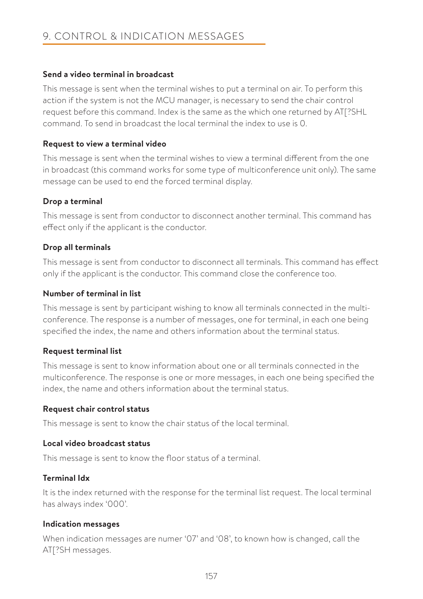### **Send a video terminal in broadcast**

This message is sent when the terminal wishes to put a terminal on air. To perform this action if the system is not the MCU manager, is necessary to send the chair control request before this command. Index is the same as the which one returned by AT[?SHL command. To send in broadcast the local terminal the index to use is 0.

### **Request to view a terminal video**

This message is sent when the terminal wishes to view a terminal different from the one in broadcast (this command works for some type of multiconference unit only). The same message can be used to end the forced terminal display.

# **Drop a terminal**

This message is sent from conductor to disconnect another terminal. This command has effect only if the applicant is the conductor.

# **Drop all terminals**

This message is sent from conductor to disconnect all terminals. This command has effect only if the applicant is the conductor. This command close the conference too.

### **Number of terminal in list**

This message is sent by participant wishing to know all terminals connected in the multiconference. The response is a number of messages, one for terminal, in each one being specified the index, the name and others information about the terminal status.

### **Request terminal list**

This message is sent to know information about one or all terminals connected in the multiconference. The response is one or more messages, in each one being specified the index, the name and others information about the terminal status.

### **Request chair control status**

This message is sent to know the chair status of the local terminal.

### **Local video broadcast status**

This message is sent to know the floor status of a terminal.

### **Terminal Idx**

It is the index returned with the response for the terminal list request. The local terminal has always index '000'.

### **Indication messages**

When indication messages are numer '07' and '08', to known how is changed, call the AT[?SH messages.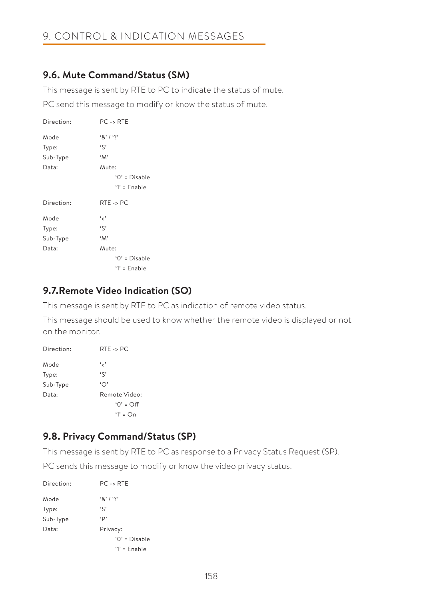# **9.6. Mute Command/Status (SM)**

This message is sent by RTE to PC to indicate the status of mute.

PC send this message to modify or know the status of mute.

| Direction: | $PC \rightarrow RTE$                       |
|------------|--------------------------------------------|
| Mode       | $8'1'$ ?                                   |
| Type:      | 'S'                                        |
| Sub-Type   | 'M'                                        |
| Data:      | Mute:<br>$'0' = Disable$<br>$'1'$ = Enable |
|            |                                            |
| Direction: | $RTE \rightarrow PC$                       |
| Mode       | و ر ،                                      |
| Type:      | $\mathfrak{c}$                             |
| Sub-Type   | $^{\circ}M^{\circ}$                        |
| Data:      | Mute:                                      |
|            | $'0' = Disable$                            |

# **9.7.Remote Video Indication (SO)**

This message is sent by RTE to PC as indication of remote video status.

This message should be used to know whether the remote video is displayed or not on the monitor.

| Direction: | $RTE \rightarrow PC$ |
|------------|----------------------|
| Mode       | و ر،                 |
| Type:      | $\zeta$              |
| Sub-Type   | $\Delta$             |
| Data:      | Remote Video:        |
|            | $'0' = \bigcirc f$   |
|            | $1' = \bigcap$       |

# **9.8. Privacy Command/Status (SP)**

This message is sent by RTE to PC as response to a Privacy Status Request (SP).

PC sends this message to modify or know the video privacy status.

| Direction: | $PC \rightarrow RTE$ |
|------------|----------------------|
| Mode       | 8' / ?               |
| Type:      | $\mathfrak{c}$       |
| Sub-Type   | p,                   |
| Data:      | Privacy:             |
|            | $'0'$ = Disable      |
|            | $'1'$ = Enable       |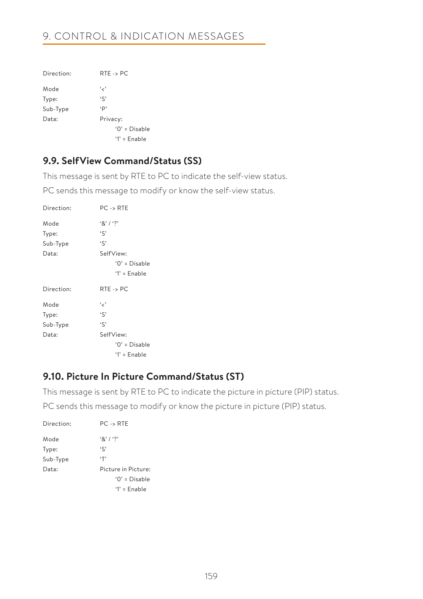# 9. CONTROL & INDICATION MESSAGES

| Direction: | $RTE \rightarrow PC$ |
|------------|----------------------|
| Mode       | و ر،                 |
| Type:      | $\mathfrak{c}$       |
| Sub-Type   | p,                   |
| Data:      | Privacy:             |
|            | $'0'$ = Disable      |
|            | $'1'$ = Enable       |

# **9.9. SelfView Command/Status (SS)**

This message is sent by RTE to PC to indicate the self-view status.

PC sends this message to modify or know the self-view status.

| Direction: | $PC \rightarrow RTE$ |
|------------|----------------------|
| Mode       | $8'1'$ ?             |
| Type:      | $\mathfrak{c}$       |
| Sub-Type   | $\mathfrak{c}$       |
| Data:      | SelfView:            |
|            | $'0' = Disable$      |
|            | $'1'$ = Enable       |
|            |                      |
| Direction: | $RTE \rightarrow PC$ |
| Mode       | و ر،                 |
| Type:      | $\mathfrak{c}$       |
| Sub-Type   | $\mathfrak{c}$       |
| Data:      | SelfView:            |
|            | $'0' = Disable$      |
|            | $'1'$ = Enable       |

# **9.10. Picture In Picture Command/Status (ST)**

This message is sent by RTE to PC to indicate the picture in picture (PIP) status.

PC sends this message to modify or know the picture in picture (PIP) status.

| Direction: | $PC \rightarrow RTE$ |
|------------|----------------------|
| Mode       | 8' / ?               |
| Type:      | $\zeta$              |
| Sub-Type   | ٠т,                  |
| Data:      | Picture in Picture:  |
|            | $'0'$ = Disable      |
|            | $'1'$ = Enable       |
|            |                      |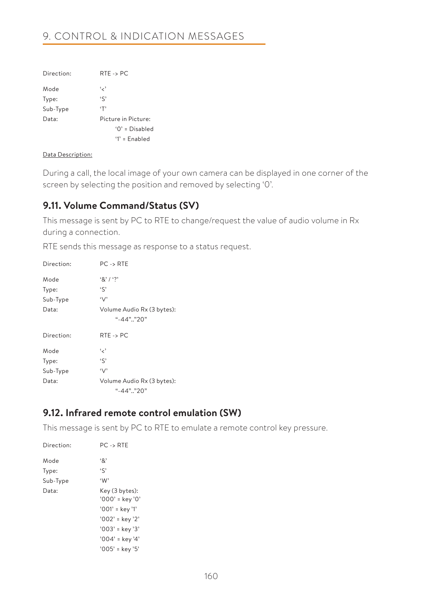# 9. CONTROL & INDICATION MESSAGES

| Direction: | $RTE \rightarrow PC$ |
|------------|----------------------|
| Mode       | و ر،                 |
| Type:      | $\mathfrak{c}$       |
| Sub-Type   | $\cdot$ T'           |
| Data:      | Picture in Picture:  |
|            | $'0'$ = Disabled     |
|            | $'1'$ = Enabled      |

#### Data Description:

During a call, the local image of your own camera can be displayed in one corner of the screen by selecting the position and removed by selecting '0'.

# **9.11. Volume Command/Status (SV)**

This message is sent by PC to RTE to change/request the value of audio volume in Rx during a connection.

RTE sends this message as response to a status request.

| Direction: | $PC \rightarrow RTE$                     |
|------------|------------------------------------------|
| Mode       | 8' / ?                                   |
| Type:      | $\mathfrak{c}$                           |
| Sub-Type   | $\vee$                                   |
| Data:      | Volume Audio Rx (3 bytes):<br>"-44" "20" |
| Direction: | $RTE \rightarrow PC$                     |
| Mode       | و ر،                                     |
| Type:      | $\mathfrak{c}$                           |
| Sub-Type   | $\vee$                                   |
| Data:      | Volume Audio Rx (3 bytes):               |
|            | "-44" "20"                               |

# **9.12. Infrared remote control emulation (SW)**

This message is sent by PC to RTE to emulate a remote control key pressure.

| Direction: | $PC \rightarrow RTE$                |
|------------|-------------------------------------|
| Mode       | $\cdot$ 8'                          |
| Type:      | $\mathfrak{c}$                      |
| Sub-Type   | W                                   |
| Data:      | Key (3 bytes):<br>$'000'$ = key '0' |
|            | '001' = key '1'                     |
|            | '002' = key '2'                     |
|            | $'003'$ = key '3'                   |
|            | $'004'$ = key '4'                   |
|            | $'005'$ = key '5'                   |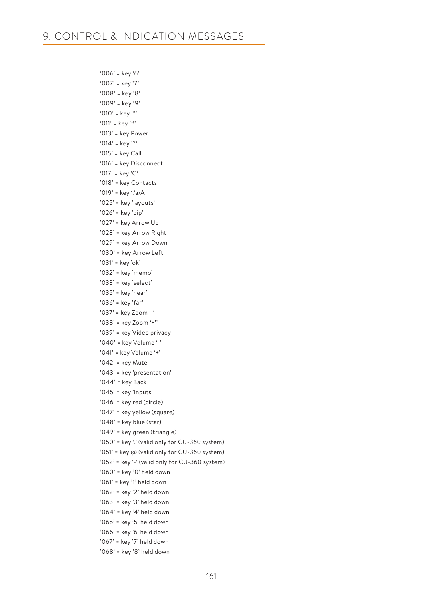'006' = key '6' '007' = key '7' '008' = key '8' '009' = key '9' '010' = key '\*' '011' = key '#' '013' = key Power '014' = key '?' '015' = key Call '016' = key Disconnect '017' = key 'C' '018' = key Contacts '019' = key 1/a/A '025' = key 'layouts' '026' = key 'pip' '027' = key Arrow Up '028' = key Arrow Right '029' = key Arrow Down '030' = key Arrow Left '031' = key 'ok' '032' = key 'memo' '033' = key 'select' '035' = key 'near' '036' = key 'far' '037' = key Zoom '-' '038' = key Zoom '+'' '039' = key Video privacy '040' = key Volume '-' '041' = key Volume '+' '042' = key Mute '043' = key 'presentation' '044' = key Back '045' = key 'inputs' '046' = key red (circle) '047' = key yellow (square) '048' = key blue (star) '049' = key green (triangle) '050' = key '.' (valid only for CU-360 system) '051' = key @ (valid only for CU-360 system) '052' = key '-' (valid only for CU-360 system) '060' = key '0' held down '061' = key '1' held down '062' = key '2' held down '063' = key '3' held down '064' = key '4' held down '065' = key '5' held down '066' = key '6' held down '067' = key '7' held down '068' = key '8' held down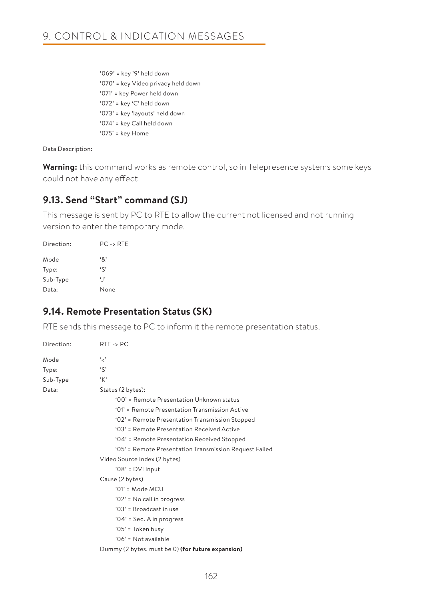'069' = key '9' held down '070' = key Video privacy held down '071' = key Power held down '072' = key 'C' held down '073' = key 'layouts' held down '074' = key Call held down '075' = key Home

### Data Description:

**Warning:** this command works as remote control, so in Telepresence systems some keys could not have any effect.

# **9.13. Send "Start" command (SJ)**

This message is sent by PC to RTE to allow the current not licensed and not running version to enter the temporary mode.

| Direction: | $PC \rightarrow RTE$ |
|------------|----------------------|
| Mode       | ٠&                   |
| Type:      | $\zeta$              |
| Sub-Type   | $\lceil$             |
| Data:      | None                 |

# **9.14. Remote Presentation Status (SK)**

RTE sends this message to PC to inform it the remote presentation status.

| Direction:      | $RTE \rightarrow PC$                                   |
|-----------------|--------------------------------------------------------|
| Mode            | و ر،                                                   |
| Type:           | $\mathfrak{c}$                                         |
| Sub-Type        | 'K'                                                    |
| Data:           | Status (2 bytes):                                      |
|                 | '00' = Remote Presentation Unknown status              |
|                 | '01' = Remote Presentation Transmission Active         |
|                 | '02' = Remote Presentation Transmission Stopped        |
|                 | '03' = Remote Presentation Received Active             |
|                 | '04' = Remote Presentation Received Stopped            |
|                 | '05' = Remote Presentation Transmission Request Failed |
|                 | Video Source Index (2 bytes)                           |
|                 | $'08'$ = DVI Input                                     |
| Cause (2 bytes) |                                                        |
|                 | $'01' = Mode MCU$                                      |
|                 | '02' = No call in progress                             |
|                 | '03' = Broadcast in use                                |
|                 | $'04'$ = Seq. A in progress                            |
|                 | '05' = Token busy                                      |
|                 | '06' = Not available                                   |
|                 | Dummy (2 bytes, must be 0) (for future expansion)      |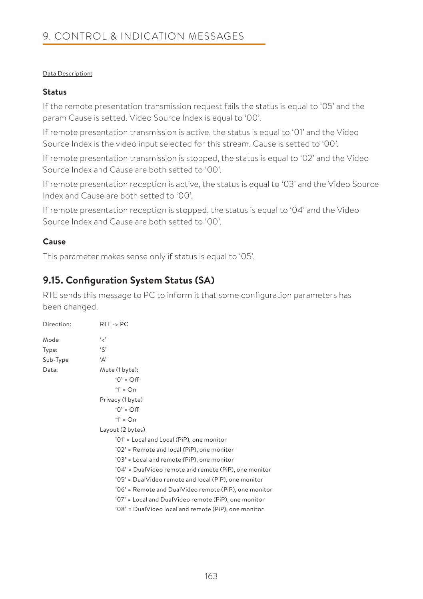### Data Description:

### **Status**

If the remote presentation transmission request fails the status is equal to '05' and the param Cause is setted. Video Source Index is equal to '00'.

If remote presentation transmission is active, the status is equal to '01' and the Video Source Index is the video input selected for this stream. Cause is setted to '00'.

If remote presentation transmission is stopped, the status is equal to '02' and the Video Source Index and Cause are both setted to '00'.

If remote presentation reception is active, the status is equal to '03' and the Video Source Index and Cause are both setted to '00'.

If remote presentation reception is stopped, the status is equal to '04' and the Video Source Index and Cause are both setted to '00'.

### **Cause**

This parameter makes sense only if status is equal to '05'.

# **9.15. Configuration System Status (SA)**

RTE sends this message to PC to inform it that some configuration parameters has been changed.

| Direction: | $RTE \rightarrow PC$                                  |
|------------|-------------------------------------------------------|
| Mode       | و د                                                   |
| Type:      | $\mathcal{S}$                                         |
| Sub-Type   | 'А'                                                   |
| Data:      | Mute (1 byte):                                        |
|            | $'0' = \bigcirc f$                                    |
|            | $1' = On$                                             |
|            | Privacy (1 byte)                                      |
|            | $'0' = \bigcirc f$                                    |
|            | $1' = On$                                             |
|            | Layout (2 bytes)                                      |
|            | '01' = Local and Local (PiP), one monitor             |
|            | '02' = Remote and local (PiP), one monitor            |
|            | '03' = Local and remote (PiP), one monitor            |
|            | '04' = DualVideo remote and remote (PiP), one monitor |
|            | '05' = DualVideo remote and local (PiP), one monitor  |
|            | '06' = Remote and DualVideo remote (PiP), one monitor |
|            | '07' = Local and DualVideo remote (PiP), one monitor  |
|            | '08' = DualVideo local and remote (PiP), one monitor  |
|            |                                                       |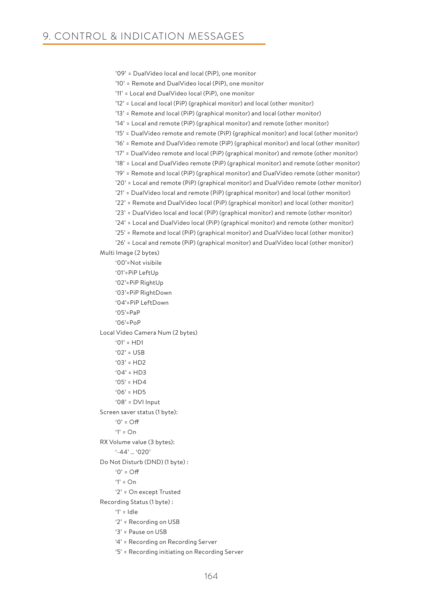```
 '09' = DualVideo local and local (PiP), one monitor
     '10' = Remote and DualVideo local (PiP), one monitor
     '11' = Local and DualVideo local (PiP), one monitor
     '12' = Local and local (PiP) (graphical monitor) and local (other monitor)
     '13' = Remote and local (PiP) (graphical monitor) and local (other monitor)
     '14' = Local and remote (PiP) (graphical monitor) and remote (other monitor)
     '15' = DualVideo remote and remote (PiP) (graphical monitor) and local (other monitor)
     '16' = Remote and DualVideo remote (PiP) (graphical monitor) and local (other monitor)
     '17' = DualVideo remote and local (PiP) (graphical monitor) and remote (other monitor)
     '18' = Local and DualVideo remote (PiP) (graphical monitor) and remote (other monitor)
     '19' = Remote and local (PiP) (graphical monitor) and DualVideo remote (other monitor)
     '20' = Local and remote (PiP) (graphical monitor) and DualVideo remote (other monitor)
     '21' = DualVideo local and remote (PiP) (graphical monitor) and local (other monitor)
     '22' = Remote and DualVideo local (PiP) (graphical monitor) and local (other monitor)
     '23' = DualVideo local and local (PiP) (graphical monitor) and remote (other monitor)
     '24' = Local and DualVideo local (PiP) (graphical monitor) and remote (other monitor)
     '25' = Remote and local (PiP) (graphical monitor) and DualVideo local (other monitor)
     '26' = Local and remote (PiP) (graphical monitor) and DualVideo local (other monitor)
Multi Image (2 bytes)
     '00'=Not visibile
     '01'=PiP LeftUp
     '02'=PiP RightUp
     '03'=PiP RightDown
     '04'=PiP LeftDown
    'O<sub>5</sub>' = P<sub>a</sub>P
     '06'=PoP
Local Video Camera Num (2 bytes)
    '01' = HDI'02' = 115B'03' = HD2'04' = HD3'05' = HD4'06' = HDS '08' = DVI Input 
Screen saver status (1 byte):
    '0' = Off
    '1' = \bigcap n RX Volume value (3 bytes):
     '-44' … '020'
Do Not Disturb (DND) (1 byte) :
    '()' = \bigcap'1' = \bigcap n '2' = On except Trusted 
Recording Status (1 byte) : 
     '1' = Idle
     '2' = Recording on USB
     '3' = Pause on USB
```
- '4' = Recording on Recording Server
- '5' = Recording initiating on Recording Server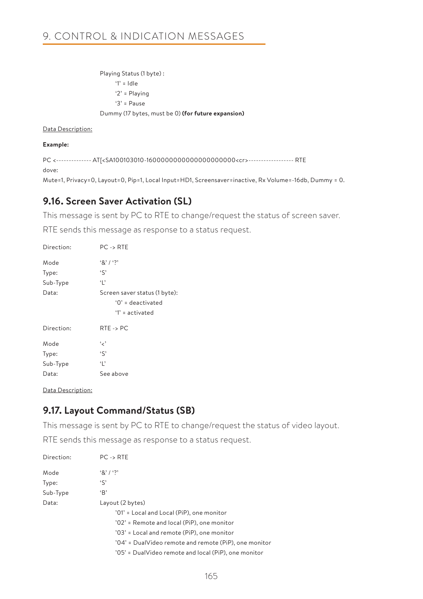# 9. CONTROL & INDICATION MESSAGES

 Playing Status (1 byte) : '1' = Idle '2' = Playing '3' = Pause Dummy (17 bytes, must be 0) **(for future expansion)**

#### Data Description:

#### **Example:**

PC <-------------- AT[<SA100103010-1600000000000000000000<cr>------------------ RTE dove:

Mute=1, Privacy=0, Layout=0, Pip=1, Local Input=HD1, Screensaver=inactive, Rx Volume=-16db, Dummy = 0.

# **9.16. Screen Saver Activation (SL)**

This message is sent by PC to RTE to change/request the status of screen saver.

RTE sends this message as response to a status request.

| Direction: | $PC \rightarrow RTE$                                                      |
|------------|---------------------------------------------------------------------------|
| Mode       | 8' / ?                                                                    |
| Type:      | $\mathfrak{c}$                                                            |
| Sub-Type   | Ч,                                                                        |
| Data:      | Screen saver status (1 byte):<br>$'0'$ = deactivated<br>$'1'$ = activated |
| Direction: | $RTE \rightarrow PC$                                                      |
| Mode       | و ر،                                                                      |
| Type:      | $\mathfrak{c}$                                                            |
| Sub-Type   | ٠,                                                                        |
| Data:      | See above                                                                 |

Data Description:

# **9.17. Layout Command/Status (SB)**

This message is sent by PC to RTE to change/request the status of video layout.

RTE sends this message as response to a status request.

| Direction: | $PC \rightarrow RTE$                                  |
|------------|-------------------------------------------------------|
| Mode       | 8' / ?                                                |
| Type:      | $\mathcal{S}'$                                        |
| Sub-Type   | B                                                     |
| Data:      | Layout (2 bytes)                                      |
|            | '01' = Local and Local (PiP), one monitor             |
|            | '02' = Remote and local (PiP), one monitor            |
|            | '03' = Local and remote (PiP), one monitor            |
|            | '04' = DualVideo remote and remote (PiP), one monitor |
|            | '05' = DualVideo remote and local (PiP), one monitor  |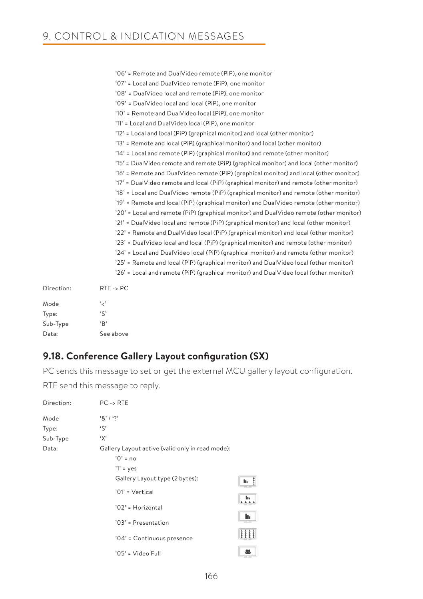|            | '06' = Remote and DualVideo remote (PiP), one monitor                                  |
|------------|----------------------------------------------------------------------------------------|
|            | '07' = Local and DualVideo remote (PiP), one monitor                                   |
|            | '08' = DualVideo local and remote (PiP), one monitor                                   |
|            | '09' = DualVideo local and local (PiP), one monitor                                    |
|            | '10' = Remote and DualVideo local (PiP), one monitor                                   |
|            | '11' = Local and DualVideo local (PiP), one monitor                                    |
|            | '12' = Local and local (PiP) (graphical monitor) and local (other monitor)             |
|            | '13' = Remote and local (PiP) (graphical monitor) and local (other monitor)            |
|            | '14' = Local and remote (PiP) (graphical monitor) and remote (other monitor)           |
|            | '15' = DualVideo remote and remote (PiP) (graphical monitor) and local (other monitor) |
|            | '16' = Remote and DualVideo remote (PiP) (graphical monitor) and local (other monitor) |
|            | '17' = DualVideo remote and local (PiP) (graphical monitor) and remote (other monitor) |
|            | '18' = Local and DualVideo remote (PiP) (graphical monitor) and remote (other monitor) |
|            | '19' = Remote and local (PiP) (graphical monitor) and DualVideo remote (other monitor) |
|            | '20' = Local and remote (PiP) (graphical monitor) and DualVideo remote (other monitor) |
|            | '21' = DualVideo local and remote (PiP) (graphical monitor) and local (other monitor)  |
|            | '22' = Remote and DualVideo local (PiP) (graphical monitor) and local (other monitor)  |
|            | '23' = DualVideo local and local (PiP) (graphical monitor) and remote (other monitor)  |
|            | '24' = Local and DualVideo local (PiP) (graphical monitor) and remote (other monitor)  |
|            | '25' = Remote and local (PiP) (graphical monitor) and DualVideo local (other monitor)  |
|            | '26' = Local and remote (PiP) (graphical monitor) and DualVideo local (other monitor)  |
| Direction: | $RTE \rightarrow PC$                                                                   |
| Mode       | و مي                                                                                   |

| Mode     | و پر پ         |
|----------|----------------|
| Type:    | $\mathfrak{c}$ |
| Sub-Type | B              |
| Data:    | See above      |
|          |                |

# **9.18. Conference Gallery Layout configuration (SX)**

PC sends this message to set or get the external MCU gallery layout configuration.

RTE send this message to reply.

| Direction: | $PC \rightarrow RTE$                                                          |                                                         |
|------------|-------------------------------------------------------------------------------|---------------------------------------------------------|
| Mode       | '8'1'                                                                         |                                                         |
| Type:      | $\mathcal{S}$                                                                 |                                                         |
| Sub-Type   | 'X'                                                                           |                                                         |
| Data:      | Gallery Layout active (valid only in read mode):<br>$'0'$ = no<br>$'1'$ = yes |                                                         |
|            | Gallery Layout type (2 bytes):<br>'01' = Vertical                             | $\frac{1}{2}$<br>h.<br>h.                               |
|            | '02' = Horizontal<br>'03' = Presentation                                      | 111<br>h.                                               |
|            | '04' = Continuous presence                                                    | $\frac{1}{1}$ $\frac{1}{1}$ $\frac{1}{1}$ $\frac{1}{1}$ |
|            | '05' = Video Full                                                             | 繳                                                       |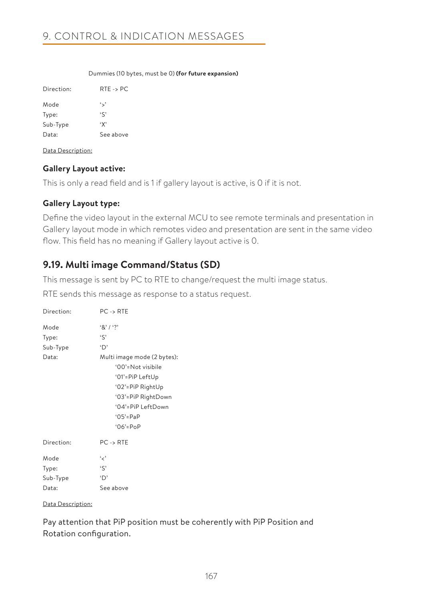#### Dummies (10 bytes, must be 0) **(for future expansion)**

| Direction <sup>.</sup> | $RTE \rightarrow PC$ |
|------------------------|----------------------|
| Mode                   | ∾.,                  |
| Type:                  | $\zeta$              |
| Sub-Type               | ٠х,                  |
| Data:                  | See above            |

Data Description:

### **Gallery Layout active:**

This is only a read field and is 1 if gallery layout is active, is 0 if it is not.

### **Gallery Layout type:**

Define the video layout in the external MCU to see remote terminals and presentation in Gallery layout mode in which remotes video and presentation are sent in the same video flow. This field has no meaning if Gallery layout active is 0.

# **9.19. Multi image Command/Status (SD)**

This message is sent by PC to RTE to change/request the multi image status.

RTE sends this message as response to a status request.

| Direction:                         | $PC \rightarrow RTE$                                                                                                                                                                        |
|------------------------------------|---------------------------------------------------------------------------------------------------------------------------------------------------------------------------------------------|
| Mode<br>Type:<br>Sub-Type<br>Data: | $8'1'$ ?<br>'S'<br>'D'<br>Multi image mode (2 bytes):<br>'00'=Not visibile<br>'01'=PiP LeftUp<br>'02'=PiP RightUp<br>'03'=PiP RightDown<br>'04'=PiP LeftDown<br>$'05' = PaP$<br>$06' = PoP$ |
| Direction:                         | $PC \rightarrow RTE$                                                                                                                                                                        |
| Mode<br>Type:<br>Sub-Type<br>Data: | و ر ،<br>'S'<br>'D'<br>See above                                                                                                                                                            |

#### Data Description:

Pay attention that PiP position must be coherently with PiP Position and Rotation configuration.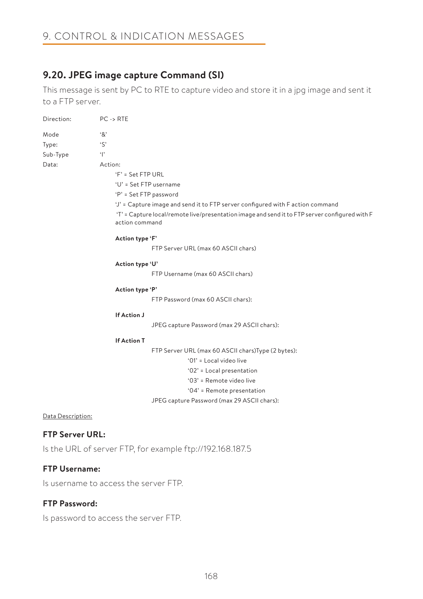# **9.20. JPEG image capture Command (SI)**

This message is sent by PC to RTE to capture video and store it in a jpg image and sent it to a FTP server.

| Direction:        | $PC \rightarrow RTE$                                                                                                                                                                               |
|-------------------|----------------------------------------------------------------------------------------------------------------------------------------------------------------------------------------------------|
| Mode              | '&'                                                                                                                                                                                                |
| Type:             | $\mathcal{S}$                                                                                                                                                                                      |
| Sub-Type          | $\mathbf{r}$                                                                                                                                                                                       |
| Data:             | Action:                                                                                                                                                                                            |
|                   | $F = Set FTP URL$                                                                                                                                                                                  |
|                   | 'U' = Set FTP username                                                                                                                                                                             |
|                   | 'P' = Set FTP password                                                                                                                                                                             |
|                   | 'J' = Capture image and send it to FTP server configured with F action command<br>'T' = Capture local/remote live/presentation image and send it to FTP server configured with F<br>action command |
|                   | Action type 'F'                                                                                                                                                                                    |
|                   | FTP Server URL (max 60 ASCII chars)                                                                                                                                                                |
|                   | Action type 'U'                                                                                                                                                                                    |
|                   | FTP Username (max 60 ASCII chars)                                                                                                                                                                  |
|                   | Action type 'P'                                                                                                                                                                                    |
|                   | FTP Password (max 60 ASCII chars):                                                                                                                                                                 |
|                   | If Action J                                                                                                                                                                                        |
|                   | JPEG capture Password (max 29 ASCII chars):                                                                                                                                                        |
|                   | <b>If Action T</b>                                                                                                                                                                                 |
|                   | FTP Server URL (max 60 ASCII chars) Type (2 bytes):                                                                                                                                                |
|                   | '01' = Local video live                                                                                                                                                                            |
|                   | '02' = Local presentation                                                                                                                                                                          |
|                   | '03' = Remote video live                                                                                                                                                                           |
|                   | '04' = Remote presentation                                                                                                                                                                         |
|                   | JPEG capture Password (max 29 ASCII chars):                                                                                                                                                        |
| Data Description: |                                                                                                                                                                                                    |

### **FTP Server URL:**

Is the URL of server FTP, for example ftp://192.168.187.5

### **FTP Username:**

Is username to access the server FTP.

### **FTP Password:**

Is password to access the server FTP.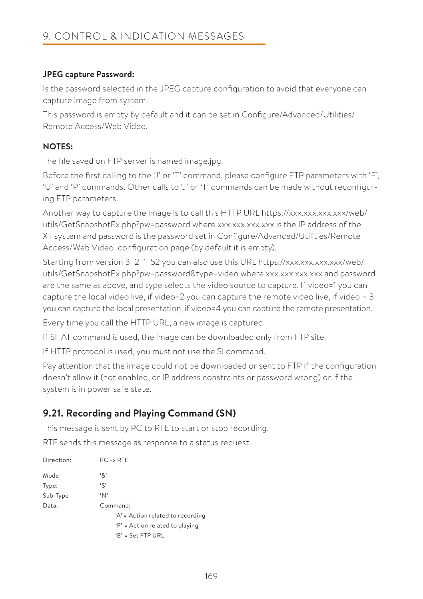# **JPEG capture Password:**

Is the password selected in the JPEG capture configuration to avoid that everyone can capture image from system.

This password is empty by default and it can be set in Configure/Advanced/Utilities/ Remote Access/Web Video.

# **NOTES:**

The file saved on FTP server is named image.jpg.

Before the first calling to the 'J' or 'T' command, please configure FTP parameters with 'F', 'U' and 'P' commands. Other calls to 'J' or 'T' commands can be made without reconfiguring FTP parameters.

Another way to capture the image is to call this HTTP URL https://xxx.xxx.xxx.xxx/web/ utils/GetSnapshotEx.php?pw=password where xxx.xxx.xxx.xxx is the IP address of the XT system and password is the password set in Configure/Advanced/Utilities/Remote Access/Web Video configuration page (by default it is empty).

Starting from version 3\_2\_1\_52 you can also use this URL https://xxx.xxx.xxx.xxx/web/ utils/GetSnapshotEx.php?pw=password&type=video where xxx.xxx.xxx.xxx and password are the same as above, and type selects the video source to capture. If video=1 you can capture the local video live, if video=2 you can capture the remote video live, if video =  $3$ you can capture the local presentation, if video=4 you can capture the remote presentation.

Every time you call the HTTP URL, a new image is captured.

If SI AT command is used, the image can be downloaded only from FTP site.

If HTTP protocol is used, you must not use the SI command.

Pay attention that the image could not be downloaded or sent to FTP if the configuration doesn't allow it (not enabled, or IP address constraints or password wrong) or if the system is in power safe state.

# **9.21. Recording and Playing Command (SN)**

This message is sent by PC to RTE to start or stop recording.

RTE sends this message as response to a status request.

| Direction: | $PC \rightarrow RTE$              |
|------------|-----------------------------------|
| Mode       | '&'                               |
| Type:      | $\mathcal{S}'$                    |
| Sub-Type   | ʻΝ'                               |
| Data:      | Command:                          |
|            | 'A' = Action related to recording |
|            | 'P' = Action related to playing   |
|            | $B' = Set FTP URL$                |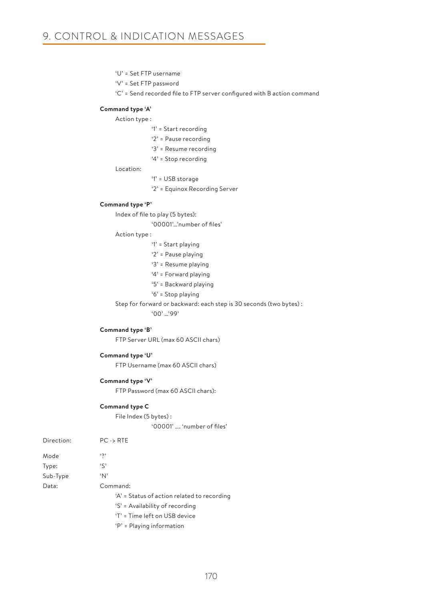- 'U' = Set FTP username
- 'V' = Set FTP password
- 'C' = Send recorded file to FTP server configured with B action command

#### **Command type 'A'**

Action type :

- '1' = Start recording
- '2' = Pause recording
- '3' = Resume recording
- '4' = Stop recording

Location:

- '1' = USB storage
- '2' = Equinox Recording Server

#### **Command type 'P'**

Index of file to play (5 bytes):

'00001'…'number of files'

#### Action type :

- '1' = Start playing
- '2' = Pause playing
- '3' = Resume playing
- '4' = Forward playing
- '5' = Backward playing
- '6' = Stop playing

 Step for forward or backward: each step is 30 seconds (two bytes) : '00' …'99'

#### **Command type 'B'**

FTP Server URL (max 60 ASCII chars)

#### **Command type 'U'**

FTP Username (max 60 ASCII chars)

#### **Command type 'V'**

FTP Password (max 60 ASCII chars):

#### **Command type C**

 File Index (5 bytes) : '00001' …. 'number of files'

| Direction: | $PC \rightarrow RTE$                        |
|------------|---------------------------------------------|
| Mode       | $\mathfrak{c}_{2}$                          |
| Type:      | $\mathcal{S}'$                              |
| Sub-Type   | 'N'                                         |
| Data:      | Command:                                    |
|            | 'A' = Status of action related to recording |
|            | 'S' = Availability of recording             |
|            | 'T' = Time left on USB device               |
|            | $'P'$ = Playing information                 |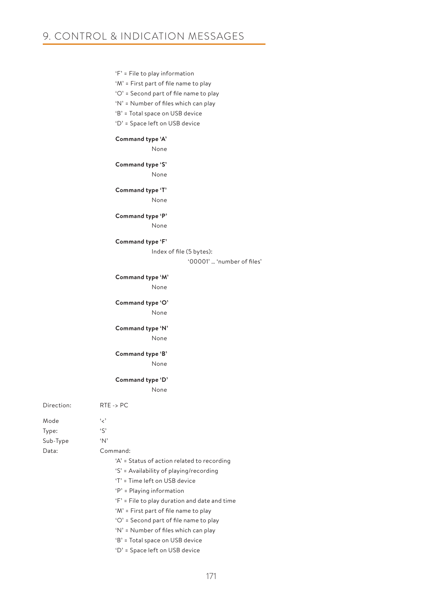|                           | 'F' = File to play information<br>'M' = First part of file name to play<br>'O' = Second part of file name to play<br>'N' = Number of files which can play<br>'B' = Total space on USB device<br>'D' = Space left on USB device                                                                                                                                                                                    |
|---------------------------|-------------------------------------------------------------------------------------------------------------------------------------------------------------------------------------------------------------------------------------------------------------------------------------------------------------------------------------------------------------------------------------------------------------------|
|                           | Command type 'A'                                                                                                                                                                                                                                                                                                                                                                                                  |
|                           | None                                                                                                                                                                                                                                                                                                                                                                                                              |
|                           | Command type 'S'<br>None                                                                                                                                                                                                                                                                                                                                                                                          |
|                           | Command type 'T'<br>None                                                                                                                                                                                                                                                                                                                                                                                          |
|                           | Command type 'P'<br>None                                                                                                                                                                                                                                                                                                                                                                                          |
|                           | Command type 'F'<br>Index of file (5 bytes):<br>'00001'  'number of files'                                                                                                                                                                                                                                                                                                                                        |
|                           | Command type 'M'<br>None                                                                                                                                                                                                                                                                                                                                                                                          |
|                           | Command type 'O'<br>None                                                                                                                                                                                                                                                                                                                                                                                          |
|                           | Command type 'N'<br>None                                                                                                                                                                                                                                                                                                                                                                                          |
|                           | Command type 'B'<br>None                                                                                                                                                                                                                                                                                                                                                                                          |
|                           | Command type 'D'<br>None                                                                                                                                                                                                                                                                                                                                                                                          |
| Direction:                | $RTE \rightarrow PC$                                                                                                                                                                                                                                                                                                                                                                                              |
| Mode<br>Type:<br>Sub-Type | د مي<br>$\mathcal{S}$<br>$\Delta$                                                                                                                                                                                                                                                                                                                                                                                 |
| Data:                     | Command:<br>'A' = Status of action related to recording<br>'S' = Availability of playing/recording<br>'T' = Time left on USB device<br>'P' = Playing information<br>'F' = File to play duration and date and time<br>'M' = First part of file name to play<br>'O' = Second part of file name to play<br>'N' = Number of files which can play<br>'B' = Total space on USB device<br>'D' = Space left on USB device |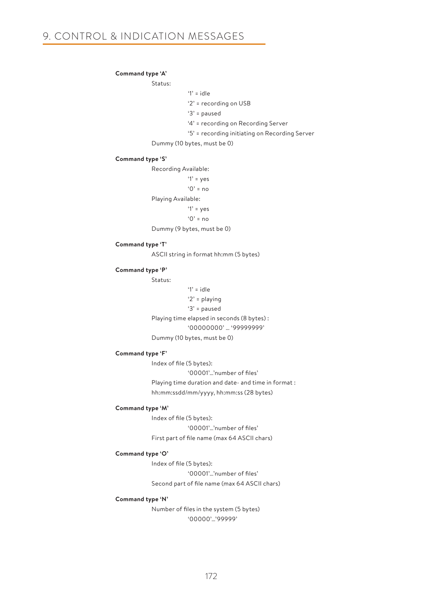#### **Command type 'A'**

Status:

```
 '1' = idle
```
'2' = recording on USB

'3' = paused

'4' = recording on Recording Server

'5' = recording initiating on Recording Server

Dummy (10 bytes, must be 0)

#### **Command type 'S'**

Recording Available:

'1' = yes

 $'0'$  = no

Playing Available:

```
 '1' = yes
```
'0' = no

Dummy (9 bytes, must be 0)

#### **Command type 'T'**

ASCII string in format hh:mm (5 bytes)

#### **Command type 'P'**

Status:

 '1' = idle '2' = playing '3' = paused Playing time elapsed in seconds (8 bytes) : '00000000' … '99999999' Dummy (10 bytes, must be 0)

#### **Command type 'F'**

 Index of file (5 bytes): '00001'…'number of files' Playing time duration and date- and time in format : hh:mm:ssdd/mm/yyyy, hh:mm:ss (28 bytes)

#### **Command type 'M'**

 Index of file (5 bytes): '00001'…'number of files' First part of file name (max 64 ASCII chars)

#### **Command type 'O'**

 Index of file (5 bytes): '00001'…'number of files' Second part of file name (max 64 ASCII chars)

#### **Command type 'N'**

 Number of files in the system (5 bytes) '00000'…'99999'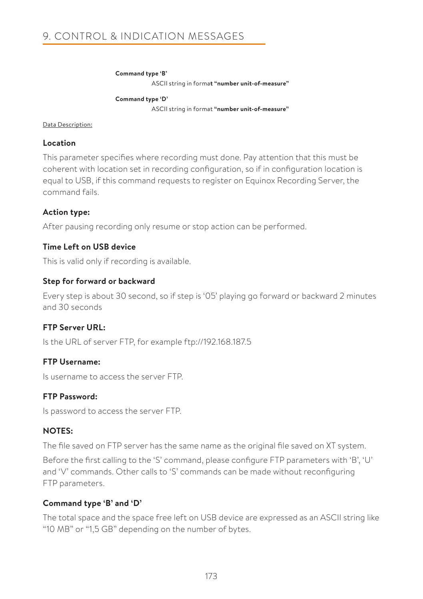#### **Command type 'B'**

ASCII string in forma**t "number unit-of-measure"**

 **Command type 'D'** ASCII string in format **"number unit-of-measure"**

#### Data Description:

### **Location**

This parameter specifies where recording must done. Pay attention that this must be coherent with location set in recording configuration, so if in configuration location is equal to USB, if this command requests to register on Equinox Recording Server, the command fails.

### **Action type:**

After pausing recording only resume or stop action can be performed.

### **Time Left on USB device**

This is valid only if recording is available.

### **Step for forward or backward**

Every step is about 30 second, so if step is '05' playing go forward or backward 2 minutes and 30 seconds

### **FTP Server URL:**

Is the URL of server FTP, for example ftp://192.168.187.5

### **FTP Username:**

Is username to access the server FTP.

### **FTP Password:**

Is password to access the server FTP.

### **NOTES:**

The file saved on FTP server has the same name as the original file saved on XT system.

Before the first calling to the 'S' command, please configure FTP parameters with 'B', 'U' and 'V' commands. Other calls to 'S' commands can be made without reconfiguring FTP parameters.

### **Command type 'B' and 'D'**

The total space and the space free left on USB device are expressed as an ASCII string like "10 MB" or "1,5 GB" depending on the number of bytes.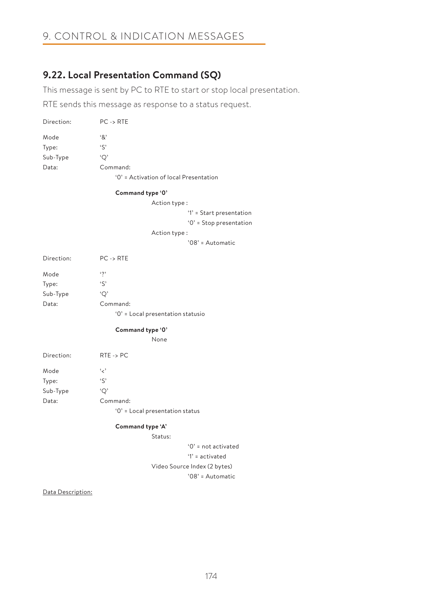# 9. CONTROL & INDICATION MESSAGES

# **9.22. Local Presentation Command (SQ)**

This message is sent by PC to RTE to start or stop local presentation.

RTE sends this message as response to a status request.

| Direction: | $PC \rightarrow RTE$                   |
|------------|----------------------------------------|
| Mode       | ۰&٬                                    |
| Type:      | $\mathcal{L}$                          |
| Sub-Type   | 'O'                                    |
| Data:      | Command:                               |
|            | '0' = Activation of local Presentation |

#### **Command type '0'**

Action type :

'1' = Start presentation

'0' = Stop presentation

```
 Action type :
```
'08' = Automatic

| Direction: | $PC \rightarrow RTE$              |
|------------|-----------------------------------|
| Mode       | $\ddot{\phantom{0}}$              |
| Type:      | $\mathcal{S}'$                    |
| Sub-Type   | 'О'                               |
| Data:      | Command:                          |
|            | '0' = Local presentation statusio |

#### **Command type '0'**

None

| Direction: | $RTE \rightarrow PC$            |
|------------|---------------------------------|
| Mode       | و ر،                            |
| Type:      | $\mathfrak{c}$                  |
| Sub-Type   | 'O'                             |
| Data:      | Command:                        |
|            | '0' = Local presentation status |
|            |                                 |

#### **Command type 'A'**

Status:

 '0' = not activated '1' = activated Video Source Index (2 bytes) '08' = Automatic

Data Description: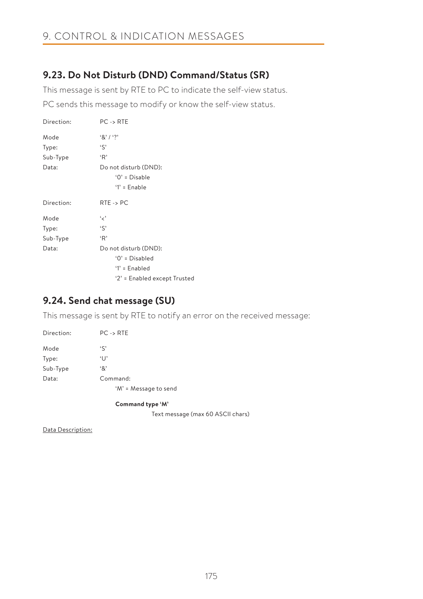# **9.23. Do Not Disturb (DND) Command/Status (SR)**

This message is sent by RTE to PC to indicate the self-view status.

PC sends this message to modify or know the self-view status.

| Direction: | $PC \rightarrow RTE$                                       |
|------------|------------------------------------------------------------|
| Mode       | $8'1'$ ?                                                   |
| Type:      | 'S'                                                        |
| Sub-Type   | 'R'                                                        |
| Data:      | Do not disturb (DND):<br>$'0' = Disable$<br>$'1'$ = Enable |
| Direction: | $RTE \rightarrow PC$                                       |
| Mode       | و مي                                                       |
| Type:      | $\mathfrak{c}$                                             |
| Sub-Type   | 'R'                                                        |
| Data:      | Do not disturb (DND):                                      |
|            | $0'$ = Disabled                                            |
|            | $'1'$ = Enabled                                            |
|            | '2' = Enabled except Trusted                               |

# **9.24. Send chat message (SU)**

This message is sent by RTE to notify an error on the received message:

| Direction: | $PC \rightarrow RTE$  |
|------------|-----------------------|
| Mode       | $\mathfrak{c}$        |
| Type:      | $\lceil \cdot \rceil$ |
| Sub-Type   | '&'                   |
| Data:      | Command:              |
|            | 'M' = Message to send |

**Command type 'M'**

Text message (max 60 ASCII chars)

Data Description: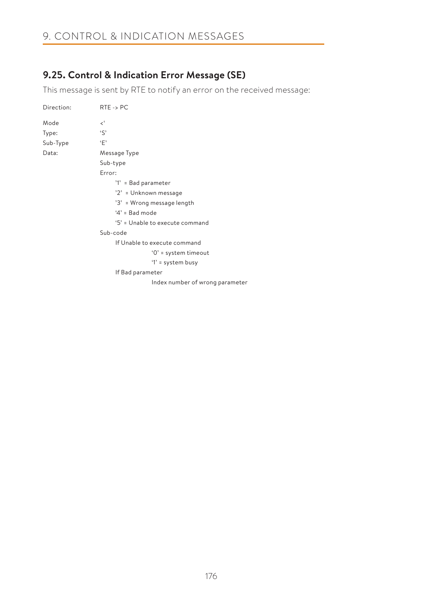# **9.25. Control & Indication Error Message (SE)**

This message is sent by RTE to notify an error on the received message:

| Direction: | $RTE \rightarrow PC$            |
|------------|---------------------------------|
| Mode       | <'                              |
| Type:      | $\mathcal{S}$                   |
| Sub-Type   | $\cdot_F$                       |
| Data:      | Message Type                    |
|            | Sub-type                        |
|            | Error:                          |
|            | '1' = Bad parameter             |
|            | '2' = Unknown message           |
|            | '3' = Wrong message length      |
|            | $4'$ = Bad mode                 |
|            | '5' = Unable to execute command |
|            | Sub-code                        |
|            | If Unable to execute command    |
|            | $'0'$ = system timeout          |
|            | '1' = system busy               |
|            | If Bad parameter                |
|            | Index number of wrong parameter |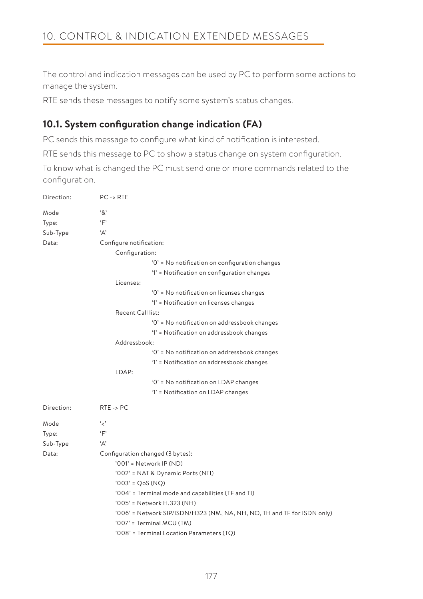The control and indication messages can be used by PC to perform some actions to manage the system.

RTE sends these messages to notify some system's status changes.

# **10.1. System configuration change indication (FA)**

PC sends this message to configure what kind of notification is interested.

RTE sends this message to PC to show a status change on system configuration.

To know what is changed the PC must send one or more commands related to the configuration.

| Direction:    | $PC \rightarrow RTE$                                                    |
|---------------|-------------------------------------------------------------------------|
| Mode<br>Type: | '&'<br>$\cdot$ F'                                                       |
| Sub-Type      | 'Д'                                                                     |
| Data:         | Configure notification:                                                 |
|               | Configuration:                                                          |
|               | '0' = No notification on configuration changes                          |
|               | '1' = Notification on configuration changes                             |
|               | Licenses:                                                               |
|               | '0' = No notification on licenses changes                               |
|               | '1' = Notification on licenses changes                                  |
|               | Recent Call list:                                                       |
|               | '0' = No notification on addressbook changes                            |
|               | '1' = Notification on addressbook changes                               |
|               | Addressbook:                                                            |
|               | '0' = No notification on addressbook changes                            |
|               | '1' = Notification on addressbook changes                               |
|               | LDAP:                                                                   |
|               | '0' = No notification on LDAP changes                                   |
|               | '1' = Notification on LDAP changes                                      |
| Direction:    | $RTE \rightarrow PC$                                                    |
| Mode          | 'ح'                                                                     |
| Type:         | ٠F                                                                      |
| Sub-Type      | 'Α'                                                                     |
| Data:         | Configuration changed (3 bytes):                                        |
|               | '001' = Network IP (ND)                                                 |
|               | '002' = NAT & Dynamic Ports (NTI)                                       |
|               | $'003' = QoS(NQ)$                                                       |
|               | '004' = Terminal mode and capabilities (TF and TI)                      |
|               | '005' = Network H.323 (NH)                                              |
|               | '006' = Network SIP/ISDN/H323 (NM, NA, NH, NO, TH and TF for ISDN only) |
|               | '007' = Terminal MCU (TM)                                               |
|               | '008' = Terminal Location Parameters (TQ)                               |
|               |                                                                         |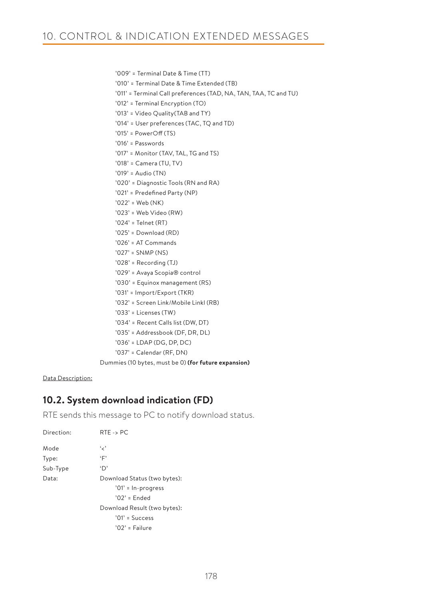'011' = Terminal Call preferences (TAD, NA, TAN, TAA, TC and TU)

 '009' = Terminal Date & Time (TT) '010' = Terminal Date & Time Extended (TB)

 '012' = Terminal Encryption (TO) '013' = Video Quality(TAB and TY) '014' = User preferences (TAC, TQ and TD)

 '015' = PowerOff (TS) '016' = Passwords '017' = Monitor (TAV, TAL, TG and TS) '018' = Camera (TU, TV) '019' = Audio (TN) '020' = Diagnostic Tools (RN and RA) '021' = Predefined Party (NP) '022' = Web (NK) '023' = Web Video (RW) '024' = Telnet (RT) '025' = Download (RD) '026' = AT Commands '027' = SNMP (NS) '028' = Recording (TJ) '029' = Avaya Scopia® control '030' = Equinox management (RS) '031' = Import/Export (TKR) '032' = Screen Link/Mobile Linkl (RB) '033' = Licenses (TW) '034' = Recent Calls list (DW, DT) '035' = Addressbook (DF, DR, DL) '036' = LDAP (DG, DP, DC) '037' = Calendar (RF, DN) Dummies (10 bytes, must be 0) **(for future expansion)**

Data Description:

# **10.2. System download indication (FD)**

RTE sends this message to PC to notify download status.

| Direction: | $RTE \rightarrow PC$         |
|------------|------------------------------|
| Mode       | و ر،                         |
| Type:      | ٠Ε,                          |
| Sub-Type   | $\Delta$                     |
| Data:      | Download Status (two bytes): |
|            | '01' = In-progress           |
|            | $'02'$ = Ended               |
|            | Download Result (two bytes): |
|            | $'01'$ = Success             |
|            | $'02'$ = Failure             |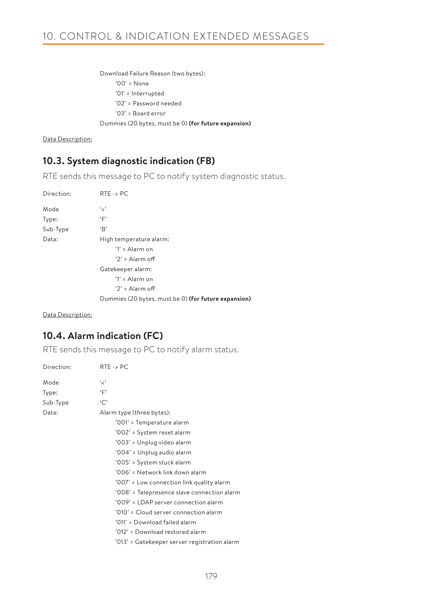Download Failure Reason (two bytes): '00' = None '01' = Interrupted '02' = Password needed '03' = Board error Dummies (20 bytes, must be 0) **(for future expansion)**

Data Description:

# **10.3. System diagnostic indication (FB)**

RTE sends this message to PC to notify system diagnostic status.

| Direction: | $RTE \rightarrow PC$                                 |
|------------|------------------------------------------------------|
| Mode       | و د                                                  |
| Type:      | ٠F                                                   |
| Sub-Type   | B                                                    |
| Data:      | High temperature alarm:                              |
|            | $'1' =$ Alarm on                                     |
|            | $'2' =$ Alarm off                                    |
|            | Gatekeeper alarm:                                    |
|            | $'1' =$ Alarm on                                     |
|            | $'2' =$ Alarm off                                    |
|            | Dummies (20 bytes, must be 0) (for future expansion) |

Data Description:

# **10.4. Alarm indication (FC)**

RTE sends this message to PC to notify alarm status.

| Direction: | $RTF \rightarrow PC$                         |
|------------|----------------------------------------------|
| Mode       | و ر،                                         |
| Type:      | $\cdot$ F'                                   |
| Sub-Type   | `C`                                          |
| Data:      | Alarm type (three bytes):                    |
|            | '001' = Temperature alarm                    |
|            | '002' = System reset alarm                   |
|            | '003' = Unplug video alarm                   |
|            | '004' = Unplug audio alarm                   |
|            | '005' = System stuck alarm                   |
|            | '006' = Network link down alarm              |
|            | '007' = Low connection link quality alarm    |
|            | '008' = Telepresence slave connection alarm  |
|            | '009' = LDAP server connection alarm         |
|            | '010' = Cloud server connection alarm        |
|            | '011' = Download failed alarm                |
|            | '012' = Download restored alarm              |
|            | '013' = Gatekeeper server registration alarm |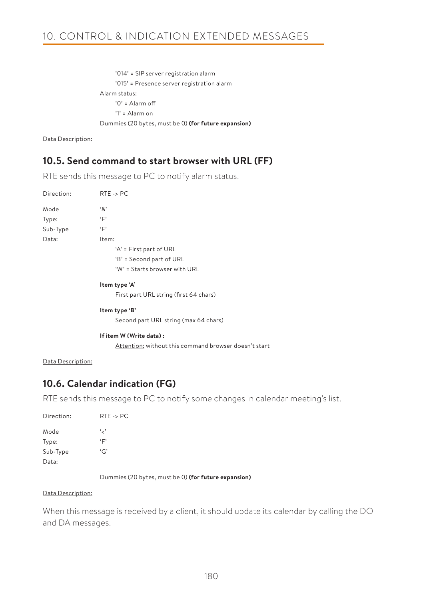'014' = SIP server registration alarm '015' = Presence server registration alarm Alarm status: '0' = Alarm off '1' = Alarm on Dummies (20 bytes, must be 0) **(for future expansion)**

Data Description:

# **10.5. Send command to start browser with URL (FF)**

RTE sends this message to PC to notify alarm status.

| Direction:        | $RTE \rightarrow PC$                                  |
|-------------------|-------------------------------------------------------|
| Mode              | $\cdot$ 8'                                            |
| Type:             | ٠F                                                    |
| Sub-Type          | $\cdot$ F'                                            |
| Data:             | Item:                                                 |
|                   | 'A' = First part of URL                               |
|                   | 'B' = Second part of URL                              |
|                   | 'W' = Starts browser with URL                         |
|                   | Item type 'A'                                         |
|                   | First part URL string (first 64 chars)                |
|                   | Item type 'B'                                         |
|                   | Second part URL string (max 64 chars)                 |
|                   | If item W (Write data):                               |
|                   | Attention: without this command browser doesn't start |
| Data Description: |                                                       |
|                   | 10.6. Calendar indication (FG)                        |

RTE sends this message to PC to notify some changes in calendar meeting's list.

| Direction: | $RTE \rightarrow PC$ |
|------------|----------------------|
| Mode       | و پر پ               |
| Type:      | ٠Γ                   |
| Sub-Type   | G                    |
| Data:      |                      |

Dummies (20 bytes, must be 0) **(for future expansion)**

#### Data Description:

When this message is received by a client, it should update its calendar by calling the DO and DA messages.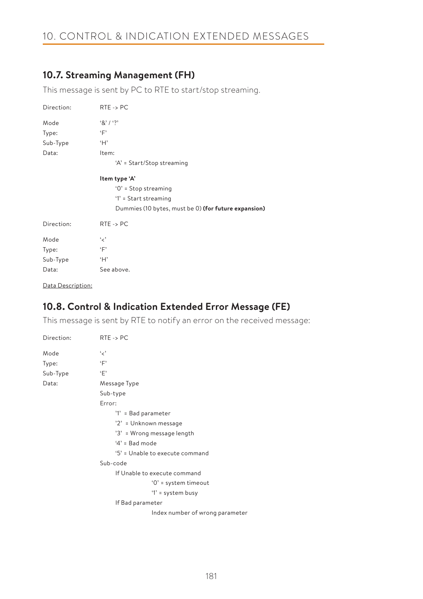# 10. CONTROL & INDICATION EXTENDED MESSAGES

# **10.7. Streaming Management (FH)**

This message is sent by PC to RTE to start/stop streaming.

| Direction: | $RTE \rightarrow PC$                                 |
|------------|------------------------------------------------------|
| Mode       | 8' / ?                                               |
| Type:      | ٠F                                                   |
| Sub-Type   | H                                                    |
| Data:      | Item:                                                |
|            | 'A' = Start/Stop streaming                           |
|            | Item type 'A'                                        |
|            | $'0'$ = Stop streaming                               |
|            | $'1'$ = Start streaming                              |
|            | Dummies (10 bytes, must be 0) (for future expansion) |
| Direction: | $RTE \rightarrow PC$                                 |
| Mode       | و د                                                  |
| Type:      | ٠F                                                   |
| Sub-Type   | ʻΗ'                                                  |
| Data:      | See above.                                           |

Data Description:

# **10.8. Control & Indication Extended Error Message (FE)**

This message is sent by RTE to notify an error on the received message:

| Direction: | $RTE \rightarrow PC$            |
|------------|---------------------------------|
| Mode       | و د                             |
| Type:      | $\cdot_F$                       |
| Sub-Type   | $\cdot_F$                       |
| Data:      | Message Type                    |
|            | Sub-type                        |
|            | Error:                          |
|            | '1' = Bad parameter             |
|            | '2' = Unknown message           |
|            | '3' = Wrong message length      |
|            | $4'$ = Bad mode                 |
|            | '5' = Unable to execute command |
|            | Sub-code                        |
|            | If Unable to execute command    |
|            | $'0'$ = system timeout          |
|            | '1' = system busy               |
|            | If Bad parameter                |
|            | Index number of wrong parameter |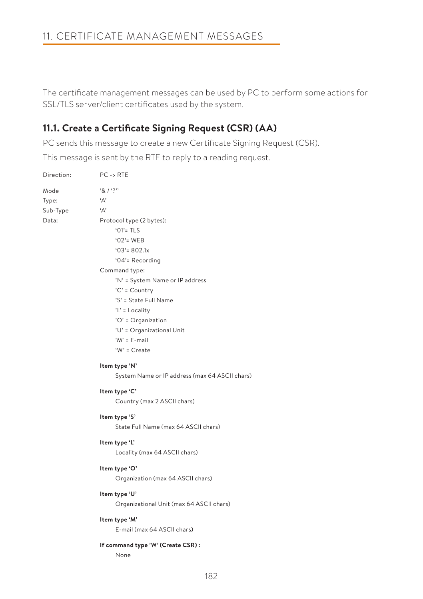The certificate management messages can be used by PC to perform some actions for SSL/TLS server/client certificates used by the system.

# **11.1. Create a Certificate Signing Request (CSR) (AA)**

PC sends this message to create a new Certificate Signing Request (CSR).

This message is sent by the RTE to reply to a reading request.

| Direction: | $PC \rightarrow RTE$                                                                                                                                                                                                                                                                                   |
|------------|--------------------------------------------------------------------------------------------------------------------------------------------------------------------------------------------------------------------------------------------------------------------------------------------------------|
| Mode       | 8/3                                                                                                                                                                                                                                                                                                    |
| Type:      | A                                                                                                                                                                                                                                                                                                      |
| Sub-Type   | 'Д'                                                                                                                                                                                                                                                                                                    |
| Data:      | Protocol type (2 bytes):<br>$'01'$ = TLS<br>$'02'$ = WEB<br>$'03' = 802.1x$<br>'04'= Recording<br>Command type:<br>'N' = System Name or IP address<br>'C' = Country<br>'S' = State Full Name<br>$'L'$ = Locality<br>'O' = Organization<br>'U' = Organizational Unit<br>$'M' = E$ -mail<br>'W' = Create |
|            |                                                                                                                                                                                                                                                                                                        |
|            | Item type 'N'                                                                                                                                                                                                                                                                                          |
|            | System Name or IP address (max 64 ASCII chars)                                                                                                                                                                                                                                                         |
|            | Item type 'C'                                                                                                                                                                                                                                                                                          |
|            | Country (max 2 ASCII chars)                                                                                                                                                                                                                                                                            |
|            | Item type 'S'                                                                                                                                                                                                                                                                                          |
|            | State Full Name (max 64 ASCII chars)                                                                                                                                                                                                                                                                   |
|            | Item type 'L'                                                                                                                                                                                                                                                                                          |
|            | Locality (max 64 ASCII chars)                                                                                                                                                                                                                                                                          |
|            | Item type 'O'                                                                                                                                                                                                                                                                                          |
|            | Organization (max 64 ASCII chars)                                                                                                                                                                                                                                                                      |
|            | Item type 'U'                                                                                                                                                                                                                                                                                          |
|            | Organizational Unit (max 64 ASCII chars)                                                                                                                                                                                                                                                               |
|            | Item type 'M'                                                                                                                                                                                                                                                                                          |
|            | E-mail (max 64 ASCII chars)                                                                                                                                                                                                                                                                            |
|            | If command type 'W' (Create CSR):                                                                                                                                                                                                                                                                      |
|            | None                                                                                                                                                                                                                                                                                                   |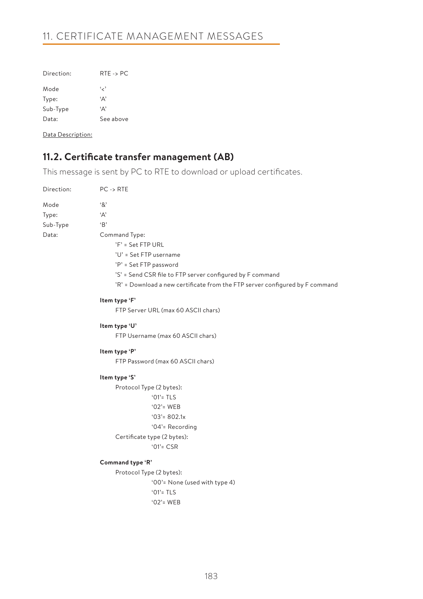# 11. CERTIFICATE MANAGEMENT MESSAGES

| Direction: | $RTE \rightarrow PC$ |
|------------|----------------------|
| Mode       | و پر پ               |
| Type:      | ٠д,                  |
| Sub-Type   | ٠д,                  |
| Data:      | See above            |

Data Description:

# **11.2. Certificate transfer management (AB)**

This message is sent by PC to RTE to download or upload certificates.

| Direction: | $PC \rightarrow RTE$                                                         |
|------------|------------------------------------------------------------------------------|
| Mode       | '&'                                                                          |
| Type:      | 'А'                                                                          |
| Sub-Type   | B                                                                            |
| Data:      | Command Type:                                                                |
|            | $'F' = Set FTP URL$                                                          |
|            | 'U' = Set FTP username                                                       |
|            | 'P' = Set FTP password                                                       |
|            | 'S' = Send CSR file to FTP server configured by F command                    |
|            | 'R' = Download a new certificate from the FTP server configured by F command |
|            | Item type 'F'                                                                |
|            | FTP Server URL (max 60 ASCII chars)                                          |
|            | Item type 'U'                                                                |
|            | FTP Username (max 60 ASCII chars)                                            |
|            | Item type 'P'                                                                |
|            | FTP Password (max 60 ASCII chars)                                            |
|            | Item type 'S'                                                                |
|            | Protocol Type (2 bytes):                                                     |
|            | $'01'$ = TLS                                                                 |
|            | $'02'$ = WEB                                                                 |
|            | $'03' = 802.1x$                                                              |
|            | '04'= Recording                                                              |
|            | Certificate type (2 bytes):                                                  |
|            | $'01'$ = CSR                                                                 |
|            | Command type 'R'                                                             |
|            | Protocol Type (2 bytes):                                                     |
|            | '00'= None (used with type 4)                                                |
|            | $'01'$ = TLS                                                                 |
|            | $'02'$ = WEB                                                                 |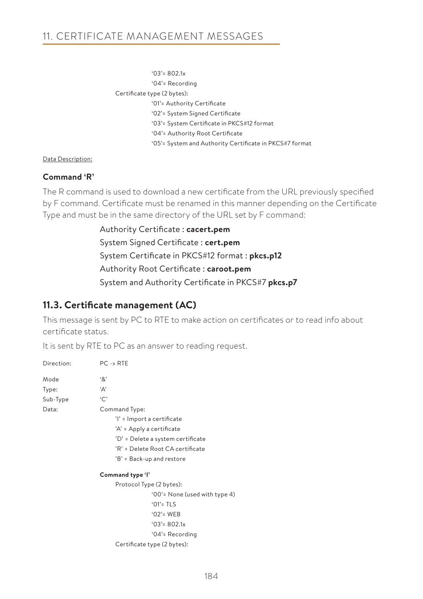'03'= 802.1x '04'= Recording Certificate type (2 bytes): '01'= Authority Certificate '02'= System Signed Certificate '03'= System Certificate in PKCS#12 format '04'= Authority Root Certificate '05'= System and Authority Certificate in PKCS#7 format

## Data Description:

## **Command 'R'**

The R command is used to download a new certificate from the URL previously specified by F command. Certificate must be renamed in this manner depending on the Certificate Type and must be in the same directory of the URL set by F command:

> Authority Certificate : **cacert.pem** System Signed Certificate : **cert.pem** System Certificate in PKCS#12 format : **pkcs.p12** Authority Root Certificate : **caroot.pem** System and Authority Certificate in PKCS#7 **pkcs.p7**

# **11.3. Certificate management (AC)**

This message is sent by PC to RTE to make action on certificates or to read info about certificate status.

It is sent by RTE to PC as an answer to reading request.

| Direction: | $PC \rightarrow RTE$              |
|------------|-----------------------------------|
| Mode       | '&'                               |
| Type:      | 'Α'                               |
| Sub-Type   | `C`                               |
| Data:      | Command Type:                     |
|            | 'l' = Import a certificate        |
|            | 'A' = Apply a certificate         |
|            | 'D' = Delete a system certificate |
|            | 'R' = Delete Root CA certificate  |
|            | 'B' = Back-up and restore         |
|            | Command type 'l'                  |
|            | Protocol Type (2 bytes):          |
|            | '00'= None (used with type 4)     |
|            | $'01'$ = TLS                      |
|            | $'02'$ = WEB                      |
|            | $'03' = 802.1x$                   |
|            | '04'= Recording                   |
|            | Certificate type (2 bytes):       |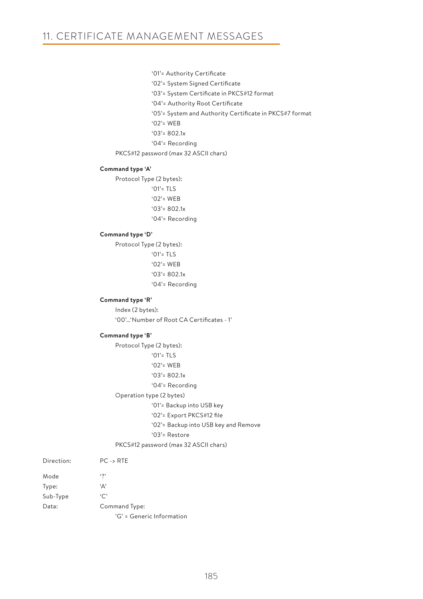```
 '01'= Authority Certificate
```
- '02'= System Signed Certificate
- '03'= System Certificate in PKCS#12 format
- '04'= Authority Root Certificate
- '05'= System and Authority Certificate in PKCS#7 format
- '02'= WEB
- '03'= 802.1x
- '04'= Recording
- PKCS#12 password (max 32 ASCII chars)

## **Command type 'A'**

Protocol Type (2 bytes): '01'= TLS

- '02'= WEB
- '03'= 802.1x
- '04'= Recording

## **Command type 'D'**

Protocol Type (2 bytes): '01'= TLS '02'= WEB '03'= 802.1x '04'= Recording

### **Command type 'R'**

Index (2 bytes): '00'…'Number of Root CA Certificates - 1'

### **Command type 'B'**

Protocol Type (2 bytes): '01'= TLS '02'= WEB '03'= 802.1x

- '04'= Recording
- Operation type (2 bytes)

'01'= Backup into USB key

```
 '02'= Export PKCS#12 file
```
'02'= Backup into USB key and Remove

```
 '03'= Restore
```
## PKCS#12 password (max 32 ASCII chars)

| Direction: | $PC \rightarrow RTE$      |
|------------|---------------------------|
| Mode       | $\ddot{\phantom{0}}$      |
| Type:      | 'Α'                       |
| Sub-Type   | $\cdot$ C                 |
| Data:      | Command Type:             |
|            | 'G' = Generic Information |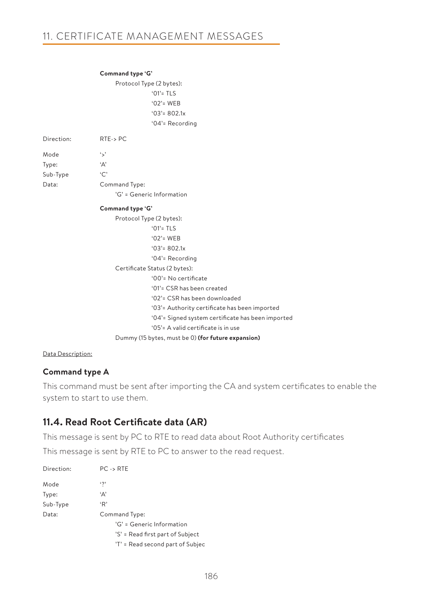|            | Command type 'G'                                   |
|------------|----------------------------------------------------|
|            | Protocol Type (2 bytes):                           |
|            | $'01'$ = TLS                                       |
|            | $'02'$ = WEB                                       |
|            | $'03' = 802.1x$                                    |
|            | '04'= Recording                                    |
| Direction: | $RTE->PC$                                          |
| Mode       | ٠,                                                 |
| Type:      | 'A'                                                |
| Sub-Type   | °C                                                 |
| Data:      | Command Type:                                      |
|            | 'G' = Generic Information                          |
|            | Command type 'G'                                   |
|            | Protocol Type (2 bytes):                           |
|            | ' $01'$ = TLS                                      |
|            | $'02'$ = WEB                                       |
|            | $'03' = 802.1x$                                    |
|            | '04'= Recording                                    |
|            | Certificate Status (2 bytes):                      |
|            | '00'= No certificate                               |
|            | '01'= CSR has been created                         |
|            | '02'= CSR has been downloaded                      |
|            | '03'= Authority certificate has been imported      |
|            | '04'= Signed system certificate has been imported  |
|            | '05'= A valid certificate is in use                |
|            | Dummy (15 bytes, must be 0) (for future expansion) |

## Data Description:

# **Command type A**

This command must be sent after importing the CA and system certificates to enable the system to start to use them.

# **11.4. Read Root Certificate data (AR)**

This message is sent by PC to RTE to read data about Root Authority certificates

This message is sent by RTE to PC to answer to the read request.

| Direction: | $PC \rightarrow RTE$             |
|------------|----------------------------------|
| Mode       | $\ddot{\phantom{0}}$             |
| Type:      | 'Α'                              |
| Sub-Type   | 'R'                              |
| Data:      | Command Type:                    |
|            | 'G' = Generic Information        |
|            | 'S' = Read first part of Subject |
|            | 'T' = Read second part of Subjec |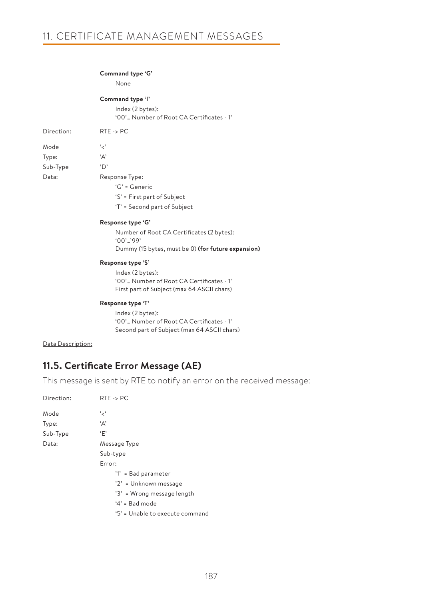### **Command type 'G'**

None

### **Command type 'I'**

| Index (2 bytes):                         |  |
|------------------------------------------|--|
| '00' Number of Root CA Certificates - 1' |  |

| Direction <sup>.</sup> | $RTE \rightarrow PC$ |
|------------------------|----------------------|
| Mode                   | و ر،                 |
| Type:                  | ۰Δ'                  |
| Sub-Type               | 'D'                  |
| Data:                  | Response Type:       |
|                        | $G' = G$ eneric      |
|                        |                      |

- 'S' = First part of Subject
- 'T' = Second part of Subject

### **Response type 'G'**

Number of Root CA Certificates (2 bytes): '00'…'99' Dummy (15 bytes, must be 0) **(for future expansion)**

### **Response type 'S'**

```
 Index (2 bytes):
'00'… Number of Root CA Certificates - 1'
First part of Subject (max 64 ASCII chars)
```
### **Response type 'T'**

```
Index (2 bytes):
'00'… Number of Root CA Certificates - 1'
Second part of Subject (max 64 ASCII chars)
```
### Data Description:

# **11.5. Certificate Error Message (AE)**

This message is sent by RTE to notify an error on the received message:

| Direction: | $RTE \rightarrow PC$            |
|------------|---------------------------------|
| Mode       | ، ج'                            |
| Type:      | 'Α'                             |
| Sub-Type   | ٠F'                             |
| Data:      | Message Type                    |
|            | Sub-type                        |
|            | Error:                          |
|            | '1' = Bad parameter             |
|            | '2' = Unknown message           |
|            | '3' = Wrong message length      |
|            | ' $4$ ' = Bad mode              |
|            | '5' = Unable to execute command |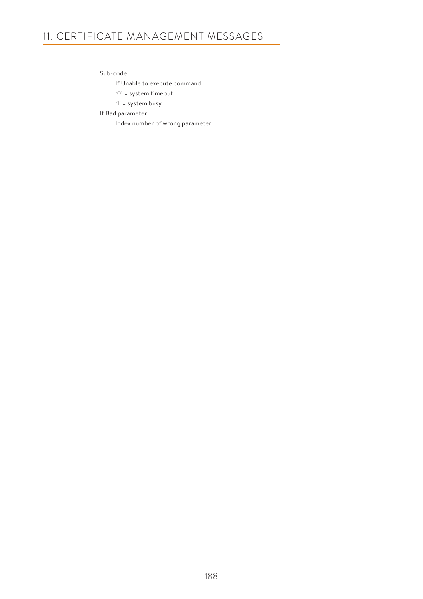# 11. CERTIFICATE MANAGEMENT MESSAGES

Sub-code

If Unable to execute command

'0' = system timeout

'1' = system busy

If Bad parameter

Index number of wrong parameter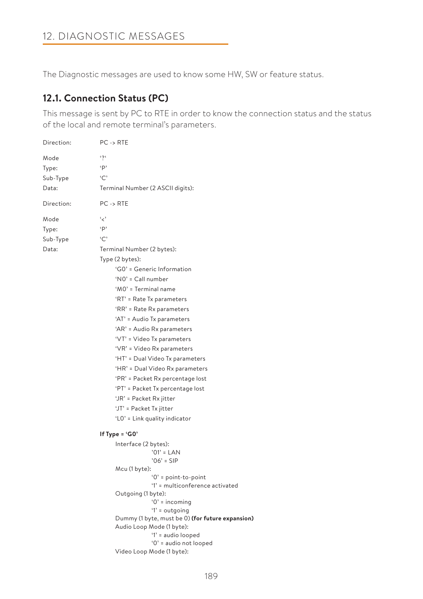The Diagnostic messages are used to know some HW, SW or feature status.

# **12.1. Connection Status (PC)**

This message is sent by PC to RTE in order to know the connection status and the status of the local and remote terminal's parameters.

```
Direction: PC -> RTE
Mode '?'
Type: 'P'
Sub-Type 'C'
Data: Terminal Number (2 ASCII digits):
Direction: PC -> RTE
Mode '<'
Type: 'P'
Sub-Type 'C'
Data: Terminal Number (2 bytes):
                   Type (2 bytes):
                        'G0' = Generic Information
                        'N0' = Call number
                        'M0' = Terminal name
                        'RT' = Rate Tx parameters
                        'RR' = Rate Rx parameters
                        'AT' = Audio Tx parameters
                        'AR' = Audio Rx parameters
                        'VT' = Video Tx parameters
                        'VR' = Video Rx parameters
                        'HT' = Dual Video Tx parameters
                        'HR' = Dual Video Rx parameters
                        'PR' = Packet Rx percentage lost
                        'PT' = Packet Tx percentage lost 
                        'JR' = Packet Rx jitter
                        'JT' = Packet Tx jitter 
                        'L0' = Link quality indicator 
                   If Type = 'G0'
                       Interface (2 bytes):
                                   '01' = LAN
                                   '06' = SIP
                       Mcu (1 byte):
                                  '0' = point-to-point
                                  '1' = multiconference activated
                       Outgoing (1 byte):
                                  '0' = incoming
                                   '1' = outgoing
                       Dummy (1 byte, must be 0) (for future expansion)
                       Audio Loop Mode (1 byte):
                                  '1' = audio looped
                                  '0' = audio not looped
                       Video Loop Mode (1 byte):
```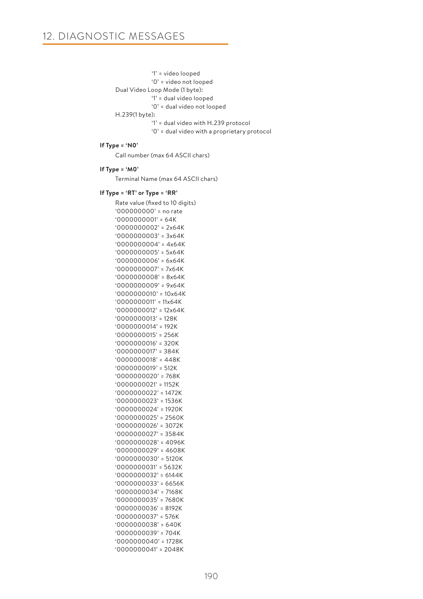```
'1' = video looped
```
'0' = video not looped

```
Dual Video Loop Mode (1 byte):
```
- '1' = dual video looped
- '0' = dual video not looped

H.239(1 byte):

- '1' = dual video with H.239 protocol
- '0' = dual video with a proprietary protocol

### **If Type = 'N0'**

Call number (max 64 ASCII chars)

### **If Type = 'M0'**

Terminal Name (max 64 ASCII chars)

### **If Type = 'RT' or Type = 'RR'**

Rate value (fixed to 10 digits) '000000000' = no rate '0000000001' = 64K '0000000002' = 2x64K '0000000003' = 3x64K '0000000004' = 4x64K '0000000005' = 5x64K '0000000006' = 6x64K '0000000007' = 7x64K '0000000008' = 8x64K '0000000009' = 9x64K '0000000010' = 10x64K '0000000011' = 11x64K '0000000012' = 12x64K '0000000013' = 128K '0000000014' = 192K '0000000015' = 256K '0000000016' = 320K '0000000017' = 384K '0000000018' = 448K '0000000019' = 512K '0000000020' = 768K '0000000021' = 1152K '0000000022' = 1472K '0000000023' = 1536K '0000000024' = 1920K '0000000025' = 2560K '0000000026' = 3072K '0000000027' = 3584K '0000000028' = 4096K '0000000029' = 4608K '0000000030' = 5120K '0000000031' = 5632K '0000000032' = 6144K '0000000033' = 6656K '0000000034' = 7168K '0000000035' = 7680K '0000000036' = 8192K '0000000037' = 576K '0000000038' = 640K '0000000039' = 704K '0000000040' = 1728K '0000000041' = 2048K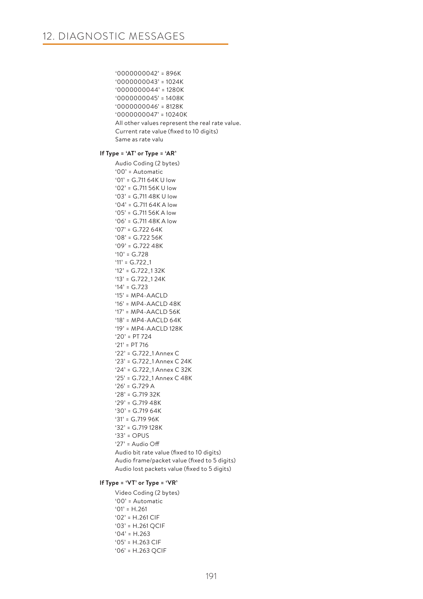```
'0000000042' = 896K
'0000000043' = 1024K
'0000000044' = 1280K
'0000000045' = 1408K
'0000000046' = 8128K
'0000000047' = 10240K
All other values represent the real rate value.
Current rate value (fixed to 10 digits)
Same as rate valu
```
### **If Type = 'AT' or Type = 'AR'**

Audio Coding (2 bytes) '00' = Automatic '01' = G.711 64K U low '02' = G.711 56K U low '03' = G.711 48K U low '04' = G.711 64K A low '05' = G.711 56K A low '06' = G.711 48K A low  $'07' = G.72264K$ '08' = G.722 56K '09' = G.722 48K  $'10' = G.728$  $'11' = G.7221$ '12' = G.722\_1 32K '13' = G.722\_1 24K '14' = G.723 '15' = MP4-AACLD '16' = MP4-AACLD 48K '17' =  $MP4 - AAC$ LD 56K '18' =  $MP4-AACID64K$ '19' =  $MP4 - AAC$ LD 128K '20' = PT 724 '21' = PT 716 '22' = G.722\_1 Annex C '23' = G.722\_1 Annex C 24K '24' = G.722\_1 Annex C 32K '25' = G.722\_1 Annex C 48K  $'26' = G.729 A$ '28' = G.719 32K '29' = G.719 48K '30' = G.719 64K '31' = G.719 96K '32' = G.719 128K '33' = OPUS '27' = Audio Off Audio bit rate value (fixed to 10 digits) Audio frame/packet value (fixed to 5 digits) Audio lost packets value (fixed to 5 digits)

## **If Type = 'VT' or Type = 'VR'**

Video Coding (2 bytes) '00' = Automatic  $'01' = H.261$ '02' = H.261 CIF '03' = H.261 QCIF  $'04' = H.263$ '05' = H.263 CIF '06' = H.263 QCIF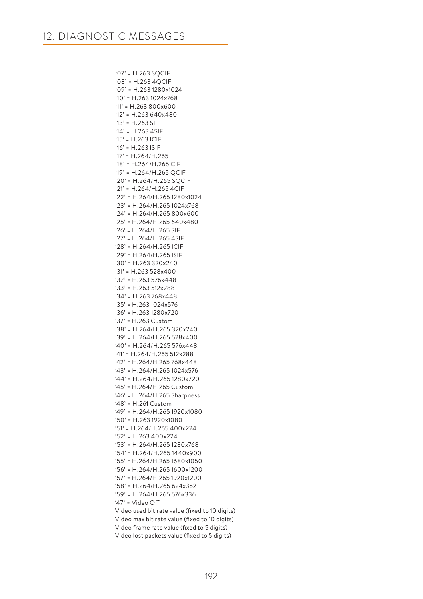'07' = H.263 SQCIF  $'08' = H.263 40C$ '09' = H.263 1280x1024 '10' = H.263 1024x768 '11' = H.263 800x600 '12' = H.263 640x480 '13' = H.263 SIF '14' = H.263 4SIF '15' = H.263 ICIF '16' = H.263 ISIF '17' = H.264/H.265 '18' = H.264/H.265 CIF '19' = H.264/H.265 QCIF '20' = H.264/H.265 SQCIF '21' = H.264/H.265 4CIF '22' = H.264/H.265 1280x1024 '23' = H.264/H.265 1024x768 '24' = H.264/H.265 800x600 '25' = H.264/H.265 640x480 '26' = H.264/H.265 SIF '27' = H.264/H.265 4SIF '28' = H.264/H.265 ICIF '29' = H.264/H.265 ISIF '30' = H.263 320x240 '31' = H.263 528x400 '32' = H.263 576x448 '33' = H.263 512x288 '34' = H.263 768x448 '35' = H.263 1024x576 '36' = H.263 1280x720 '37' = H.263 Custom '38' = H.264/H.265 320x240 '39' = H.264/H.265 528x400 '40' = H.264/H.265 576x448 '41' = H.264/H.265 512x288 '42' = H.264/H.265 768x448 '43' = H.264/H.265 1024x576 '44' = H.264/H.265 1280x720 '45' = H.264/H.265 Custom '46' = H.264/H.265 Sharpness '48' = H.261 Custom '49' = H.264/H.265 1920x1080 '50' = H.263 1920x1080 '51' = H.264/H.265 400x224 '52' = H.263 400x224 '53' = H.264/H.265 1280x768 '54' = H.264/H.265 1440x900 '55' = H.264/H.265 1680x1050 '56' = H.264/H.265 1600x1200 '57' = H.264/H.265 1920x1200 '58' = H.264/H.265 624x352 '59' = H.264/H.265 576x336 '47' = Video Off Video used bit rate value (fixed to 10 digits) Video max bit rate value (fixed to 10 digits) Video frame rate value (fixed to 5 digits) Video lost packets value (fixed to 5 digits)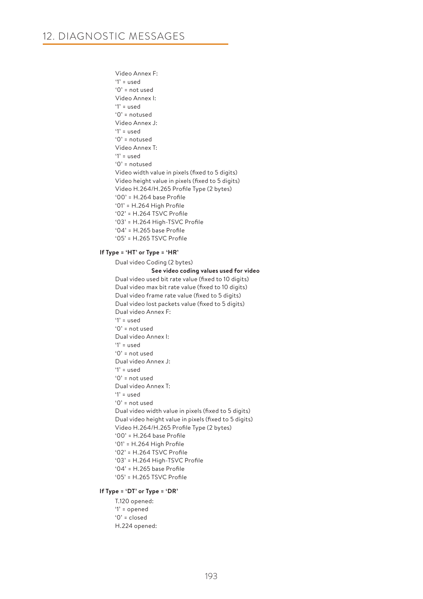Video Annex F: '1' = used '0' = not used Video Annex I: '1' = used '0' = notused Video Annex J: '1' = used '0' = notused Video Annex T: '1' = used '0' = notused Video width value in pixels (fixed to 5 digits) Video height value in pixels (fixed to 5 digits) Video H.264/H.265 Profile Type (2 bytes) '00' = H.264 base Profile '01' = H.264 High Profile '02' = H.264 TSVC Profile '03' = H.264 High-TSVC Profile '04' = H.265 base Profile '05' = H.265 TSVC Profile

## **If Type = 'HT' or Type = 'HR'**

Dual video Coding (2 bytes)

 **See video coding values used for video** Dual video used bit rate value (fixed to 10 digits) Dual video max bit rate value (fixed to 10 digits) Dual video frame rate value (fixed to 5 digits) Dual video lost packets value (fixed to 5 digits) Dual video Annex F: '1' = used '0' = not used Dual video Annex I: '1' = used '0' = not used Dual video Annex J: '1' = used '0' = not used Dual video Annex T: '1' = used '0' = not used Dual video width value in pixels (fixed to 5 digits) Dual video height value in pixels (fixed to 5 digits) Video H.264/H.265 Profile Type (2 bytes) '00' = H.264 base Profile '01' = H.264 High Profile '02' = H.264 TSVC Profile '03' = H.264 High-TSVC Profile '04' = H.265 base Profile '05' = H.265 TSVC Profile

#### **If Type = 'DT' or Type = 'DR'**

T.120 opened: '1' = opened  $'0'$  = closed H.224 opened: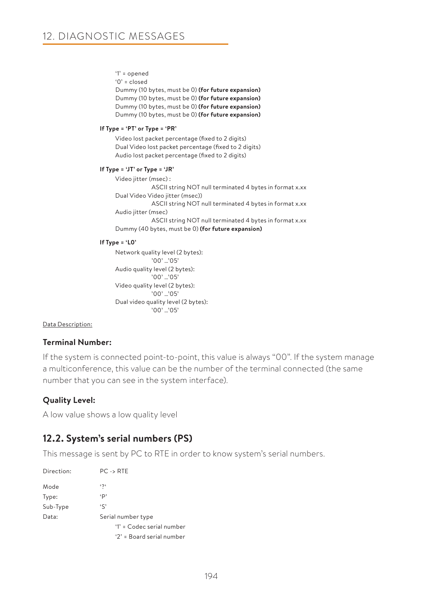'1' = opened

```
'0' = closed
```
Dummy (10 bytes, must be 0) **(for future expansion)** Dummy (10 bytes, must be 0) **(for future expansion)** Dummy (10 bytes, must be 0) **(for future expansion)** Dummy (10 bytes, must be 0) **(for future expansion)**

## **If Type = 'PT' or Type = 'PR'**

Video lost packet percentage (fixed to 2 digits) Dual Video lost packet percentage (fixed to 2 digits) Audio lost packet percentage (fixed to 2 digits)

## **If Type = 'JT' or Type = 'JR'**

Video jitter (msec) : ASCII string NOT null terminated 4 bytes in format x.xx Dual Video Video jitter (msec)) ASCII string NOT null terminated 4 bytes in format x.xx Audio jitter (msec) ASCII string NOT null terminated 4 bytes in format x.xx Dummy (40 bytes, must be 0) **(for future expansion)**

## **If Type = 'L0'**

Network quality level (2 bytes): '00' …'05' Audio quality level (2 bytes): '00' …'05' Video quality level (2 bytes): '00' …'05' Dual video quality level (2 bytes):  $'00'$  '05'

## Data Description:

# **Terminal Number:**

If the system is connected point-to-point, this value is always "00". If the system manage a multiconference, this value can be the number of the terminal connected (the same number that you can see in the system interface).

# **Quality Level:**

A low value shows a low quality level

# **12.2. System's serial numbers (PS)**

This message is sent by PC to RTE in order to know system's serial numbers.

| Direction: | $PC \rightarrow RTE$        |
|------------|-----------------------------|
| Mode       | بر،                         |
| Type:      | ٠p                          |
| Sub-Type   | $\mathfrak{c}$              |
| Data:      | Serial number type          |
|            | $'1'$ = Codec serial number |
|            | '2' = Board serial number   |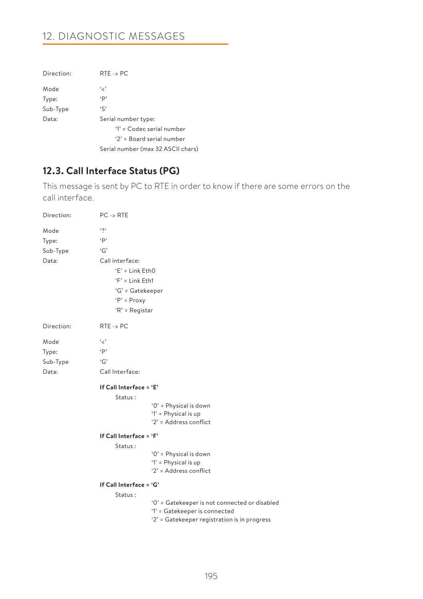# 12. DIAGNOSTIC MESSAGES

| Direction: | $RTE \rightarrow PC$               |
|------------|------------------------------------|
| Mode       | و ر،                               |
| Type:      | p,                                 |
| Sub-Type   | $\mathfrak{c}$                     |
| Data:      | Serial number type:                |
|            | '1' = Codec serial number          |
|            | '2' = Board serial number          |
|            | Serial number (max 32 ASCII chars) |

# **12.3. Call Interface Status (PG)**

This message is sent by PC to RTE in order to know if there are some errors on the call interface.

| Direction: | $PC \rightarrow RTE$                                                          |
|------------|-------------------------------------------------------------------------------|
| Mode       | .2.                                                                           |
| Type:      | $\cdot$ P                                                                     |
| Sub-Type   | G                                                                             |
| Data:      | Call interface:                                                               |
|            | $E' =$ Link EthO                                                              |
|            | $F =$ Link Eth1                                                               |
|            | 'G' = Gatekeeper                                                              |
|            | $'P' = Proxy$                                                                 |
|            | ' $R$ ' = Registar                                                            |
| Direction: | $RTE \rightarrow PC$                                                          |
| Mode       | $\cdot$ <'                                                                    |
| Type:      | $\cdot$ P                                                                     |
| Sub-Type   | G                                                                             |
| Data:      | Call Interface:                                                               |
|            | If Call Interface = 'E'                                                       |
|            | Status:                                                                       |
|            | '0' = Physical is down                                                        |
|            | '1' = Physical is up<br>'2' = Address conflict                                |
|            |                                                                               |
|            | If Call Interface = 'F'                                                       |
|            | Status:<br>'0' = Physical is down                                             |
|            | '1' = Physical is up                                                          |
|            | '2' = Address conflict                                                        |
|            | If Call Interface = 'G'                                                       |
|            | Status:                                                                       |
|            | '0' = Gatekeeper is not connected or disabled                                 |
|            | '1' = Gatekeeper is connected<br>'2' = Gatekeeper registration is in progress |
|            |                                                                               |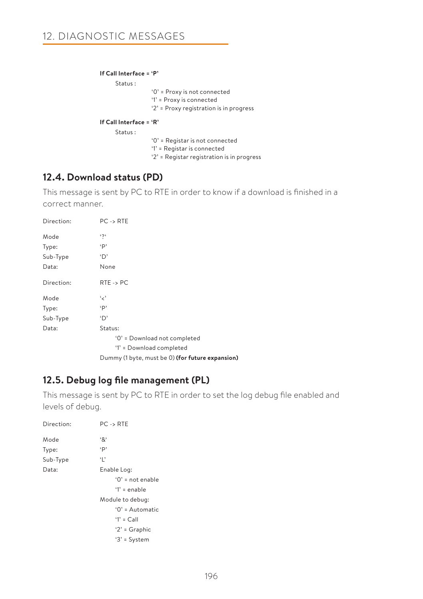## **If Call Interface = 'P'**

Status :

'0' = Proxy is not connected

'1' = Proxy is connected

'2' = Proxy registration is in progress

## **If Call Interface = 'R'**

Status :

'0' = Registar is not connected

- '1' = Registar is connected
- '2' = Registar registration is in progress

# **12.4. Download status (PD)**

This message is sent by PC to RTE in order to know if a download is finished in a correct manner.

| Direction: | $PC \rightarrow RTE$                             |
|------------|--------------------------------------------------|
| Mode       | $\mathfrak{c}$                                   |
| Type:      | $\cdot$ P                                        |
| Sub-Type   | 'D'                                              |
| Data:      | None                                             |
| Direction: | $RTE \rightarrow PC$                             |
| Mode       | و ر،                                             |
| Type:      | $\cdot$ p                                        |
| Sub-Type   | 'D'                                              |
| Data:      | Status:                                          |
|            | '0' = Download not completed                     |
|            | '1' = Download completed                         |
|            | Dummy (1 byte, must be 0) (for future expansion) |

# **12.5. Debug log file management (PL)**

This message is sent by PC to RTE in order to set the log debug file enabled and levels of debug.

| Direction: | $PC \rightarrow RTE$ |
|------------|----------------------|
| Mode       | '&'                  |
| Type:      | p,                   |
| Sub-Type   | Ч,                   |
| Data:      | Enable Log:          |
|            | $'0'$ = not enable   |
|            | $'1'$ = enable       |
|            | Module to debug:     |
|            | '0' = Automatic      |
|            | $'1' = Call$         |
|            | $2' = Graphic$       |
|            | $3'$ = System        |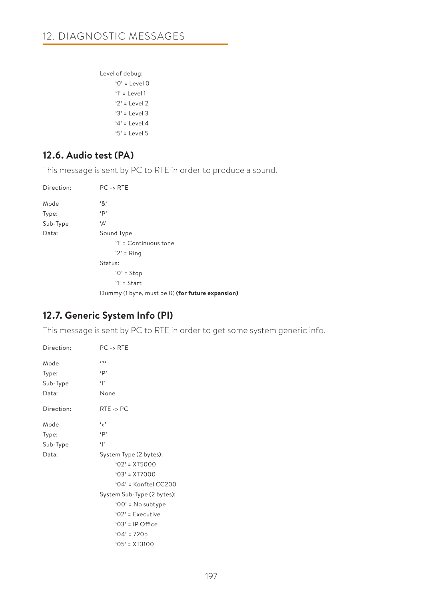Level of debug: '0' = Level 0 '1' = Level 1 '2' = Level 2 '3' = Level 3 '4' = Level 4 '5' = Level 5

# **12.6. Audio test (PA)**

This message is sent by PC to RTE in order to produce a sound.

| Direction: | $PC \rightarrow RTE$                             |
|------------|--------------------------------------------------|
| Mode       | $^{\mathfrak{c}}8^{\mathfrak{c}}$                |
| Type:      | $\cdot$ P                                        |
| Sub-Type   | 'Α'                                              |
| Data:      | Sound Type                                       |
|            | '1' = Continuous tone                            |
|            | $2' =$ Ring                                      |
|            | Status:                                          |
|            | $'0'$ = Stop                                     |
|            | $'1'$ = Start                                    |
|            | Dummy (1 byte, must be 0) (for future expansion) |

# **12.7. Generic System Info (PI)**

This message is sent by PC to RTE in order to get some system generic info.

| Direction:                         | $PC \rightarrow RTE$                                                                                                                 |
|------------------------------------|--------------------------------------------------------------------------------------------------------------------------------------|
| Mode<br>Type:<br>Sub-Type<br>Data: | $\mathfrak{c}$<br>$\cdot$ p<br>$\ddot{\phantom{0}}$<br>None                                                                          |
| Direction:                         | $RTE \rightarrow PC$                                                                                                                 |
| Mode<br>Type:<br>Sub-Type<br>Data: | و ر ،<br>$\cdot$ p<br>$\ddot{\phantom{0}}$<br>System Type (2 bytes):<br>$'02' = XTS000$<br>$'03' = XTT000$<br>'04' = $Konftel CC200$ |
|                                    | System Sub-Type (2 bytes):<br>$'00'$ = No subtype<br>$'02'$ = Executive<br>$'03'$ = IP Office<br>$'04' = 720p$<br>$'05' = XT3100$    |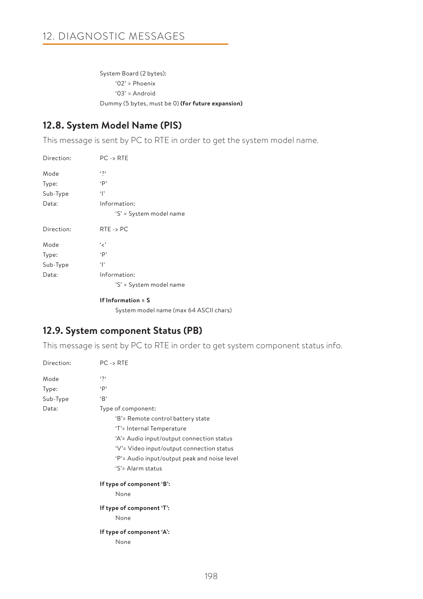System Board (2 bytes): '02' = Phoenix '03' = Android Dummy (5 bytes, must be 0) **(for future expansion)**

# **12.8. System Model Name (PIS)**

This message is sent by PC to RTE in order to get the system model name.

| Direction: | $PC \rightarrow RTE$    |
|------------|-------------------------|
| Mode       | $\mathfrak{c}$          |
| Type:      | p,                      |
| Sub-Type   | $\cdot$  '              |
| Data:      | Information:            |
|            | 'S' = System model name |
|            |                         |
| Direction: | $RTE \rightarrow PC$    |
| Mode       | و ر،                    |
| Type:      | p,                      |
| Sub-Type   | $\cdot$  '              |
| Data:      | Information:            |

## **If Information = S**

System model name (max 64 ASCII chars)

# **12.9. System component Status (PB)**

This message is sent by PC to RTE in order to get system component status info.

| Direction: | $PC \rightarrow RTE$                         |
|------------|----------------------------------------------|
| Mode       | 525                                          |
| Type:      | $\cdot$ p                                    |
| Sub-Type   | B                                            |
| Data:      | Type of component:                           |
|            | 'B'= Remote control battery state            |
|            | 'T'= Internal Temperature                    |
|            | 'A'= Audio input/output connection status    |
|            | 'V'= Video input/output connection status    |
|            | 'P'= Audio input/output peak and noise level |
|            | 'S'= Alarm status                            |
|            | If type of component 'B':                    |
|            | None                                         |
|            | If type of component 'T':                    |
|            | None                                         |
|            | If type of component 'A':                    |
|            | None                                         |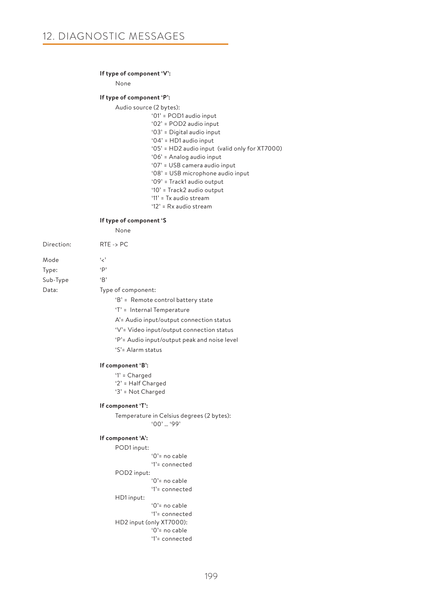#### **If type of component 'V':**

None

#### **If type of component 'P':**

Audio source (2 bytes):

- '01' = POD1 audio input
- '02' = POD2 audio input
- '03' = Digital audio input
- '04' = HD1 audio input
- '05' = HD2 audio input (valid only for XT7000)
- '06' = Analog audio input
- '07' = USB camera audio input
- '08' = USB microphone audio input
- '09' = Track1 audio output
- '10' = Track2 audio output '11' = Tx audio stream
- '12' = Rx audio stream
- 

## **If type of component 'S**

None

| Direction: | $RTE \rightarrow PC$               |
|------------|------------------------------------|
| Mode       | و ر،                               |
| Type:      | ٠p                                 |
| Sub-Type   | B                                  |
| Data:      | Type of component:                 |
|            | 'B' = Remote control battery state |
|            | 'T' = Internal Temperature         |

- A'= Audio input/output connection status
- 'V'= Video input/output connection status
- 'P'= Audio input/output peak and noise level
- 'S'= Alarm status

#### **If component 'B':**

- '1' = Charged
- '2' = Half Charged
- '3' = Not Charged

### **If component 'T':**

Temperature in Celsius degrees (2 bytes): '00' … '99'

## **If component 'A':**

```
POD1 input:
              '0'= no cable
              '1'= connected
POD2 input:
              '0'= no cable
              '1'= connected
HD1 input:
              '0'= no cable
              '1'= connected
HD2 input (only XT7000):
              '0'= no cable
              '1'= connected
```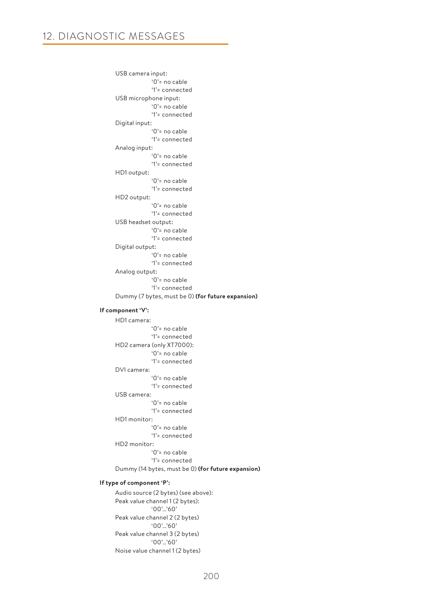USB camera input: '0'= no cable '1'= connected USB microphone input: '0'= no cable '1'= connected Digital input: '0'= no cable '1'= connected Analog input: '0'= no cable '1'= connected HD1 output: '0'= no cable '1'= connected HD2 output: '0'= no cable '1'= connected USB headset output: '0'= no cable '1'= connected Digital output: '0'= no cable '1'= connected Analog output: '0'= no cable '1'= connected Dummy (7 bytes, must be 0) **(for future expansion)**

### **If component 'V':**

HD1 camera: '0'= no cable '1'= connected HD2 camera (only XT7000): '0'= no cable '1'= connected DVI camera: '0'= no cable '1'= connected USB camera: '0'= no cable '1'= connected HD1 monitor: '0'= no cable '1'= connected HD2 monitor: '0'= no cable '1'= connected Dummy (14 bytes, must be 0) **(for future expansion)**

### **If type of component 'P':**

Audio source (2 bytes) (see above): Peak value channel 1 (2 bytes): '00'…'60' Peak value channel 2 (2 bytes) '00'…'60' Peak value channel 3 (2 bytes) '00'…'60' Noise value channel 1 (2 bytes)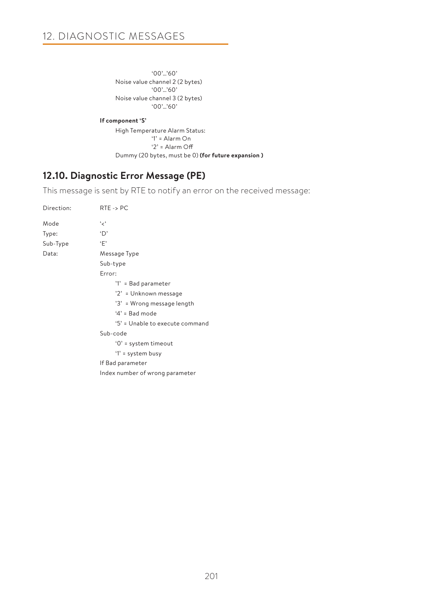'00'…'60' Noise value channel 2 (2 bytes) '00'…'60' Noise value channel 3 (2 bytes) '00'…'60'

## **If component 'S'**

High Temperature Alarm Status: '1' = Alarm On '2' = Alarm Off Dummy (20 bytes, must be 0) **(for future expansion )**

# **12.10. Diagnostic Error Message (PE)**

This message is sent by RTE to notify an error on the received message:

| Direction: | $RTE \rightarrow PC$            |
|------------|---------------------------------|
| Mode       | ، بر،                           |
| Type:      | 'D'                             |
| Sub-Type   | ٠F'                             |
| Data:      | Message Type                    |
|            | Sub-type                        |
|            | Error:                          |
|            | '1' = Bad parameter             |
|            | '2' = Unknown message           |
|            | '3' = Wrong message length      |
|            | $4'$ = Bad mode                 |
|            | '5' = Unable to execute command |
|            | Sub-code                        |
|            | $'0'$ = system timeout          |
|            | '1' = system busy               |
|            | If Bad parameter                |
|            | Index number of wrong parameter |